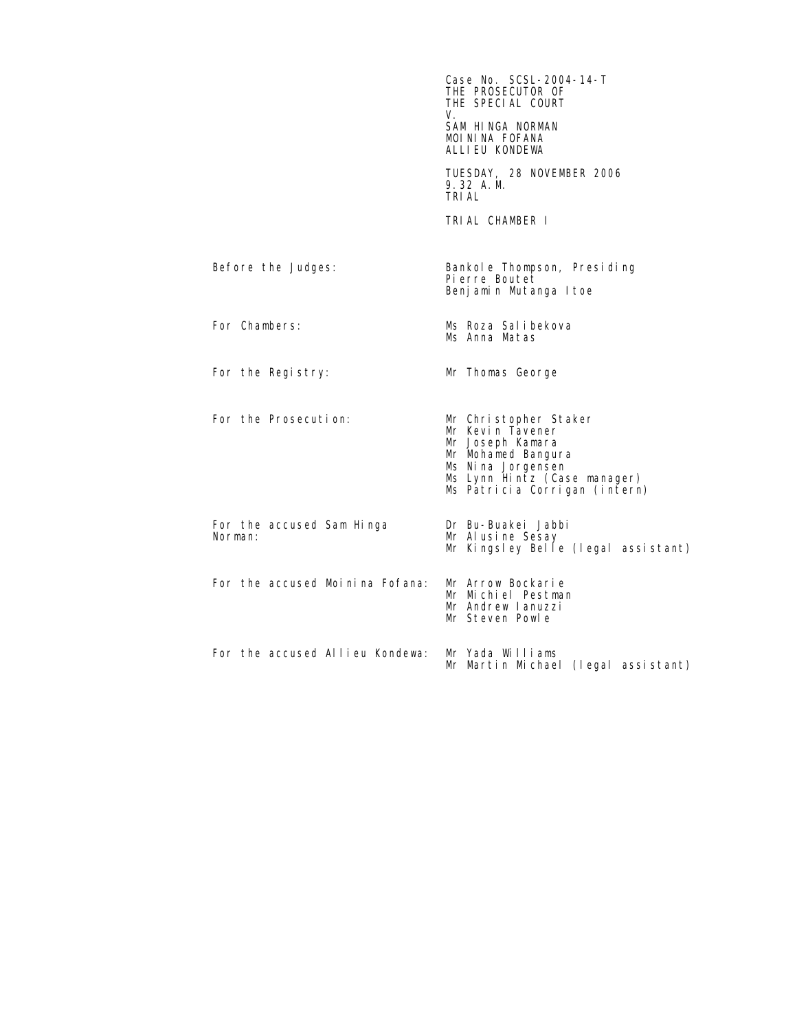|                                      | Case No. SCSL-2004-14-T<br>THE PROSECUTOR OF<br>THE SPECIAL COURT<br>V.<br>SAM HINGA NORMAN<br>MOININA FOFANA<br>ALLIEU KONDEWA                                            |
|--------------------------------------|----------------------------------------------------------------------------------------------------------------------------------------------------------------------------|
|                                      | TUESDAY, 28 NOVEMBER 2006<br>9.32 A.M.<br>TRI AL                                                                                                                           |
|                                      | TRIAL CHAMBER I                                                                                                                                                            |
| Before the Judges:                   | Bankol e Thompson, Presiding<br>Pierre Boutet<br>Benjamin Mutanga Itoe                                                                                                     |
| For Chambers:                        | Ms Roza Salibekova<br>Ms Anna Matas                                                                                                                                        |
| For the Registry:                    | Mr Thomas George                                                                                                                                                           |
| For the Prosecution:                 | Mr Christopher Staker<br>Mr Kevin Tavener<br>Mr Joseph Kamara<br>Mr Mohamed Bangura<br>Ms Ni na Jorgensen<br>Ms Lynn Hintz (Case manager)<br>Ms Patricia Corrigan (intern) |
| For the accused Sam Hinga<br>Norman: | Dr Bu-Buakei Jabbi<br>Mr Alusine Sesay<br>Mr Kingsley Belle (legal assistant)                                                                                              |
| For the accused Moinina Fofana:      | Mr Arrow Bockarie<br>Mr Michiel Pestman<br>Mr Andrew Lanuzzi<br>Mr Steven Powle                                                                                            |
| For the accused Allieu Kondewa:      | Mr Yada Williams<br>Mr Martin Michael (legal assistant)                                                                                                                    |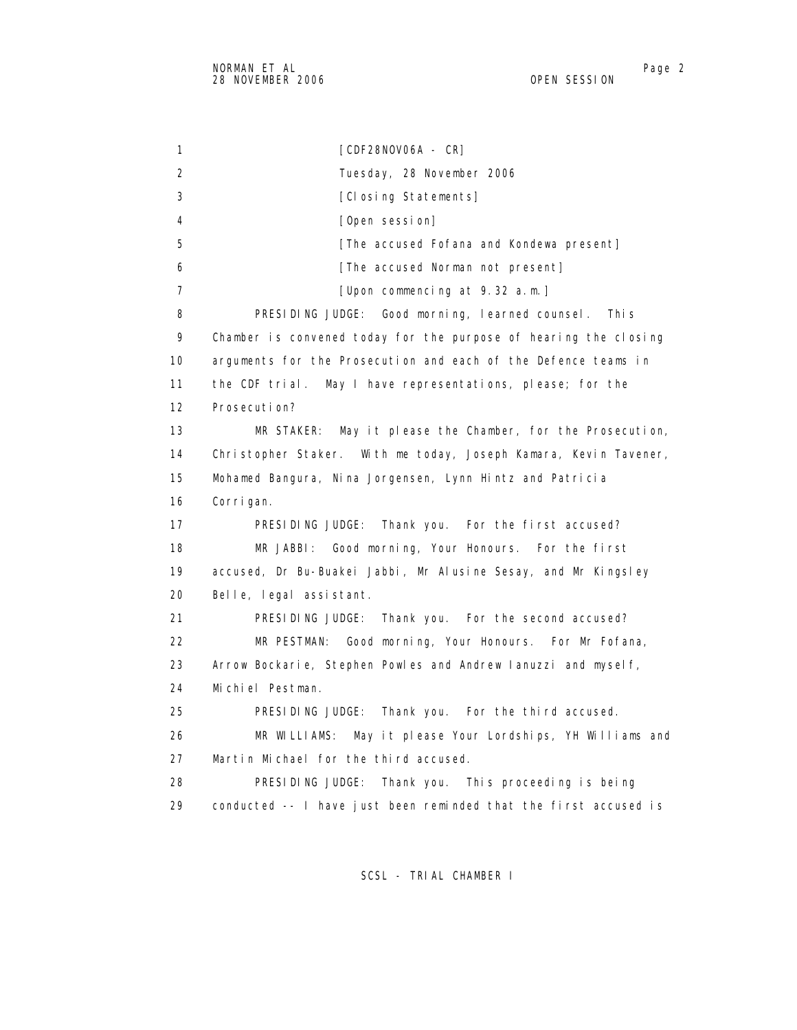1 [CDF28NOV06A - CR] 2 Tuesday, 28 November 2006 3 [Closing Statements] 4 [Open session] 5 **[The accused Fofana and Kondewa present]**  6 [The accused Norman not present] 7 [Upon commencing at 9.32 a.m.] 8 PRESIDING JUDGE: Good morning, learned counsel. This 9 Chamber is convened today for the purpose of hearing the closing 10 arguments for the Prosecution and each of the Defence teams in 11 the CDF trial. May I have representations, please; for the 12 Prosecution? 13 MR STAKER: May it please the Chamber, for the Prosecution, 14 Christopher Staker. With me today, Joseph Kamara, Kevin Tavener, 15 Mohamed Bangura, Nina Jorgensen, Lynn Hintz and Patricia 16 Corrigan. 17 PRESIDING JUDGE: Thank you. For the first accused? 18 MR JABBI: Good morning, Your Honours. For the first 19 accused, Dr Bu-Buakei Jabbi, Mr Alusine Sesay, and Mr Kingsley 20 Belle, legal assistant. 21 PRESIDING JUDGE: Thank you. For the second accused? 22 MR PESTMAN: Good morning, Your Honours. For Mr Fofana, 23 Arrow Bockarie, Stephen Powles and Andrew Ianuzzi and myself, 24 Michiel Pestman. 25 PRESIDING JUDGE: Thank you. For the third accused. 26 MR WILLIAMS: May it please Your Lordships, YH Williams and 27 Martin Michael for the third accused. 28 PRESIDING JUDGE: Thank you. This proceeding is being 29 conducted -- I have just been reminded that the first accused is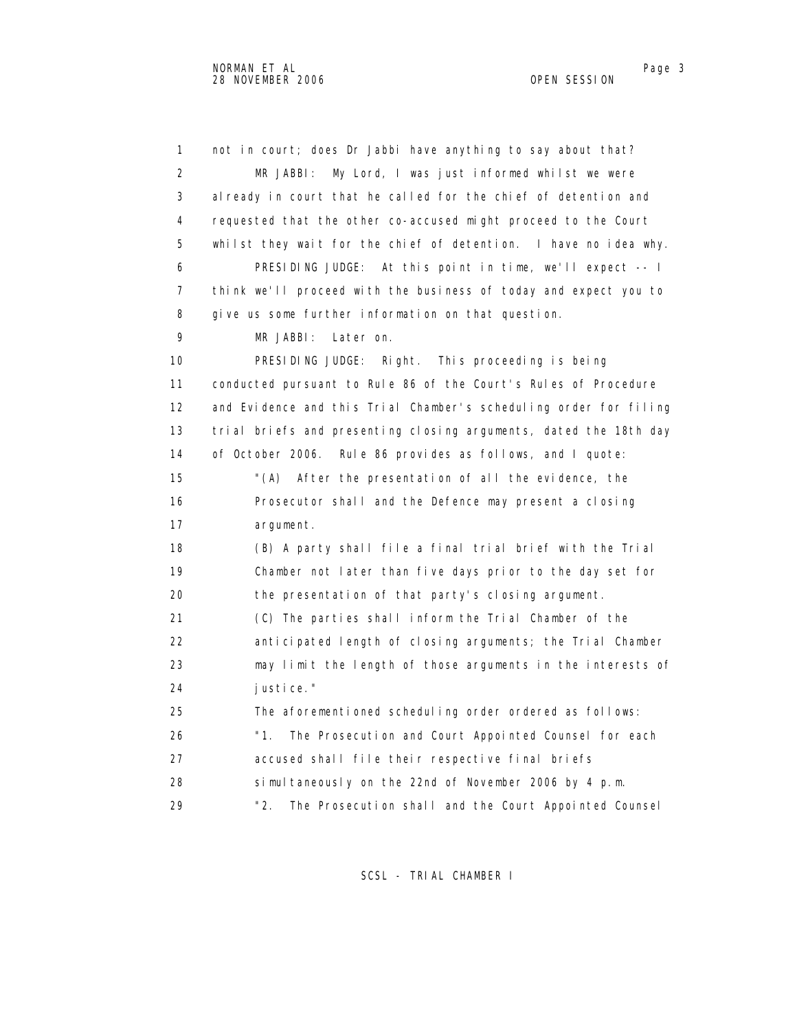1 not in court; does Dr Jabbi have anything to say about that? 2 MR JABBI: My Lord, I was just informed whilst we were 3 already in court that he called for the chief of detention and 4 requested that the other co-accused might proceed to the Court 5 whilst they wait for the chief of detention. I have no idea why. 6 PRESIDING JUDGE: At this point in time, we'll expect -- I 7 think we'll proceed with the business of today and expect you to 8 give us some further information on that question. 9 MR JABBI: Later on. 10 PRESIDING JUDGE: Right. This proceeding is being 11 conducted pursuant to Rule 86 of the Court's Rules of Procedure 12 and Evidence and this Trial Chamber's scheduling order for filing 13 trial briefs and presenting closing arguments, dated the 18th day 14 of October 2006. Rule 86 provides as follows, and I quote: 15 "(A) After the presentation of all the evidence, the 16 Prosecutor shall and the Defence may present a closing 17 argument. 18 (B) A party shall file a final trial brief with the Trial 19 Chamber not later than five days prior to the day set for 20 the presentation of that party's closing argument. 21 (C) The parties shall inform the Trial Chamber of the 22 anticipated length of closing arguments; the Trial Chamber 23 may limit the length of those arguments in the interests of 24 justice." 25 The aforementioned scheduling order ordered as follows: 26 "1. The Prosecution and Court Appointed Counsel for each 27 accused shall file their respective final briefs 28 simultaneously on the 22nd of November 2006 by 4 p.m. 29 "2. The Prosecution shall and the Court Appointed Counsel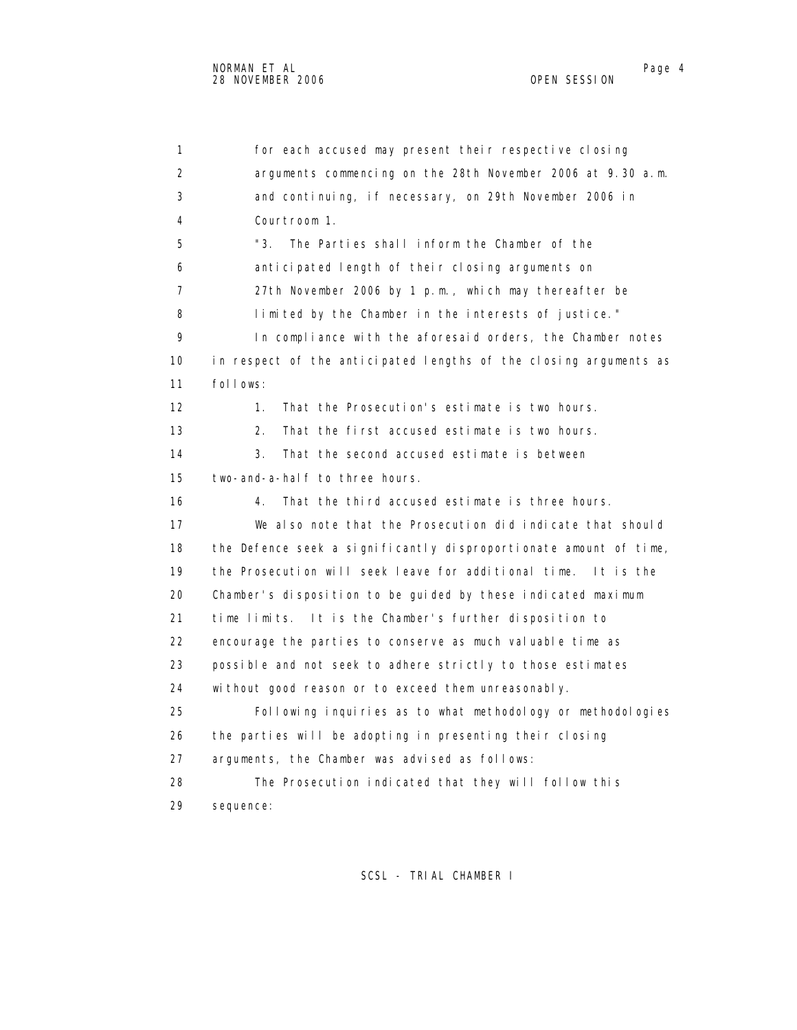1 for each accused may present their respective closing 2 arguments commencing on the 28th November 2006 at 9.30 a.m. 3 and continuing, if necessary, on 29th November 2006 in 4 Courtroom 1. 5 "3. The Parties shall inform the Chamber of the 6 anticipated length of their closing arguments on 7 27th November 2006 by 1 p.m., which may thereafter be 8 limited by the Chamber in the interests of justice." 9 In compliance with the aforesaid orders, the Chamber notes 10 in respect of the anticipated lengths of the closing arguments as 11 follows: 12 1. That the Prosecution's estimate is two hours. 13 2. That the first accused estimate is two hours. 14 3. That the second accused estimate is between 15 two-and-a-half to three hours. 16 4. That the third accused estimate is three hours. 17 We also note that the Prosecution did indicate that should 18 the Defence seek a significantly disproportionate amount of time, 19 the Prosecution will seek leave for additional time. It is the 20 Chamber's disposition to be guided by these indicated maximum 21 time limits. It is the Chamber's further disposition to 22 encourage the parties to conserve as much valuable time as 23 possible and not seek to adhere strictly to those estimates 24 without good reason or to exceed them unreasonably. 25 Following inquiries as to what methodology or methodologies 26 the parties will be adopting in presenting their closing 27 arguments, the Chamber was advised as follows: 28 The Prosecution indicated that they will follow this 29 sequence: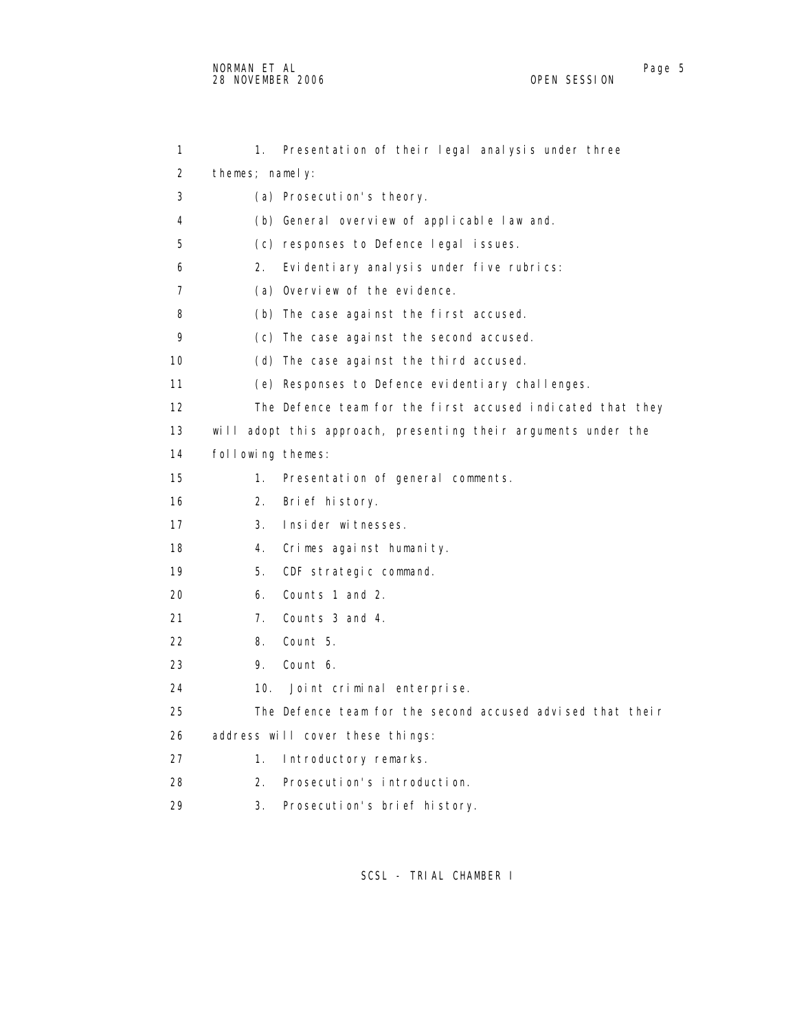1 1. Presentation of their legal analysis under three 2 themes; namely: 3 (a) Prosecution's theory. 4 (b) General overview of applicable law and. 5 (c) responses to Defence legal issues. 6 2. Evidentiary analysis under five rubrics: 7 (a) Overview of the evidence. 8 (b) The case against the first accused. 9 (c) The case against the second accused. 10 (d) The case against the third accused. 11 (e) Responses to Defence evidentiary challenges. 12 The Defence team for the first accused indicated that they 13 will adopt this approach, presenting their arguments under the 14 following themes: 15 1. Presentation of general comments. 16 2. Brief history. 17 3. Insider witnesses. 18 4. Crimes against humanity. 19 5. CDF strategic command. 20 6. Counts 1 and 2. 21 7. Counts 3 and 4. 22 8. Count 5. 23 9. Count 6. 24 10. Joint criminal enterprise. 25 The Defence team for the second accused advised that their 26 address will cover these things: 27 1. Introductory remarks. 28 2. Prosecution's introduction. 29 3. Prosecution's brief history.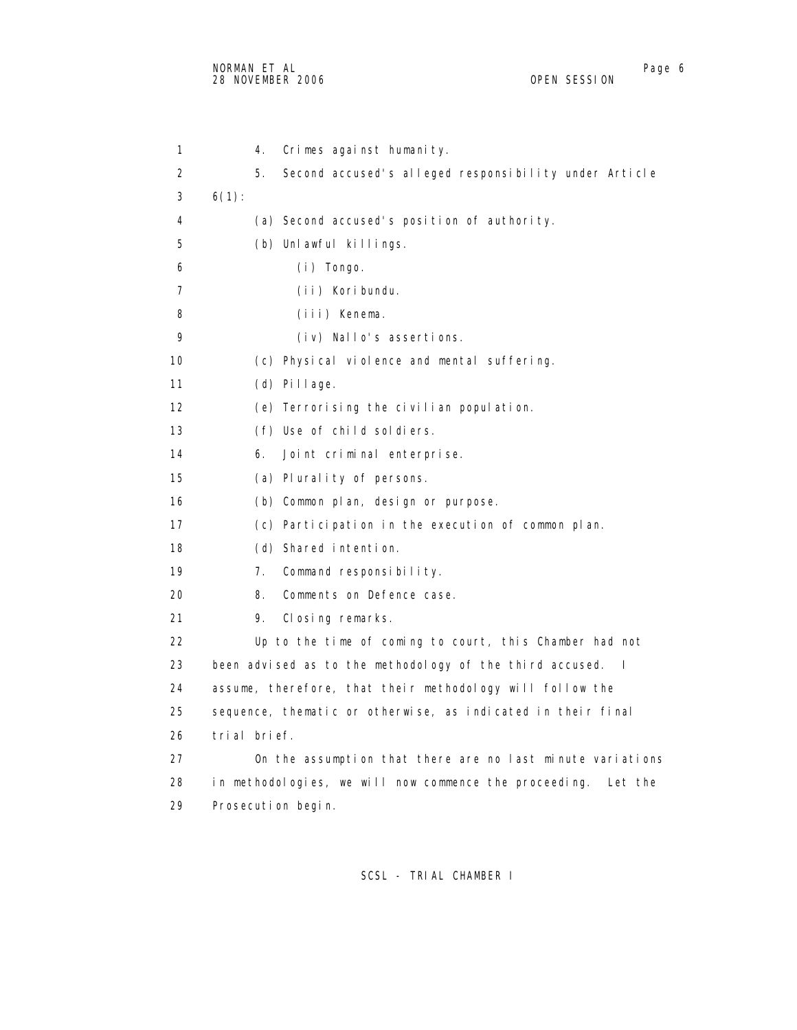1 4. Crimes against humanity. 2 5. Second accused's alleged responsibility under Article  $3 \t 6(1)$ : 4 (a) Second accused's position of authority. 5 (b) Unlawful killings. 6 (i) Tongo. 7 (ii) Koribundu. 8 (iii) Kenema. 9 (iv) Nallo's assertions. 10 (c) Physical violence and mental suffering. 11 (d) Pillage. 12 (e) Terrorising the civilian population. 13 (f) Use of child soldiers. 14 6. Joint criminal enterprise. 15 (a) Plurality of persons. 16 (b) Common plan, design or purpose. 17 (c) Participation in the execution of common plan. 18 (d) Shared intention. 19 7. Command responsibility. 20 8. Comments on Defence case. 21 9. Closing remarks. 22 Up to the time of coming to court, this Chamber had not 23 been advised as to the methodology of the third accused. I 24 assume, therefore, that their methodology will follow the 25 sequence, thematic or otherwise, as indicated in their final 26 trial brief. 27 On the assumption that there are no last minute variations 28 in methodologies, we will now commence the proceeding. Let the 29 Prosecution begin.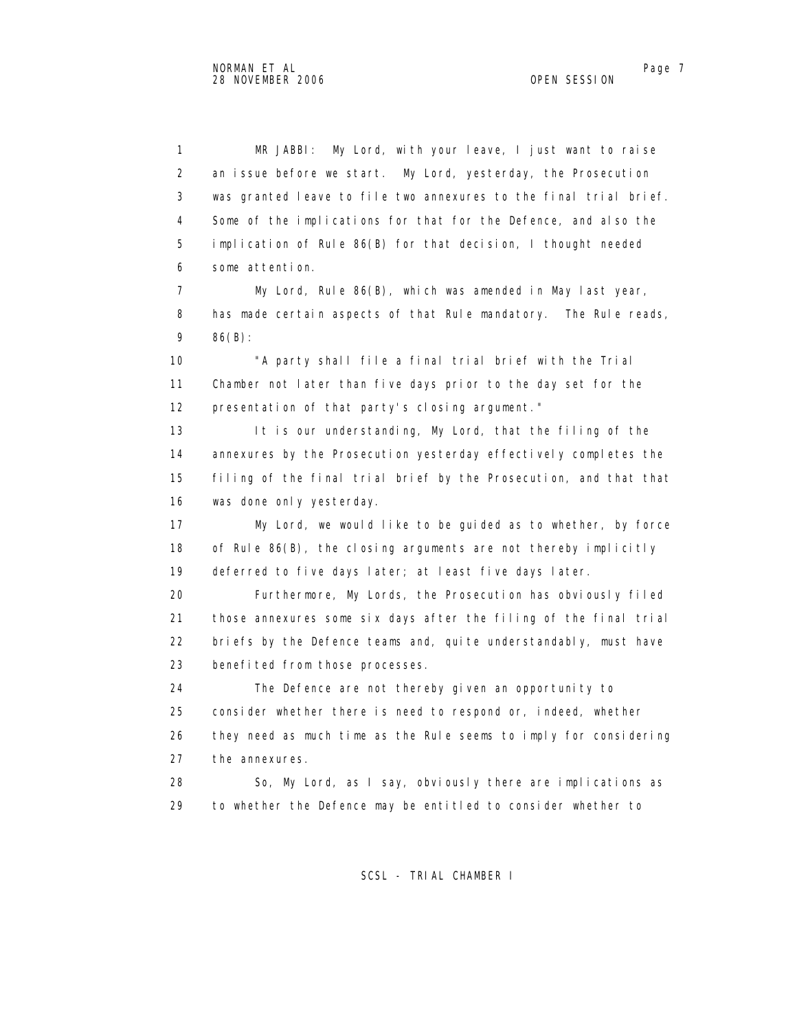1 MR JABBI: My Lord, with your leave, I just want to raise 2 an issue before we start. My Lord, yesterday, the Prosecution 3 was granted leave to file two annexures to the final trial brief. 4 Some of the implications for that for the Defence, and also the 5 implication of Rule 86(B) for that decision, I thought needed 6 some attention.

 7 My Lord, Rule 86(B), which was amended in May last year, 8 has made certain aspects of that Rule mandatory. The Rule reads, 9 86(B):

 10 "A party shall file a final trial brief with the Trial 11 Chamber not later than five days prior to the day set for the 12 presentation of that party's closing argument."

13 It is our understanding, My Lord, that the filing of the 14 annexures by the Prosecution yesterday effectively completes the 15 filing of the final trial brief by the Prosecution, and that that 16 was done only yesterday.

 17 My Lord, we would like to be guided as to whether, by force 18 of Rule 86(B), the closing arguments are not thereby implicitly 19 deferred to five days later; at least five days later.

 20 Furthermore, My Lords, the Prosecution has obviously filed 21 those annexures some six days after the filing of the final trial 22 briefs by the Defence teams and, quite understandably, must have 23 benefited from those processes.

 24 The Defence are not thereby given an opportunity to 25 consider whether there is need to respond or, indeed, whether 26 they need as much time as the Rule seems to imply for considering 27 the annexures.

 28 So, My Lord, as I say, obviously there are implications as 29 to whether the Defence may be entitled to consider whether to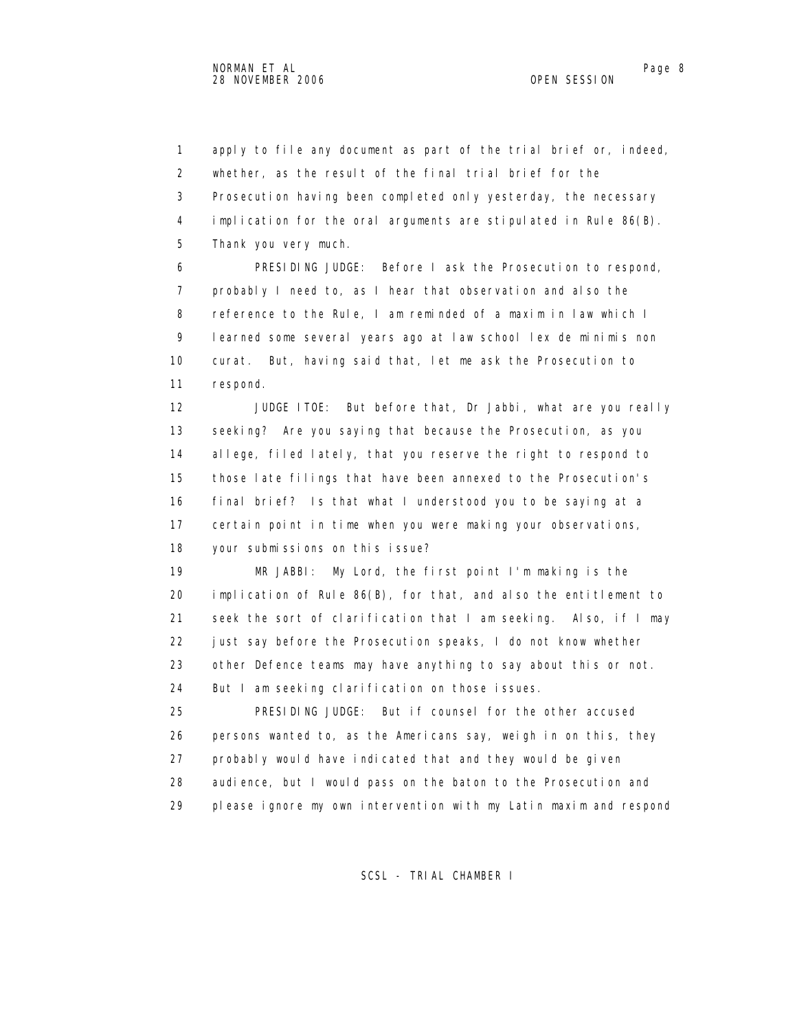1 apply to file any document as part of the trial brief or, indeed, 2 whether, as the result of the final trial brief for the 3 Prosecution having been completed only yesterday, the necessary 4 implication for the oral arguments are stipulated in Rule 86(B). 5 Thank you very much. 6 PRESIDING JUDGE: Before I ask the Prosecution to respond, 7 probably I need to, as I hear that observation and also the 8 reference to the Rule, I am reminded of a maxim in law which I 9 learned some several years ago at law school lex de minimis non 10 curat. But, having said that, let me ask the Prosecution to 11 respond. 12 JUDGE ITOE: But before that, Dr Jabbi, what are you really 13 seeking? Are you saying that because the Prosecution, as you 14 allege, filed lately, that you reserve the right to respond to 15 those late filings that have been annexed to the Prosecution's 16 final brief? Is that what I understood you to be saying at a 17 certain point in time when you were making your observations, 18 your submissions on this issue? 19 MR JABBI: My Lord, the first point I'm making is the 20 implication of Rule 86(B), for that, and also the entitlement to 21 seek the sort of clarification that I am seeking. Also, if I may 22 just say before the Prosecution speaks, I do not know whether 23 other Defence teams may have anything to say about this or not. 24 But I am seeking clarification on those issues. 25 PRESIDING JUDGE: But if counsel for the other accused 26 persons wanted to, as the Americans say, weigh in on this, they 27 probably would have indicated that and they would be given 28 audience, but I would pass on the baton to the Prosecution and 29 please ignore my own intervention with my Latin maxim and respond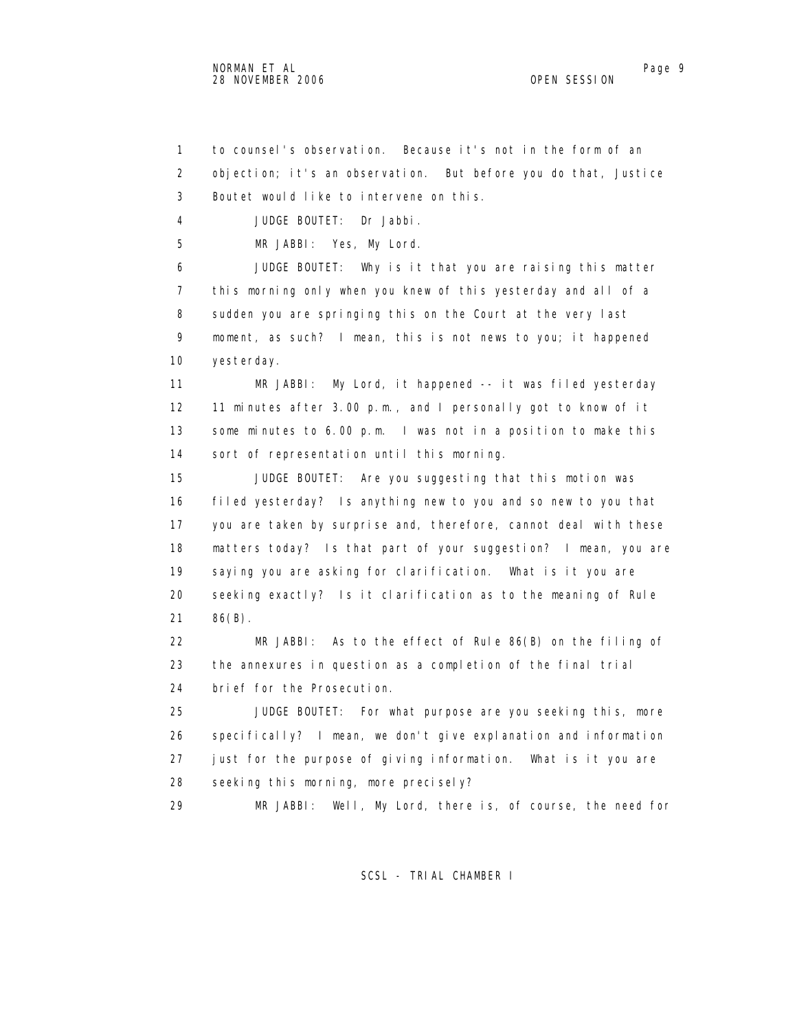1 to counsel's observation. Because it's not in the form of an 2 objection; it's an observation. But before you do that, Justice 3 Boutet would like to intervene on this. 4 JUDGE BOUTET: Dr Jabbi. 5 MR JABBI: Yes, My Lord. 6 JUDGE BOUTET: Why is it that you are raising this matter 7 this morning only when you knew of this yesterday and all of a 8 sudden you are springing this on the Court at the very last 9 moment, as such? I mean, this is not news to you; it happened 10 yesterday. 11 MR JABBI: My Lord, it happened -- it was filed yesterday 12 11 minutes after 3.00 p.m., and I personally got to know of it 13 some minutes to 6.00 p.m. I was not in a position to make this 14 sort of representation until this morning. 15 JUDGE BOUTET: Are you suggesting that this motion was 16 filed yesterday? Is anything new to you and so new to you that 17 you are taken by surprise and, therefore, cannot deal with these 18 matters today? Is that part of your suggestion? I mean, you are 19 saying you are asking for clarification. What is it you are 20 seeking exactly? Is it clarification as to the meaning of Rule 21 86(B). 22 MR JABBI: As to the effect of Rule 86(B) on the filing of 23 the annexures in question as a completion of the final trial 24 brief for the Prosecution. 25 JUDGE BOUTET: For what purpose are you seeking this, more 26 specifically? I mean, we don't give explanation and information 27 just for the purpose of giving information. What is it you are 28 seeking this morning, more precisely? 29 MR JABBI: Well, My Lord, there is, of course, the need for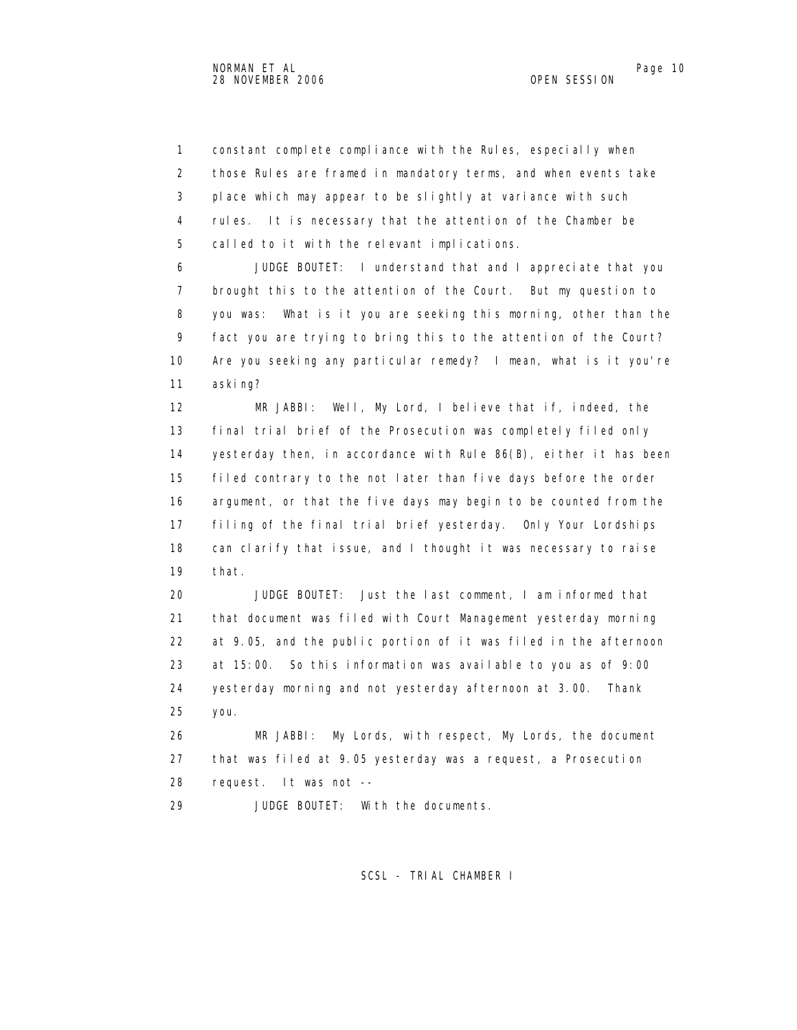1 constant complete compliance with the Rules, especially when 2 those Rules are framed in mandatory terms, and when events take 3 place which may appear to be slightly at variance with such 4 rules. It is necessary that the attention of the Chamber be 5 called to it with the relevant implications.

 6 JUDGE BOUTET: I understand that and I appreciate that you 7 brought this to the attention of the Court. But my question to 8 you was: What is it you are seeking this morning, other than the 9 fact you are trying to bring this to the attention of the Court? 10 Are you seeking any particular remedy? I mean, what is it you're 11 asking?

 12 MR JABBI: Well, My Lord, I believe that if, indeed, the 13 final trial brief of the Prosecution was completely filed only 14 yesterday then, in accordance with Rule 86(B), either it has been 15 filed contrary to the not later than five days before the order 16 argument, or that the five days may begin to be counted from the 17 filing of the final trial brief yesterday. Only Your Lordships 18 can clarify that issue, and I thought it was necessary to raise 19 that.

 20 JUDGE BOUTET: Just the last comment, I am informed that 21 that document was filed with Court Management yesterday morning 22 at 9.05, and the public portion of it was filed in the afternoon 23 at 15:00. So this information was available to you as of 9:00 24 yesterday morning and not yesterday afternoon at 3.00. Thank 25 you.

 26 MR JABBI: My Lords, with respect, My Lords, the document 27 that was filed at 9.05 yesterday was a request, a Prosecution 28 request. It was not --

29 JUDGE BOUTET: With the documents.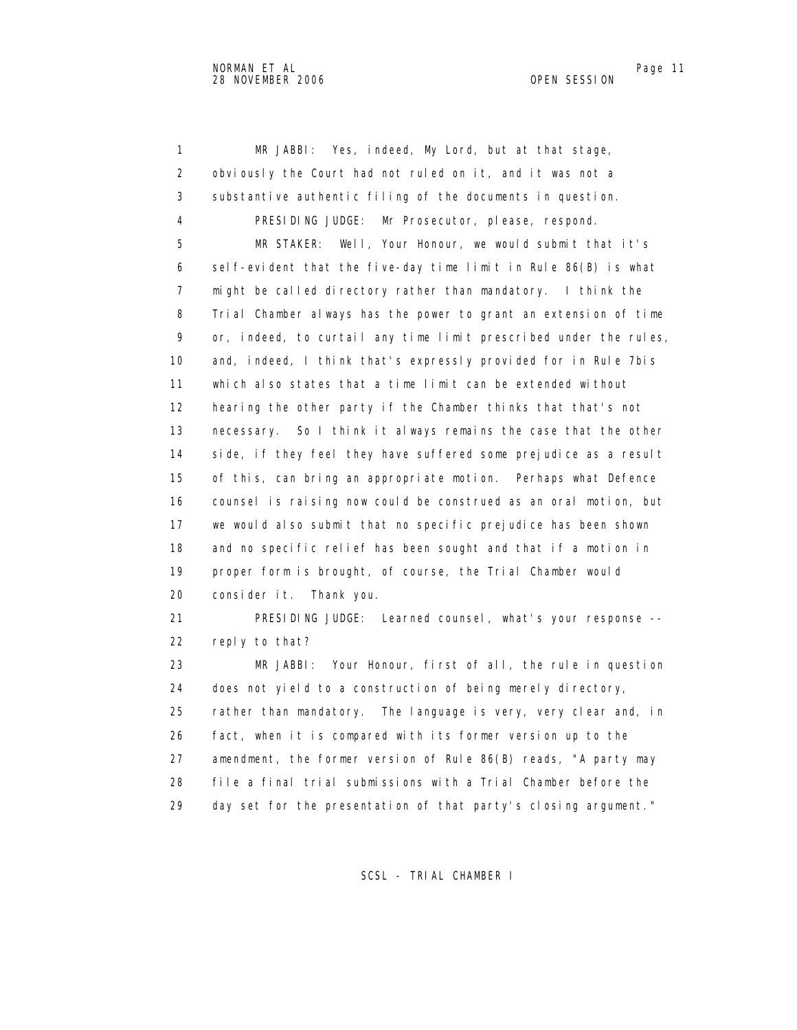1 MR JABBI: Yes, indeed, My Lord, but at that stage, 2 obviously the Court had not ruled on it, and it was not a 3 substantive authentic filing of the documents in question. 4 PRESIDING JUDGE: Mr Prosecutor, please, respond. 5 MR STAKER: Well, Your Honour, we would submit that it's 6 self-evident that the five-day time limit in Rule 86(B) is what 7 might be called directory rather than mandatory. I think the 8 Trial Chamber always has the power to grant an extension of time 9 or, indeed, to curtail any time limit prescribed under the rules, 10 and, indeed, I think that's expressly provided for in Rule 7bis 11 which also states that a time limit can be extended without 12 hearing the other party if the Chamber thinks that that's not 13 necessary. So I think it always remains the case that the other 14 side, if they feel they have suffered some prejudice as a result 15 of this, can bring an appropriate motion. Perhaps what Defence 16 counsel is raising now could be construed as an oral motion, but 17 we would also submit that no specific prejudice has been shown 18 and no specific relief has been sought and that if a motion in 19 proper form is brought, of course, the Trial Chamber would 20 consider it. Thank you. 21 PRESIDING JUDGE: Learned counsel, what's your response -- 22 reply to that? 23 MR JABBI: Your Honour, first of all, the rule in question 24 does not yield to a construction of being merely directory, 25 rather than mandatory. The language is very, very clear and, in 26 fact, when it is compared with its former version up to the 27 amendment, the former version of Rule 86(B) reads, "A party may 28 file a final trial submissions with a Trial Chamber before the

SCSL - TRIAL CHAMBER I

29 day set for the presentation of that party's closing argument."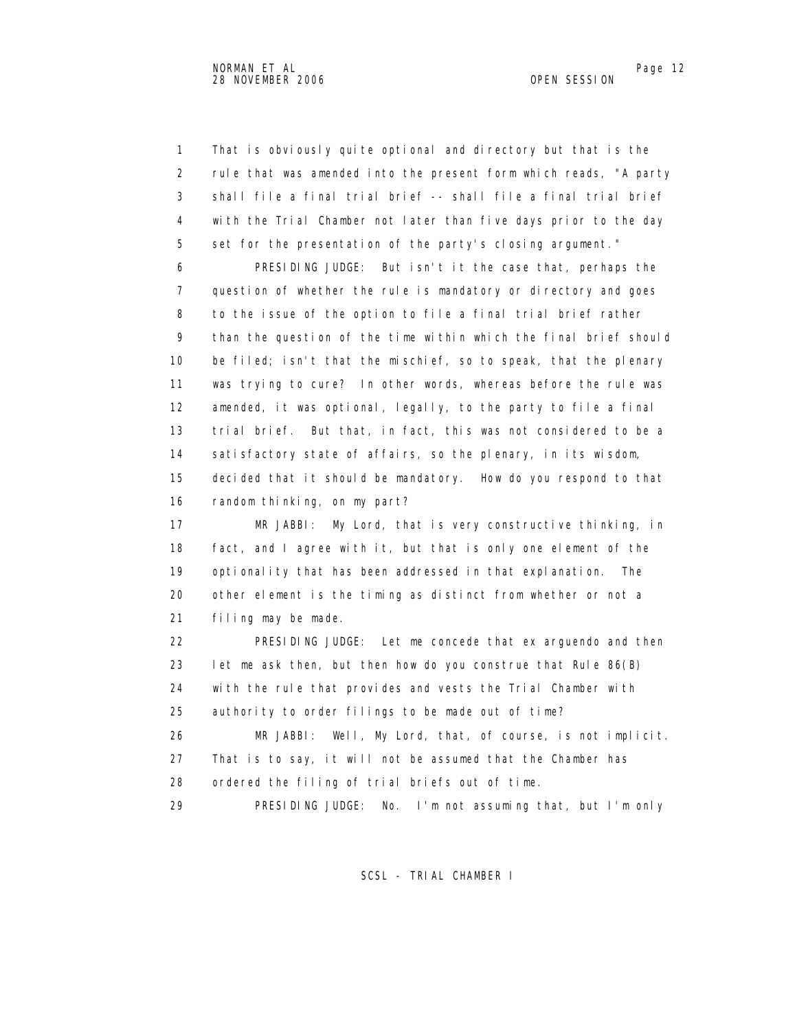1 That is obviously quite optional and directory but that is the 2 rule that was amended into the present form which reads, "A party 3 shall file a final trial brief -- shall file a final trial brief 4 with the Trial Chamber not later than five days prior to the day 5 set for the presentation of the party's closing argument."

 6 PRESIDING JUDGE: But isn't it the case that, perhaps the 7 question of whether the rule is mandatory or directory and goes 8 to the issue of the option to file a final trial brief rather 9 than the question of the time within which the final brief should 10 be filed; isn't that the mischief, so to speak, that the plenary 11 was trying to cure? In other words, whereas before the rule was 12 amended, it was optional, legally, to the party to file a final 13 trial brief. But that, in fact, this was not considered to be a 14 satisfactory state of affairs, so the plenary, in its wisdom, 15 decided that it should be mandatory. How do you respond to that 16 random thinking, on my part?

 17 MR JABBI: My Lord, that is very constructive thinking, in 18 fact, and I agree with it, but that is only one element of the 19 optionality that has been addressed in that explanation. The 20 other element is the timing as distinct from whether or not a 21 filing may be made.

 22 PRESIDING JUDGE: Let me concede that ex arguendo and then 23 let me ask then, but then how do you construe that Rule 86(B) 24 with the rule that provides and vests the Trial Chamber with 25 authority to order filings to be made out of time?

 26 MR JABBI: Well, My Lord, that, of course, is not implicit. 27 That is to say, it will not be assumed that the Chamber has 28 ordered the filing of trial briefs out of time.

29 PRESIDING JUDGE: No. I'm not assuming that, but I'm only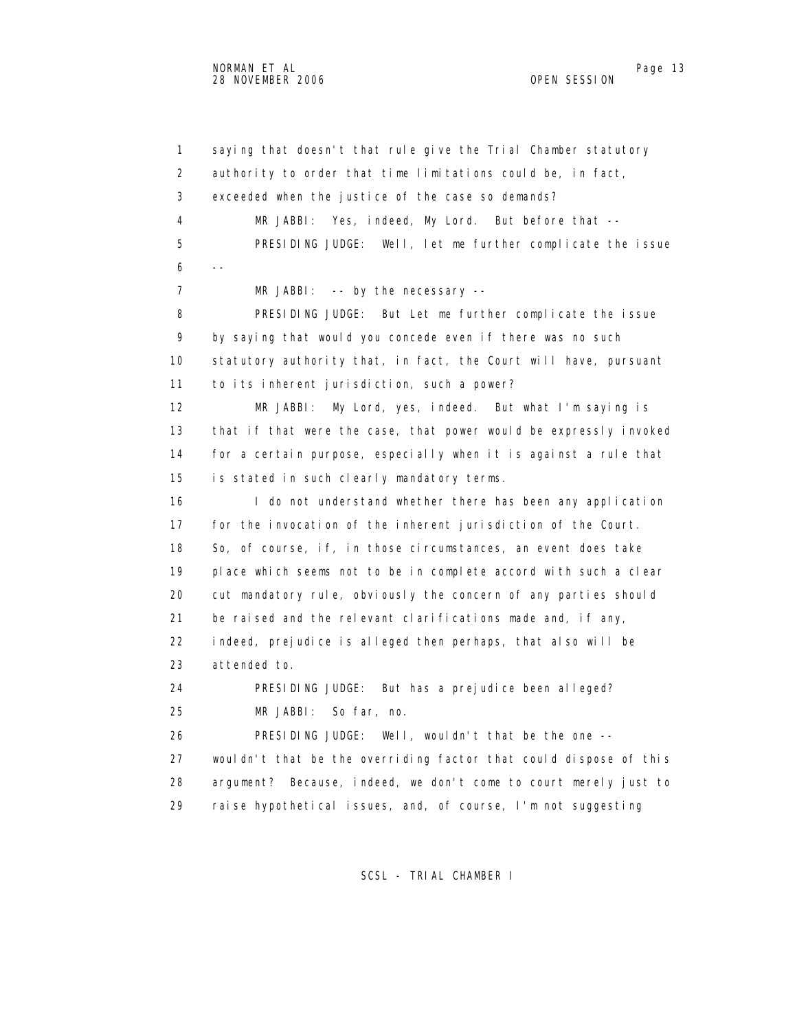1 saying that doesn't that rule give the Trial Chamber statutory 2 authority to order that time limitations could be, in fact, 3 exceeded when the justice of the case so demands? 4 MR JABBI: Yes, indeed, My Lord. But before that -- 5 PRESIDING JUDGE: Well, let me further complicate the issue  $6 - -$ 7 MR JABBI: -- by the necessary -- 8 PRESIDING JUDGE: But Let me further complicate the issue 9 by saying that would you concede even if there was no such 10 statutory authority that, in fact, the Court will have, pursuant 11 to its inherent jurisdiction, such a power? 12 MR JABBI: My Lord, yes, indeed. But what I'm saying is 13 that if that were the case, that power would be expressly invoked 14 for a certain purpose, especially when it is against a rule that 15 is stated in such clearly mandatory terms. 16 I do not understand whether there has been any application 17 for the invocation of the inherent jurisdiction of the Court. 18 So, of course, if, in those circumstances, an event does take 19 place which seems not to be in complete accord with such a clear 20 cut mandatory rule, obviously the concern of any parties should 21 be raised and the relevant clarifications made and, if any, 22 indeed, prejudice is alleged then perhaps, that also will be 23 attended to. 24 PRESIDING JUDGE: But has a prejudice been alleged? 25 MR JABBI: So far, no. 26 PRESIDING JUDGE: Well, wouldn't that be the one -- 27 wouldn't that be the overriding factor that could dispose of this 28 argument? Because, indeed, we don't come to court merely just to 29 raise hypothetical issues, and, of course, I'm not suggesting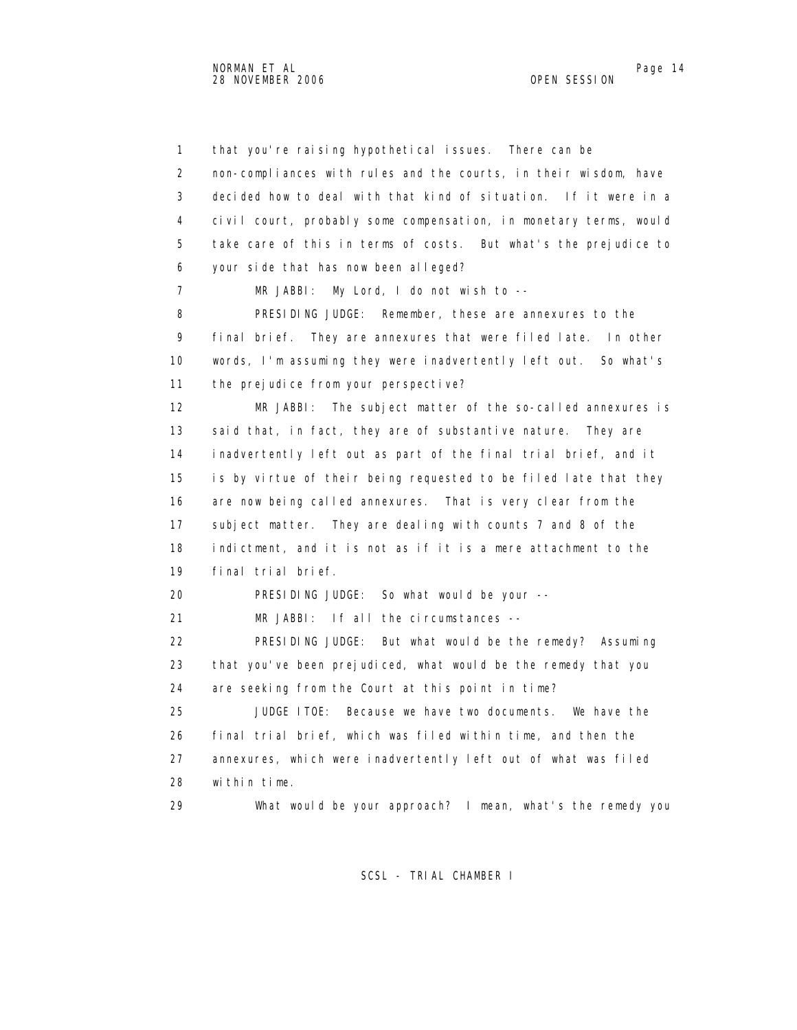1 that you're raising hypothetical issues. There can be 2 non-compliances with rules and the courts, in their wisdom, have 3 decided how to deal with that kind of situation. If it were in a 4 civil court, probably some compensation, in monetary terms, would 5 take care of this in terms of costs. But what's the prejudice to 6 your side that has now been alleged? 7 MR JABBI: My Lord, I do not wish to -- 8 PRESIDING JUDGE: Remember, these are annexures to the 9 final brief. They are annexures that were filed late. In other 10 words, I'm assuming they were inadvertently left out. So what's 11 the prejudice from your perspective? 12 MR JABBI: The subject matter of the so-called annexures is 13 said that, in fact, they are of substantive nature. They are 14 inadvertently left out as part of the final trial brief, and it 15 is by virtue of their being requested to be filed late that they 16 are now being called annexures. That is very clear from the 17 subject matter. They are dealing with counts 7 and 8 of the 18 indictment, and it is not as if it is a mere attachment to the 19 final trial brief. 20 PRESIDING JUDGE: So what would be your -- 21 MR JABBI: If all the circumstances -- 22 PRESIDING JUDGE: But what would be the remedy? Assuming 23 that you've been prejudiced, what would be the remedy that you 24 are seeking from the Court at this point in time? 25 JUDGE ITOE: Because we have two documents. We have the 26 final trial brief, which was filed within time, and then the 27 annexures, which were inadvertently left out of what was filed 28 within time. 29 What would be your approach? I mean, what's the remedy you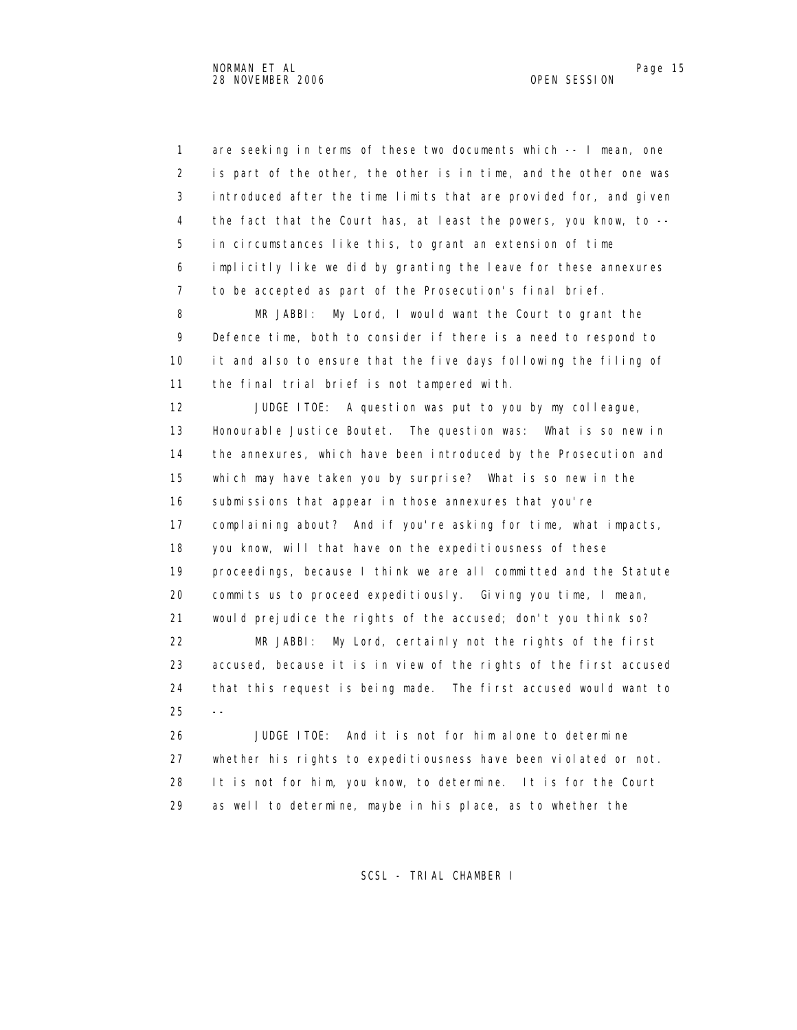1 are seeking in terms of these two documents which -- I mean, one 2 is part of the other, the other is in time, and the other one was 3 introduced after the time limits that are provided for, and given 4 the fact that the Court has, at least the powers, you know, to -- 5 in circumstances like this, to grant an extension of time 6 implicitly like we did by granting the leave for these annexures 7 to be accepted as part of the Prosecution's final brief. 8 MR JABBI: My Lord, I would want the Court to grant the 9 Defence time, both to consider if there is a need to respond to 10 it and also to ensure that the five days following the filing of 11 the final trial brief is not tampered with. 12 JUDGE ITOE: A question was put to you by my colleague, 13 Honourable Justice Boutet. The question was: What is so new in 14 the annexures, which have been introduced by the Prosecution and 15 which may have taken you by surprise? What is so new in the 16 submissions that appear in those annexures that you're 17 complaining about? And if you're asking for time, what impacts, 18 you know, will that have on the expeditiousness of these 19 proceedings, because I think we are all committed and the Statute 20 commits us to proceed expeditiously. Giving you time, I mean, 21 would prejudice the rights of the accused; don't you think so? 22 MR JABBI: My Lord, certainly not the rights of the first 23 accused, because it is in view of the rights of the first accused 24 that this request is being made. The first accused would want to  $25 - -$  26 JUDGE ITOE: And it is not for him alone to determine 27 whether his rights to expeditiousness have been violated or not.

> 28 It is not for him, you know, to determine. It is for the Court 29 as well to determine, maybe in his place, as to whether the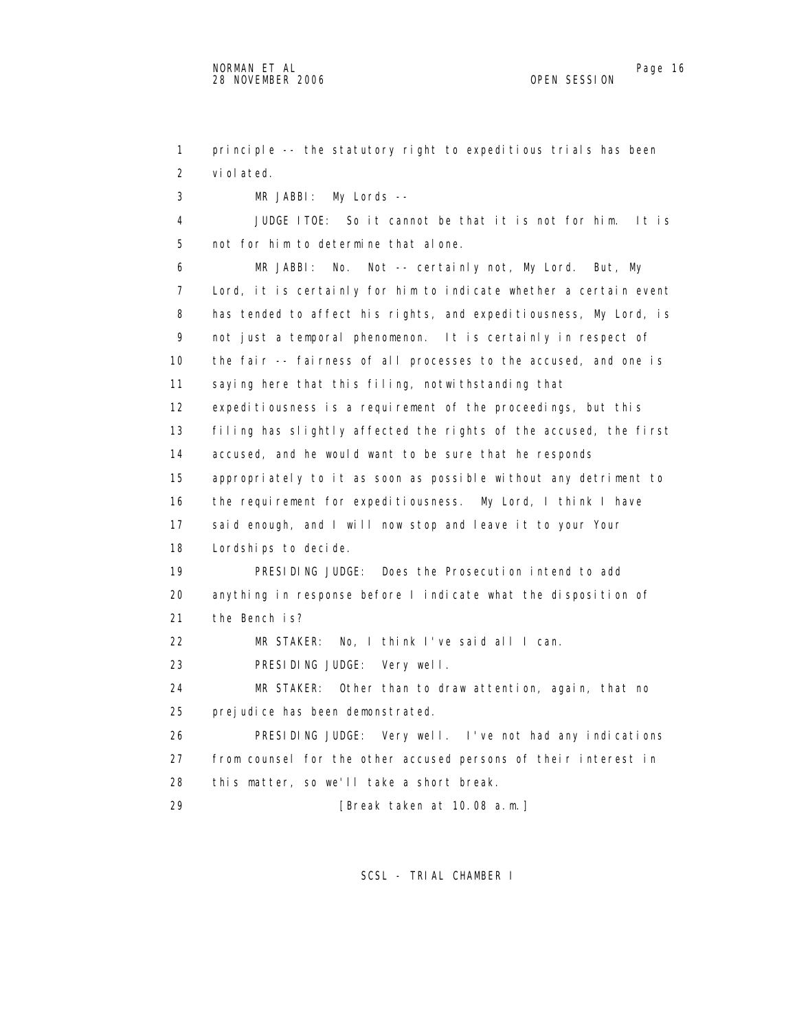1 principle -- the statutory right to expeditious trials has been 2 violated. 3 MR JABBI: My Lords -- 4 JUDGE ITOE: So it cannot be that it is not for him. It is 5 not for him to determine that alone. 6 MR JABBI: No. Not -- certainly not, My Lord. But, My 7 Lord, it is certainly for him to indicate whether a certain event 8 has tended to affect his rights, and expeditiousness, My Lord, is 9 not just a temporal phenomenon. It is certainly in respect of 10 the fair -- fairness of all processes to the accused, and one is 11 saying here that this filing, notwithstanding that 12 expeditiousness is a requirement of the proceedings, but this 13 filing has slightly affected the rights of the accused, the first 14 accused, and he would want to be sure that he responds 15 appropriately to it as soon as possible without any detriment to 16 the requirement for expeditiousness. My Lord, I think I have 17 said enough, and I will now stop and leave it to your Your 18 Lordships to decide. 19 PRESIDING JUDGE: Does the Prosecution intend to add 20 anything in response before I indicate what the disposition of 21 the Bench is? 22 MR STAKER: No, I think I've said all I can. 23 PRESIDING JUDGE: Very well. 24 MR STAKER: Other than to draw attention, again, that no 25 prejudice has been demonstrated. 26 PRESIDING JUDGE: Very well. I've not had any indications 27 from counsel for the other accused persons of their interest in 28 this matter, so we'll take a short break. 29 [Break taken at 10.08 a.m.]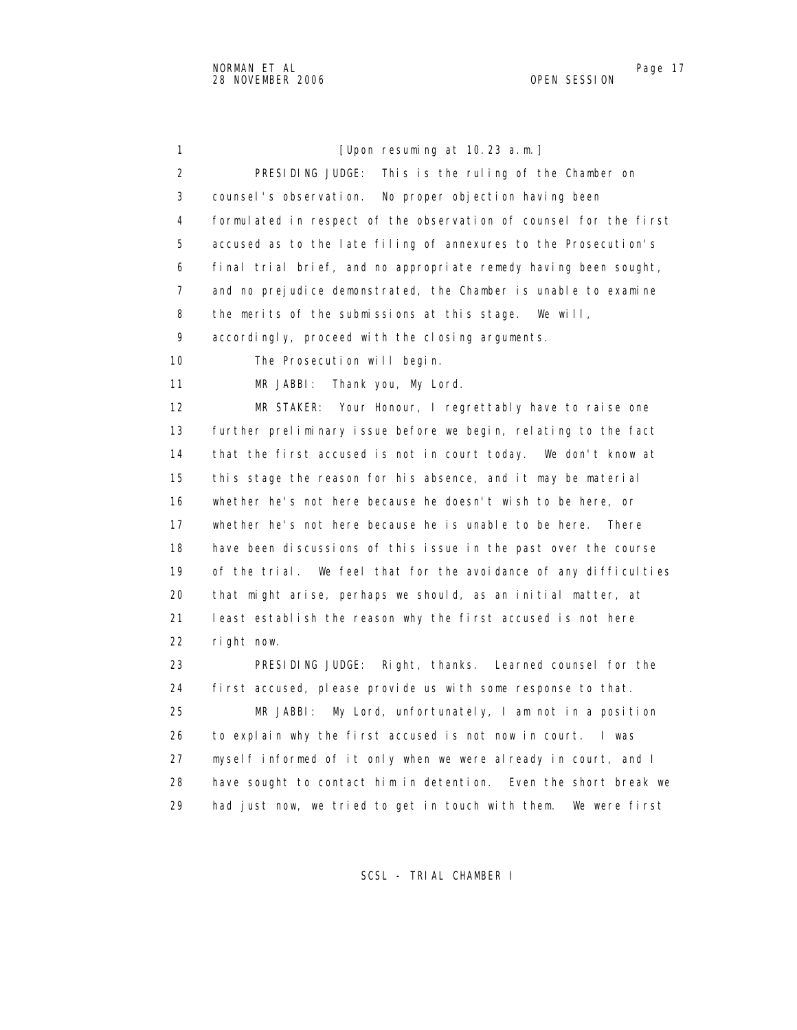1 [Upon resuming at 10.23 a.m.] 2 PRESIDING JUDGE: This is the ruling of the Chamber on 3 counsel's observation. No proper objection having been 4 formulated in respect of the observation of counsel for the first 5 accused as to the late filing of annexures to the Prosecution's 6 final trial brief, and no appropriate remedy having been sought, 7 and no prejudice demonstrated, the Chamber is unable to examine 8 the merits of the submissions at this stage. We will, 9 accordingly, proceed with the closing arguments. 10 The Prosecution will begin. 11 MR JABBI: Thank you, My Lord. 12 MR STAKER: Your Honour, I regrettably have to raise one 13 further preliminary issue before we begin, relating to the fact 14 that the first accused is not in court today. We don't know at 15 this stage the reason for his absence, and it may be material 16 whether he's not here because he doesn't wish to be here, or 17 whether he's not here because he is unable to be here. There 18 have been discussions of this issue in the past over the course 19 of the trial. We feel that for the avoidance of any difficulties 20 that might arise, perhaps we should, as an initial matter, at 21 least establish the reason why the first accused is not here 22 right now. 23 PRESIDING JUDGE: Right, thanks. Learned counsel for the 24 first accused, please provide us with some response to that. 25 MR JABBI: My Lord, unfortunately, I am not in a position 26 to explain why the first accused is not now in court. I was 27 myself informed of it only when we were already in court, and I 28 have sought to contact him in detention. Even the short break we 29 had just now, we tried to get in touch with them. We were first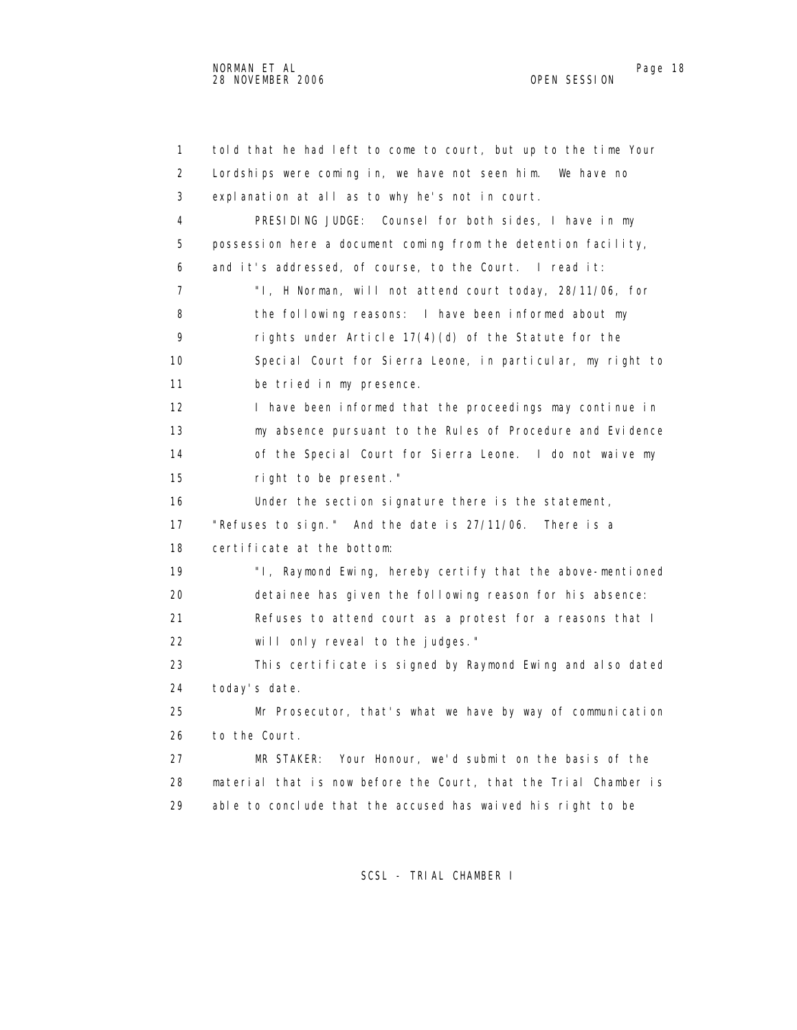1 told that he had left to come to court, but up to the time Your 2 Lordships were coming in, we have not seen him. We have no 3 explanation at all as to why he's not in court. 4 PRESIDING JUDGE: Counsel for both sides, I have in my 5 possession here a document coming from the detention facility, 6 and it's addressed, of course, to the Court. I read it: 7 "I, H Norman, will not attend court today, 28/11/06, for 8 the following reasons: I have been informed about my 9 rights under Article 17(4)(d) of the Statute for the 10 Special Court for Sierra Leone, in particular, my right to 11 be tried in my presence. 12 I have been informed that the proceedings may continue in 13 my absence pursuant to the Rules of Procedure and Evidence 14 of the Special Court for Sierra Leone. I do not waive my 15 right to be present." 16 Under the section signature there is the statement, 17 "Refuses to sign." And the date is 27/11/06. There is a 18 certificate at the bottom: 19 "I, Raymond Ewing, hereby certify that the above-mentioned 20 detainee has given the following reason for his absence: 21 Refuses to attend court as a protest for a reasons that I 22 will only reveal to the judges." 23 This certificate is signed by Raymond Ewing and also dated 24 today's date. 25 Mr Prosecutor, that's what we have by way of communication 26 to the Court. 27 MR STAKER: Your Honour, we'd submit on the basis of the 28 material that is now before the Court, that the Trial Chamber is 29 able to conclude that the accused has waived his right to be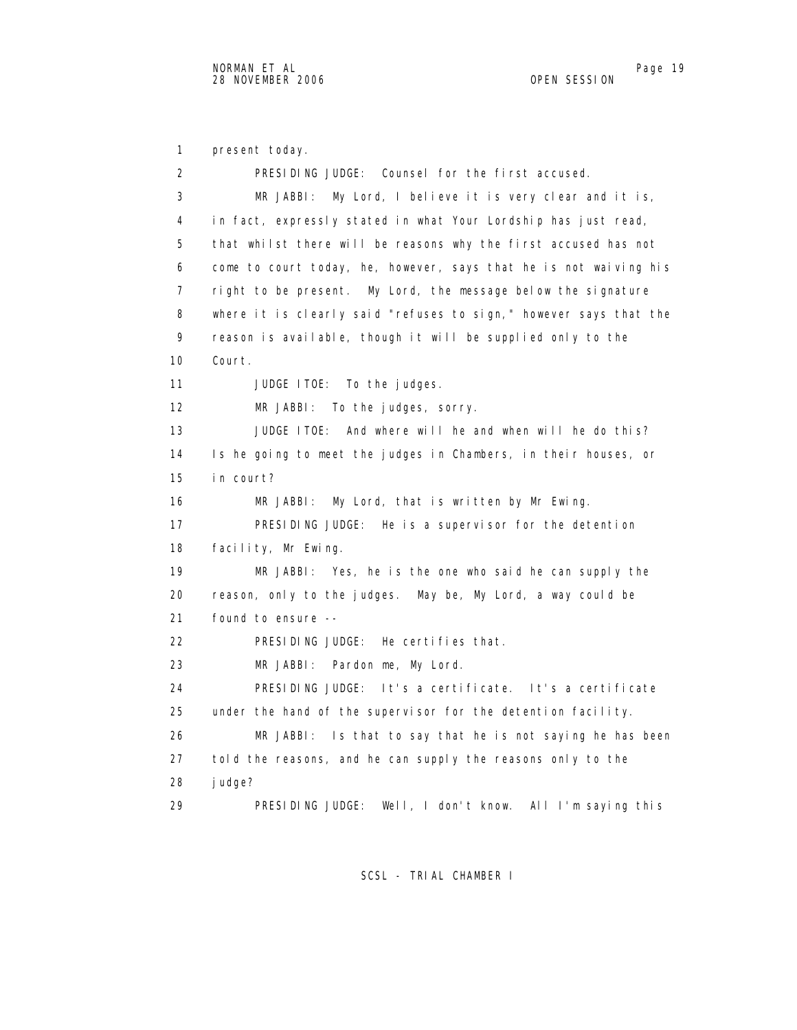1 present today. 2 PRESIDING JUDGE: Counsel for the first accused. 3 MR JABBI: My Lord, I believe it is very clear and it is, 4 in fact, expressly stated in what Your Lordship has just read, 5 that whilst there will be reasons why the first accused has not 6 come to court today, he, however, says that he is not waiving his 7 right to be present. My Lord, the message below the signature 8 where it is clearly said "refuses to sign," however says that the 9 reason is available, though it will be supplied only to the 10 Court. 11 JUDGE ITOE: To the judges. 12 MR JABBI: To the judges, sorry. 13 JUDGE ITOE: And where will he and when will he do this? 14 Is he going to meet the judges in Chambers, in their houses, or 15 in court? 16 MR JABBI: My Lord, that is written by Mr Ewing. 17 PRESIDING JUDGE: He is a supervisor for the detention 18 facility, Mr Ewing. 19 MR JABBI: Yes, he is the one who said he can supply the 20 reason, only to the judges. May be, My Lord, a way could be 21 found to ensure -- 22 PRESIDING JUDGE: He certifies that. 23 MR JABBI: Pardon me, My Lord. 24 PRESIDING JUDGE: It's a certificate. It's a certificate 25 under the hand of the supervisor for the detention facility. 26 MR JABBI: Is that to say that he is not saying he has been 27 told the reasons, and he can supply the reasons only to the 28 judge? 29 PRESIDING JUDGE: Well, I don't know. All I'm saying this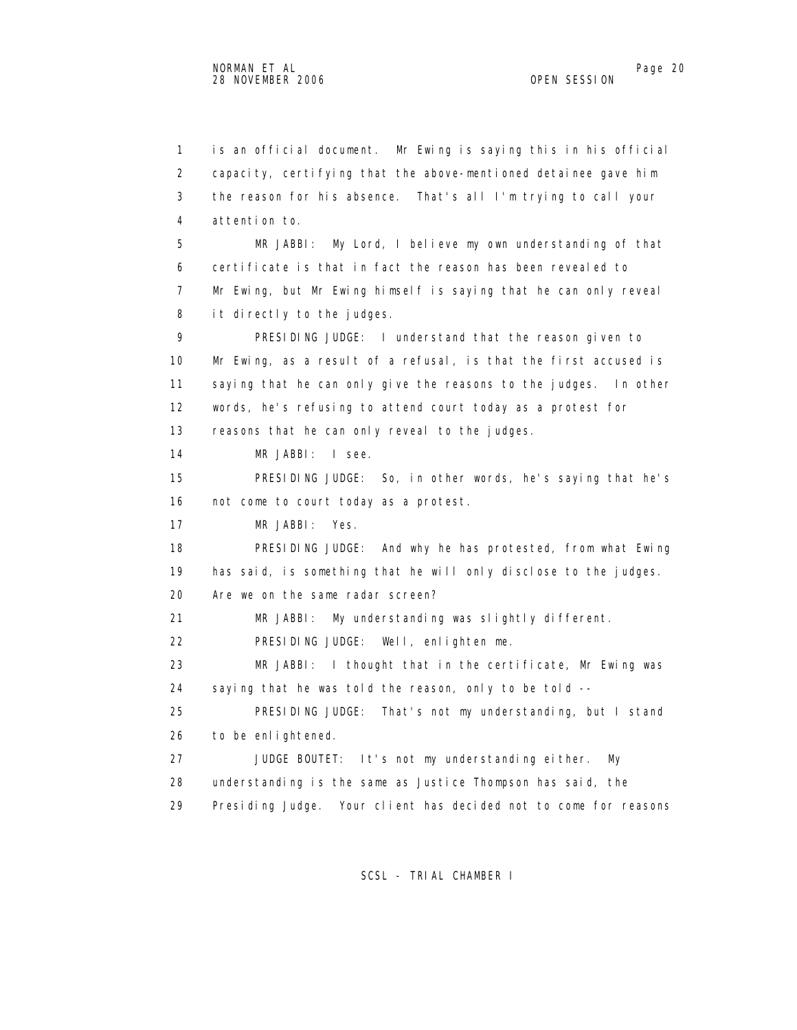1 is an official document. Mr Ewing is saying this in his official 2 capacity, certifying that the above-mentioned detainee gave him 3 the reason for his absence. That's all I'm trying to call your 4 attention to. 5 MR JABBI: My Lord, I believe my own understanding of that 6 certificate is that in fact the reason has been revealed to 7 Mr Ewing, but Mr Ewing himself is saying that he can only reveal 8 it directly to the judges. 9 PRESIDING JUDGE: I understand that the reason given to 10 Mr Ewing, as a result of a refusal, is that the first accused is 11 saying that he can only give the reasons to the judges. In other 12 words, he's refusing to attend court today as a protest for 13 reasons that he can only reveal to the judges. 14 MR JABBI: I see. 15 PRESIDING JUDGE: So, in other words, he's saying that he's 16 not come to court today as a protest. 17 MR JABBI: Yes. 18 PRESIDING JUDGE: And why he has protested, from what Ewing 19 has said, is something that he will only disclose to the judges. 20 Are we on the same radar screen? 21 MR JABBI: My understanding was slightly different. 22 PRESIDING JUDGE: Well, enlighten me. 23 MR JABBI: I thought that in the certificate, Mr Ewing was 24 saying that he was told the reason, only to be told -- 25 PRESIDING JUDGE: That's not my understanding, but I stand 26 to be enlightened. 27 JUDGE BOUTET: It's not my understanding either. My 28 understanding is the same as Justice Thompson has said, the 29 Presiding Judge. Your client has decided not to come for reasons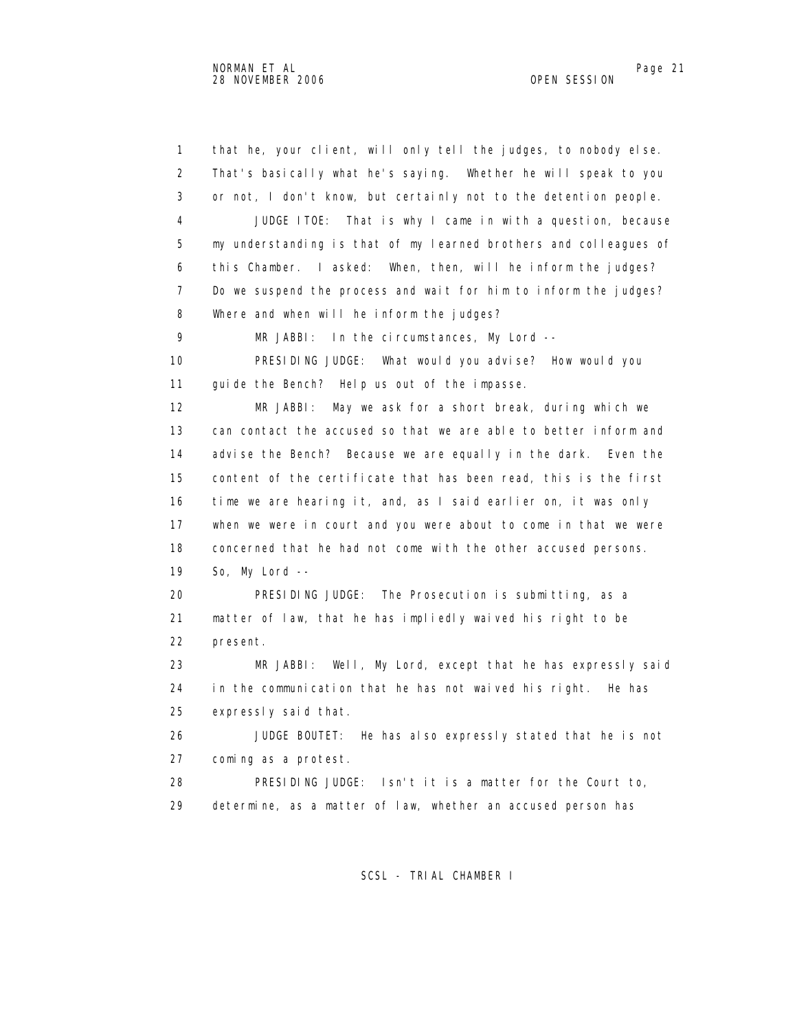1 that he, your client, will only tell the judges, to nobody else. 2 That's basically what he's saying. Whether he will speak to you 3 or not, I don't know, but certainly not to the detention people. 4 JUDGE ITOE: That is why I came in with a question, because 5 my understanding is that of my learned brothers and colleagues of 6 this Chamber. I asked: When, then, will he inform the judges? 7 Do we suspend the process and wait for him to inform the judges? 8 Where and when will he inform the judges? 9 MR JABBI: In the circumstances, My Lord -- 10 PRESIDING JUDGE: What would you advise? How would you 11 guide the Bench? Help us out of the impasse. 12 MR JABBI: May we ask for a short break, during which we 13 can contact the accused so that we are able to better inform and 14 advise the Bench? Because we are equally in the dark. Even the 15 content of the certificate that has been read, this is the first 16 time we are hearing it, and, as I said earlier on, it was only 17 when we were in court and you were about to come in that we were 18 concerned that he had not come with the other accused persons. 19 So, My Lord -- 20 PRESIDING JUDGE: The Prosecution is submitting, as a 21 matter of law, that he has impliedly waived his right to be 22 present. 23 MR JABBI: Well, My Lord, except that he has expressly said 24 in the communication that he has not waived his right. He has 25 expressly said that. 26 JUDGE BOUTET: He has also expressly stated that he is not 27 coming as a protest. 28 PRESIDING JUDGE: Isn't it is a matter for the Court to, 29 determine, as a matter of law, whether an accused person has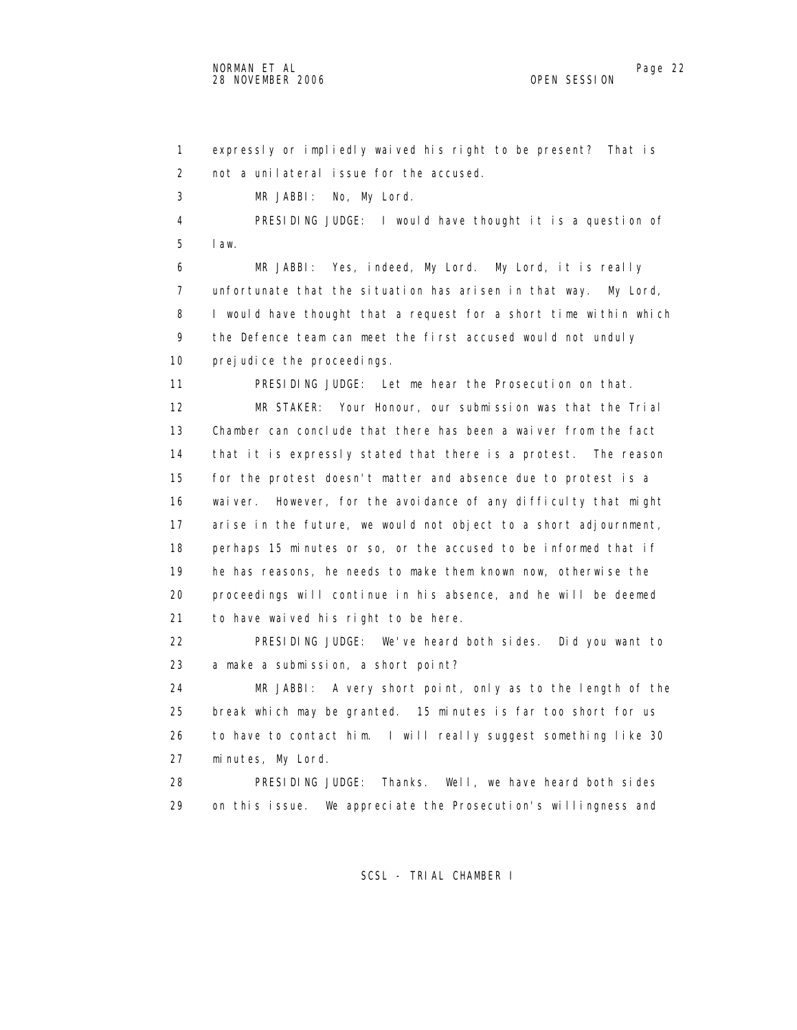1 expressly or impliedly waived his right to be present? That is 2 not a unilateral issue for the accused. 3 MR JABBI: No, My Lord. 4 PRESIDING JUDGE: I would have thought it is a question of 5 law. 6 MR JABBI: Yes, indeed, My Lord. My Lord, it is really 7 unfortunate that the situation has arisen in that way. My Lord, 8 I would have thought that a request for a short time within which 9 the Defence team can meet the first accused would not unduly 10 prejudice the proceedings. 11 PRESIDING JUDGE: Let me hear the Prosecution on that. 12 MR STAKER: Your Honour, our submission was that the Trial 13 Chamber can conclude that there has been a waiver from the fact 14 that it is expressly stated that there is a protest. The reason 15 for the protest doesn't matter and absence due to protest is a 16 waiver. However, for the avoidance of any difficulty that might 17 arise in the future, we would not object to a short adjournment, 18 perhaps 15 minutes or so, or the accused to be informed that if 19 he has reasons, he needs to make them known now, otherwise the 20 proceedings will continue in his absence, and he will be deemed 21 to have waived his right to be here. 22 PRESIDING JUDGE: We've heard both sides. Did you want to 23 a make a submission, a short point? 24 MR JABBI: A very short point, only as to the length of the 25 break which may be granted. 15 minutes is far too short for us 26 to have to contact him. I will really suggest something like 30 27 minutes, My Lord. 28 PRESIDING JUDGE: Thanks. Well, we have heard both sides 29 on this issue. We appreciate the Prosecution's willingness and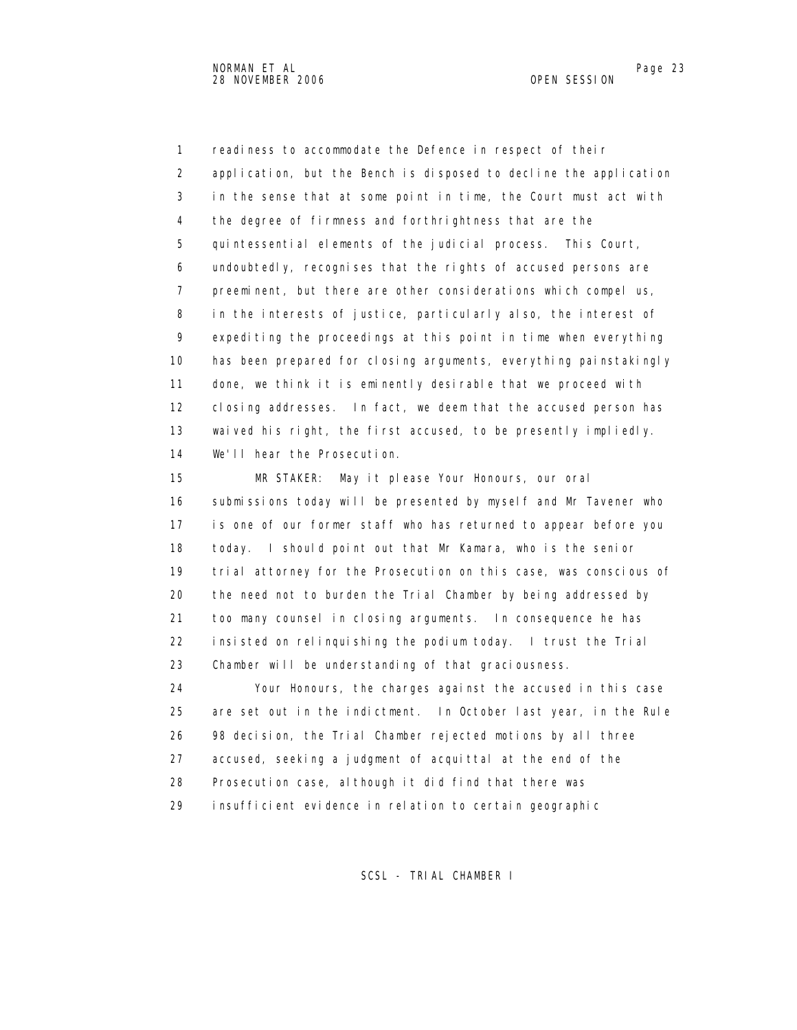1 readiness to accommodate the Defence in respect of their 2 application, but the Bench is disposed to decline the application 3 in the sense that at some point in time, the Court must act with 4 the degree of firmness and forthrightness that are the 5 quintessential elements of the judicial process. This Court, 6 undoubtedly, recognises that the rights of accused persons are 7 preeminent, but there are other considerations which compel us, 8 in the interests of justice, particularly also, the interest of 9 expediting the proceedings at this point in time when everything 10 has been prepared for closing arguments, everything painstakingly 11 done, we think it is eminently desirable that we proceed with 12 closing addresses. In fact, we deem that the accused person has 13 waived his right, the first accused, to be presently impliedly. 14 We'll hear the Prosecution.

 15 MR STAKER: May it please Your Honours, our oral 16 submissions today will be presented by myself and Mr Tavener who 17 is one of our former staff who has returned to appear before you 18 today. I should point out that Mr Kamara, who is the senior 19 trial attorney for the Prosecution on this case, was conscious of 20 the need not to burden the Trial Chamber by being addressed by 21 too many counsel in closing arguments. In consequence he has 22 insisted on relinquishing the podium today. I trust the Trial 23 Chamber will be understanding of that graciousness.

 24 Your Honours, the charges against the accused in this case 25 are set out in the indictment. In October last year, in the Rule 26 98 decision, the Trial Chamber rejected motions by all three 27 accused, seeking a judgment of acquittal at the end of the 28 Prosecution case, although it did find that there was 29 insufficient evidence in relation to certain geographic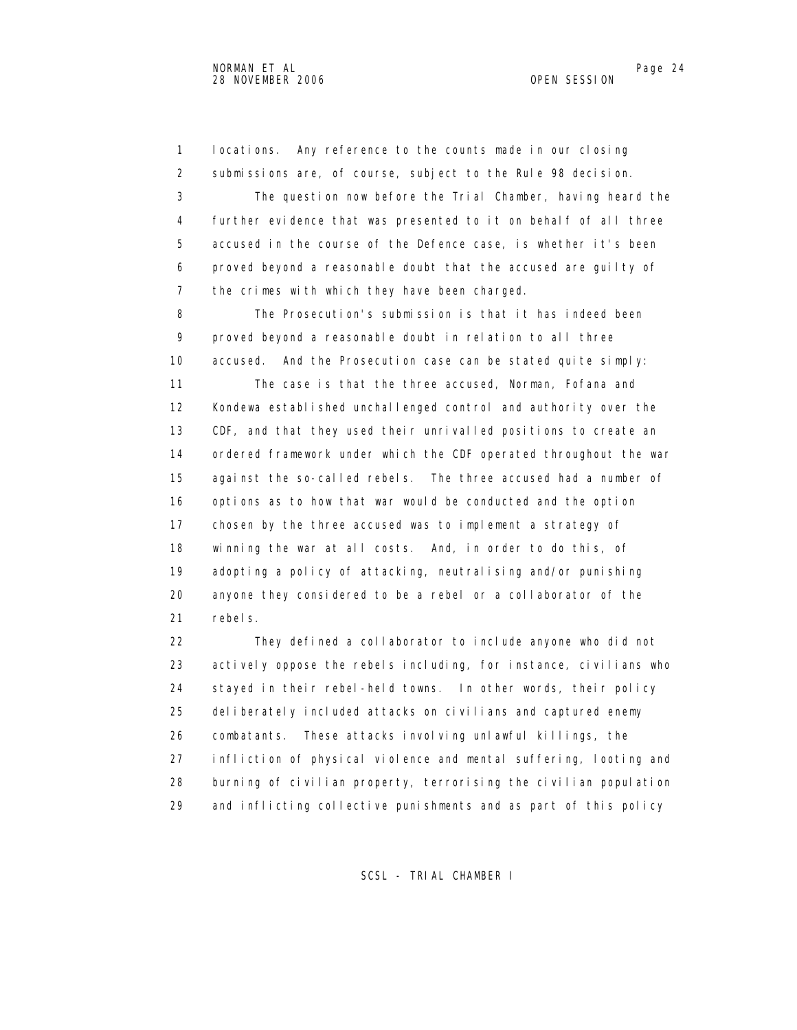1 locations. Any reference to the counts made in our closing 2 submissions are, of course, subject to the Rule 98 decision.

 3 The question now before the Trial Chamber, having heard the 4 further evidence that was presented to it on behalf of all three 5 accused in the course of the Defence case, is whether it's been 6 proved beyond a reasonable doubt that the accused are guilty of 7 the crimes with which they have been charged.

 8 The Prosecution's submission is that it has indeed been 9 proved beyond a reasonable doubt in relation to all three 10 accused. And the Prosecution case can be stated quite simply:

 11 The case is that the three accused, Norman, Fofana and 12 Kondewa established unchallenged control and authority over the 13 CDF, and that they used their unrivalled positions to create an 14 ordered framework under which the CDF operated throughout the war 15 against the so-called rebels. The three accused had a number of 16 options as to how that war would be conducted and the option 17 chosen by the three accused was to implement a strategy of 18 winning the war at all costs. And, in order to do this, of 19 adopting a policy of attacking, neutralising and/or punishing 20 anyone they considered to be a rebel or a collaborator of the 21 rebels.

 22 They defined a collaborator to include anyone who did not 23 actively oppose the rebels including, for instance, civilians who 24 stayed in their rebel-held towns. In other words, their policy 25 deliberately included attacks on civilians and captured enemy 26 combatants. These attacks involving unlawful killings, the 27 infliction of physical violence and mental suffering, looting and 28 burning of civilian property, terrorising the civilian population 29 and inflicting collective punishments and as part of this policy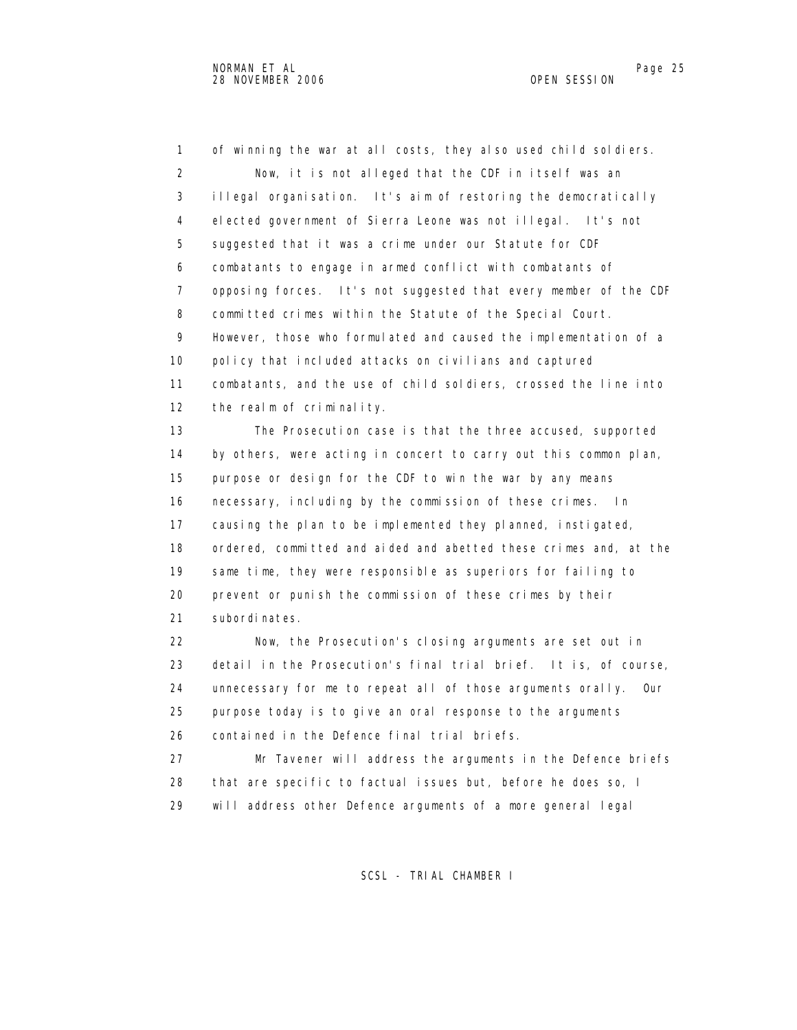1 of winning the war at all costs, they also used child soldiers. 2 Now, it is not alleged that the CDF in itself was an 3 illegal organisation. It's aim of restoring the democratically 4 elected government of Sierra Leone was not illegal. It's not 5 suggested that it was a crime under our Statute for CDF 6 combatants to engage in armed conflict with combatants of 7 opposing forces. It's not suggested that every member of the CDF 8 committed crimes within the Statute of the Special Court. 9 However, those who formulated and caused the implementation of a 10 policy that included attacks on civilians and captured 11 combatants, and the use of child soldiers, crossed the line into 12 the realm of criminality. 13 The Prosecution case is that the three accused, supported 14 by others, were acting in concert to carry out this common plan, 15 purpose or design for the CDF to win the war by any means 16 necessary, including by the commission of these crimes. In 17 causing the plan to be implemented they planned, instigated, 18 ordered, committed and aided and abetted these crimes and, at the 19 same time, they were responsible as superiors for failing to 20 prevent or punish the commission of these crimes by their 21 subordinates. 22 Now, the Prosecution's closing arguments are set out in 23 detail in the Prosecution's final trial brief. It is, of course, 24 unnecessary for me to repeat all of those arguments orally. Our 25 purpose today is to give an oral response to the arguments

26 contained in the Defence final trial briefs.

 27 Mr Tavener will address the arguments in the Defence briefs 28 that are specific to factual issues but, before he does so, I 29 will address other Defence arguments of a more general legal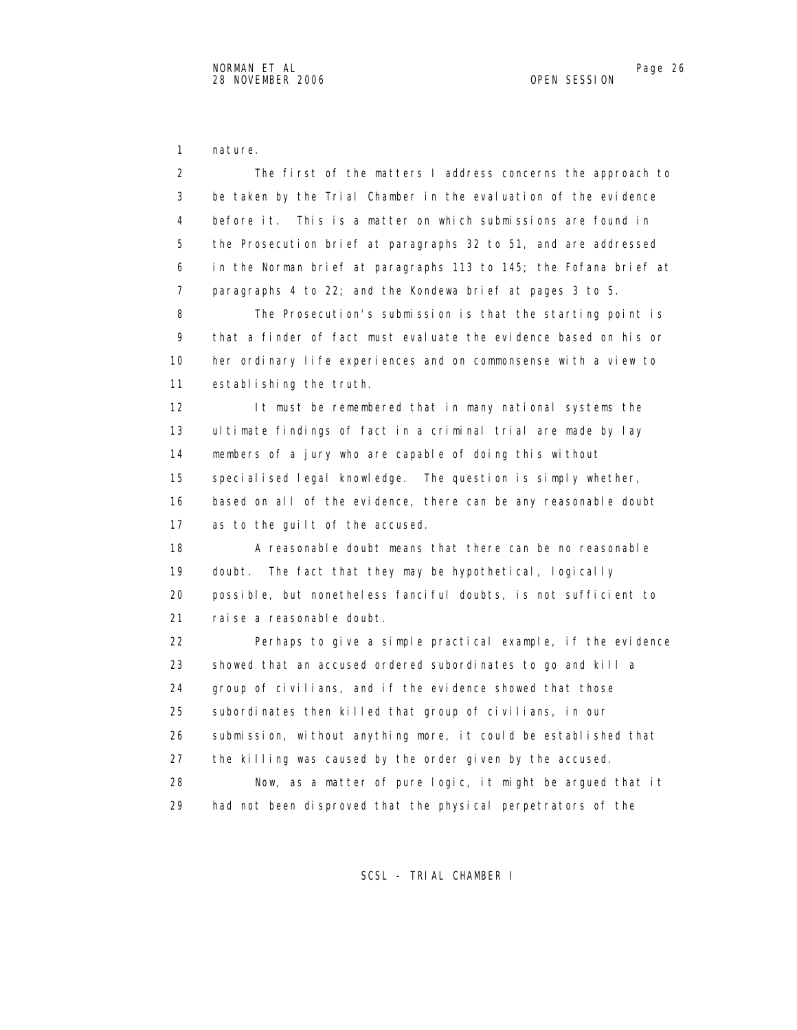1 nature.

 2 The first of the matters I address concerns the approach to 3 be taken by the Trial Chamber in the evaluation of the evidence 4 before it. This is a matter on which submissions are found in 5 the Prosecution brief at paragraphs 32 to 51, and are addressed 6 in the Norman brief at paragraphs 113 to 145; the Fofana brief at 7 paragraphs 4 to 22; and the Kondewa brief at pages 3 to 5. 8 The Prosecution's submission is that the starting point is 9 that a finder of fact must evaluate the evidence based on his or 10 her ordinary life experiences and on commonsense with a view to 11 establishing the truth. 12 It must be remembered that in many national systems the 13 ultimate findings of fact in a criminal trial are made by lay 14 members of a jury who are capable of doing this without 15 specialised legal knowledge. The question is simply whether, 16 based on all of the evidence, there can be any reasonable doubt 17 as to the guilt of the accused. 18 A reasonable doubt means that there can be no reasonable 19 doubt. The fact that they may be hypothetical, logically 20 possible, but nonetheless fanciful doubts, is not sufficient to 21 raise a reasonable doubt. 22 Perhaps to give a simple practical example, if the evidence 23 showed that an accused ordered subordinates to go and kill a 24 group of civilians, and if the evidence showed that those 25 subordinates then killed that group of civilians, in our 26 submission, without anything more, it could be established that 27 the killing was caused by the order given by the accused. 28 Now, as a matter of pure logic, it might be argued that it 29 had not been disproved that the physical perpetrators of the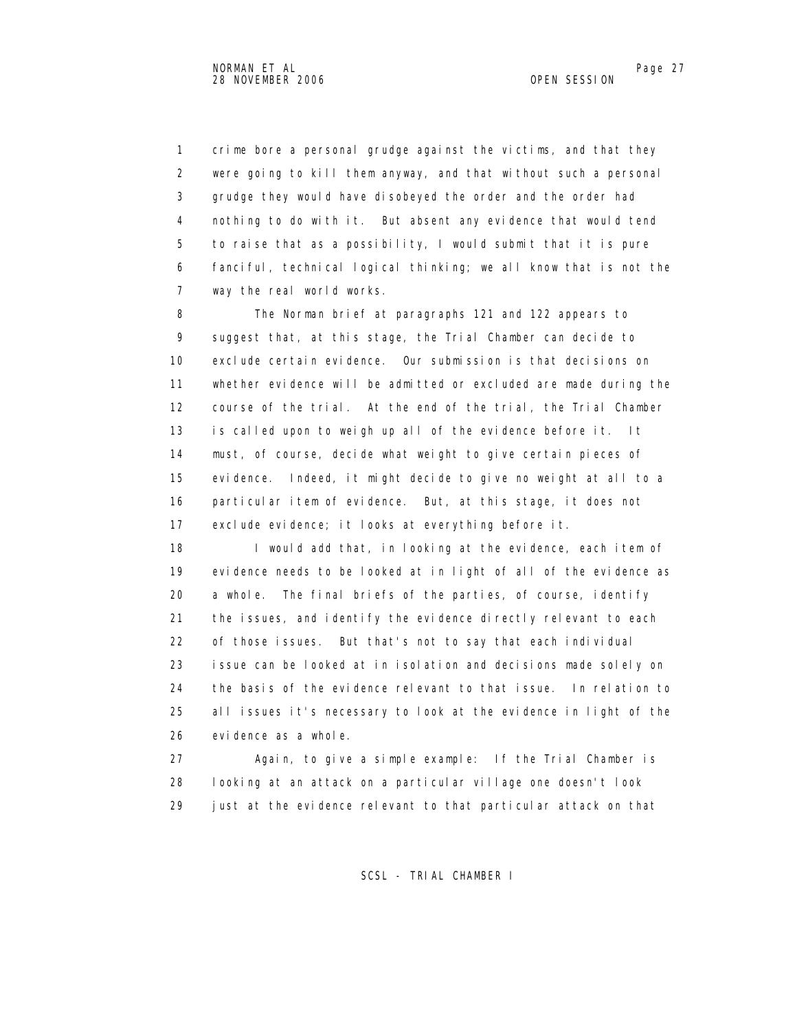1 crime bore a personal grudge against the victims, and that they 2 were going to kill them anyway, and that without such a personal 3 grudge they would have disobeyed the order and the order had 4 nothing to do with it. But absent any evidence that would tend 5 to raise that as a possibility, I would submit that it is pure 6 fanciful, technical logical thinking; we all know that is not the 7 way the real world works.

 8 The Norman brief at paragraphs 121 and 122 appears to 9 suggest that, at this stage, the Trial Chamber can decide to 10 exclude certain evidence. Our submission is that decisions on 11 whether evidence will be admitted or excluded are made during the 12 course of the trial. At the end of the trial, the Trial Chamber 13 is called upon to weigh up all of the evidence before it. It 14 must, of course, decide what weight to give certain pieces of 15 evidence. Indeed, it might decide to give no weight at all to a 16 particular item of evidence. But, at this stage, it does not 17 exclude evidence; it looks at everything before it.

18 I would add that, in looking at the evidence, each item of 19 evidence needs to be looked at in light of all of the evidence as 20 a whole. The final briefs of the parties, of course, identify 21 the issues, and identify the evidence directly relevant to each 22 of those issues. But that's not to say that each individual 23 issue can be looked at in isolation and decisions made solely on 24 the basis of the evidence relevant to that issue. In relation to 25 all issues it's necessary to look at the evidence in light of the 26 evidence as a whole.

 27 Again, to give a simple example: If the Trial Chamber is 28 looking at an attack on a particular village one doesn't look 29 just at the evidence relevant to that particular attack on that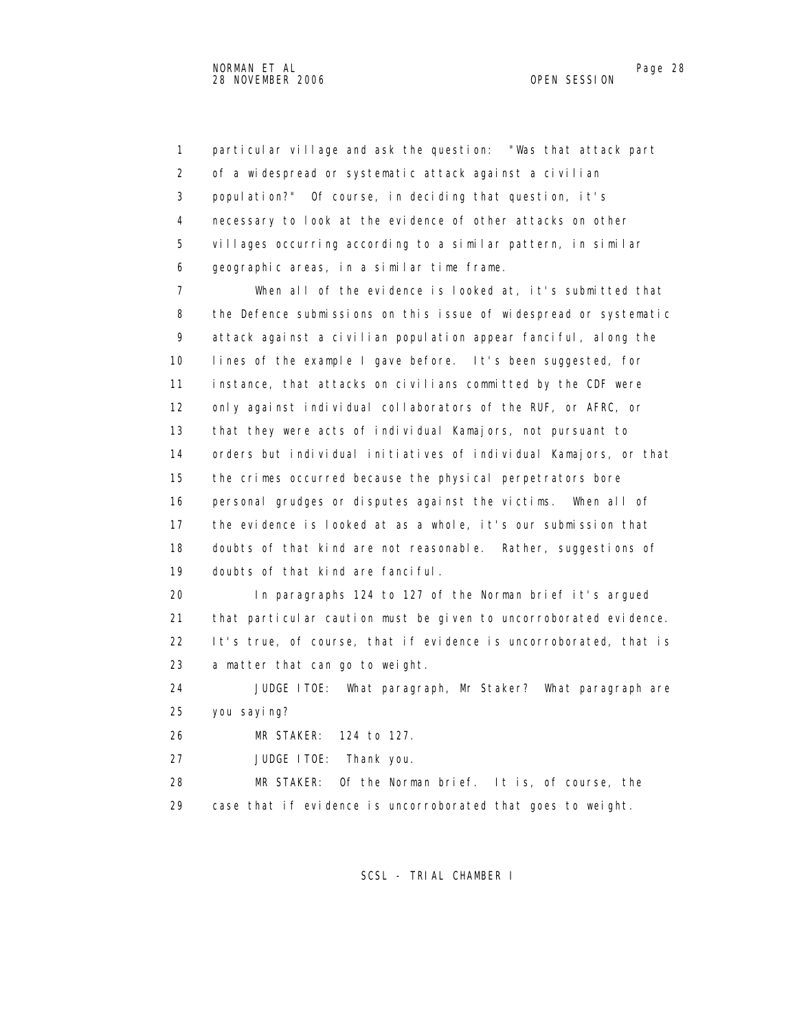1 particular village and ask the question: "Was that attack part 2 of a widespread or systematic attack against a civilian 3 population?" Of course, in deciding that question, it's 4 necessary to look at the evidence of other attacks on other 5 villages occurring according to a similar pattern, in similar 6 geographic areas, in a similar time frame.

 7 When all of the evidence is looked at, it's submitted that 8 the Defence submissions on this issue of widespread or systematic 9 attack against a civilian population appear fanciful, along the 10 lines of the example I gave before. It's been suggested, for 11 instance, that attacks on civilians committed by the CDF were 12 only against individual collaborators of the RUF, or AFRC, or 13 that they were acts of individual Kamajors, not pursuant to 14 orders but individual initiatives of individual Kamajors, or that 15 the crimes occurred because the physical perpetrators bore 16 personal grudges or disputes against the victims. When all of 17 the evidence is looked at as a whole, it's our submission that 18 doubts of that kind are not reasonable. Rather, suggestions of 19 doubts of that kind are fanciful.

 20 In paragraphs 124 to 127 of the Norman brief it's argued 21 that particular caution must be given to uncorroborated evidence. 22 It's true, of course, that if evidence is uncorroborated, that is 23 a matter that can go to weight.

 24 JUDGE ITOE: What paragraph, Mr Staker? What paragraph are 25 you saying?

26 MR STAKER: 124 to 127.

27 JUDGE ITOE: Thank you.

 28 MR STAKER: Of the Norman brief. It is, of course, the 29 case that if evidence is uncorroborated that goes to weight.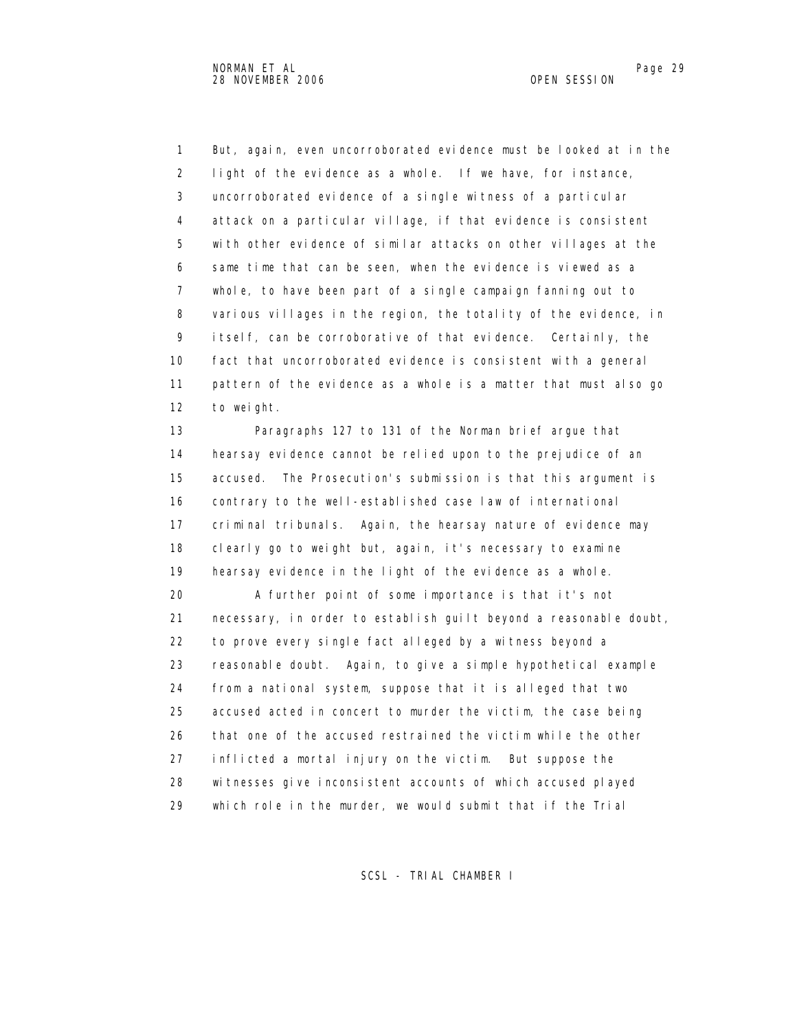1 But, again, even uncorroborated evidence must be looked at in the 2 light of the evidence as a whole. If we have, for instance, 3 uncorroborated evidence of a single witness of a particular 4 attack on a particular village, if that evidence is consistent 5 with other evidence of similar attacks on other villages at the 6 same time that can be seen, when the evidence is viewed as a 7 whole, to have been part of a single campaign fanning out to 8 various villages in the region, the totality of the evidence, in 9 itself, can be corroborative of that evidence. Certainly, the 10 fact that uncorroborated evidence is consistent with a general 11 pattern of the evidence as a whole is a matter that must also go 12 to weight.

 13 Paragraphs 127 to 131 of the Norman brief argue that 14 hearsay evidence cannot be relied upon to the prejudice of an 15 accused. The Prosecution's submission is that this argument is 16 contrary to the well-established case law of international 17 criminal tribunals. Again, the hearsay nature of evidence may 18 clearly go to weight but, again, it's necessary to examine 19 hearsay evidence in the light of the evidence as a whole.

 20 A further point of some importance is that it's not 21 necessary, in order to establish guilt beyond a reasonable doubt, 22 to prove every single fact alleged by a witness beyond a 23 reasonable doubt. Again, to give a simple hypothetical example 24 from a national system, suppose that it is alleged that two 25 accused acted in concert to murder the victim, the case being 26 that one of the accused restrained the victim while the other 27 inflicted a mortal injury on the victim. But suppose the 28 witnesses give inconsistent accounts of which accused played 29 which role in the murder, we would submit that if the Trial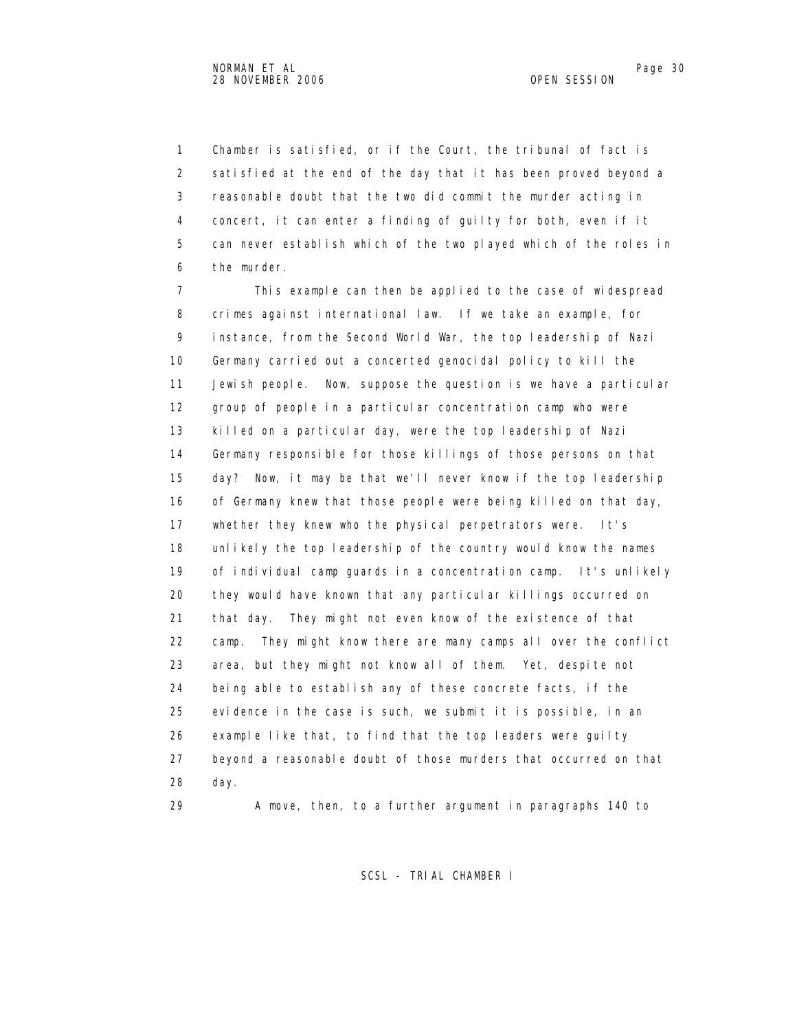1 Chamber is satisfied, or if the Court, the tribunal of fact is 2 satisfied at the end of the day that it has been proved beyond a 3 reasonable doubt that the two did commit the murder acting in 4 concert, it can enter a finding of guilty for both, even if it 5 can never establish which of the two played which of the roles in 6 the murder.

 7 This example can then be applied to the case of widespread 8 crimes against international law. If we take an example, for 9 instance, from the Second World War, the top leadership of Nazi 10 Germany carried out a concerted genocidal policy to kill the 11 Jewish people. Now, suppose the question is we have a particular 12 group of people in a particular concentration camp who were 13 killed on a particular day, were the top leadership of Nazi 14 Germany responsible for those killings of those persons on that 15 day? Now, it may be that we'll never know if the top leadership 16 of Germany knew that those people were being killed on that day, 17 whether they knew who the physical perpetrators were. It's 18 unlikely the top leadership of the country would know the names 19 of individual camp guards in a concentration camp. It's unlikely 20 they would have known that any particular killings occurred on 21 that day. They might not even know of the existence of that 22 camp. They might know there are many camps all over the conflict 23 area, but they might not know all of them. Yet, despite not 24 being able to establish any of these concrete facts, if the 25 evidence in the case is such, we submit it is possible, in an 26 example like that, to find that the top leaders were guilty 27 beyond a reasonable doubt of those murders that occurred on that 28 day.

29 A move, then, to a further argument in paragraphs 140 to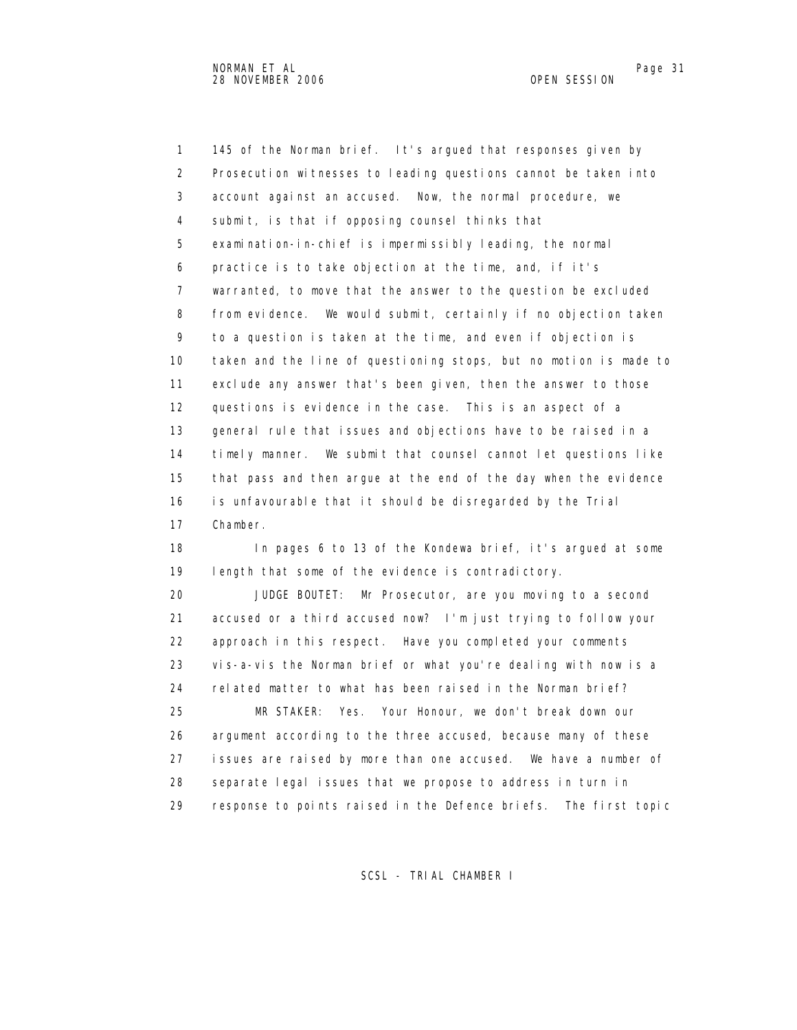1 145 of the Norman brief. It's argued that responses given by 2 Prosecution witnesses to leading questions cannot be taken into 3 account against an accused. Now, the normal procedure, we 4 submit, is that if opposing counsel thinks that 5 examination-in-chief is impermissibly leading, the normal 6 practice is to take objection at the time, and, if it's 7 warranted, to move that the answer to the question be excluded 8 from evidence. We would submit, certainly if no objection taken 9 to a question is taken at the time, and even if objection is 10 taken and the line of questioning stops, but no motion is made to 11 exclude any answer that's been given, then the answer to those 12 questions is evidence in the case. This is an aspect of a 13 general rule that issues and objections have to be raised in a 14 timely manner. We submit that counsel cannot let questions like 15 that pass and then argue at the end of the day when the evidence 16 is unfavourable that it should be disregarded by the Trial 17 Chamber.

 18 In pages 6 to 13 of the Kondewa brief, it's argued at some 19 length that some of the evidence is contradictory.

 20 JUDGE BOUTET: Mr Prosecutor, are you moving to a second 21 accused or a third accused now? I'm just trying to follow your 22 approach in this respect. Have you completed your comments 23 vis-a-vis the Norman brief or what you're dealing with now is a 24 related matter to what has been raised in the Norman brief? 25 MR STAKER: Yes. Your Honour, we don't break down our 26 argument according to the three accused, because many of these 27 issues are raised by more than one accused. We have a number of 28 separate legal issues that we propose to address in turn in 29 response to points raised in the Defence briefs. The first topic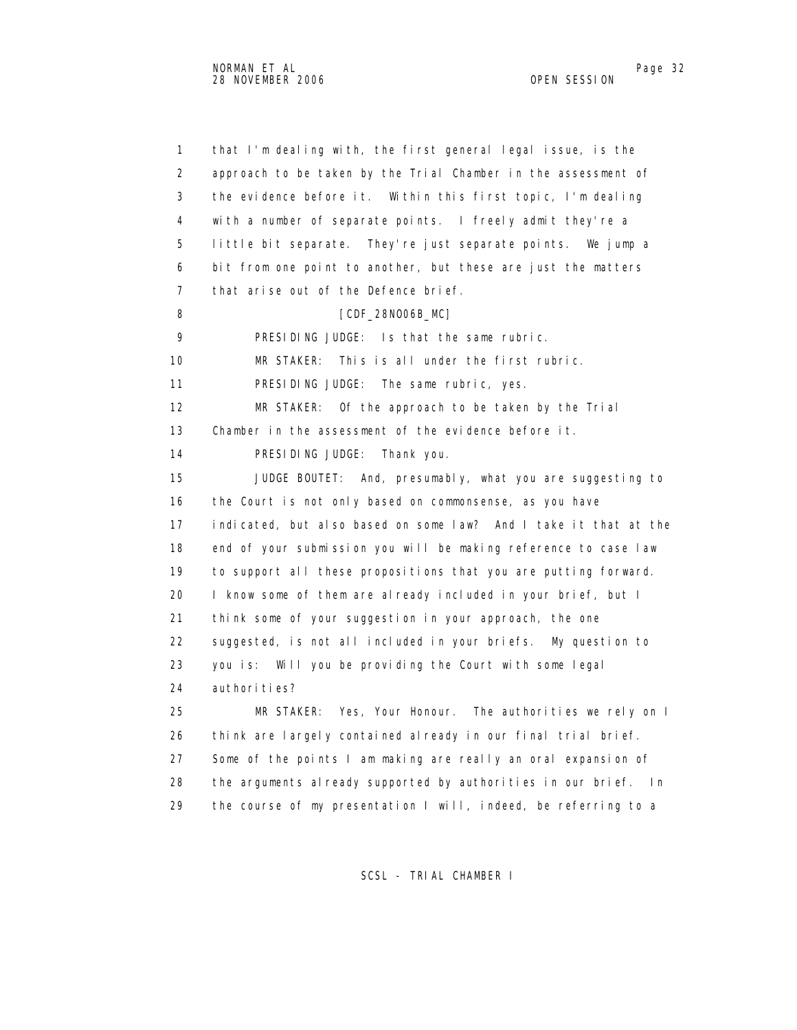1 that I'm dealing with, the first general legal issue, is the 2 approach to be taken by the Trial Chamber in the assessment of 3 the evidence before it. Within this first topic, I'm dealing 4 with a number of separate points. I freely admit they're a 5 little bit separate. They're just separate points. We jump a 6 bit from one point to another, but these are just the matters 7 that arise out of the Defence brief. 8 [CDF\_28NO06B\_MC] 9 PRESIDING JUDGE: Is that the same rubric. 10 MR STAKER: This is all under the first rubric. 11 PRESIDING JUDGE: The same rubric, yes. 12 MR STAKER: Of the approach to be taken by the Trial 13 Chamber in the assessment of the evidence before it. 14 PRESIDING JUDGE: Thank you. 15 JUDGE BOUTET: And, presumably, what you are suggesting to 16 the Court is not only based on commonsense, as you have 17 indicated, but also based on some law? And I take it that at the 18 end of your submission you will be making reference to case law 19 to support all these propositions that you are putting forward. 20 I know some of them are already included in your brief, but I 21 think some of your suggestion in your approach, the one 22 suggested, is not all included in your briefs. My question to 23 you is: Will you be providing the Court with some legal 24 authorities? 25 MR STAKER: Yes, Your Honour. The authorities we rely on I 26 think are largely contained already in our final trial brief. 27 Some of the points I am making are really an oral expansion of 28 the arguments already supported by authorities in our brief. In 29 the course of my presentation I will, indeed, be referring to a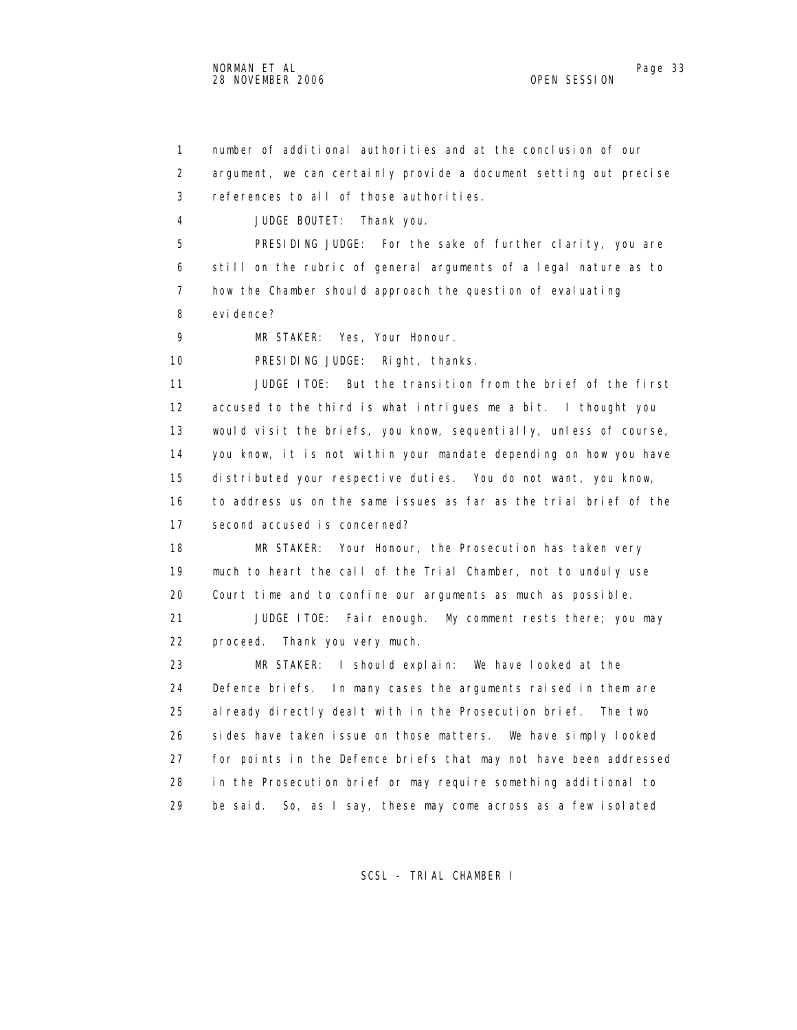1 number of additional authorities and at the conclusion of our 2 argument, we can certainly provide a document setting out precise 3 references to all of those authorities. 4 JUDGE BOUTET: Thank you. 5 PRESIDING JUDGE: For the sake of further clarity, you are 6 still on the rubric of general arguments of a legal nature as to 7 how the Chamber should approach the question of evaluating 8 evidence? 9 MR STAKER: Yes, Your Honour. 10 PRESIDING JUDGE: Right, thanks. 11 JUDGE ITOE: But the transition from the brief of the first 12 accused to the third is what intrigues me a bit. I thought you 13 would visit the briefs, you know, sequentially, unless of course, 14 you know, it is not within your mandate depending on how you have 15 distributed your respective duties. You do not want, you know, 16 to address us on the same issues as far as the trial brief of the 17 second accused is concerned? 18 MR STAKER: Your Honour, the Prosecution has taken very 19 much to heart the call of the Trial Chamber, not to unduly use 20 Court time and to confine our arguments as much as possible. 21 JUDGE ITOE: Fair enough. My comment rests there; you may 22 proceed. Thank you very much. 23 MR STAKER: I should explain: We have looked at the 24 Defence briefs. In many cases the arguments raised in them are 25 already directly dealt with in the Prosecution brief. The two 26 sides have taken issue on those matters. We have simply looked 27 for points in the Defence briefs that may not have been addressed 28 in the Prosecution brief or may require something additional to 29 be said. So, as I say, these may come across as a few isolated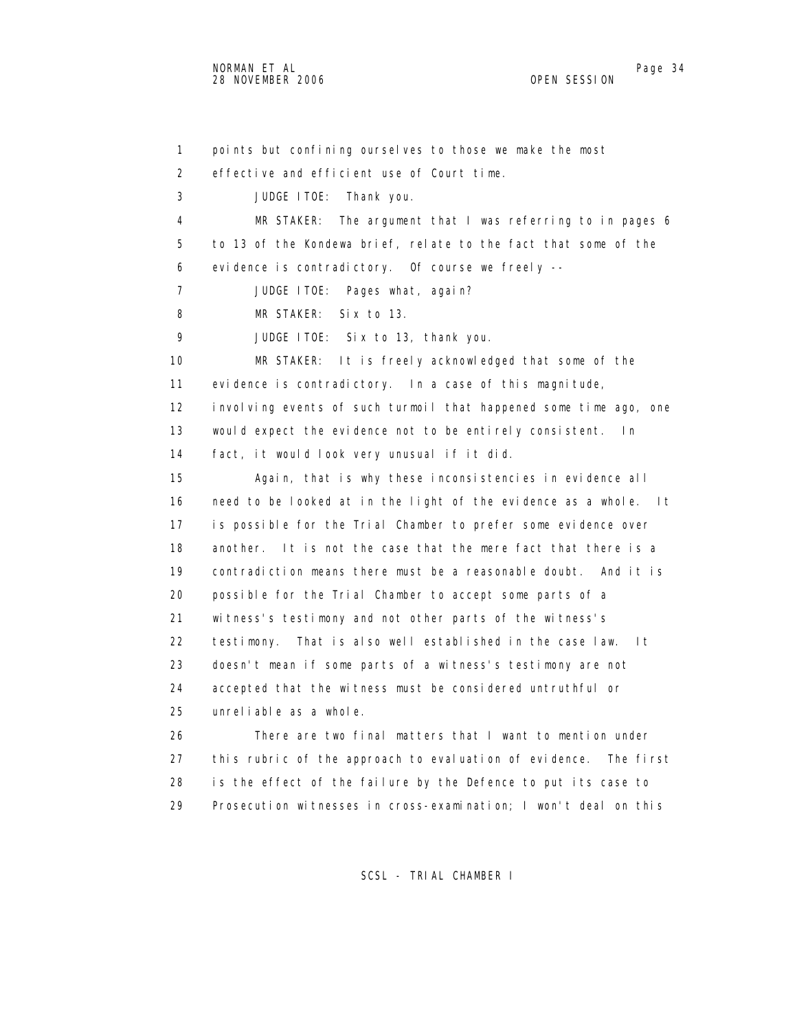1 points but confining ourselves to those we make the most 2 effective and efficient use of Court time. 3 JUDGE ITOE: Thank you. 4 MR STAKER: The argument that I was referring to in pages 6 5 to 13 of the Kondewa brief, relate to the fact that some of the 6 evidence is contradictory. Of course we freely -- 7 JUDGE ITOE: Pages what, again? 8 MR STAKER: Six to 13. 9 JUDGE ITOE: Six to 13, thank you. 10 MR STAKER: It is freely acknowledged that some of the 11 evidence is contradictory. In a case of this magnitude, 12 involving events of such turmoil that happened some time ago, one 13 would expect the evidence not to be entirely consistent. In 14 fact, it would look very unusual if it did. 15 Again, that is why these inconsistencies in evidence all 16 need to be looked at in the light of the evidence as a whole. It 17 is possible for the Trial Chamber to prefer some evidence over 18 another. It is not the case that the mere fact that there is a 19 contradiction means there must be a reasonable doubt. And it is 20 possible for the Trial Chamber to accept some parts of a 21 witness's testimony and not other parts of the witness's 22 testimony. That is also well established in the case law. It 23 doesn't mean if some parts of a witness's testimony are not 24 accepted that the witness must be considered untruthful or 25 unreliable as a whole. 26 There are two final matters that I want to mention under 27 this rubric of the approach to evaluation of evidence. The first 28 is the effect of the failure by the Defence to put its case to

SCSL - TRIAL CHAMBER I

29 Prosecution witnesses in cross-examination; I won't deal on this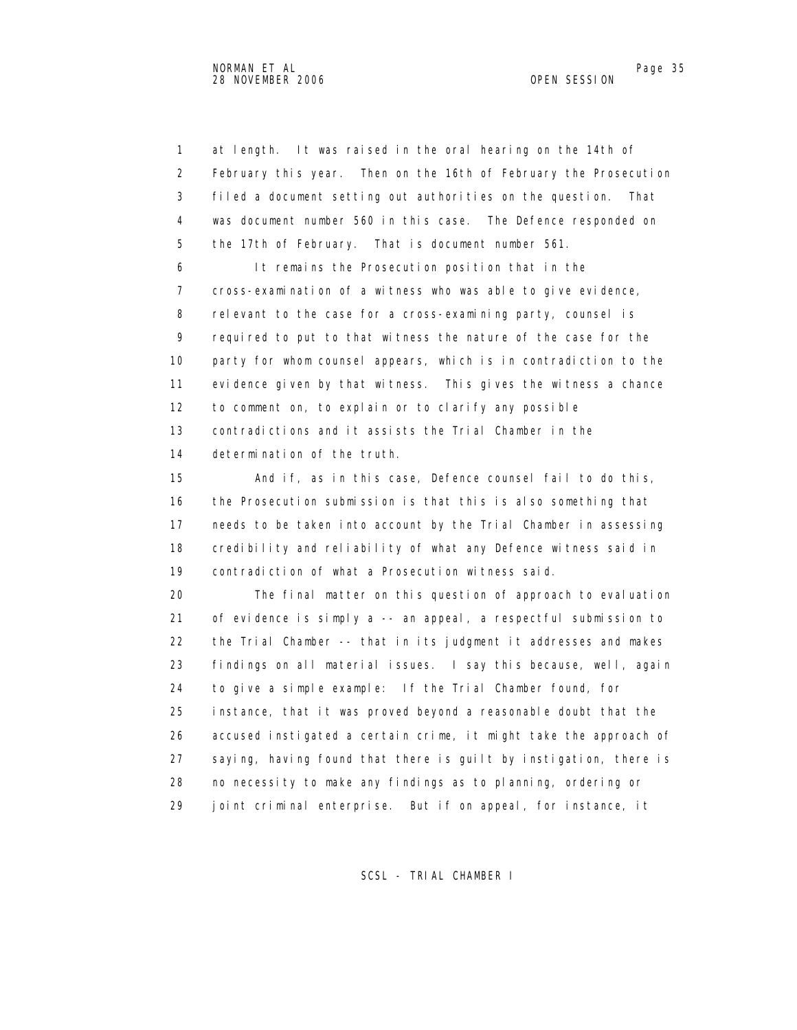1 at length. It was raised in the oral hearing on the 14th of 2 February this year. Then on the 16th of February the Prosecution 3 filed a document setting out authorities on the question. That 4 was document number 560 in this case. The Defence responded on 5 the 17th of February. That is document number 561.

 6 It remains the Prosecution position that in the 7 cross-examination of a witness who was able to give evidence, 8 relevant to the case for a cross-examining party, counsel is 9 required to put to that witness the nature of the case for the 10 party for whom counsel appears, which is in contradiction to the 11 evidence given by that witness. This gives the witness a chance 12 to comment on, to explain or to clarify any possible 13 contradictions and it assists the Trial Chamber in the 14 determination of the truth.

 15 And if, as in this case, Defence counsel fail to do this, 16 the Prosecution submission is that this is also something that 17 needs to be taken into account by the Trial Chamber in assessing 18 credibility and reliability of what any Defence witness said in 19 contradiction of what a Prosecution witness said.

 20 The final matter on this question of approach to evaluation 21 of evidence is simply a -- an appeal, a respectful submission to 22 the Trial Chamber -- that in its judgment it addresses and makes 23 findings on all material issues. I say this because, well, again 24 to give a simple example: If the Trial Chamber found, for 25 instance, that it was proved beyond a reasonable doubt that the 26 accused instigated a certain crime, it might take the approach of 27 saying, having found that there is guilt by instigation, there is 28 no necessity to make any findings as to planning, ordering or 29 joint criminal enterprise. But if on appeal, for instance, it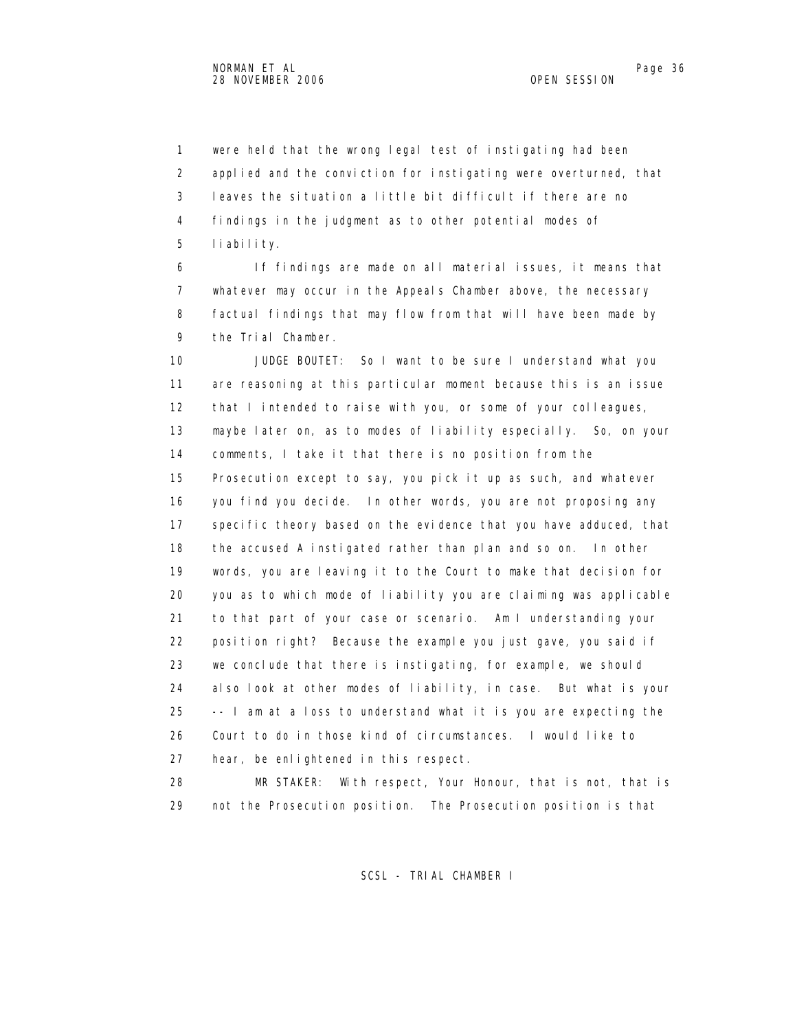1 were held that the wrong legal test of instigating had been 2 applied and the conviction for instigating were overturned, that 3 leaves the situation a little bit difficult if there are no 4 findings in the judgment as to other potential modes of 5 liability.

 6 If findings are made on all material issues, it means that 7 whatever may occur in the Appeals Chamber above, the necessary 8 factual findings that may flow from that will have been made by 9 the Trial Chamber.

 10 JUDGE BOUTET: So I want to be sure I understand what you 11 are reasoning at this particular moment because this is an issue 12 that I intended to raise with you, or some of your colleagues, 13 maybe later on, as to modes of liability especially. So, on your 14 comments, I take it that there is no position from the 15 Prosecution except to say, you pick it up as such, and whatever 16 you find you decide. In other words, you are not proposing any 17 specific theory based on the evidence that you have adduced, that 18 the accused A instigated rather than plan and so on. In other 19 words, you are leaving it to the Court to make that decision for 20 you as to which mode of liability you are claiming was applicable 21 to that part of your case or scenario. Am I understanding your 22 position right? Because the example you just gave, you said if 23 we conclude that there is instigating, for example, we should 24 also look at other modes of liability, in case. But what is your 25 -- I am at a loss to understand what it is you are expecting the 26 Court to do in those kind of circumstances. I would like to 27 hear, be enlightened in this respect.

 28 MR STAKER: With respect, Your Honour, that is not, that is 29 not the Prosecution position. The Prosecution position is that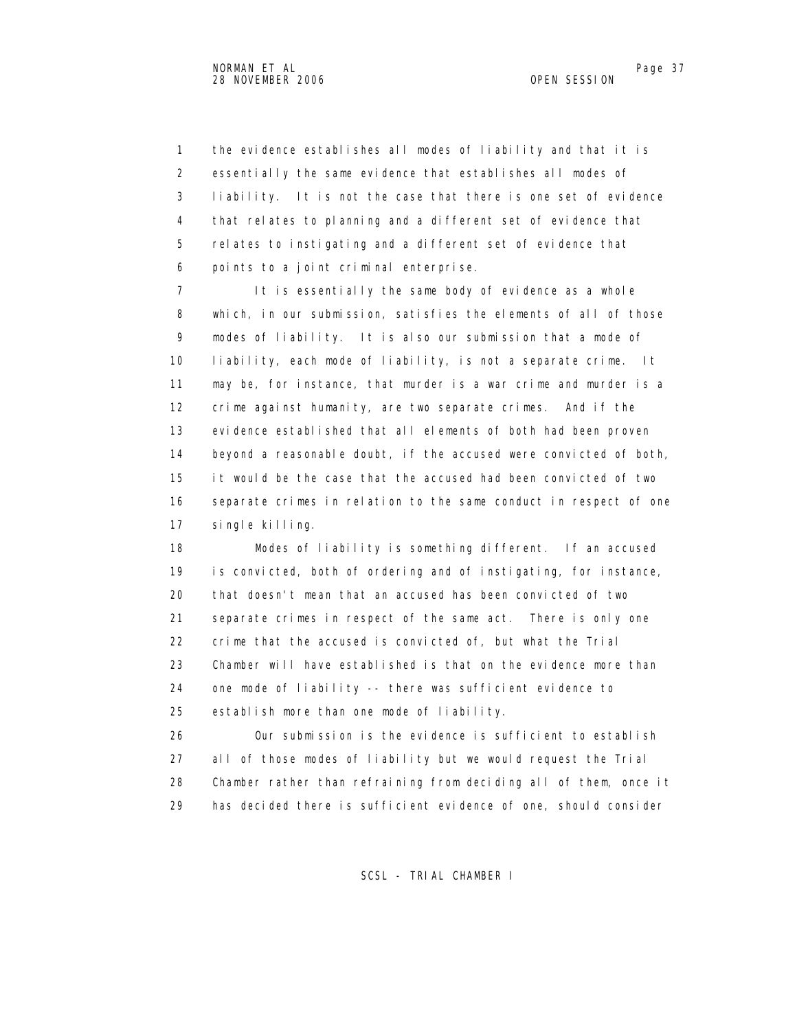1 the evidence establishes all modes of liability and that it is 2 essentially the same evidence that establishes all modes of 3 liability. It is not the case that there is one set of evidence 4 that relates to planning and a different set of evidence that 5 relates to instigating and a different set of evidence that 6 points to a joint criminal enterprise.

 7 It is essentially the same body of evidence as a whole 8 which, in our submission, satisfies the elements of all of those 9 modes of liability. It is also our submission that a mode of 10 liability, each mode of liability, is not a separate crime. It 11 may be, for instance, that murder is a war crime and murder is a 12 crime against humanity, are two separate crimes. And if the 13 evidence established that all elements of both had been proven 14 beyond a reasonable doubt, if the accused were convicted of both, 15 it would be the case that the accused had been convicted of two 16 separate crimes in relation to the same conduct in respect of one 17 single killing.

 18 Modes of liability is something different. If an accused 19 is convicted, both of ordering and of instigating, for instance, 20 that doesn't mean that an accused has been convicted of two 21 separate crimes in respect of the same act. There is only one 22 crime that the accused is convicted of, but what the Trial 23 Chamber will have established is that on the evidence more than 24 one mode of liability -- there was sufficient evidence to 25 establish more than one mode of liability.

 26 Our submission is the evidence is sufficient to establish 27 all of those modes of liability but we would request the Trial 28 Chamber rather than refraining from deciding all of them, once it 29 has decided there is sufficient evidence of one, should consider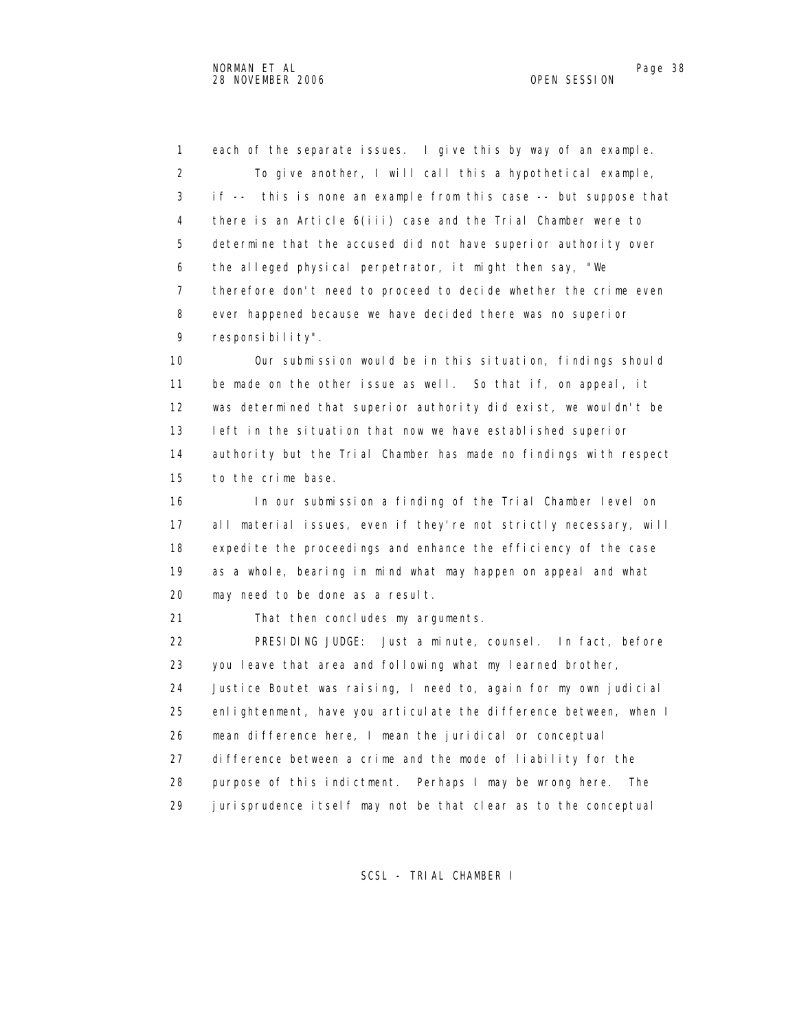1 each of the separate issues. I give this by way of an example. 2 To give another, I will call this a hypothetical example, 3 if -- this is none an example from this case -- but suppose that 4 there is an Article 6(iii) case and the Trial Chamber were to 5 determine that the accused did not have superior authority over 6 the alleged physical perpetrator, it might then say, "We 7 therefore don't need to proceed to decide whether the crime even 8 ever happened because we have decided there was no superior 9 responsibility". 10 Our submission would be in this situation, findings should 11 be made on the other issue as well. So that if, on appeal, it

 12 was determined that superior authority did exist, we wouldn't be 13 left in the situation that now we have established superior 14 authority but the Trial Chamber has made no findings with respect 15 to the crime base.

 16 In our submission a finding of the Trial Chamber level on 17 all material issues, even if they're not strictly necessary, will 18 expedite the proceedings and enhance the efficiency of the case 19 as a whole, bearing in mind what may happen on appeal and what 20 may need to be done as a result.

21 That then concludes my arguments.

 22 PRESIDING JUDGE: Just a minute, counsel. In fact, before 23 you leave that area and following what my learned brother, 24 Justice Boutet was raising, I need to, again for my own judicial 25 enlightenment, have you articulate the difference between, when I 26 mean difference here, I mean the juridical or conceptual 27 difference between a crime and the mode of liability for the 28 purpose of this indictment. Perhaps I may be wrong here. The 29 jurisprudence itself may not be that clear as to the conceptual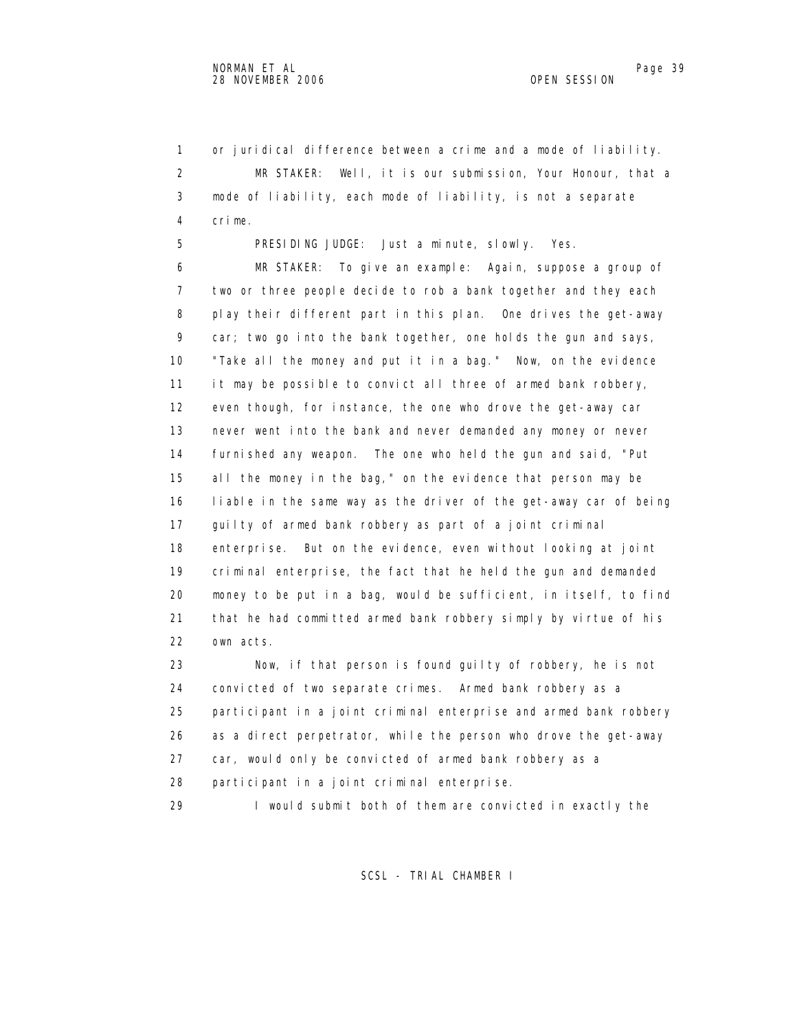1 or juridical difference between a crime and a mode of liability. 2 MR STAKER: Well, it is our submission, Your Honour, that a 3 mode of liability, each mode of liability, is not a separate 4 crime.

5 PRESIDING JUDGE: Just a minute, slowly. Yes.

 6 MR STAKER: To give an example: Again, suppose a group of 7 two or three people decide to rob a bank together and they each 8 play their different part in this plan. One drives the get-away 9 car; two go into the bank together, one holds the gun and says, 10 "Take all the money and put it in a bag." Now, on the evidence 11 it may be possible to convict all three of armed bank robbery, 12 even though, for instance, the one who drove the get-away car 13 never went into the bank and never demanded any money or never 14 furnished any weapon. The one who held the gun and said, "Put 15 all the money in the bag," on the evidence that person may be 16 liable in the same way as the driver of the get-away car of being 17 guilty of armed bank robbery as part of a joint criminal 18 enterprise. But on the evidence, even without looking at joint 19 criminal enterprise, the fact that he held the gun and demanded 20 money to be put in a bag, would be sufficient, in itself, to find 21 that he had committed armed bank robbery simply by virtue of his 22 own acts.

 23 Now, if that person is found guilty of robbery, he is not 24 convicted of two separate crimes. Armed bank robbery as a 25 participant in a joint criminal enterprise and armed bank robbery 26 as a direct perpetrator, while the person who drove the get-away 27 car, would only be convicted of armed bank robbery as a 28 participant in a joint criminal enterprise. 29 I would submit both of them are convicted in exactly the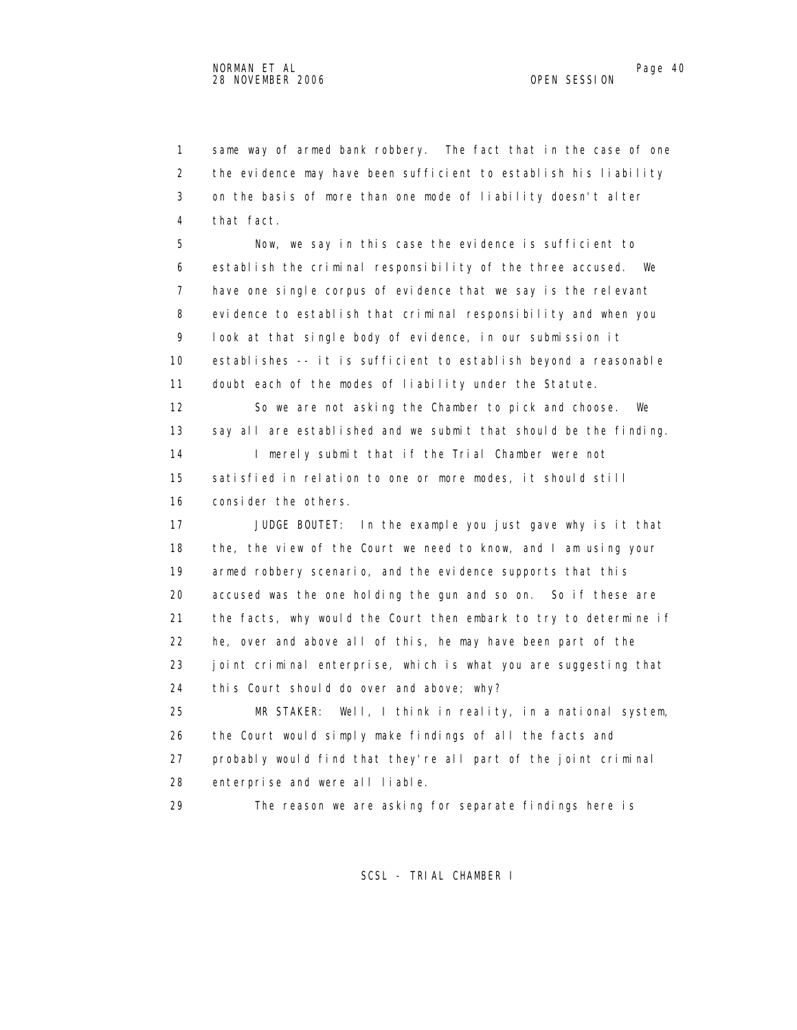1 same way of armed bank robbery. The fact that in the case of one 2 the evidence may have been sufficient to establish his liability 3 on the basis of more than one mode of liability doesn't alter 4 that fact.

 5 Now, we say in this case the evidence is sufficient to 6 establish the criminal responsibility of the three accused. We 7 have one single corpus of evidence that we say is the relevant 8 evidence to establish that criminal responsibility and when you 9 look at that single body of evidence, in our submission it 10 establishes -- it is sufficient to establish beyond a reasonable 11 doubt each of the modes of liability under the Statute. 12 So we are not asking the Chamber to pick and choose. We 13 say all are established and we submit that should be the finding.

14 I merely submit that if the Trial Chamber were not 15 satisfied in relation to one or more modes, it should still 16 consider the others.

 17 JUDGE BOUTET: In the example you just gave why is it that 18 the, the view of the Court we need to know, and I am using your 19 armed robbery scenario, and the evidence supports that this 20 accused was the one holding the gun and so on. So if these are 21 the facts, why would the Court then embark to try to determine if 22 he, over and above all of this, he may have been part of the 23 joint criminal enterprise, which is what you are suggesting that 24 this Court should do over and above; why?

 25 MR STAKER: Well, I think in reality, in a national system, 26 the Court would simply make findings of all the facts and 27 probably would find that they're all part of the joint criminal 28 enterprise and were all liable.

29 The reason we are asking for separate findings here is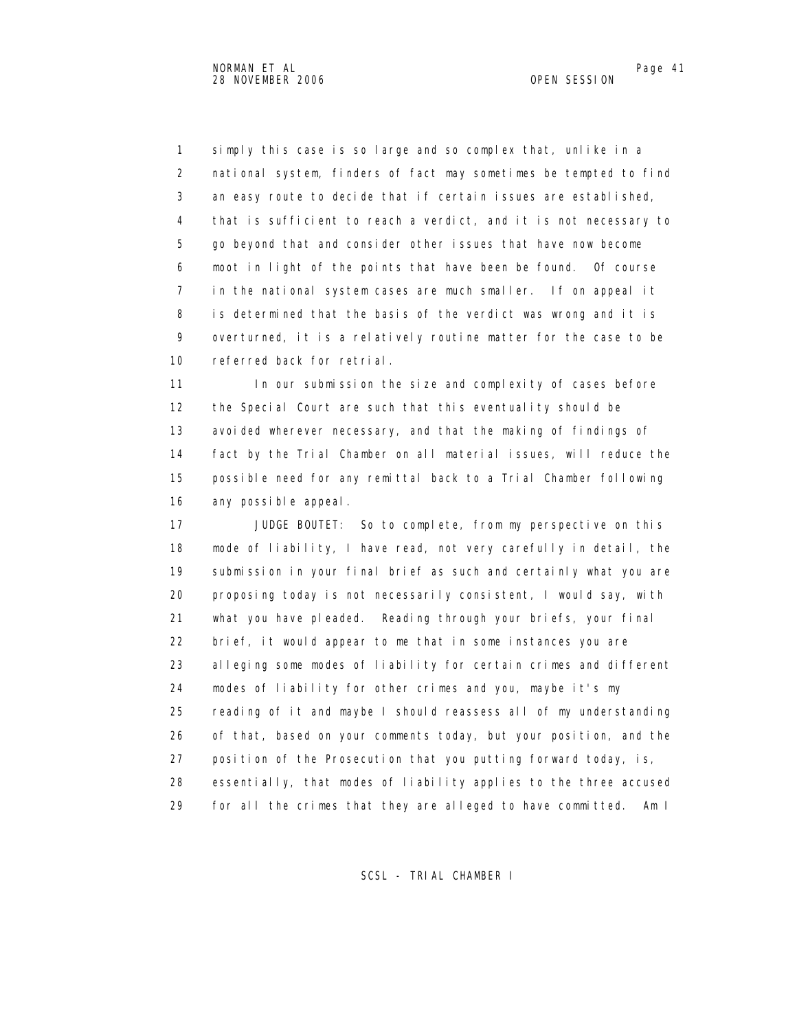1 simply this case is so large and so complex that, unlike in a 2 national system, finders of fact may sometimes be tempted to find 3 an easy route to decide that if certain issues are established, 4 that is sufficient to reach a verdict, and it is not necessary to 5 go beyond that and consider other issues that have now become 6 moot in light of the points that have been be found. Of course 7 in the national system cases are much smaller. If on appeal it 8 is determined that the basis of the verdict was wrong and it is 9 overturned, it is a relatively routine matter for the case to be 10 referred back for retrial.

11 In our submission the size and complexity of cases before 12 the Special Court are such that this eventuality should be 13 avoided wherever necessary, and that the making of findings of 14 fact by the Trial Chamber on all material issues, will reduce the 15 possible need for any remittal back to a Trial Chamber following 16 any possible appeal.

 17 JUDGE BOUTET: So to complete, from my perspective on this 18 mode of liability, I have read, not very carefully in detail, the 19 submission in your final brief as such and certainly what you are 20 proposing today is not necessarily consistent, I would say, with 21 what you have pleaded. Reading through your briefs, your final 22 brief, it would appear to me that in some instances you are 23 alleging some modes of liability for certain crimes and different 24 modes of liability for other crimes and you, maybe it's my 25 reading of it and maybe I should reassess all of my understanding 26 of that, based on your comments today, but your position, and the 27 position of the Prosecution that you putting forward today, is, 28 essentially, that modes of liability applies to the three accused 29 for all the crimes that they are alleged to have committed. Am I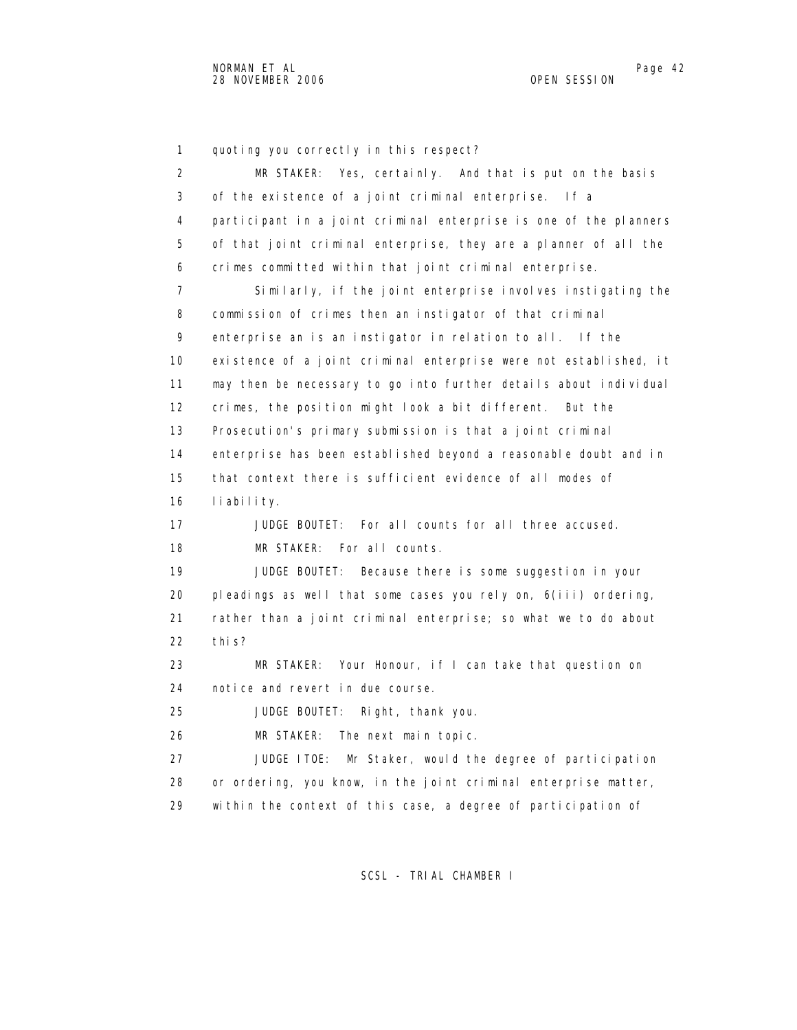1 quoting you correctly in this respect? 2 MR STAKER: Yes, certainly. And that is put on the basis 3 of the existence of a joint criminal enterprise. If a 4 participant in a joint criminal enterprise is one of the planners 5 of that joint criminal enterprise, they are a planner of all the 6 crimes committed within that joint criminal enterprise. 7 Similarly, if the joint enterprise involves instigating the 8 commission of crimes then an instigator of that criminal 9 enterprise an is an instigator in relation to all. If the 10 existence of a joint criminal enterprise were not established, it 11 may then be necessary to go into further details about individual 12 crimes, the position might look a bit different. But the 13 Prosecution's primary submission is that a joint criminal 14 enterprise has been established beyond a reasonable doubt and in 15 that context there is sufficient evidence of all modes of 16 liability. 17 JUDGE BOUTET: For all counts for all three accused. 18 MR STAKER: For all counts. 19 JUDGE BOUTET: Because there is some suggestion in your 20 pleadings as well that some cases you rely on, 6(iii) ordering, 21 rather than a joint criminal enterprise; so what we to do about 22 this? 23 MR STAKER: Your Honour, if I can take that question on 24 notice and revert in due course. 25 JUDGE BOUTET: Right, thank you. 26 MR STAKER: The next main topic. 27 JUDGE ITOE: Mr Staker, would the degree of participation 28 or ordering, you know, in the joint criminal enterprise matter, 29 within the context of this case, a degree of participation of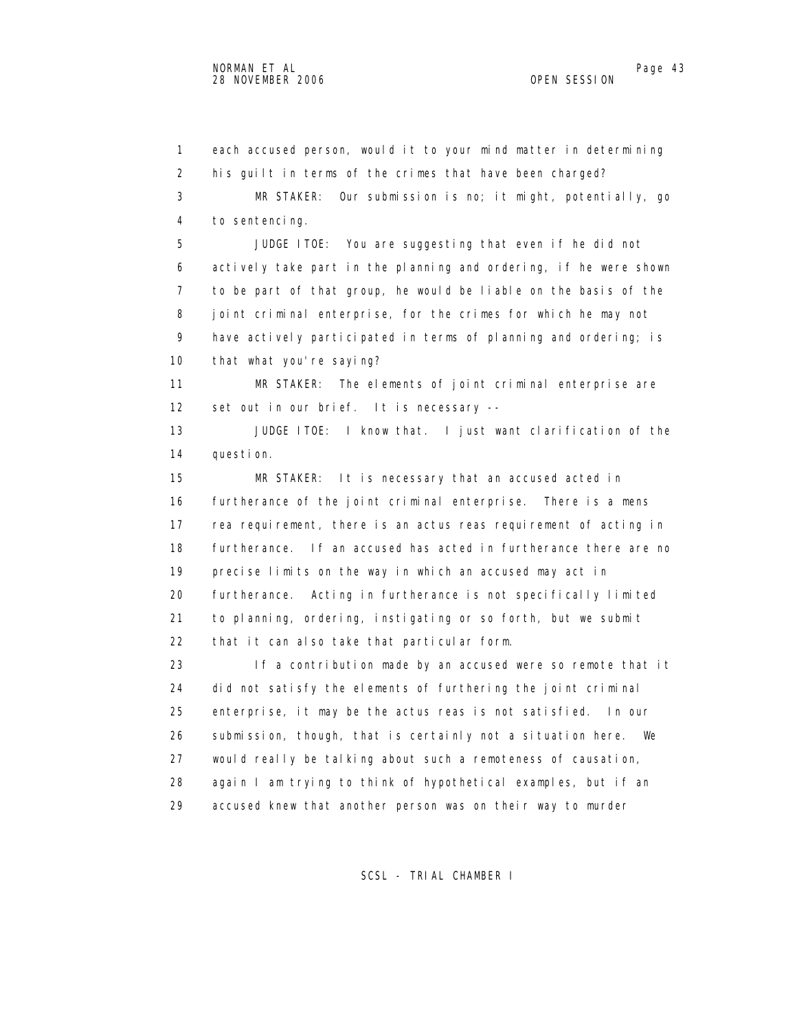1 each accused person, would it to your mind matter in determining 2 his guilt in terms of the crimes that have been charged? 3 MR STAKER: Our submission is no; it might, potentially, go 4 to sentencing. 5 JUDGE ITOE: You are suggesting that even if he did not 6 actively take part in the planning and ordering, if he were shown 7 to be part of that group, he would be liable on the basis of the 8 joint criminal enterprise, for the crimes for which he may not 9 have actively participated in terms of planning and ordering; is 10 that what you're saying? 11 MR STAKER: The elements of joint criminal enterprise are 12 set out in our brief. It is necessary -- 13 JUDGE ITOE: I know that. I just want clarification of the 14 question. 15 MR STAKER: It is necessary that an accused acted in 16 furtherance of the joint criminal enterprise. There is a mens 17 rea requirement, there is an actus reas requirement of acting in 18 furtherance. If an accused has acted in furtherance there are no 19 precise limits on the way in which an accused may act in 20 furtherance. Acting in furtherance is not specifically limited 21 to planning, ordering, instigating or so forth, but we submit 22 that it can also take that particular form. 23 If a contribution made by an accused were so remote that it 24 did not satisfy the elements of furthering the joint criminal 25 enterprise, it may be the actus reas is not satisfied. In our 26 submission, though, that is certainly not a situation here. We 27 would really be talking about such a remoteness of causation, 28 again I am trying to think of hypothetical examples, but if an 29 accused knew that another person was on their way to murder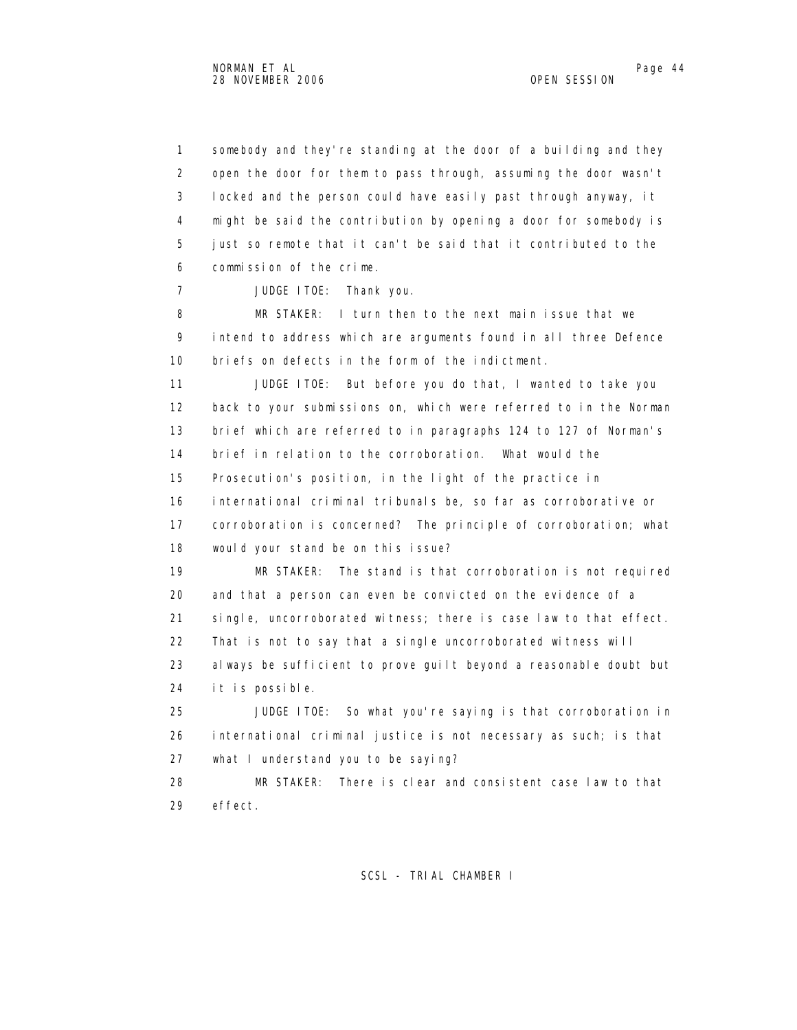1 somebody and they're standing at the door of a building and they 2 open the door for them to pass through, assuming the door wasn't 3 locked and the person could have easily past through anyway, it 4 might be said the contribution by opening a door for somebody is 5 just so remote that it can't be said that it contributed to the 6 commission of the crime.

7 JUDGE ITOE: Thank you.

 8 MR STAKER: I turn then to the next main issue that we 9 intend to address which are arguments found in all three Defence 10 briefs on defects in the form of the indictment.

 11 JUDGE ITOE: But before you do that, I wanted to take you 12 back to your submissions on, which were referred to in the Norman 13 brief which are referred to in paragraphs 124 to 127 of Norman's 14 brief in relation to the corroboration. What would the 15 Prosecution's position, in the light of the practice in 16 international criminal tribunals be, so far as corroborative or 17 corroboration is concerned? The principle of corroboration; what 18 would your stand be on this issue?

 19 MR STAKER: The stand is that corroboration is not required 20 and that a person can even be convicted on the evidence of a 21 single, uncorroborated witness; there is case law to that effect. 22 That is not to say that a single uncorroborated witness will

 23 always be sufficient to prove guilt beyond a reasonable doubt but 24 it is possible.

 25 JUDGE ITOE: So what you're saying is that corroboration in 26 international criminal justice is not necessary as such; is that 27 what I understand you to be saying?

 28 MR STAKER: There is clear and consistent case law to that 29 effect.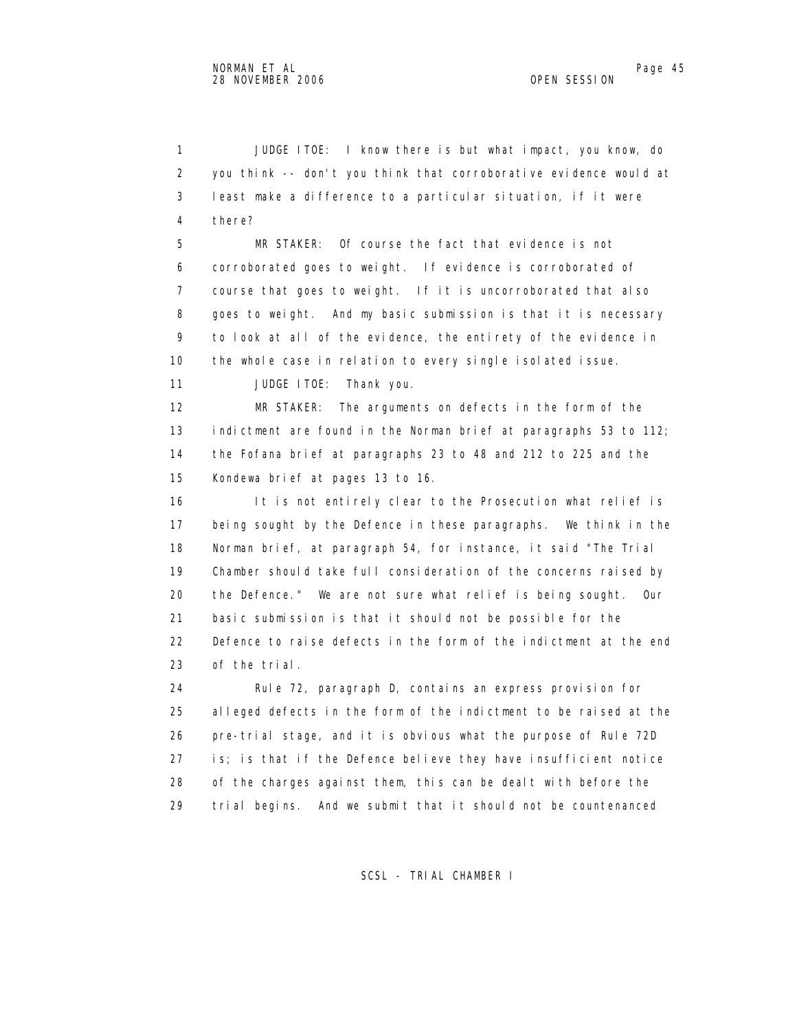1 JUDGE ITOE: I know there is but what impact, you know, do 2 you think -- don't you think that corroborative evidence would at 3 least make a difference to a particular situation, if it were 4 there?

 5 MR STAKER: Of course the fact that evidence is not 6 corroborated goes to weight. If evidence is corroborated of 7 course that goes to weight. If it is uncorroborated that also 8 goes to weight. And my basic submission is that it is necessary 9 to look at all of the evidence, the entirety of the evidence in 10 the whole case in relation to every single isolated issue.

11 JUDGE ITOE: Thank you.

 12 MR STAKER: The arguments on defects in the form of the 13 indictment are found in the Norman brief at paragraphs 53 to 112; 14 the Fofana brief at paragraphs 23 to 48 and 212 to 225 and the 15 Kondewa brief at pages 13 to 16.

 16 It is not entirely clear to the Prosecution what relief is 17 being sought by the Defence in these paragraphs. We think in the 18 Norman brief, at paragraph 54, for instance, it said "The Trial 19 Chamber should take full consideration of the concerns raised by 20 the Defence." We are not sure what relief is being sought. Our 21 basic submission is that it should not be possible for the 22 Defence to raise defects in the form of the indictment at the end 23 of the trial.

 24 Rule 72, paragraph D, contains an express provision for 25 alleged defects in the form of the indictment to be raised at the 26 pre-trial stage, and it is obvious what the purpose of Rule 72D 27 is; is that if the Defence believe they have insufficient notice 28 of the charges against them, this can be dealt with before the 29 trial begins. And we submit that it should not be countenanced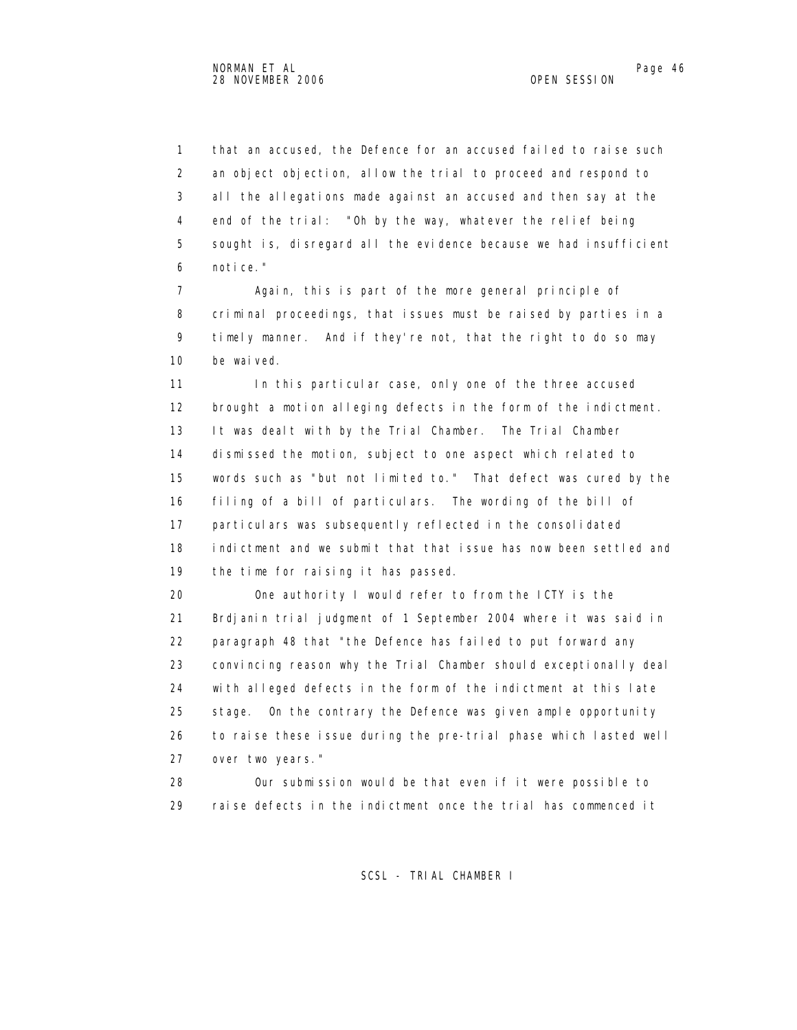1 that an accused, the Defence for an accused failed to raise such 2 an object objection, allow the trial to proceed and respond to 3 all the allegations made against an accused and then say at the 4 end of the trial: "Oh by the way, whatever the relief being 5 sought is, disregard all the evidence because we had insufficient 6 notice."

 7 Again, this is part of the more general principle of 8 criminal proceedings, that issues must be raised by parties in a 9 timely manner. And if they're not, that the right to do so may 10 be waived.

11 In this particular case, only one of the three accused 12 brought a motion alleging defects in the form of the indictment. 13 It was dealt with by the Trial Chamber. The Trial Chamber 14 dismissed the motion, subject to one aspect which related to 15 words such as "but not limited to." That defect was cured by the 16 filing of a bill of particulars. The wording of the bill of 17 particulars was subsequently reflected in the consolidated 18 indictment and we submit that that issue has now been settled and 19 the time for raising it has passed.

 20 One authority I would refer to from the ICTY is the 21 Brdjanin trial judgment of 1 September 2004 where it was said in 22 paragraph 48 that "the Defence has failed to put forward any 23 convincing reason why the Trial Chamber should exceptionally deal 24 with alleged defects in the form of the indictment at this late 25 stage. On the contrary the Defence was given ample opportunity 26 to raise these issue during the pre-trial phase which lasted well 27 over two years."

 28 Our submission would be that even if it were possible to 29 raise defects in the indictment once the trial has commenced it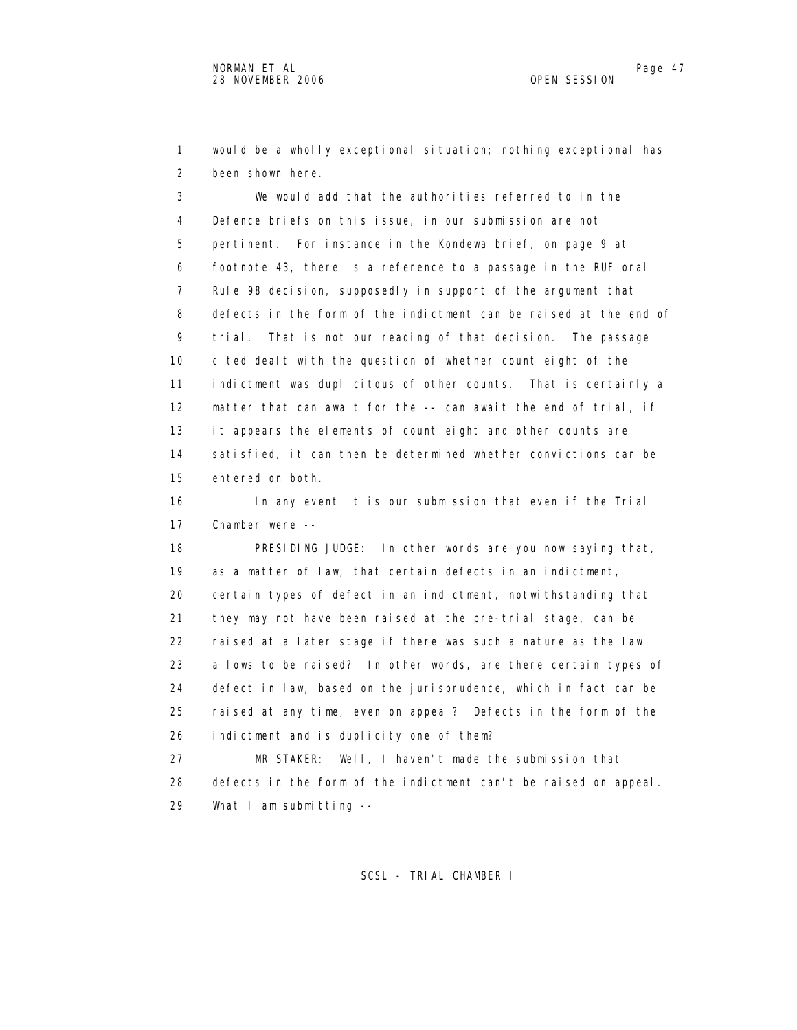1 would be a wholly exceptional situation; nothing exceptional has 2 been shown here.

 3 We would add that the authorities referred to in the 4 Defence briefs on this issue, in our submission are not 5 pertinent. For instance in the Kondewa brief, on page 9 at 6 footnote 43, there is a reference to a passage in the RUF oral 7 Rule 98 decision, supposedly in support of the argument that 8 defects in the form of the indictment can be raised at the end of 9 trial. That is not our reading of that decision. The passage 10 cited dealt with the question of whether count eight of the 11 indictment was duplicitous of other counts. That is certainly a 12 matter that can await for the -- can await the end of trial, if 13 it appears the elements of count eight and other counts are 14 satisfied, it can then be determined whether convictions can be 15 entered on both.

 16 In any event it is our submission that even if the Trial 17 Chamber were --

 18 PRESIDING JUDGE: In other words are you now saying that, 19 as a matter of law, that certain defects in an indictment, 20 certain types of defect in an indictment, notwithstanding that 21 they may not have been raised at the pre-trial stage, can be 22 raised at a later stage if there was such a nature as the law 23 allows to be raised? In other words, are there certain types of 24 defect in law, based on the jurisprudence, which in fact can be 25 raised at any time, even on appeal? Defects in the form of the 26 indictment and is duplicity one of them?

 27 MR STAKER: Well, I haven't made the submission that 28 defects in the form of the indictment can't be raised on appeal. 29 What I am submitting --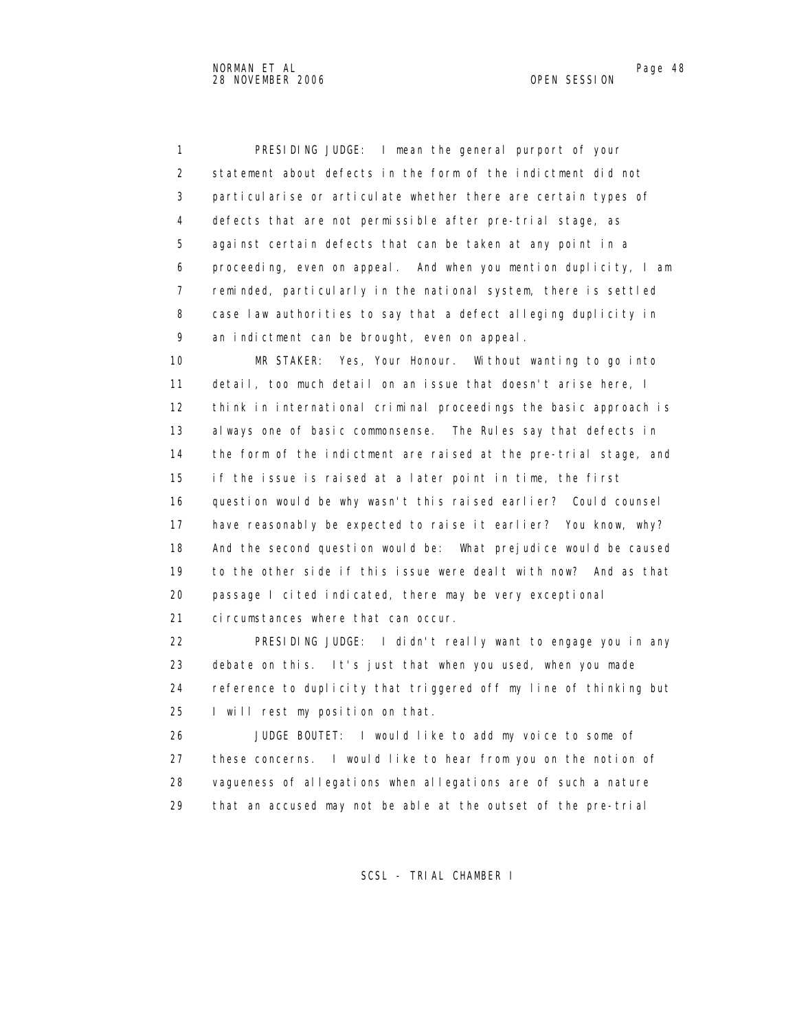1 PRESIDING JUDGE: I mean the general purport of your 2 statement about defects in the form of the indictment did not 3 particularise or articulate whether there are certain types of 4 defects that are not permissible after pre-trial stage, as 5 against certain defects that can be taken at any point in a 6 proceeding, even on appeal. And when you mention duplicity, I am 7 reminded, particularly in the national system, there is settled 8 case law authorities to say that a defect alleging duplicity in 9 an indictment can be brought, even on appeal.

 10 MR STAKER: Yes, Your Honour. Without wanting to go into 11 detail, too much detail on an issue that doesn't arise here, I 12 think in international criminal proceedings the basic approach is 13 always one of basic commonsense. The Rules say that defects in 14 the form of the indictment are raised at the pre-trial stage, and 15 if the issue is raised at a later point in time, the first 16 question would be why wasn't this raised earlier? Could counsel 17 have reasonably be expected to raise it earlier? You know, why? 18 And the second question would be: What prejudice would be caused 19 to the other side if this issue were dealt with now? And as that 20 passage I cited indicated, there may be very exceptional 21 circumstances where that can occur.

 22 PRESIDING JUDGE: I didn't really want to engage you in any 23 debate on this. It's just that when you used, when you made 24 reference to duplicity that triggered off my line of thinking but 25 I will rest my position on that.

 26 JUDGE BOUTET: I would like to add my voice to some of 27 these concerns. I would like to hear from you on the notion of 28 vagueness of allegations when allegations are of such a nature 29 that an accused may not be able at the outset of the pre-trial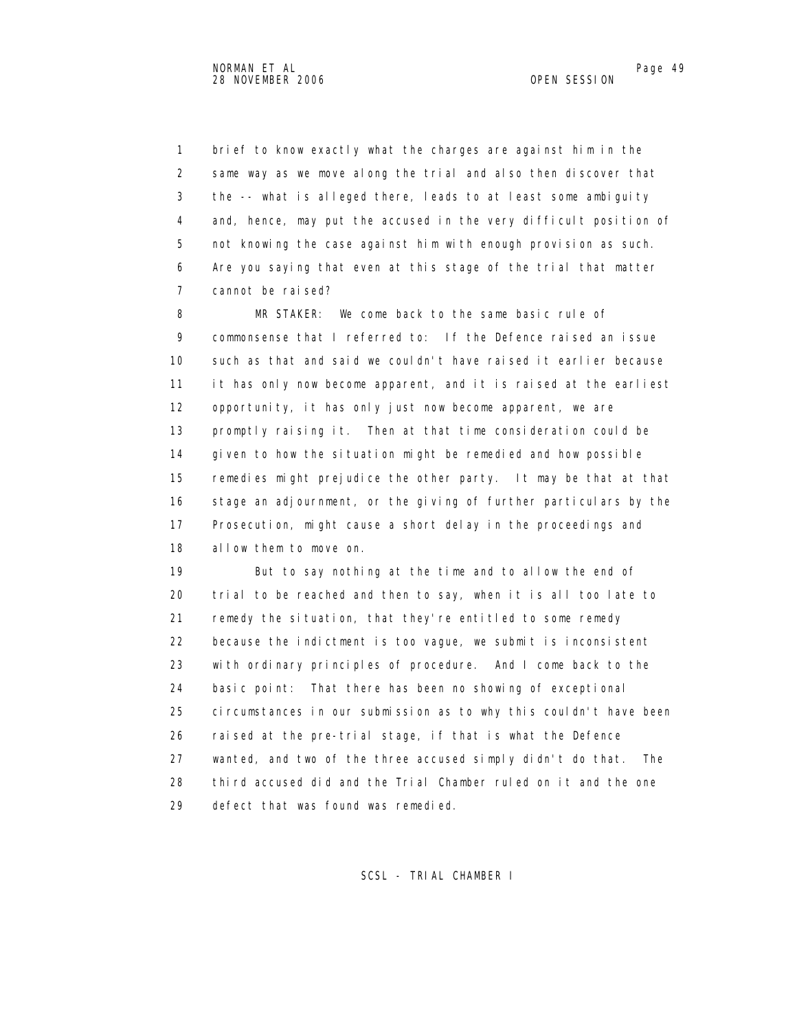1 brief to know exactly what the charges are against him in the 2 same way as we move along the trial and also then discover that 3 the -- what is alleged there, leads to at least some ambiguity 4 and, hence, may put the accused in the very difficult position of 5 not knowing the case against him with enough provision as such. 6 Are you saying that even at this stage of the trial that matter 7 cannot be raised?

 8 MR STAKER: We come back to the same basic rule of 9 commonsense that I referred to: If the Defence raised an issue 10 such as that and said we couldn't have raised it earlier because 11 it has only now become apparent, and it is raised at the earliest 12 opportunity, it has only just now become apparent, we are 13 promptly raising it. Then at that time consideration could be 14 given to how the situation might be remedied and how possible 15 remedies might prejudice the other party. It may be that at that 16 stage an adjournment, or the giving of further particulars by the 17 Prosecution, might cause a short delay in the proceedings and 18 allow them to move on.

 19 But to say nothing at the time and to allow the end of 20 trial to be reached and then to say, when it is all too late to 21 remedy the situation, that they're entitled to some remedy 22 because the indictment is too vague, we submit is inconsistent 23 with ordinary principles of procedure. And I come back to the 24 basic point: That there has been no showing of exceptional 25 circumstances in our submission as to why this couldn't have been 26 raised at the pre-trial stage, if that is what the Defence 27 wanted, and two of the three accused simply didn't do that. The 28 third accused did and the Trial Chamber ruled on it and the one 29 defect that was found was remedied.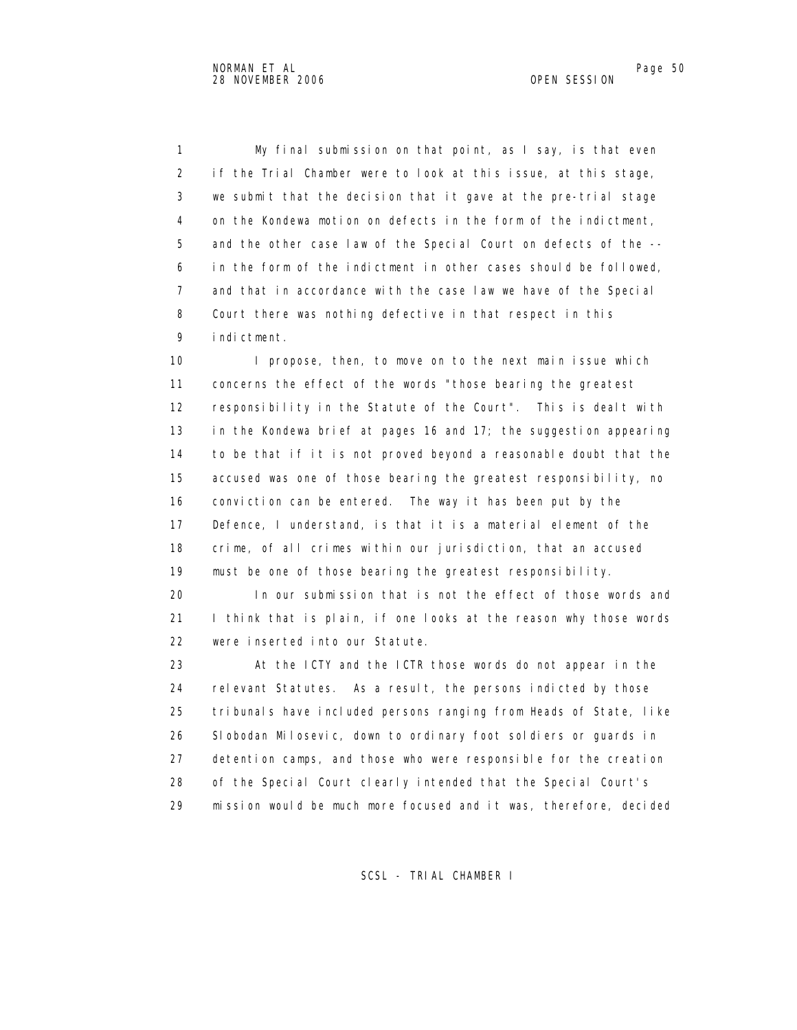1 My final submission on that point, as I say, is that even 2 if the Trial Chamber were to look at this issue, at this stage, 3 we submit that the decision that it gave at the pre-trial stage 4 on the Kondewa motion on defects in the form of the indictment, 5 and the other case law of the Special Court on defects of the -- 6 in the form of the indictment in other cases should be followed, 7 and that in accordance with the case law we have of the Special 8 Court there was nothing defective in that respect in this 9 indictment.

10 I propose, then, to move on to the next main issue which 11 concerns the effect of the words "those bearing the greatest 12 responsibility in the Statute of the Court". This is dealt with 13 in the Kondewa brief at pages 16 and 17; the suggestion appearing 14 to be that if it is not proved beyond a reasonable doubt that the 15 accused was one of those bearing the greatest responsibility, no 16 conviction can be entered. The way it has been put by the 17 Defence, I understand, is that it is a material element of the 18 crime, of all crimes within our jurisdiction, that an accused 19 must be one of those bearing the greatest responsibility.

 20 In our submission that is not the effect of those words and 21 I think that is plain, if one looks at the reason why those words 22 were inserted into our Statute.

 23 At the ICTY and the ICTR those words do not appear in the 24 relevant Statutes. As a result, the persons indicted by those 25 tribunals have included persons ranging from Heads of State, like 26 Slobodan Milosevic, down to ordinary foot soldiers or guards in 27 detention camps, and those who were responsible for the creation 28 of the Special Court clearly intended that the Special Court's 29 mission would be much more focused and it was, therefore, decided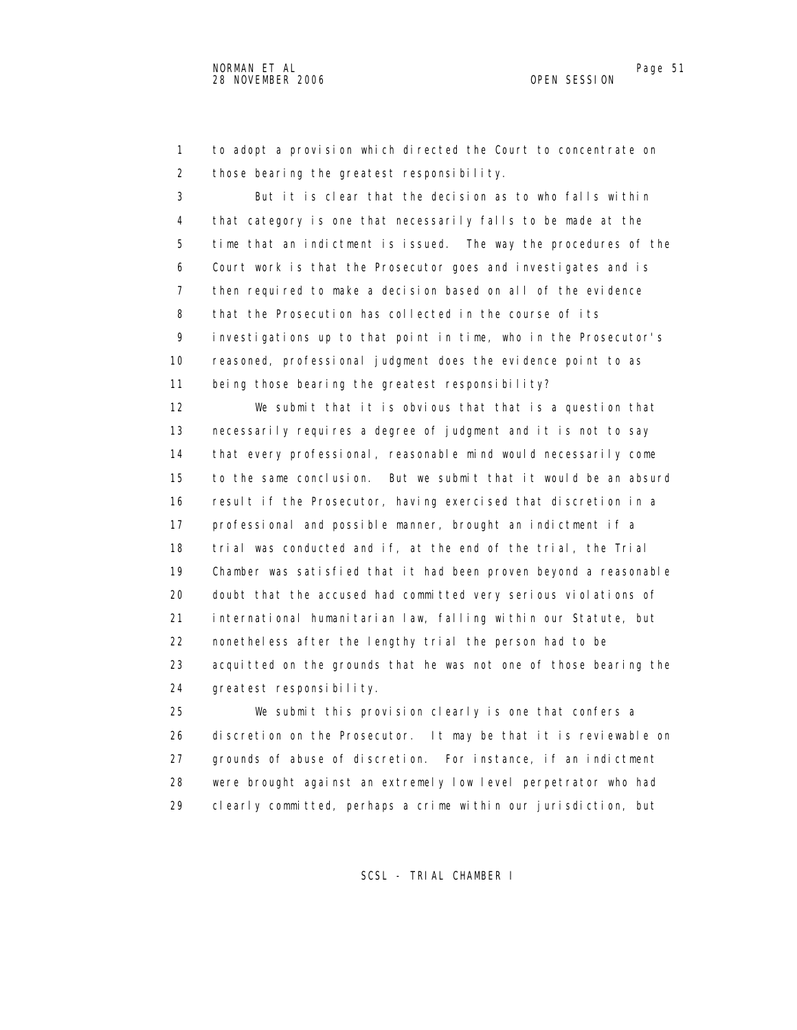1 to adopt a provision which directed the Court to concentrate on 2 those bearing the greatest responsibility.

 3 But it is clear that the decision as to who falls within 4 that category is one that necessarily falls to be made at the 5 time that an indictment is issued. The way the procedures of the 6 Court work is that the Prosecutor goes and investigates and is 7 then required to make a decision based on all of the evidence 8 that the Prosecution has collected in the course of its 9 investigations up to that point in time, who in the Prosecutor's 10 reasoned, professional judgment does the evidence point to as 11 being those bearing the greatest responsibility?

 12 We submit that it is obvious that that is a question that 13 necessarily requires a degree of judgment and it is not to say 14 that every professional, reasonable mind would necessarily come 15 to the same conclusion. But we submit that it would be an absurd 16 result if the Prosecutor, having exercised that discretion in a 17 professional and possible manner, brought an indictment if a 18 trial was conducted and if, at the end of the trial, the Trial 19 Chamber was satisfied that it had been proven beyond a reasonable 20 doubt that the accused had committed very serious violations of 21 international humanitarian law, falling within our Statute, but 22 nonetheless after the lengthy trial the person had to be 23 acquitted on the grounds that he was not one of those bearing the 24 greatest responsibility.

 25 We submit this provision clearly is one that confers a 26 discretion on the Prosecutor. It may be that it is reviewable on 27 grounds of abuse of discretion. For instance, if an indictment 28 were brought against an extremely low level perpetrator who had 29 clearly committed, perhaps a crime within our jurisdiction, but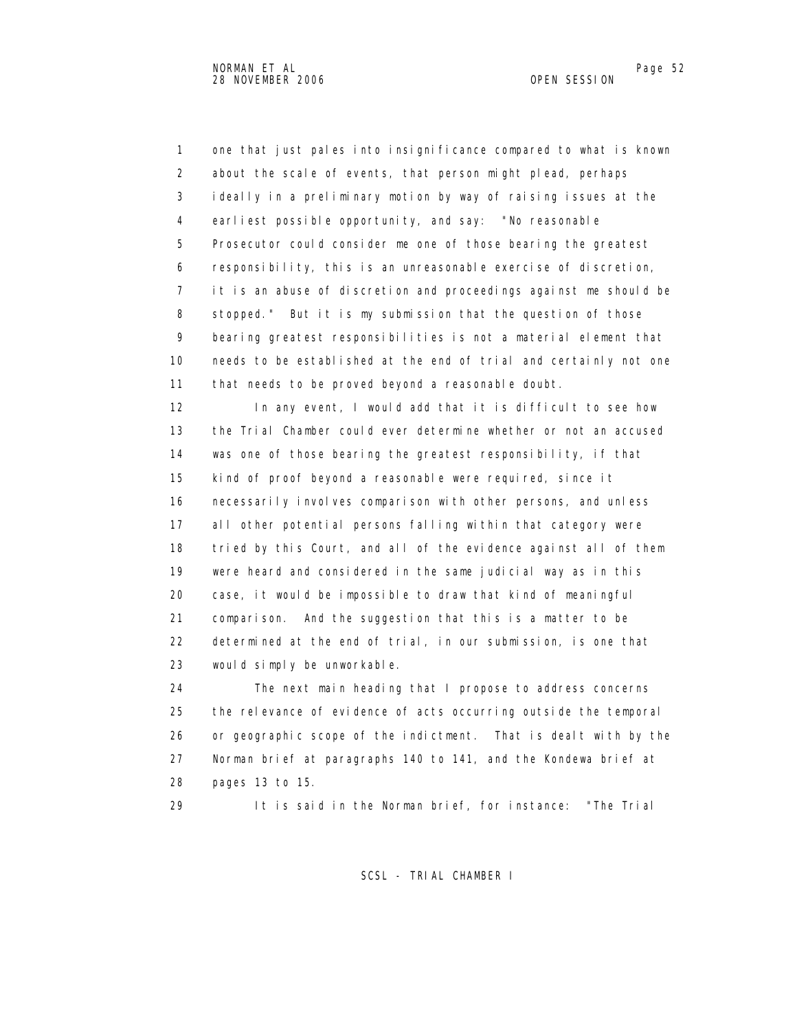1 one that just pales into insignificance compared to what is known 2 about the scale of events, that person might plead, perhaps 3 ideally in a preliminary motion by way of raising issues at the 4 earliest possible opportunity, and say: "No reasonable 5 Prosecutor could consider me one of those bearing the greatest 6 responsibility, this is an unreasonable exercise of discretion, 7 it is an abuse of discretion and proceedings against me should be 8 stopped." But it is my submission that the question of those 9 bearing greatest responsibilities is not a material element that 10 needs to be established at the end of trial and certainly not one 11 that needs to be proved beyond a reasonable doubt.

 12 In any event, I would add that it is difficult to see how 13 the Trial Chamber could ever determine whether or not an accused 14 was one of those bearing the greatest responsibility, if that 15 kind of proof beyond a reasonable were required, since it 16 necessarily involves comparison with other persons, and unless 17 all other potential persons falling within that category were 18 tried by this Court, and all of the evidence against all of them 19 were heard and considered in the same judicial way as in this 20 case, it would be impossible to draw that kind of meaningful 21 comparison. And the suggestion that this is a matter to be 22 determined at the end of trial, in our submission, is one that 23 would simply be unworkable.

 24 The next main heading that I propose to address concerns 25 the relevance of evidence of acts occurring outside the temporal 26 or geographic scope of the indictment. That is dealt with by the 27 Norman brief at paragraphs 140 to 141, and the Kondewa brief at 28 pages 13 to 15.

29 It is said in the Norman brief, for instance: "The Trial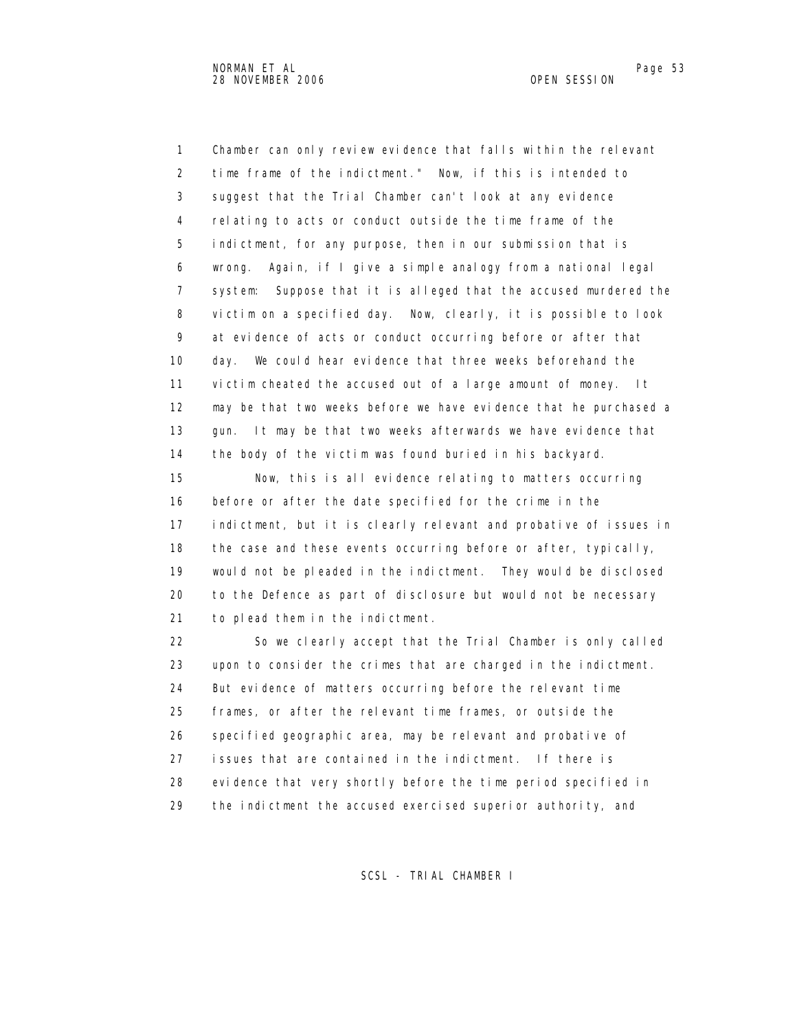1 Chamber can only review evidence that falls within the relevant 2 time frame of the indictment." Now, if this is intended to 3 suggest that the Trial Chamber can't look at any evidence 4 relating to acts or conduct outside the time frame of the 5 indictment, for any purpose, then in our submission that is 6 wrong. Again, if I give a simple analogy from a national legal 7 system: Suppose that it is alleged that the accused murdered the 8 victim on a specified day. Now, clearly, it is possible to look 9 at evidence of acts or conduct occurring before or after that 10 day. We could hear evidence that three weeks beforehand the 11 victim cheated the accused out of a large amount of money. It 12 may be that two weeks before we have evidence that he purchased a 13 gun. It may be that two weeks afterwards we have evidence that 14 the body of the victim was found buried in his backyard.

 15 Now, this is all evidence relating to matters occurring 16 before or after the date specified for the crime in the 17 indictment, but it is clearly relevant and probative of issues in 18 the case and these events occurring before or after, typically, 19 would not be pleaded in the indictment. They would be disclosed 20 to the Defence as part of disclosure but would not be necessary 21 to plead them in the indictment.

 22 So we clearly accept that the Trial Chamber is only called 23 upon to consider the crimes that are charged in the indictment. 24 But evidence of matters occurring before the relevant time 25 frames, or after the relevant time frames, or outside the 26 specified geographic area, may be relevant and probative of 27 issues that are contained in the indictment. If there is 28 evidence that very shortly before the time period specified in 29 the indictment the accused exercised superior authority, and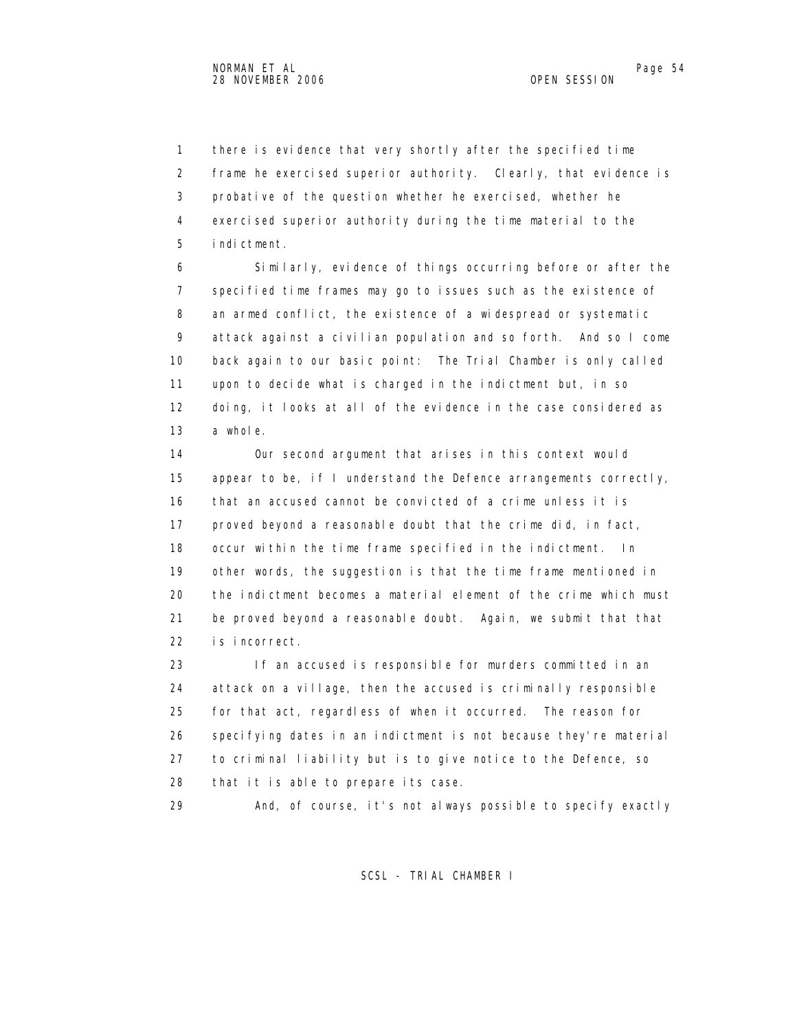1 there is evidence that very shortly after the specified time 2 frame he exercised superior authority. Clearly, that evidence is 3 probative of the question whether he exercised, whether he 4 exercised superior authority during the time material to the 5 indictment.

 6 Similarly, evidence of things occurring before or after the 7 specified time frames may go to issues such as the existence of 8 an armed conflict, the existence of a widespread or systematic 9 attack against a civilian population and so forth. And so I come 10 back again to our basic point: The Trial Chamber is only called 11 upon to decide what is charged in the indictment but, in so 12 doing, it looks at all of the evidence in the case considered as 13 a whole.

 14 Our second argument that arises in this context would 15 appear to be, if I understand the Defence arrangements correctly, 16 that an accused cannot be convicted of a crime unless it is 17 proved beyond a reasonable doubt that the crime did, in fact, 18 occur within the time frame specified in the indictment. In 19 other words, the suggestion is that the time frame mentioned in 20 the indictment becomes a material element of the crime which must 21 be proved beyond a reasonable doubt. Again, we submit that that 22 is incorrect.

 23 If an accused is responsible for murders committed in an 24 attack on a village, then the accused is criminally responsible 25 for that act, regardless of when it occurred. The reason for 26 specifying dates in an indictment is not because they're material 27 to criminal liability but is to give notice to the Defence, so 28 that it is able to prepare its case.

29 And, of course, it's not always possible to specify exactly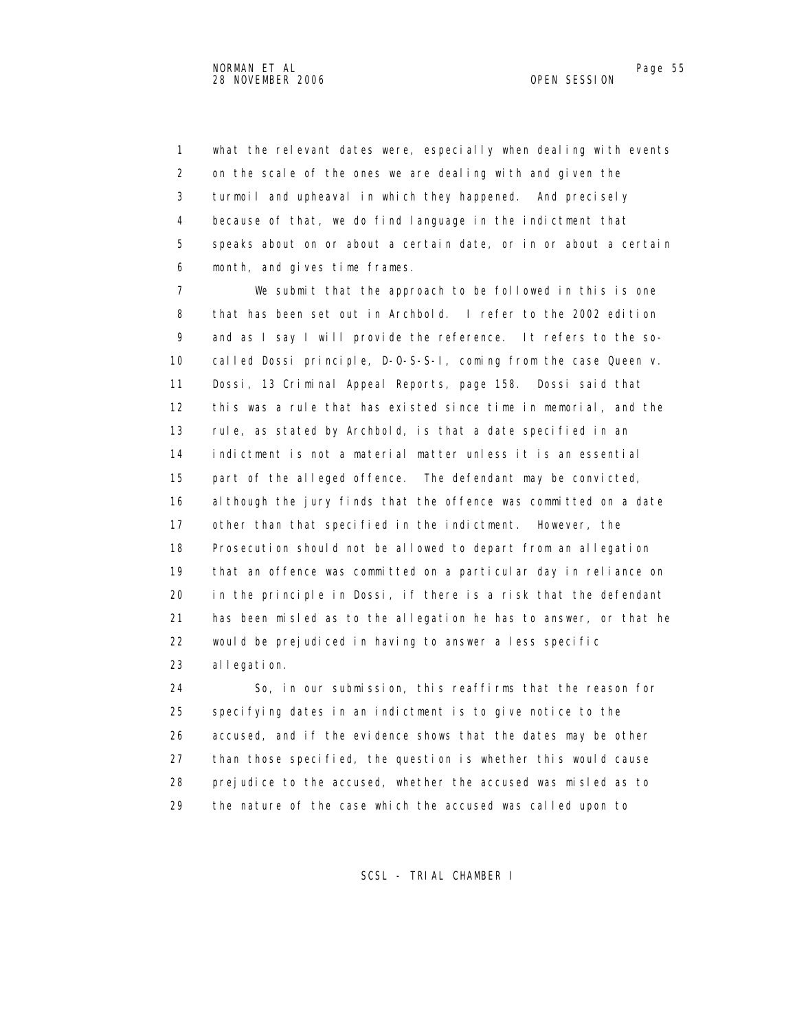1 what the relevant dates were, especially when dealing with events 2 on the scale of the ones we are dealing with and given the 3 turmoil and upheaval in which they happened. And precisely 4 because of that, we do find language in the indictment that 5 speaks about on or about a certain date, or in or about a certain 6 month, and gives time frames.

 7 We submit that the approach to be followed in this is one 8 that has been set out in Archbold. I refer to the 2002 edition 9 and as I say I will provide the reference. It refers to the so- 10 called Dossi principle, D-O-S-S-I, coming from the case Queen v. 11 Dossi, 13 Criminal Appeal Reports, page 158. Dossi said that 12 this was a rule that has existed since time in memorial, and the 13 rule, as stated by Archbold, is that a date specified in an 14 indictment is not a material matter unless it is an essential 15 part of the alleged offence. The defendant may be convicted, 16 although the jury finds that the offence was committed on a date 17 other than that specified in the indictment. However, the 18 Prosecution should not be allowed to depart from an allegation 19 that an offence was committed on a particular day in reliance on 20 in the principle in Dossi, if there is a risk that the defendant 21 has been misled as to the allegation he has to answer, or that he 22 would be prejudiced in having to answer a less specific 23 allegation.

 24 So, in our submission, this reaffirms that the reason for 25 specifying dates in an indictment is to give notice to the 26 accused, and if the evidence shows that the dates may be other 27 than those specified, the question is whether this would cause 28 prejudice to the accused, whether the accused was misled as to 29 the nature of the case which the accused was called upon to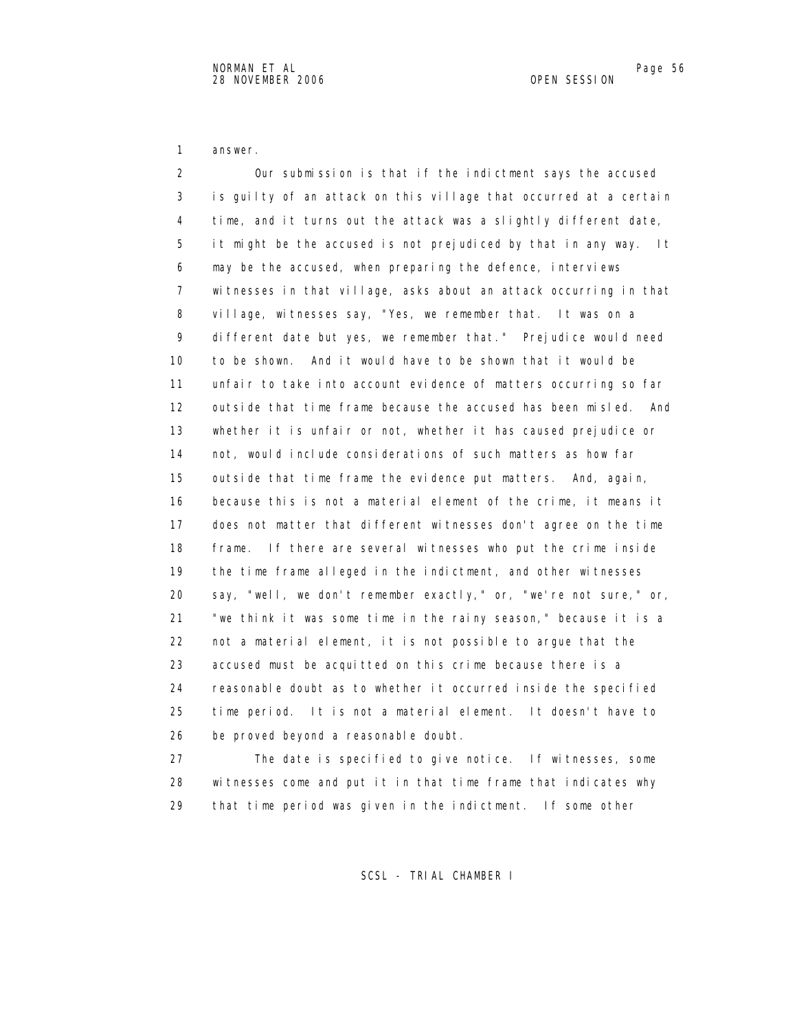1 answer.

 2 Our submission is that if the indictment says the accused 3 is guilty of an attack on this village that occurred at a certain 4 time, and it turns out the attack was a slightly different date, 5 it might be the accused is not prejudiced by that in any way. It 6 may be the accused, when preparing the defence, interviews 7 witnesses in that village, asks about an attack occurring in that 8 village, witnesses say, "Yes, we remember that. It was on a 9 different date but yes, we remember that." Prejudice would need 10 to be shown. And it would have to be shown that it would be 11 unfair to take into account evidence of matters occurring so far 12 outside that time frame because the accused has been misled. And 13 whether it is unfair or not, whether it has caused prejudice or 14 not, would include considerations of such matters as how far 15 outside that time frame the evidence put matters. And, again, 16 because this is not a material element of the crime, it means it 17 does not matter that different witnesses don't agree on the time 18 frame. If there are several witnesses who put the crime inside 19 the time frame alleged in the indictment, and other witnesses 20 say, "well, we don't remember exactly," or, "we're not sure," or, 21 "we think it was some time in the rainy season," because it is a 22 not a material element, it is not possible to argue that the 23 accused must be acquitted on this crime because there is a 24 reasonable doubt as to whether it occurred inside the specified 25 time period. It is not a material element. It doesn't have to 26 be proved beyond a reasonable doubt. 27 The date is specified to give notice. If witnesses, some

 28 witnesses come and put it in that time frame that indicates why 29 that time period was given in the indictment. If some other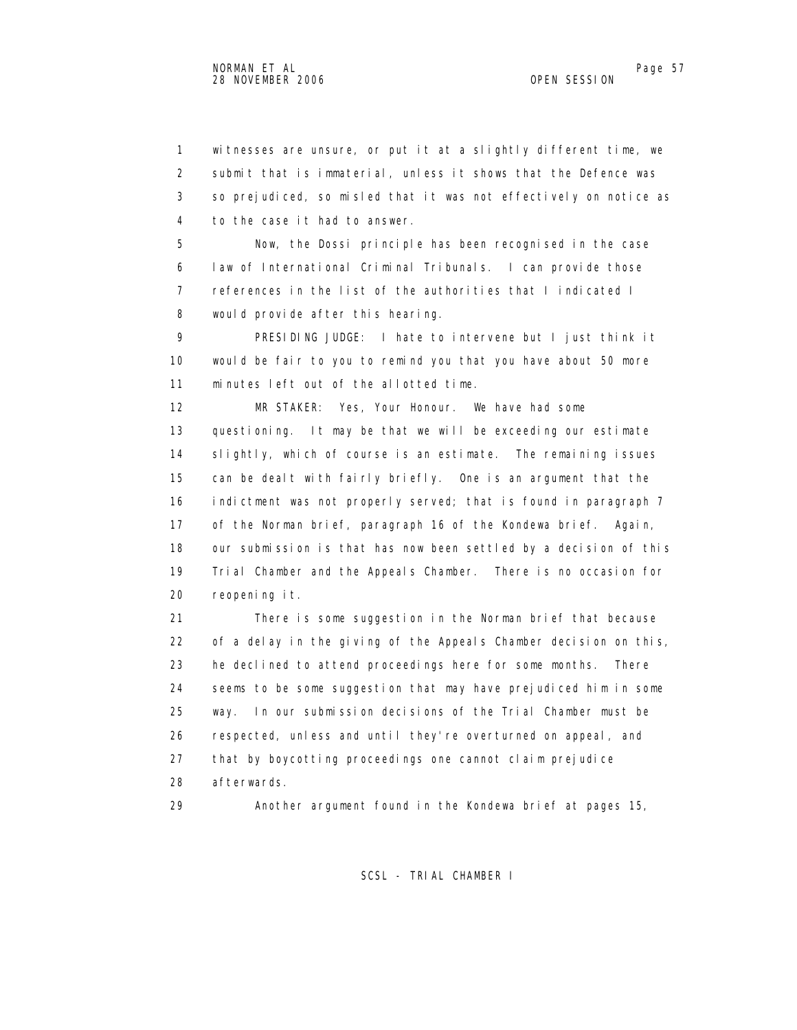1 witnesses are unsure, or put it at a slightly different time, we 2 submit that is immaterial, unless it shows that the Defence was 3 so prejudiced, so misled that it was not effectively on notice as 4 to the case it had to answer.

 5 Now, the Dossi principle has been recognised in the case 6 law of International Criminal Tribunals. I can provide those 7 references in the list of the authorities that I indicated I 8 would provide after this hearing.

 9 PRESIDING JUDGE: I hate to intervene but I just think it 10 would be fair to you to remind you that you have about 50 more 11 minutes left out of the allotted time.

 12 MR STAKER: Yes, Your Honour. We have had some 13 questioning. It may be that we will be exceeding our estimate 14 slightly, which of course is an estimate. The remaining issues 15 can be dealt with fairly briefly. One is an argument that the 16 indictment was not properly served; that is found in paragraph 7 17 of the Norman brief, paragraph 16 of the Kondewa brief. Again, 18 our submission is that has now been settled by a decision of this 19 Trial Chamber and the Appeals Chamber. There is no occasion for 20 reopening it.

 21 There is some suggestion in the Norman brief that because 22 of a delay in the giving of the Appeals Chamber decision on this, 23 he declined to attend proceedings here for some months. There 24 seems to be some suggestion that may have prejudiced him in some 25 way. In our submission decisions of the Trial Chamber must be 26 respected, unless and until they're overturned on appeal, and 27 that by boycotting proceedings one cannot claim prejudice 28 afterwards.

29 Another argument found in the Kondewa brief at pages 15,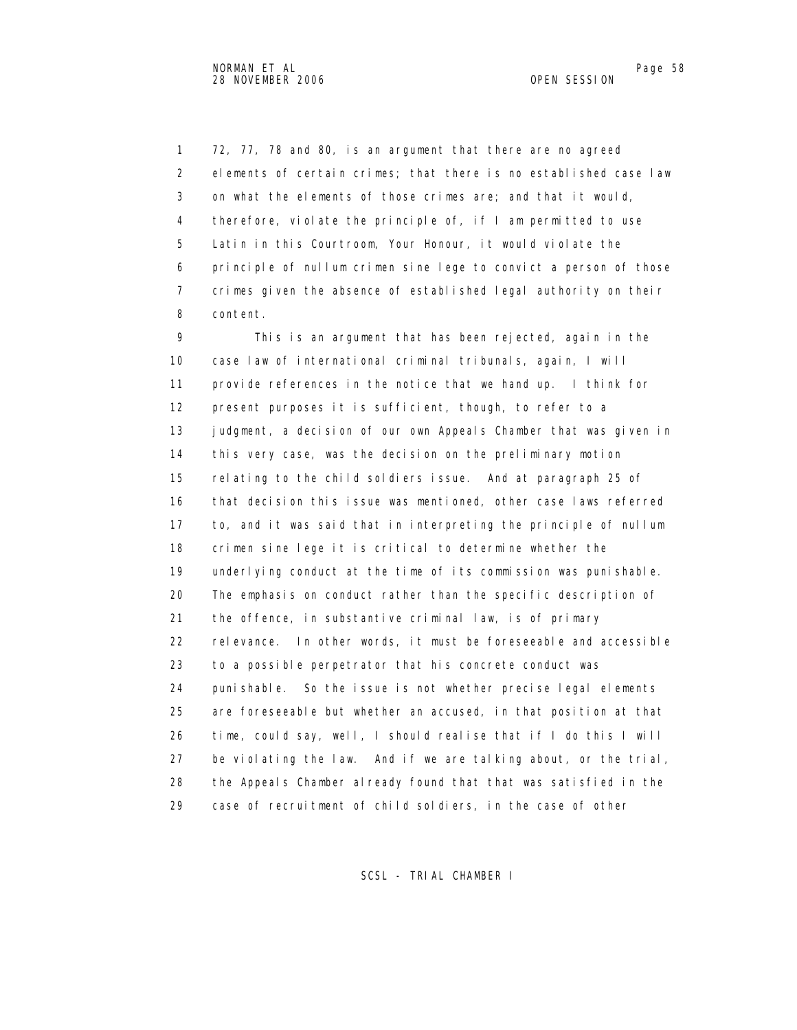1 72, 77, 78 and 80, is an argument that there are no agreed 2 elements of certain crimes; that there is no established case law 3 on what the elements of those crimes are; and that it would, 4 therefore, violate the principle of, if I am permitted to use 5 Latin in this Courtroom, Your Honour, it would violate the 6 principle of nullum crimen sine lege to convict a person of those 7 crimes given the absence of established legal authority on their 8 content.

 9 This is an argument that has been rejected, again in the 10 case law of international criminal tribunals, again, I will 11 provide references in the notice that we hand up. I think for 12 present purposes it is sufficient, though, to refer to a 13 judgment, a decision of our own Appeals Chamber that was given in 14 this very case, was the decision on the preliminary motion 15 relating to the child soldiers issue. And at paragraph 25 of 16 that decision this issue was mentioned, other case laws referred 17 to, and it was said that in interpreting the principle of nullum 18 crimen sine lege it is critical to determine whether the 19 underlying conduct at the time of its commission was punishable. 20 The emphasis on conduct rather than the specific description of 21 the offence, in substantive criminal law, is of primary 22 relevance. In other words, it must be foreseeable and accessible 23 to a possible perpetrator that his concrete conduct was 24 punishable. So the issue is not whether precise legal elements 25 are foreseeable but whether an accused, in that position at that 26 time, could say, well, I should realise that if I do this I will 27 be violating the law. And if we are talking about, or the trial, 28 the Appeals Chamber already found that that was satisfied in the 29 case of recruitment of child soldiers, in the case of other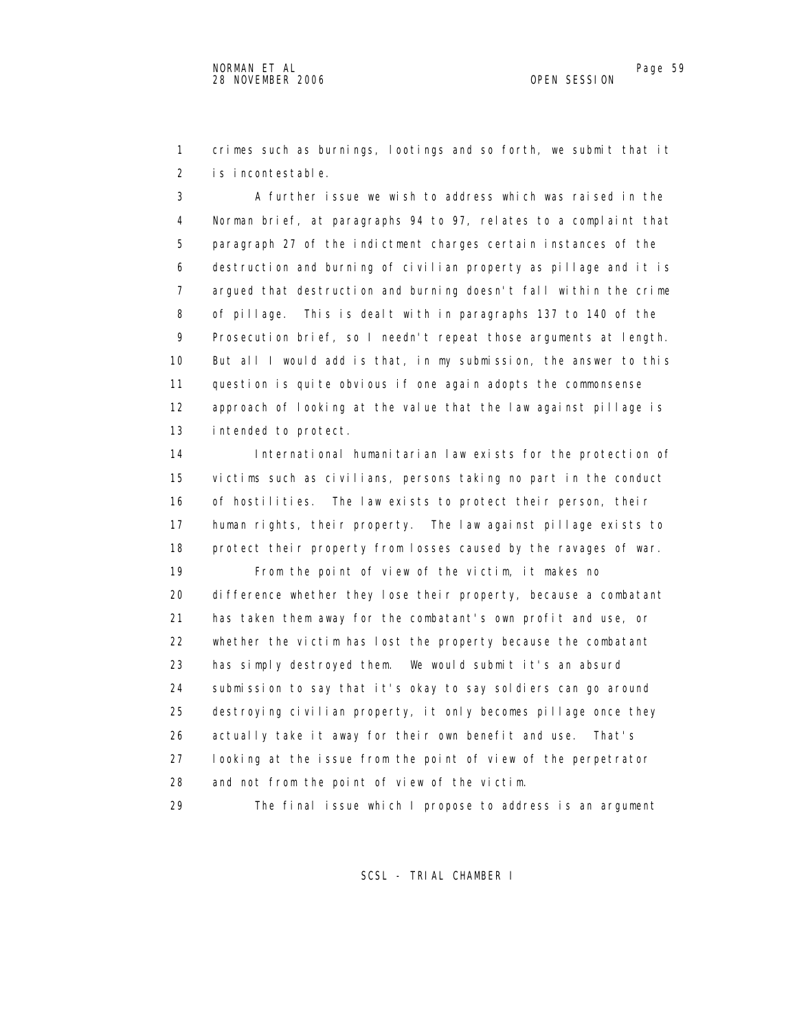1 crimes such as burnings, lootings and so forth, we submit that it 2 is incontestable.

 3 A further issue we wish to address which was raised in the 4 Norman brief, at paragraphs 94 to 97, relates to a complaint that 5 paragraph 27 of the indictment charges certain instances of the 6 destruction and burning of civilian property as pillage and it is 7 argued that destruction and burning doesn't fall within the crime 8 of pillage. This is dealt with in paragraphs 137 to 140 of the 9 Prosecution brief, so I needn't repeat those arguments at length. 10 But all I would add is that, in my submission, the answer to this 11 question is quite obvious if one again adopts the commonsense 12 approach of looking at the value that the law against pillage is 13 intended to protect.

 14 International humanitarian law exists for the protection of 15 victims such as civilians, persons taking no part in the conduct 16 of hostilities. The law exists to protect their person, their 17 human rights, their property. The law against pillage exists to 18 protect their property from losses caused by the ravages of war. 19 From the point of view of the victim, it makes no 20 difference whether they lose their property, because a combatant 21 has taken them away for the combatant's own profit and use, or 22 whether the victim has lost the property because the combatant 23 has simply destroyed them. We would submit it's an absurd 24 submission to say that it's okay to say soldiers can go around 25 destroying civilian property, it only becomes pillage once they 26 actually take it away for their own benefit and use. That's 27 looking at the issue from the point of view of the perpetrator 28 and not from the point of view of the victim. 29 The final issue which I propose to address is an argument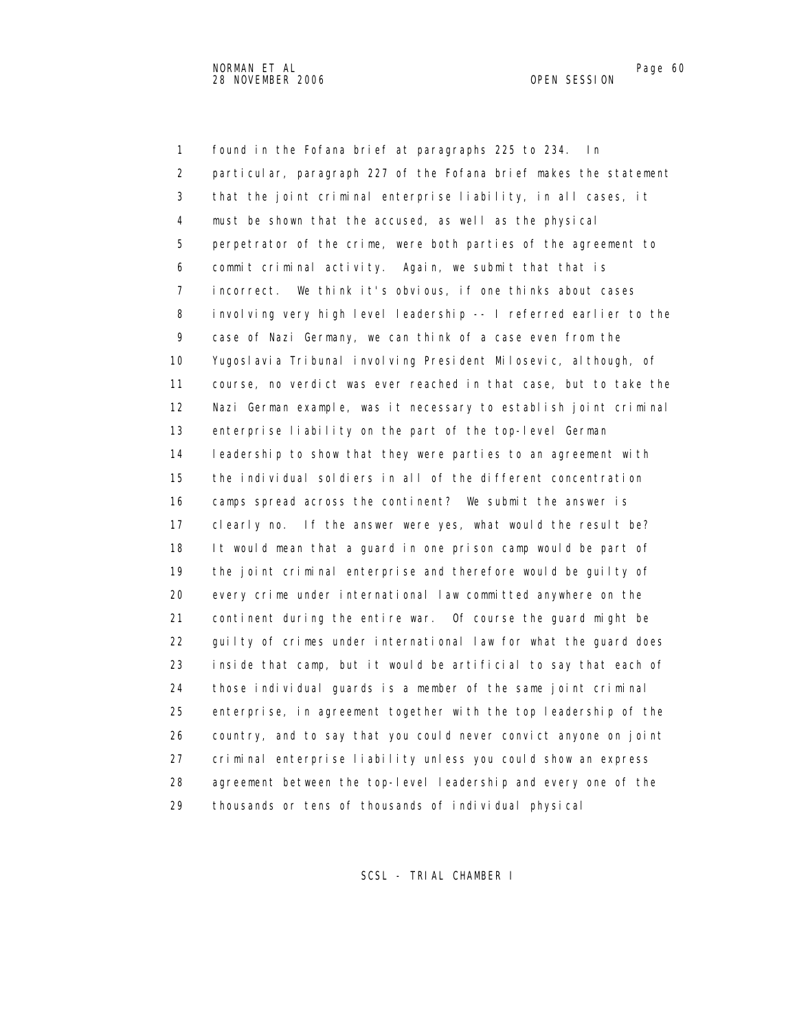1 found in the Fofana brief at paragraphs 225 to 234. In 2 particular, paragraph 227 of the Fofana brief makes the statement 3 that the joint criminal enterprise liability, in all cases, it 4 must be shown that the accused, as well as the physical 5 perpetrator of the crime, were both parties of the agreement to 6 commit criminal activity. Again, we submit that that is 7 incorrect. We think it's obvious, if one thinks about cases 8 involving very high level leadership -- I referred earlier to the 9 case of Nazi Germany, we can think of a case even from the 10 Yugoslavia Tribunal involving President Milosevic, although, of 11 course, no verdict was ever reached in that case, but to take the 12 Nazi German example, was it necessary to establish joint criminal 13 enterprise liability on the part of the top-level German 14 leadership to show that they were parties to an agreement with 15 the individual soldiers in all of the different concentration 16 camps spread across the continent? We submit the answer is 17 clearly no. If the answer were yes, what would the result be? 18 It would mean that a guard in one prison camp would be part of 19 the joint criminal enterprise and therefore would be guilty of 20 every crime under international law committed anywhere on the 21 continent during the entire war. Of course the guard might be 22 guilty of crimes under international law for what the guard does 23 inside that camp, but it would be artificial to say that each of 24 those individual guards is a member of the same joint criminal 25 enterprise, in agreement together with the top leadership of the 26 country, and to say that you could never convict anyone on joint 27 criminal enterprise liability unless you could show an express 28 agreement between the top-level leadership and every one of the 29 thousands or tens of thousands of individual physical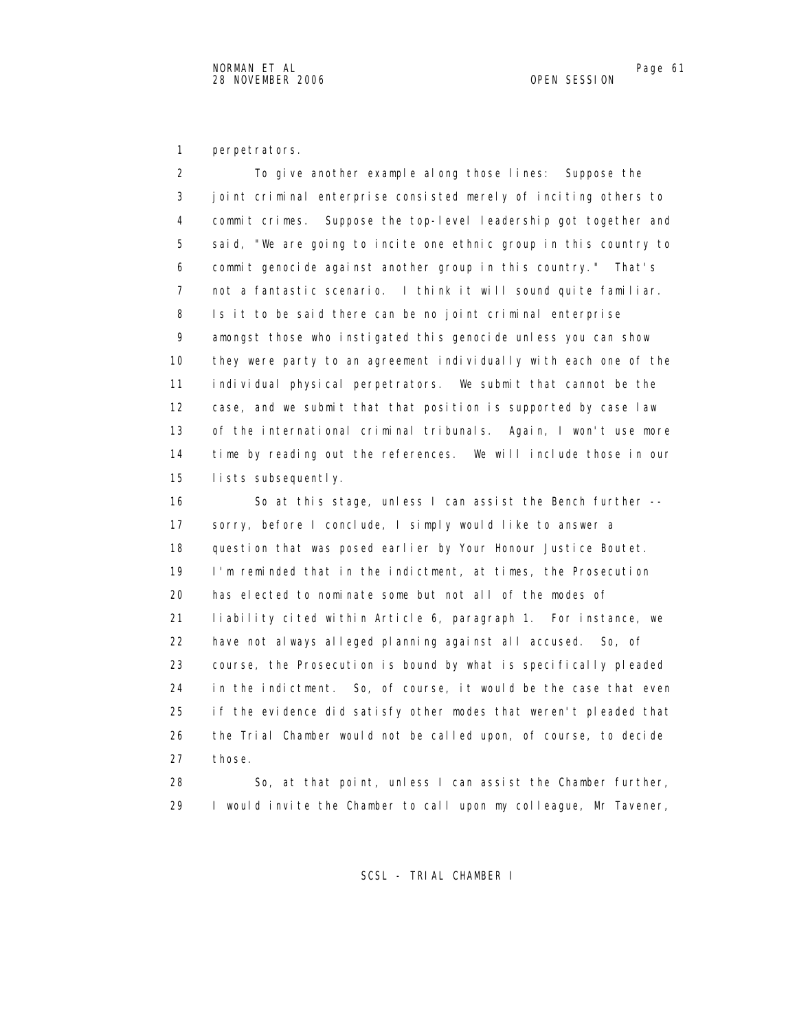1 perpetrators.

 2 To give another example along those lines: Suppose the 3 joint criminal enterprise consisted merely of inciting others to 4 commit crimes. Suppose the top-level leadership got together and 5 said, "We are going to incite one ethnic group in this country to 6 commit genocide against another group in this country." That's 7 not a fantastic scenario. I think it will sound quite familiar. 8 Is it to be said there can be no joint criminal enterprise 9 amongst those who instigated this genocide unless you can show 10 they were party to an agreement individually with each one of the 11 individual physical perpetrators. We submit that cannot be the 12 case, and we submit that that position is supported by case law 13 of the international criminal tribunals. Again, I won't use more 14 time by reading out the references. We will include those in our 15 lists subsequently.

16 So at this stage, unless I can assist the Bench further -- 17 sorry, before I conclude, I simply would like to answer a 18 question that was posed earlier by Your Honour Justice Boutet. 19 I'm reminded that in the indictment, at times, the Prosecution 20 has elected to nominate some but not all of the modes of 21 liability cited within Article 6, paragraph 1. For instance, we 22 have not always alleged planning against all accused. So, of 23 course, the Prosecution is bound by what is specifically pleaded 24 in the indictment. So, of course, it would be the case that even 25 if the evidence did satisfy other modes that weren't pleaded that 26 the Trial Chamber would not be called upon, of course, to decide 27 those.

 28 So, at that point, unless I can assist the Chamber further, 29 I would invite the Chamber to call upon my colleague, Mr Tavener,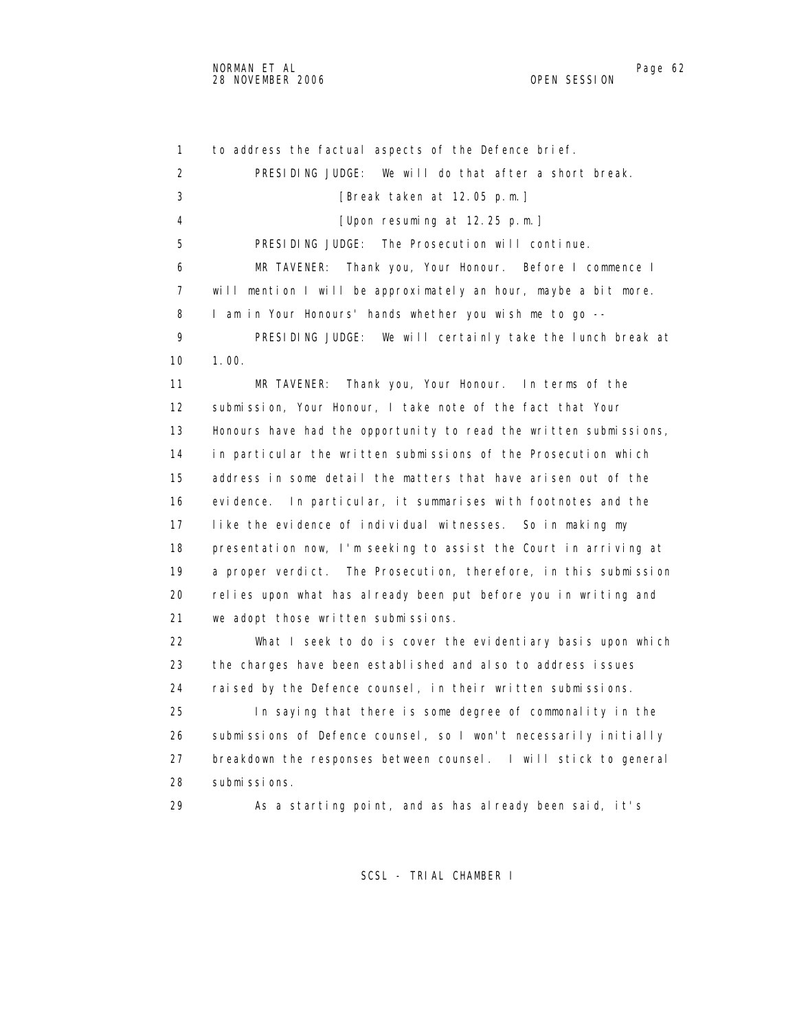1 to address the factual aspects of the Defence brief. 2 PRESIDING JUDGE: We will do that after a short break. 3 [Break taken at 12.05 p.m.] 4 [Upon resuming at 12.25 p.m.] 5 PRESIDING JUDGE: The Prosecution will continue. 6 MR TAVENER: Thank you, Your Honour. Before I commence I 7 will mention I will be approximately an hour, maybe a bit more. 8 I am in Your Honours' hands whether you wish me to go -- 9 PRESIDING JUDGE: We will certainly take the lunch break at 10 1.00. 11 MR TAVENER: Thank you, Your Honour. In terms of the 12 submission, Your Honour, I take note of the fact that Your 13 Honours have had the opportunity to read the written submissions, 14 in particular the written submissions of the Prosecution which 15 address in some detail the matters that have arisen out of the 16 evidence. In particular, it summarises with footnotes and the 17 like the evidence of individual witnesses. So in making my 18 presentation now, I'm seeking to assist the Court in arriving at 19 a proper verdict. The Prosecution, therefore, in this submission 20 relies upon what has already been put before you in writing and 21 we adopt those written submissions. 22 What I seek to do is cover the evidentiary basis upon which 23 the charges have been established and also to address issues 24 raised by the Defence counsel, in their written submissions. 25 In saying that there is some degree of commonality in the 26 submissions of Defence counsel, so I won't necessarily initially 27 breakdown the responses between counsel. I will stick to general 28 submissions. 29 As a starting point, and as has already been said, it's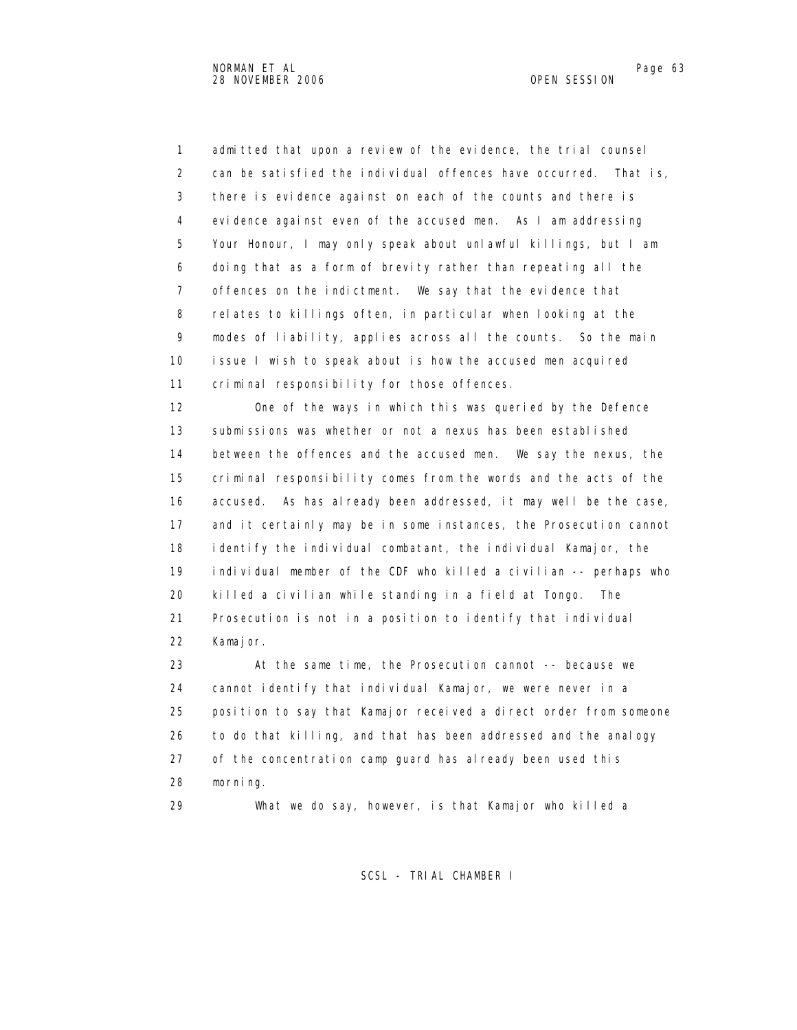1 admitted that upon a review of the evidence, the trial counsel 2 can be satisfied the individual offences have occurred. That is, 3 there is evidence against on each of the counts and there is 4 evidence against even of the accused men. As I am addressing 5 Your Honour, I may only speak about unlawful killings, but I am 6 doing that as a form of brevity rather than repeating all the 7 offences on the indictment. We say that the evidence that 8 relates to killings often, in particular when looking at the 9 modes of liability, applies across all the counts. So the main 10 issue I wish to speak about is how the accused men acquired 11 criminal responsibility for those offences.

 12 One of the ways in which this was queried by the Defence 13 submissions was whether or not a nexus has been established 14 between the offences and the accused men. We say the nexus, the 15 criminal responsibility comes from the words and the acts of the 16 accused. As has already been addressed, it may well be the case, 17 and it certainly may be in some instances, the Prosecution cannot 18 identify the individual combatant, the individual Kamajor, the 19 individual member of the CDF who killed a civilian -- perhaps who 20 killed a civilian while standing in a field at Tongo. The 21 Prosecution is not in a position to identify that individual 22 Kamajor.

 23 At the same time, the Prosecution cannot -- because we 24 cannot identify that individual Kamajor, we were never in a 25 position to say that Kamajor received a direct order from someone 26 to do that killing, and that has been addressed and the analogy 27 of the concentration camp guard has already been used this 28 morning.

29 What we do say, however, is that Kamajor who killed a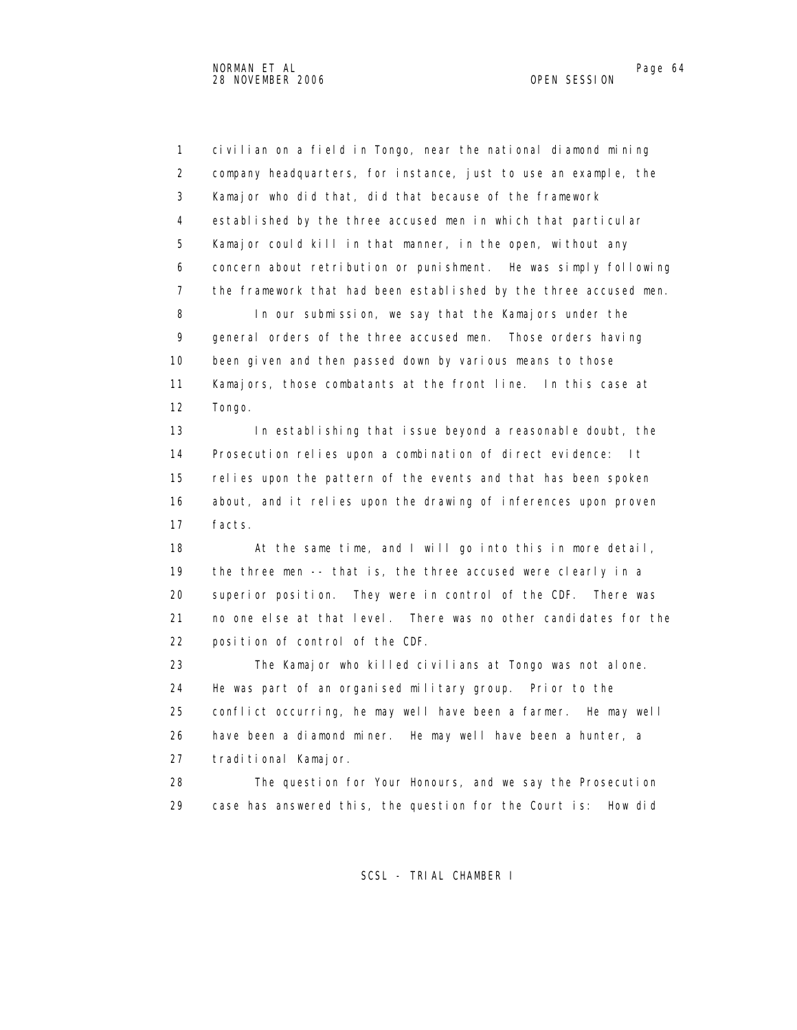1 civilian on a field in Tongo, near the national diamond mining 2 company headquarters, for instance, just to use an example, the 3 Kamajor who did that, did that because of the framework 4 established by the three accused men in which that particular 5 Kamajor could kill in that manner, in the open, without any 6 concern about retribution or punishment. He was simply following 7 the framework that had been established by the three accused men. 8 In our submission, we say that the Kamajors under the 9 general orders of the three accused men. Those orders having 10 been given and then passed down by various means to those 11 Kamajors, those combatants at the front line. In this case at 12 Tongo.

 13 In establishing that issue beyond a reasonable doubt, the 14 Prosecution relies upon a combination of direct evidence: It 15 relies upon the pattern of the events and that has been spoken 16 about, and it relies upon the drawing of inferences upon proven 17 facts.

 18 At the same time, and I will go into this in more detail, 19 the three men -- that is, the three accused were clearly in a 20 superior position. They were in control of the CDF. There was 21 no one else at that level. There was no other candidates for the 22 position of control of the CDF.

 23 The Kamajor who killed civilians at Tongo was not alone. 24 He was part of an organised military group. Prior to the 25 conflict occurring, he may well have been a farmer. He may well 26 have been a diamond miner. He may well have been a hunter, a 27 traditional Kamajor.

 28 The question for Your Honours, and we say the Prosecution 29 case has answered this, the question for the Court is: How did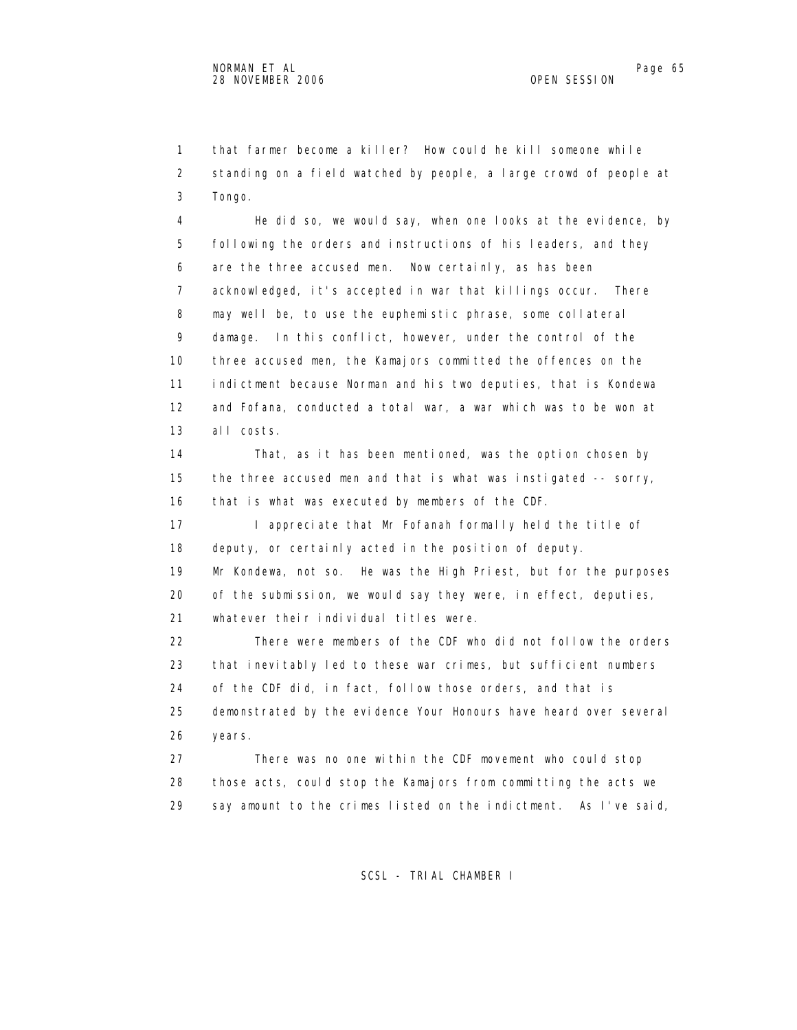1 that farmer become a killer? How could he kill someone while 2 standing on a field watched by people, a large crowd of people at 3 Tongo.

 4 He did so, we would say, when one looks at the evidence, by 5 following the orders and instructions of his leaders, and they 6 are the three accused men. Now certainly, as has been 7 acknowledged, it's accepted in war that killings occur. There 8 may well be, to use the euphemistic phrase, some collateral 9 damage. In this conflict, however, under the control of the 10 three accused men, the Kamajors committed the offences on the 11 indictment because Norman and his two deputies, that is Kondewa 12 and Fofana, conducted a total war, a war which was to be won at 13 all costs.

 14 That, as it has been mentioned, was the option chosen by 15 the three accused men and that is what was instigated -- sorry, 16 that is what was executed by members of the CDF.

17 I appreciate that Mr Fofanah formally held the title of 18 deputy, or certainly acted in the position of deputy.

 19 Mr Kondewa, not so. He was the High Priest, but for the purposes 20 of the submission, we would say they were, in effect, deputies, 21 whatever their individual titles were.

 22 There were members of the CDF who did not follow the orders 23 that inevitably led to these war crimes, but sufficient numbers 24 of the CDF did, in fact, follow those orders, and that is 25 demonstrated by the evidence Your Honours have heard over several 26 years.

 27 There was no one within the CDF movement who could stop 28 those acts, could stop the Kamajors from committing the acts we 29 say amount to the crimes listed on the indictment. As I've said,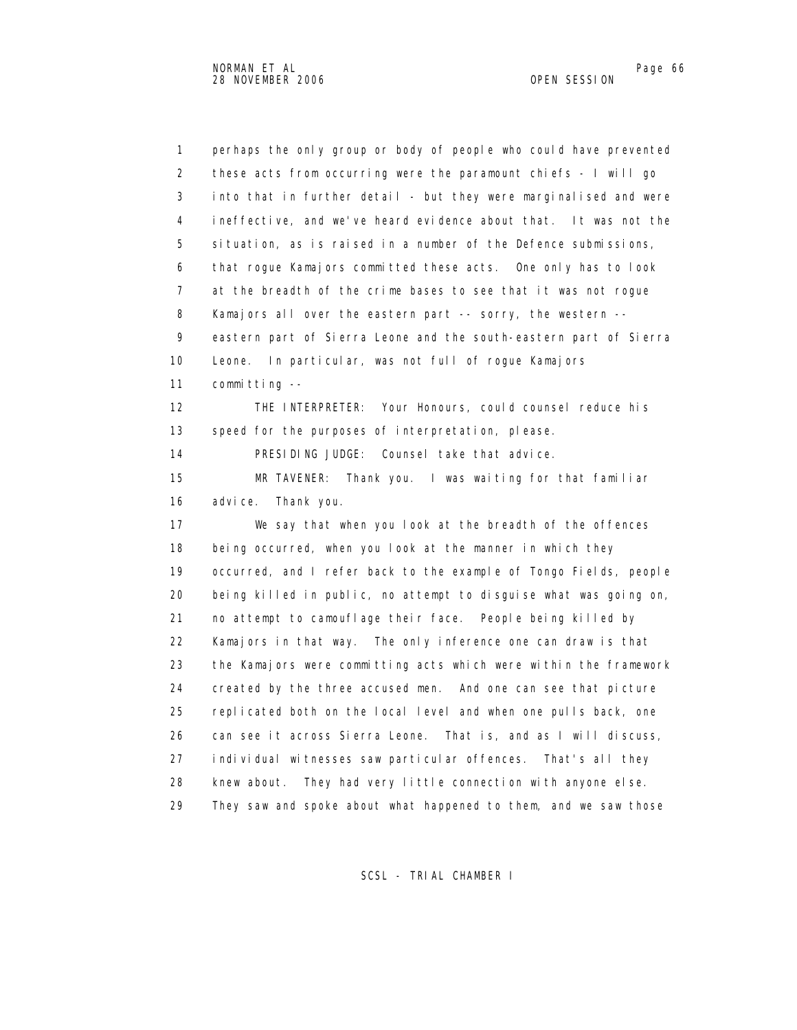1 perhaps the only group or body of people who could have prevented 2 these acts from occurring were the paramount chiefs - I will go 3 into that in further detail - but they were marginalised and were 4 ineffective, and we've heard evidence about that. It was not the 5 situation, as is raised in a number of the Defence submissions, 6 that rogue Kamajors committed these acts. One only has to look 7 at the breadth of the crime bases to see that it was not rogue 8 Kamajors all over the eastern part -- sorry, the western -- 9 eastern part of Sierra Leone and the south-eastern part of Sierra 10 Leone. In particular, was not full of rogue Kamajors 11 committing -- 12 THE INTERPRETER: Your Honours, could counsel reduce his 13 speed for the purposes of interpretation, please. 14 PRESIDING JUDGE: Counsel take that advice. 15 MR TAVENER: Thank you. I was waiting for that familiar 16 advice. Thank you. 17 We say that when you look at the breadth of the offences 18 being occurred, when you look at the manner in which they 19 occurred, and I refer back to the example of Tongo Fields, people 20 being killed in public, no attempt to disguise what was going on, 21 no attempt to camouflage their face. People being killed by 22 Kamajors in that way. The only inference one can draw is that 23 the Kamajors were committing acts which were within the framework 24 created by the three accused men. And one can see that picture 25 replicated both on the local level and when one pulls back, one 26 can see it across Sierra Leone. That is, and as I will discuss, 27 individual witnesses saw particular offences. That's all they 28 knew about. They had very little connection with anyone else. 29 They saw and spoke about what happened to them, and we saw those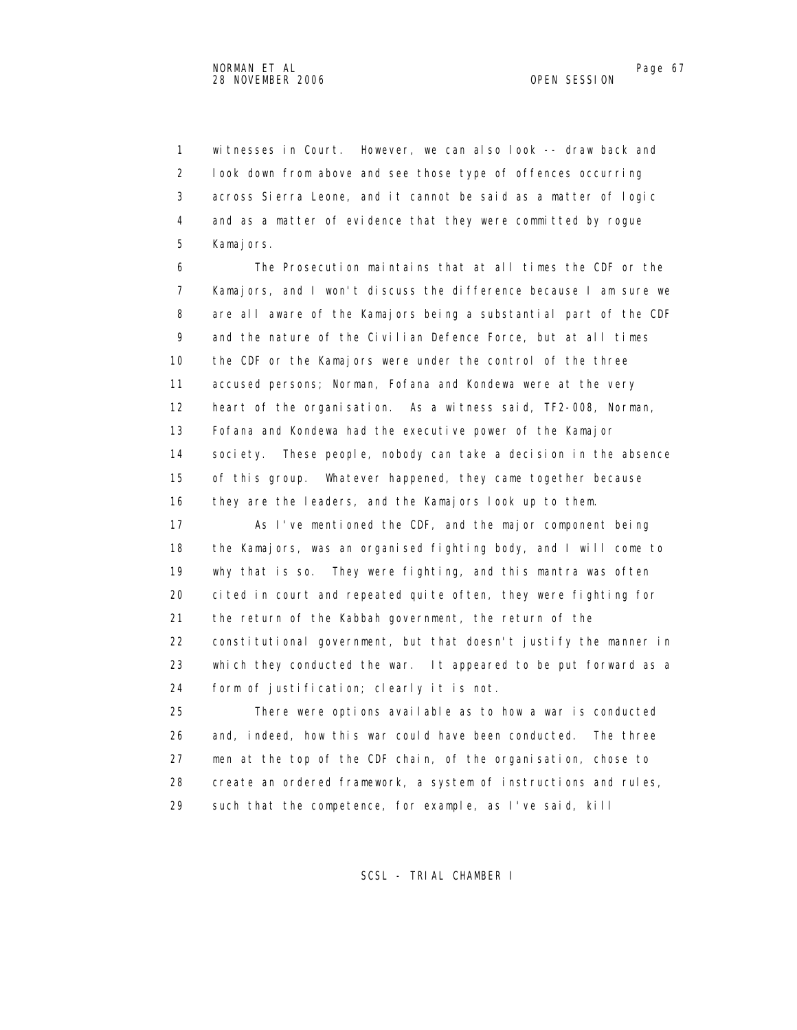1 witnesses in Court. However, we can also look -- draw back and 2 look down from above and see those type of offences occurring 3 across Sierra Leone, and it cannot be said as a matter of logic 4 and as a matter of evidence that they were committed by rogue 5 Kamajors.

 6 The Prosecution maintains that at all times the CDF or the 7 Kamajors, and I won't discuss the difference because I am sure we 8 are all aware of the Kamajors being a substantial part of the CDF 9 and the nature of the Civilian Defence Force, but at all times 10 the CDF or the Kamajors were under the control of the three 11 accused persons; Norman, Fofana and Kondewa were at the very 12 heart of the organisation. As a witness said, TF2-008, Norman, 13 Fofana and Kondewa had the executive power of the Kamajor 14 society. These people, nobody can take a decision in the absence 15 of this group. Whatever happened, they came together because 16 they are the leaders, and the Kamajors look up to them.

 17 As I've mentioned the CDF, and the major component being 18 the Kamajors, was an organised fighting body, and I will come to 19 why that is so. They were fighting, and this mantra was often 20 cited in court and repeated quite often, they were fighting for 21 the return of the Kabbah government, the return of the 22 constitutional government, but that doesn't justify the manner in 23 which they conducted the war. It appeared to be put forward as a 24 form of justification; clearly it is not.

 25 There were options available as to how a war is conducted 26 and, indeed, how this war could have been conducted. The three 27 men at the top of the CDF chain, of the organisation, chose to 28 create an ordered framework, a system of instructions and rules, 29 such that the competence, for example, as I've said, kill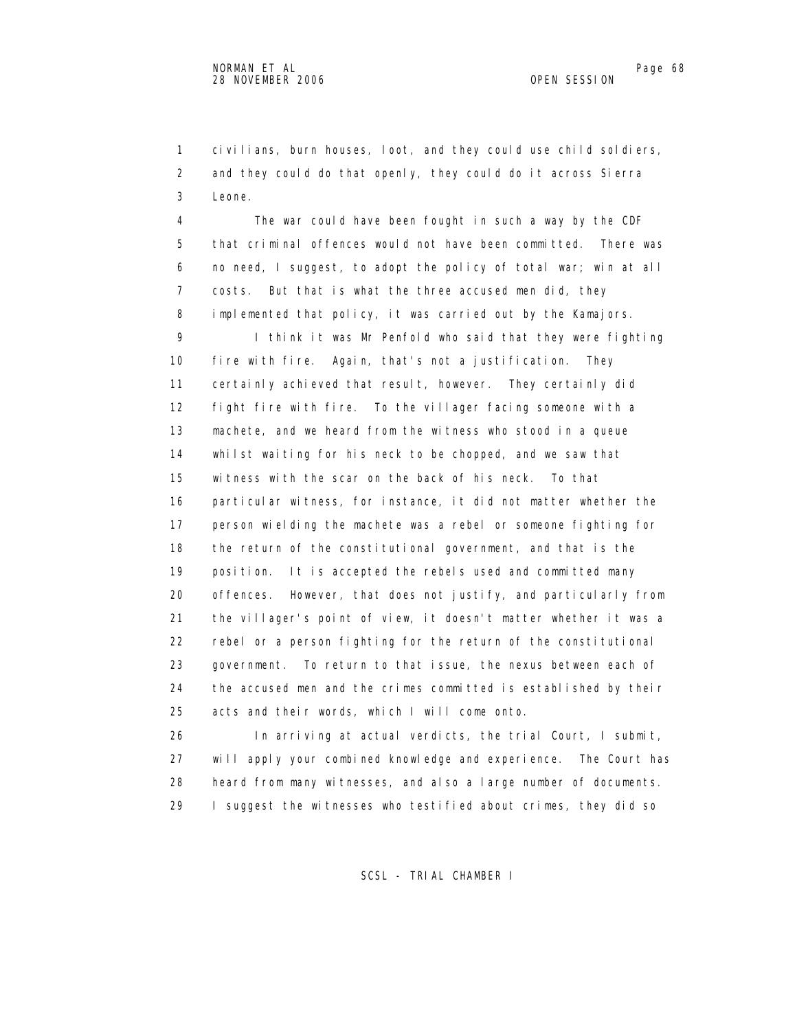1 civilians, burn houses, loot, and they could use child soldiers, 2 and they could do that openly, they could do it across Sierra 3 Leone.

 4 The war could have been fought in such a way by the CDF 5 that criminal offences would not have been committed. There was 6 no need, I suggest, to adopt the policy of total war; win at all 7 costs. But that is what the three accused men did, they 8 implemented that policy, it was carried out by the Kamajors. 9 I think it was Mr Penfold who said that they were fighting 10 fire with fire. Again, that's not a justification. They 11 certainly achieved that result, however. They certainly did 12 fight fire with fire. To the villager facing someone with a 13 machete, and we heard from the witness who stood in a queue 14 whilst waiting for his neck to be chopped, and we saw that 15 witness with the scar on the back of his neck. To that 16 particular witness, for instance, it did not matter whether the 17 person wielding the machete was a rebel or someone fighting for 18 the return of the constitutional government, and that is the 19 position. It is accepted the rebels used and committed many 20 offences. However, that does not justify, and particularly from 21 the villager's point of view, it doesn't matter whether it was a 22 rebel or a person fighting for the return of the constitutional 23 government. To return to that issue, the nexus between each of 24 the accused men and the crimes committed is established by their 25 acts and their words, which I will come onto.

 26 In arriving at actual verdicts, the trial Court, I submit, 27 will apply your combined knowledge and experience. The Court has 28 heard from many witnesses, and also a large number of documents. 29 I suggest the witnesses who testified about crimes, they did so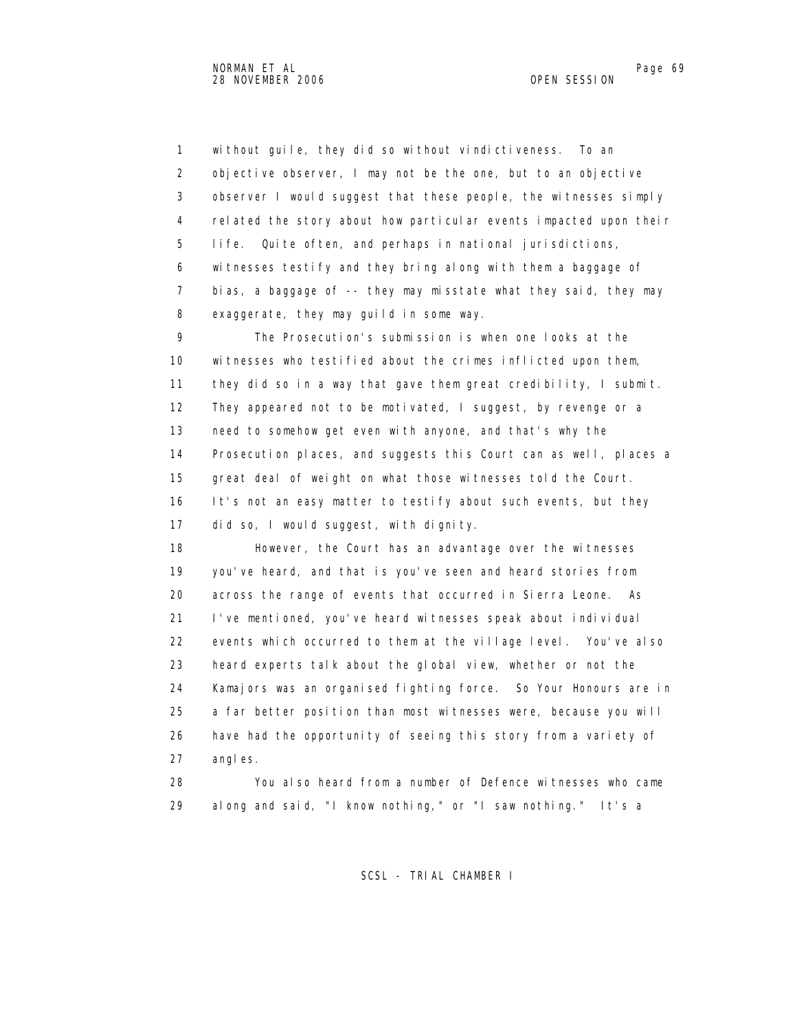1 without guile, they did so without vindictiveness. To an 2 objective observer, I may not be the one, but to an objective 3 observer I would suggest that these people, the witnesses simply 4 related the story about how particular events impacted upon their 5 life. Quite often, and perhaps in national jurisdictions, 6 witnesses testify and they bring along with them a baggage of 7 bias, a baggage of -- they may misstate what they said, they may 8 exaggerate, they may guild in some way.

 9 The Prosecution's submission is when one looks at the 10 witnesses who testified about the crimes inflicted upon them, 11 they did so in a way that gave them great credibility, I submit. 12 They appeared not to be motivated, I suggest, by revenge or a 13 need to somehow get even with anyone, and that's why the 14 Prosecution places, and suggests this Court can as well, places a 15 great deal of weight on what those witnesses told the Court. 16 It's not an easy matter to testify about such events, but they 17 did so, I would suggest, with dignity.

 18 However, the Court has an advantage over the witnesses 19 you've heard, and that is you've seen and heard stories from 20 across the range of events that occurred in Sierra Leone. As 21 I've mentioned, you've heard witnesses speak about individual 22 events which occurred to them at the village level. You've also 23 heard experts talk about the global view, whether or not the 24 Kamajors was an organised fighting force. So Your Honours are in 25 a far better position than most witnesses were, because you will 26 have had the opportunity of seeing this story from a variety of 27 angles.

 28 You also heard from a number of Defence witnesses who came 29 along and said, "I know nothing," or "I saw nothing." It's a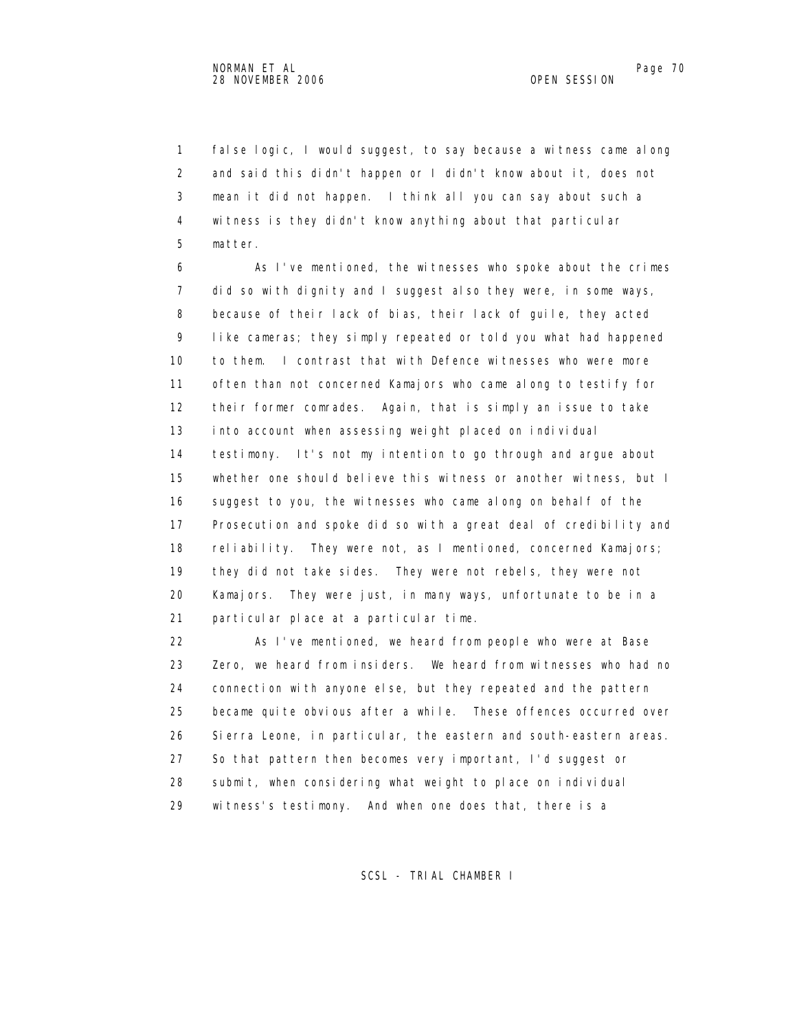1 false logic, I would suggest, to say because a witness came along 2 and said this didn't happen or I didn't know about it, does not 3 mean it did not happen. I think all you can say about such a 4 witness is they didn't know anything about that particular 5 matter.

 6 As I've mentioned, the witnesses who spoke about the crimes 7 did so with dignity and I suggest also they were, in some ways, 8 because of their lack of bias, their lack of guile, they acted 9 like cameras; they simply repeated or told you what had happened 10 to them. I contrast that with Defence witnesses who were more 11 often than not concerned Kamajors who came along to testify for 12 their former comrades. Again, that is simply an issue to take 13 into account when assessing weight placed on individual 14 testimony. It's not my intention to go through and argue about 15 whether one should believe this witness or another witness, but I 16 suggest to you, the witnesses who came along on behalf of the 17 Prosecution and spoke did so with a great deal of credibility and 18 reliability. They were not, as I mentioned, concerned Kamajors; 19 they did not take sides. They were not rebels, they were not 20 Kamajors. They were just, in many ways, unfortunate to be in a 21 particular place at a particular time.

 22 As I've mentioned, we heard from people who were at Base 23 Zero, we heard from insiders. We heard from witnesses who had no 24 connection with anyone else, but they repeated and the pattern 25 became quite obvious after a while. These offences occurred over 26 Sierra Leone, in particular, the eastern and south-eastern areas. 27 So that pattern then becomes very important, I'd suggest or 28 submit, when considering what weight to place on individual 29 witness's testimony. And when one does that, there is a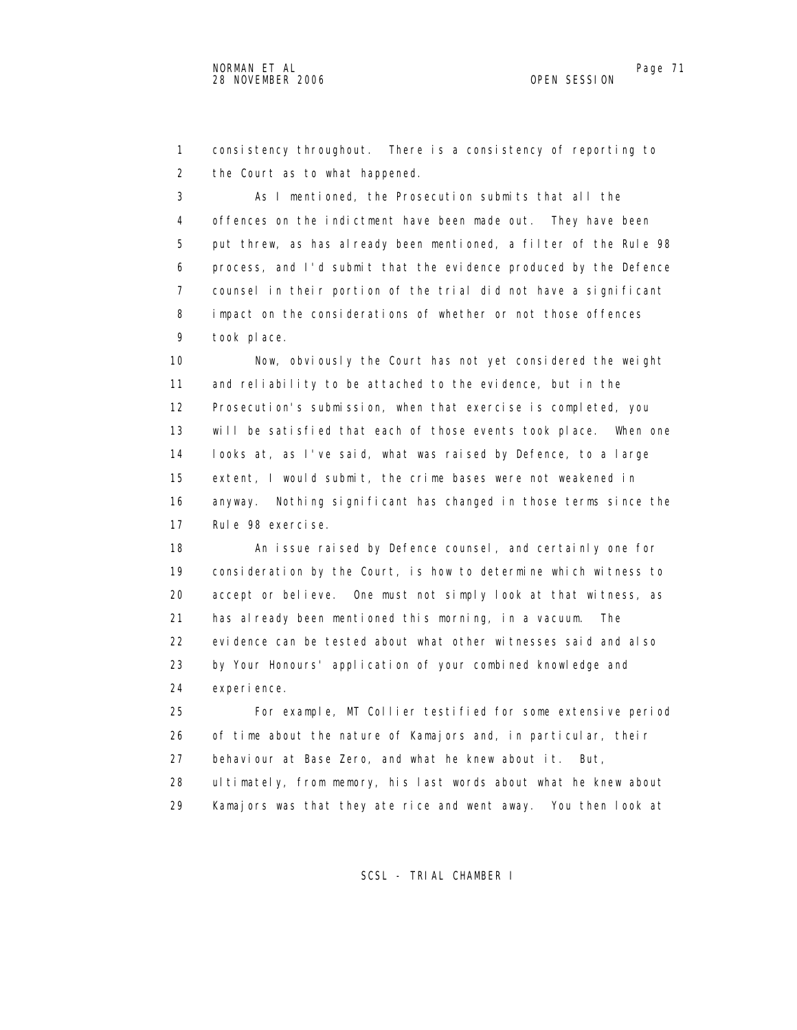1 consistency throughout. There is a consistency of reporting to 2 the Court as to what happened.

 3 As I mentioned, the Prosecution submits that all the 4 offences on the indictment have been made out. They have been 5 put threw, as has already been mentioned, a filter of the Rule 98 6 process, and I'd submit that the evidence produced by the Defence 7 counsel in their portion of the trial did not have a significant 8 impact on the considerations of whether or not those offences 9 took place.

 10 Now, obviously the Court has not yet considered the weight 11 and reliability to be attached to the evidence, but in the 12 Prosecution's submission, when that exercise is completed, you 13 will be satisfied that each of those events took place. When one 14 looks at, as I've said, what was raised by Defence, to a large 15 extent, I would submit, the crime bases were not weakened in 16 anyway. Nothing significant has changed in those terms since the 17 Rule 98 exercise.

 18 An issue raised by Defence counsel, and certainly one for 19 consideration by the Court, is how to determine which witness to 20 accept or believe. One must not simply look at that witness, as 21 has already been mentioned this morning, in a vacuum. The 22 evidence can be tested about what other witnesses said and also 23 by Your Honours' application of your combined knowledge and 24 experience.

 25 For example, MT Collier testified for some extensive period 26 of time about the nature of Kamajors and, in particular, their 27 behaviour at Base Zero, and what he knew about it. But, 28 ultimately, from memory, his last words about what he knew about 29 Kamajors was that they ate rice and went away. You then look at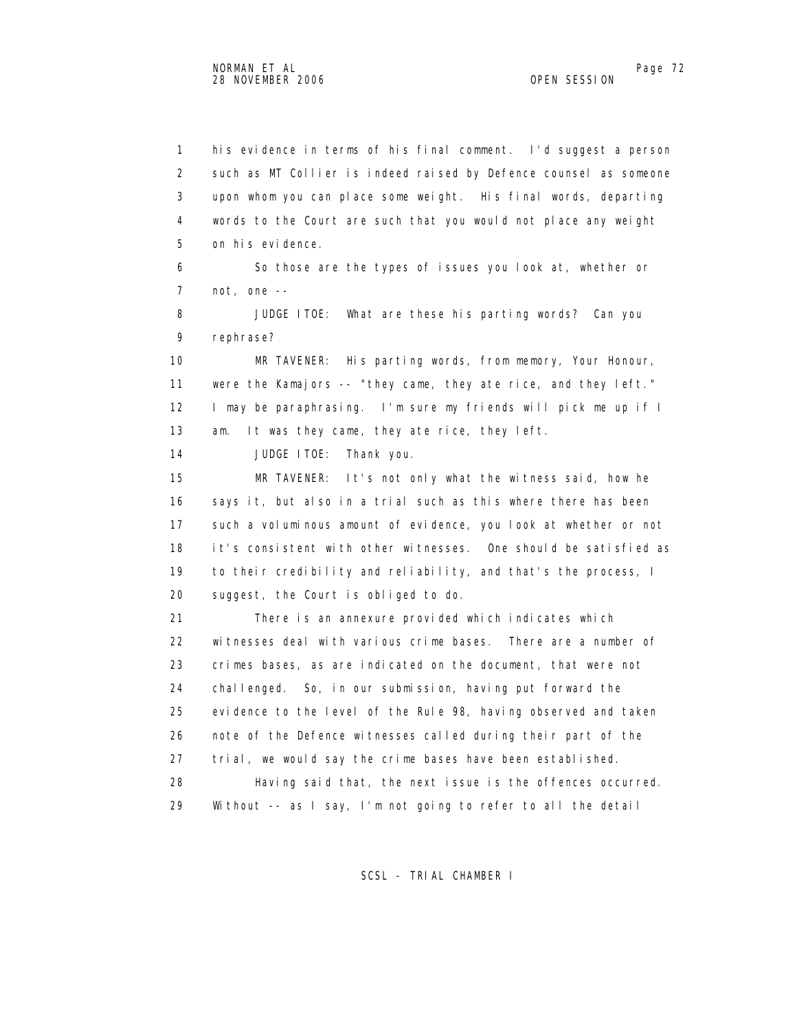1 his evidence in terms of his final comment. I'd suggest a person 2 such as MT Collier is indeed raised by Defence counsel as someone 3 upon whom you can place some weight. His final words, departing 4 words to the Court are such that you would not place any weight 5 on his evidence. 6 So those are the types of issues you look at, whether or 7 not, one -- 8 JUDGE ITOE: What are these his parting words? Can you 9 rephrase? 10 MR TAVENER: His parting words, from memory, Your Honour, 11 were the Kamajors -- "they came, they ate rice, and they left." 12 I may be paraphrasing. I'm sure my friends will pick me up if I 13 am. It was they came, they ate rice, they left. 14 JUDGE ITOE: Thank you. 15 MR TAVENER: It's not only what the witness said, how he 16 says it, but also in a trial such as this where there has been 17 such a voluminous amount of evidence, you look at whether or not 18 it's consistent with other witnesses. One should be satisfied as 19 to their credibility and reliability, and that's the process, I 20 suggest, the Court is obliged to do. 21 There is an annexure provided which indicates which 22 witnesses deal with various crime bases. There are a number of 23 crimes bases, as are indicated on the document, that were not 24 challenged. So, in our submission, having put forward the 25 evidence to the level of the Rule 98, having observed and taken 26 note of the Defence witnesses called during their part of the 27 trial, we would say the crime bases have been established. 28 Having said that, the next issue is the offences occurred. 29 Without -- as I say, I'm not going to refer to all the detail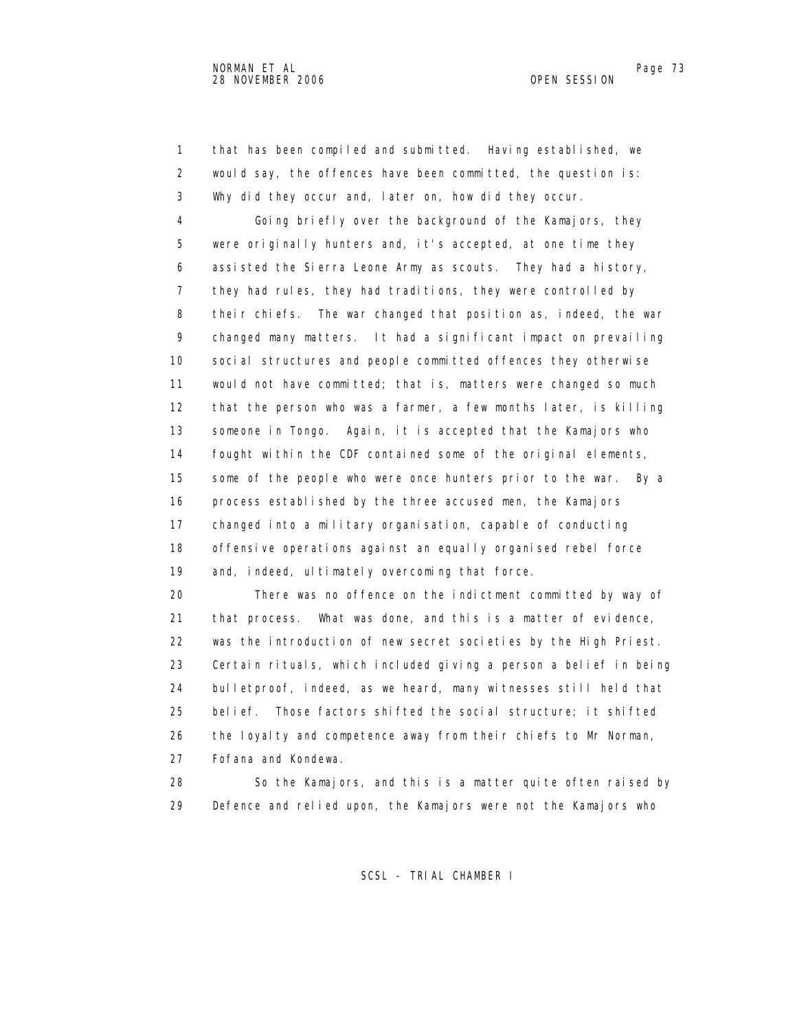1 that has been compiled and submitted. Having established, we 2 would say, the offences have been committed, the question is: 3 Why did they occur and, later on, how did they occur.

 4 Going briefly over the background of the Kamajors, they 5 were originally hunters and, it's accepted, at one time they 6 assisted the Sierra Leone Army as scouts. They had a history, 7 they had rules, they had traditions, they were controlled by 8 their chiefs. The war changed that position as, indeed, the war 9 changed many matters. It had a significant impact on prevailing 10 social structures and people committed offences they otherwise 11 would not have committed; that is, matters were changed so much 12 that the person who was a farmer, a few months later, is killing 13 someone in Tongo. Again, it is accepted that the Kamajors who 14 fought within the CDF contained some of the original elements, 15 some of the people who were once hunters prior to the war. By a 16 process established by the three accused men, the Kamajors 17 changed into a military organisation, capable of conducting 18 offensive operations against an equally organised rebel force 19 and, indeed, ultimately overcoming that force.

 20 There was no offence on the indictment committed by way of 21 that process. What was done, and this is a matter of evidence, 22 was the introduction of new secret societies by the High Priest. 23 Certain rituals, which included giving a person a belief in being 24 bulletproof, indeed, as we heard, many witnesses still held that 25 belief. Those factors shifted the social structure; it shifted 26 the loyalty and competence away from their chiefs to Mr Norman, 27 Fofana and Kondewa.

 28 So the Kamajors, and this is a matter quite often raised by 29 Defence and relied upon, the Kamajors were not the Kamajors who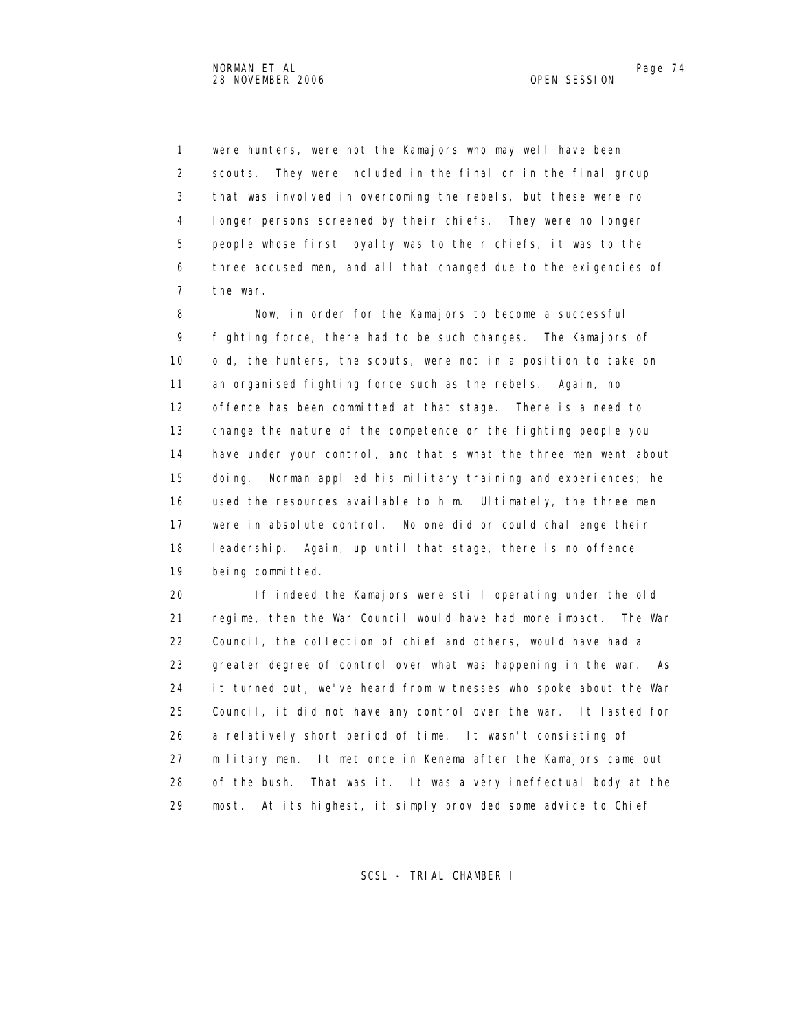1 were hunters, were not the Kamajors who may well have been 2 scouts. They were included in the final or in the final group 3 that was involved in overcoming the rebels, but these were no 4 longer persons screened by their chiefs. They were no longer 5 people whose first loyalty was to their chiefs, it was to the 6 three accused men, and all that changed due to the exigencies of 7 the war.

 8 Now, in order for the Kamajors to become a successful 9 fighting force, there had to be such changes. The Kamajors of 10 old, the hunters, the scouts, were not in a position to take on 11 an organised fighting force such as the rebels. Again, no 12 offence has been committed at that stage. There is a need to 13 change the nature of the competence or the fighting people you 14 have under your control, and that's what the three men went about 15 doing. Norman applied his military training and experiences; he 16 used the resources available to him. Ultimately, the three men 17 were in absolute control. No one did or could challenge their 18 leadership. Again, up until that stage, there is no offence 19 being committed.

 20 If indeed the Kamajors were still operating under the old 21 regime, then the War Council would have had more impact. The War 22 Council, the collection of chief and others, would have had a 23 greater degree of control over what was happening in the war. As 24 it turned out, we've heard from witnesses who spoke about the War 25 Council, it did not have any control over the war. It lasted for 26 a relatively short period of time. It wasn't consisting of 27 military men. It met once in Kenema after the Kamajors came out 28 of the bush. That was it. It was a very ineffectual body at the 29 most. At its highest, it simply provided some advice to Chief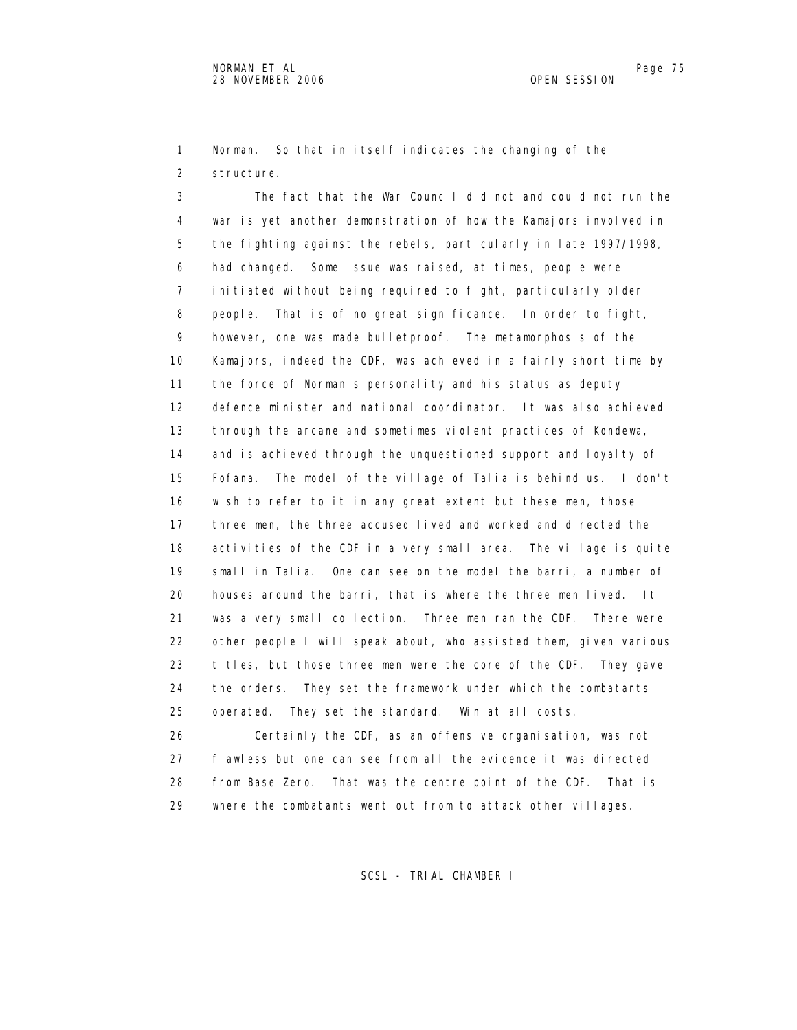1 Norman. So that in itself indicates the changing of the 2 structure.

 3 The fact that the War Council did not and could not run the 4 war is yet another demonstration of how the Kamajors involved in 5 the fighting against the rebels, particularly in late 1997/1998, 6 had changed. Some issue was raised, at times, people were 7 initiated without being required to fight, particularly older 8 people. That is of no great significance. In order to fight, 9 however, one was made bulletproof. The metamorphosis of the 10 Kamajors, indeed the CDF, was achieved in a fairly short time by 11 the force of Norman's personality and his status as deputy 12 defence minister and national coordinator. It was also achieved 13 through the arcane and sometimes violent practices of Kondewa, 14 and is achieved through the unquestioned support and loyalty of 15 Fofana. The model of the village of Talia is behind us. I don't 16 wish to refer to it in any great extent but these men, those 17 three men, the three accused lived and worked and directed the 18 activities of the CDF in a very small area. The village is quite 19 small in Talia. One can see on the model the barri, a number of 20 houses around the barri, that is where the three men lived. It 21 was a very small collection. Three men ran the CDF. There were 22 other people I will speak about, who assisted them, given various 23 titles, but those three men were the core of the CDF. They gave 24 the orders. They set the framework under which the combatants 25 operated. They set the standard. Win at all costs. 26 Certainly the CDF, as an offensive organisation, was not

 27 flawless but one can see from all the evidence it was directed 28 from Base Zero. That was the centre point of the CDF. That is 29 where the combatants went out from to attack other villages.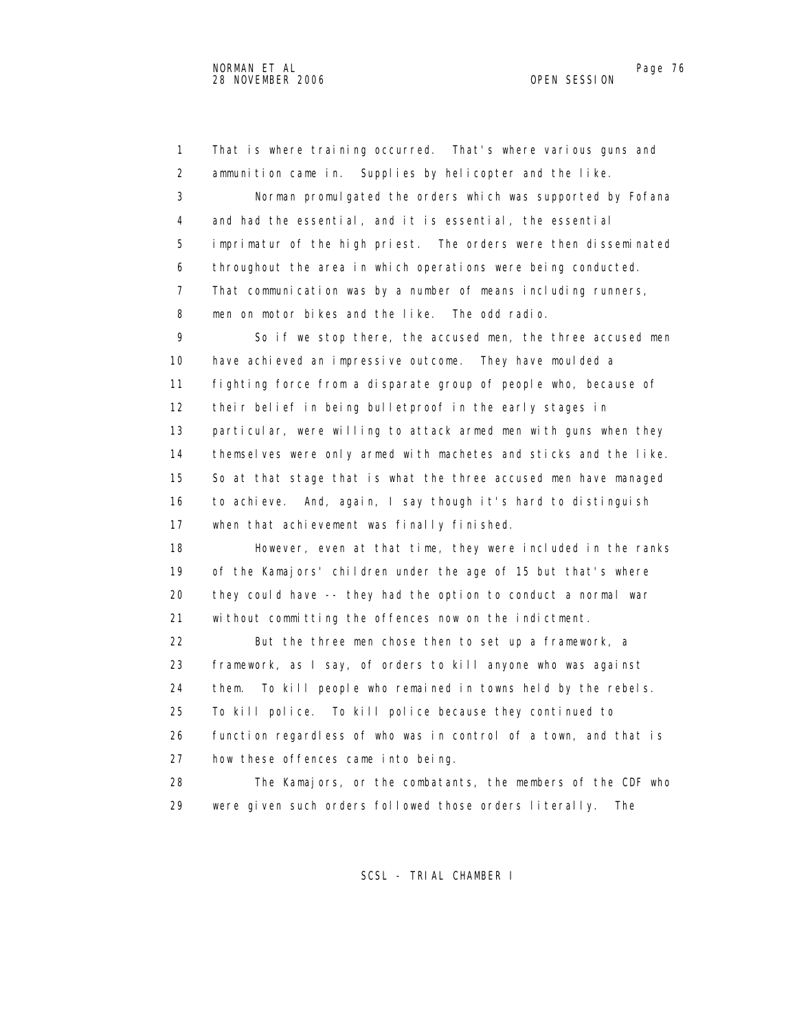1 That is where training occurred. That's where various guns and 2 ammunition came in. Supplies by helicopter and the like. 3 Norman promulgated the orders which was supported by Fofana 4 and had the essential, and it is essential, the essential 5 imprimatur of the high priest. The orders were then disseminated 6 throughout the area in which operations were being conducted. 7 That communication was by a number of means including runners, 8 men on motor bikes and the like. The odd radio. 9 So if we stop there, the accused men, the three accused men 10 have achieved an impressive outcome. They have moulded a 11 fighting force from a disparate group of people who, because of 12 their belief in being bulletproof in the early stages in 13 particular, were willing to attack armed men with guns when they 14 themselves were only armed with machetes and sticks and the like. 15 So at that stage that is what the three accused men have managed 16 to achieve. And, again, I say though it's hard to distinguish 17 when that achievement was finally finished. 18 However, even at that time, they were included in the ranks 19 of the Kamajors' children under the age of 15 but that's where 20 they could have -- they had the option to conduct a normal war 21 without committing the offences now on the indictment. 22 But the three men chose then to set up a framework, a 23 framework, as I say, of orders to kill anyone who was against 24 them. To kill people who remained in towns held by the rebels. 25 To kill police. To kill police because they continued to 26 function regardless of who was in control of a town, and that is 27 how these offences came into being. 28 The Kamajors, or the combatants, the members of the CDF who

29 were given such orders followed those orders literally. The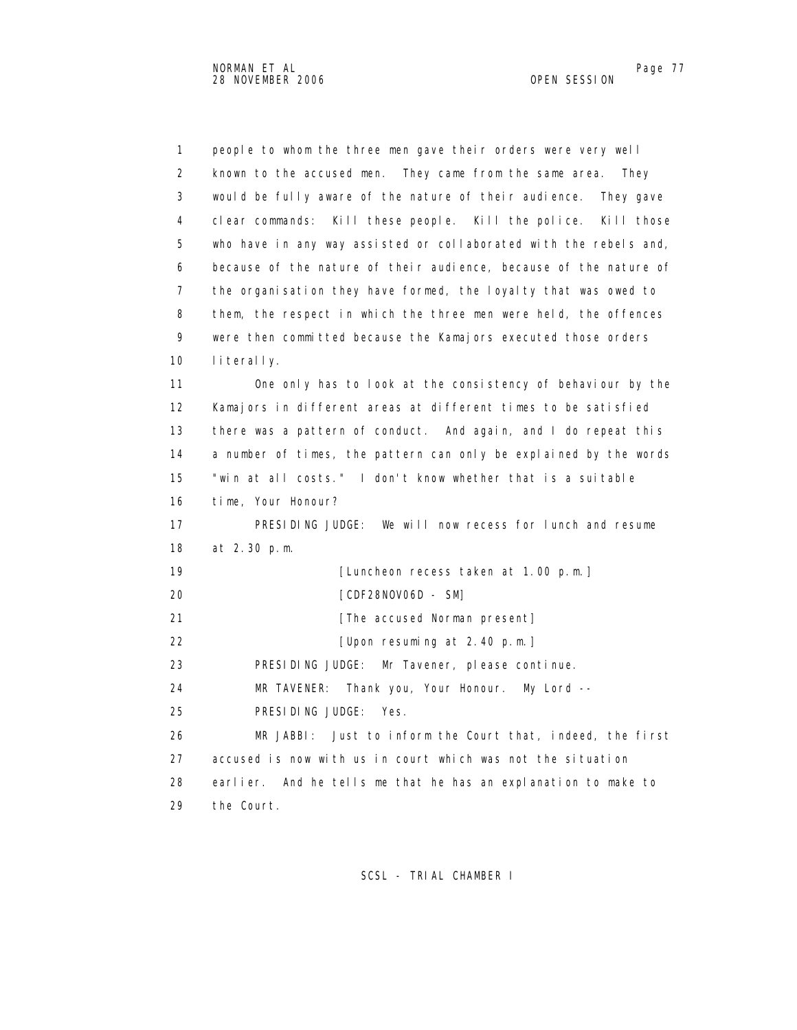1 people to whom the three men gave their orders were very well 2 known to the accused men. They came from the same area. They 3 would be fully aware of the nature of their audience. They gave 4 clear commands: Kill these people. Kill the police. Kill those 5 who have in any way assisted or collaborated with the rebels and, 6 because of the nature of their audience, because of the nature of 7 the organisation they have formed, the loyalty that was owed to 8 them, the respect in which the three men were held, the offences 9 were then committed because the Kamajors executed those orders 10 literally. 11 One only has to look at the consistency of behaviour by the 12 Kamajors in different areas at different times to be satisfied 13 there was a pattern of conduct. And again, and I do repeat this 14 a number of times, the pattern can only be explained by the words 15 "win at all costs." I don't know whether that is a suitable 16 time, Your Honour? 17 PRESIDING JUDGE: We will now recess for lunch and resume 18 at 2.30 p.m. 19 **[Luncheon recess taken at 1.00 p.m.]**  20 [CDF28NOV06D - SM] 21 **Example 21 EXECUSE EXECUSE CONSUMINGLE THE accused Norman present**  22 [Upon resuming at 2.40 p.m.] 23 PRESIDING JUDGE: Mr Tavener, please continue. 24 MR TAVENER: Thank you, Your Honour. My Lord -- 25 PRESIDING JUDGE: Yes. 26 MR JABBI: Just to inform the Court that, indeed, the first 27 accused is now with us in court which was not the situation 28 earlier. And he tells me that he has an explanation to make to 29 the Court.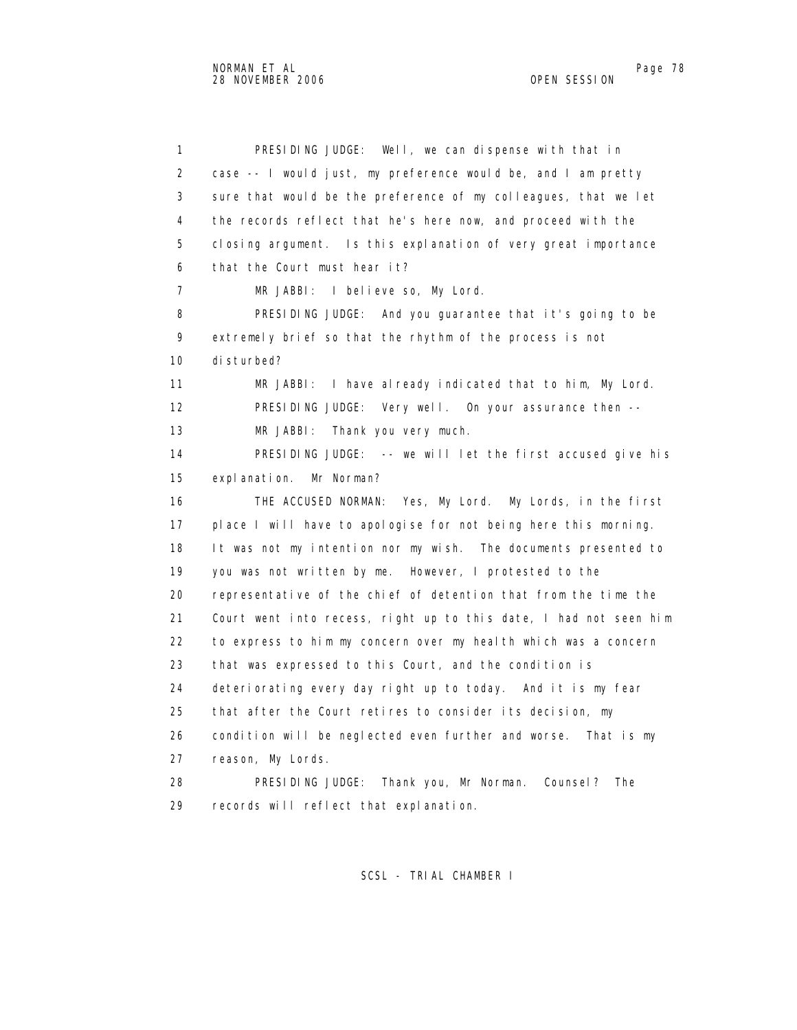1 PRESIDING JUDGE: Well, we can dispense with that in 2 case -- I would just, my preference would be, and I am pretty 3 sure that would be the preference of my colleagues, that we let 4 the records reflect that he's here now, and proceed with the 5 closing argument. Is this explanation of very great importance 6 that the Court must hear it? 7 MR JABBI: I believe so, My Lord. 8 PRESIDING JUDGE: And you guarantee that it's going to be 9 extremely brief so that the rhythm of the process is not 10 disturbed? 11 MR JABBI: I have already indicated that to him, My Lord. 12 PRESIDING JUDGE: Very well. On your assurance then -- 13 MR JABBI: Thank you very much. 14 PRESIDING JUDGE: -- we will let the first accused give his 15 explanation. Mr Norman? 16 THE ACCUSED NORMAN: Yes, My Lord. My Lords, in the first 17 place I will have to apologise for not being here this morning. 18 It was not my intention nor my wish. The documents presented to 19 you was not written by me. However, I protested to the 20 representative of the chief of detention that from the time the 21 Court went into recess, right up to this date, I had not seen him 22 to express to him my concern over my health which was a concern 23 that was expressed to this Court, and the condition is 24 deteriorating every day right up to today. And it is my fear 25 that after the Court retires to consider its decision, my 26 condition will be neglected even further and worse. That is my 27 reason, My Lords. 28 PRESIDING JUDGE: Thank you, Mr Norman. Counsel? The 29 records will reflect that explanation.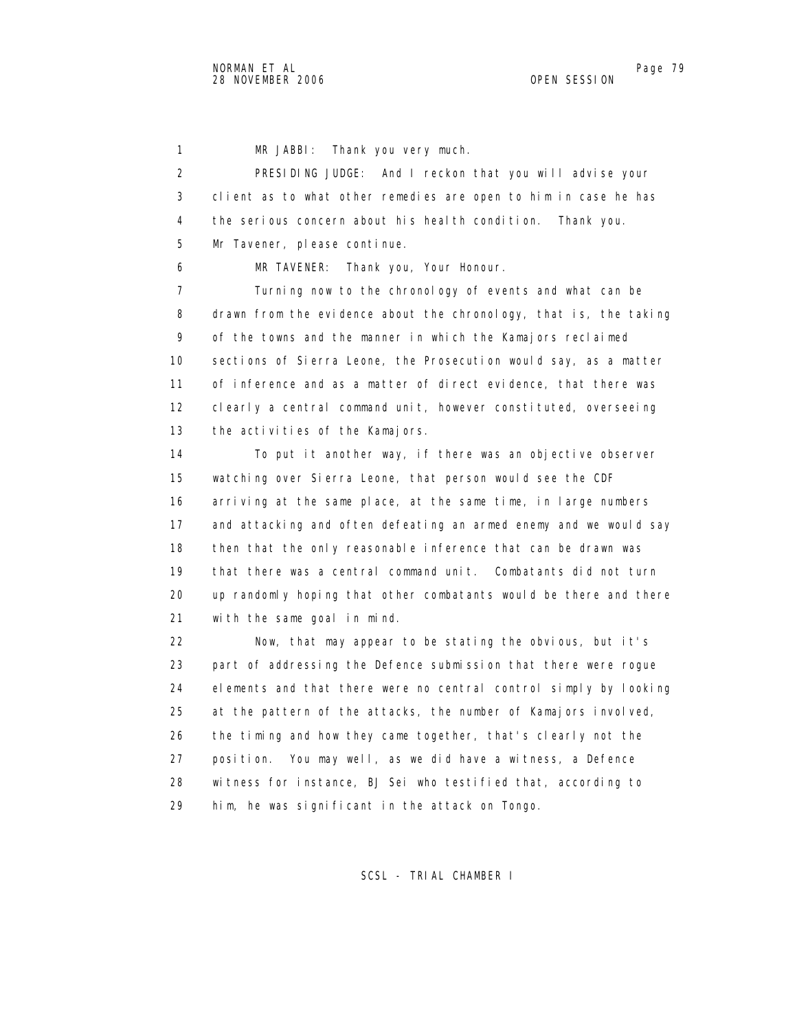1 MR JABBI: Thank you very much.

 2 PRESIDING JUDGE: And I reckon that you will advise your 3 client as to what other remedies are open to him in case he has 4 the serious concern about his health condition. Thank you. 5 Mr Tavener, please continue.

6 MR TAVENER: Thank you, Your Honour.

 7 Turning now to the chronology of events and what can be 8 drawn from the evidence about the chronology, that is, the taking 9 of the towns and the manner in which the Kamajors reclaimed 10 sections of Sierra Leone, the Prosecution would say, as a matter 11 of inference and as a matter of direct evidence, that there was 12 clearly a central command unit, however constituted, overseeing 13 the activities of the Kamajors.

 14 To put it another way, if there was an objective observer 15 watching over Sierra Leone, that person would see the CDF 16 arriving at the same place, at the same time, in large numbers 17 and attacking and often defeating an armed enemy and we would say 18 then that the only reasonable inference that can be drawn was 19 that there was a central command unit. Combatants did not turn 20 up randomly hoping that other combatants would be there and there 21 with the same goal in mind.

 22 Now, that may appear to be stating the obvious, but it's 23 part of addressing the Defence submission that there were rogue 24 elements and that there were no central control simply by looking 25 at the pattern of the attacks, the number of Kamajors involved, 26 the timing and how they came together, that's clearly not the 27 position. You may well, as we did have a witness, a Defence 28 witness for instance, BJ Sei who testified that, according to 29 him, he was significant in the attack on Tongo.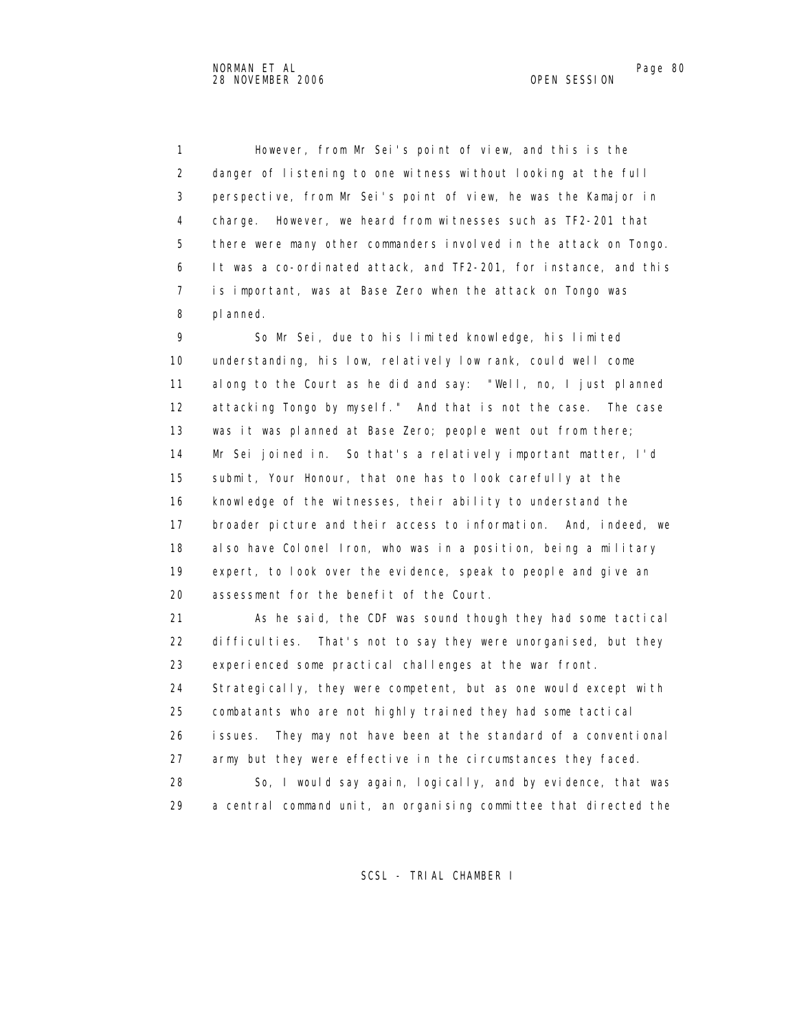1 However, from Mr Sei's point of view, and this is the 2 danger of listening to one witness without looking at the full 3 perspective, from Mr Sei's point of view, he was the Kamajor in 4 charge. However, we heard from witnesses such as TF2-201 that 5 there were many other commanders involved in the attack on Tongo. 6 It was a co-ordinated attack, and TF2-201, for instance, and this 7 is important, was at Base Zero when the attack on Tongo was 8 planned.

 9 So Mr Sei, due to his limited knowledge, his limited 10 understanding, his low, relatively low rank, could well come 11 along to the Court as he did and say: "Well, no, I just planned 12 attacking Tongo by myself." And that is not the case. The case 13 was it was planned at Base Zero; people went out from there; 14 Mr Sei joined in. So that's a relatively important matter, I'd 15 submit, Your Honour, that one has to look carefully at the 16 knowledge of the witnesses, their ability to understand the 17 broader picture and their access to information. And, indeed, we 18 also have Colonel Iron, who was in a position, being a military 19 expert, to look over the evidence, speak to people and give an 20 assessment for the benefit of the Court.

 21 As he said, the CDF was sound though they had some tactical 22 difficulties. That's not to say they were unorganised, but they 23 experienced some practical challenges at the war front.

24 Strategically, they were competent, but as one would except with 25 combatants who are not highly trained they had some tactical 26 issues. They may not have been at the standard of a conventional 27 army but they were effective in the circumstances they faced.

 28 So, I would say again, logically, and by evidence, that was 29 a central command unit, an organising committee that directed the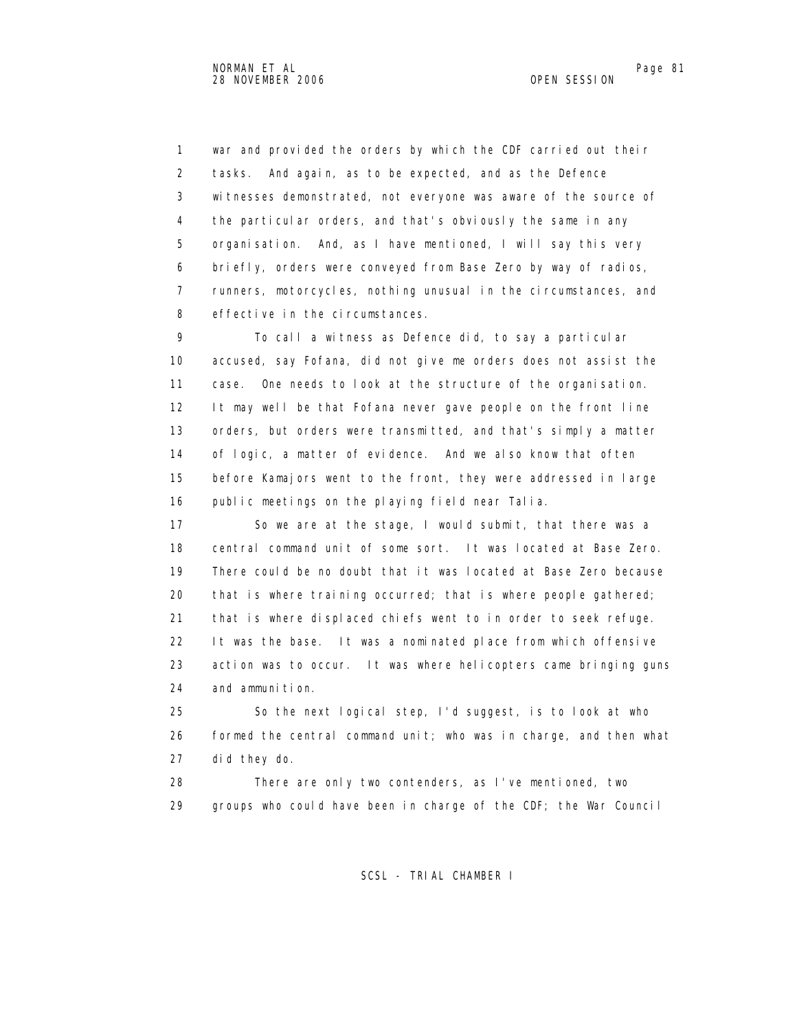1 war and provided the orders by which the CDF carried out their 2 tasks. And again, as to be expected, and as the Defence 3 witnesses demonstrated, not everyone was aware of the source of 4 the particular orders, and that's obviously the same in any 5 organisation. And, as I have mentioned, I will say this very 6 briefly, orders were conveyed from Base Zero by way of radios, 7 runners, motorcycles, nothing unusual in the circumstances, and 8 effective in the circumstances.

 9 To call a witness as Defence did, to say a particular 10 accused, say Fofana, did not give me orders does not assist the 11 case. One needs to look at the structure of the organisation. 12 It may well be that Fofana never gave people on the front line 13 orders, but orders were transmitted, and that's simply a matter 14 of logic, a matter of evidence. And we also know that often 15 before Kamajors went to the front, they were addressed in large 16 public meetings on the playing field near Talia.

 17 So we are at the stage, I would submit, that there was a 18 central command unit of some sort. It was located at Base Zero. 19 There could be no doubt that it was located at Base Zero because 20 that is where training occurred; that is where people gathered; 21 that is where displaced chiefs went to in order to seek refuge. 22 It was the base. It was a nominated place from which offensive 23 action was to occur. It was where helicopters came bringing guns 24 and ammunition.

 25 So the next logical step, I'd suggest, is to look at who 26 formed the central command unit; who was in charge, and then what 27 did they do.

 28 There are only two contenders, as I've mentioned, two 29 groups who could have been in charge of the CDF; the War Council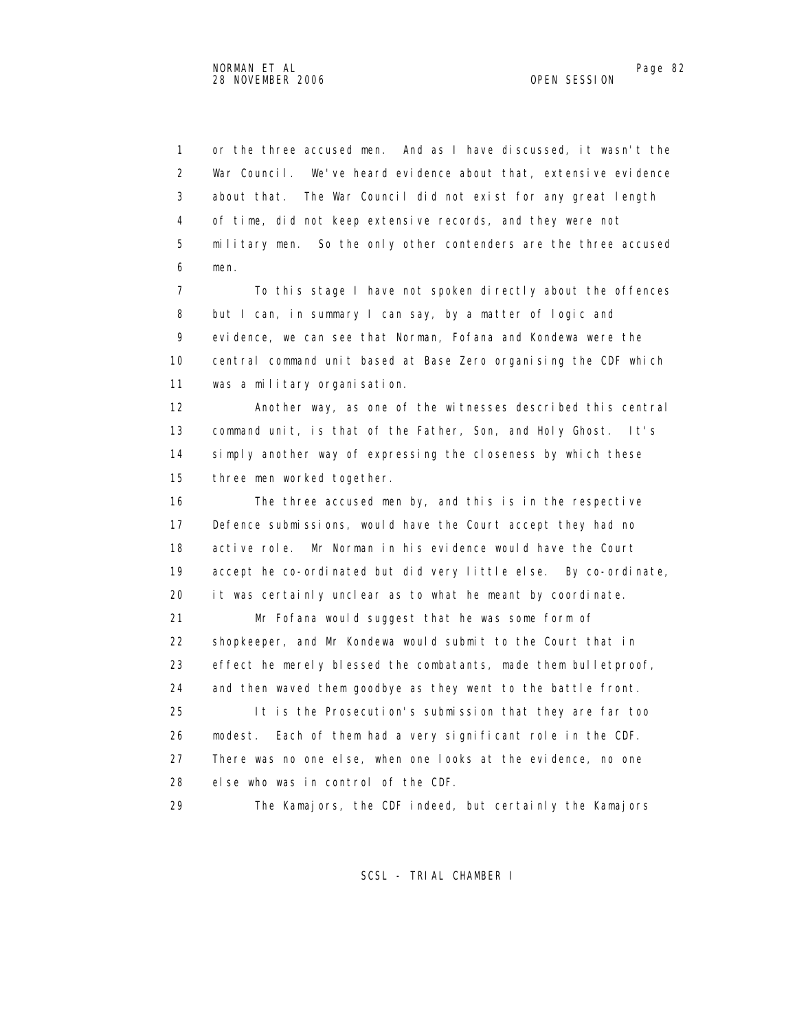1 or the three accused men. And as I have discussed, it wasn't the 2 War Council. We've heard evidence about that, extensive evidence 3 about that. The War Council did not exist for any great length 4 of time, did not keep extensive records, and they were not 5 military men. So the only other contenders are the three accused 6 men.

 7 To this stage I have not spoken directly about the offences 8 but I can, in summary I can say, by a matter of logic and 9 evidence, we can see that Norman, Fofana and Kondewa were the 10 central command unit based at Base Zero organising the CDF which 11 was a military organisation.

 12 Another way, as one of the witnesses described this central 13 command unit, is that of the Father, Son, and Holy Ghost. It's 14 simply another way of expressing the closeness by which these 15 three men worked together.

 16 The three accused men by, and this is in the respective 17 Defence submissions, would have the Court accept they had no 18 active role. Mr Norman in his evidence would have the Court 19 accept he co-ordinated but did very little else. By co-ordinate, 20 it was certainly unclear as to what he meant by coordinate. 21 Mr Fofana would suggest that he was some form of 22 shopkeeper, and Mr Kondewa would submit to the Court that in 23 effect he merely blessed the combatants, made them bulletproof, 24 and then waved them goodbye as they went to the battle front. 25 It is the Prosecution's submission that they are far too 26 modest. Each of them had a very significant role in the CDF. 27 There was no one else, when one looks at the evidence, no one 28 else who was in control of the CDF.

29 The Kamajors, the CDF indeed, but certainly the Kamajors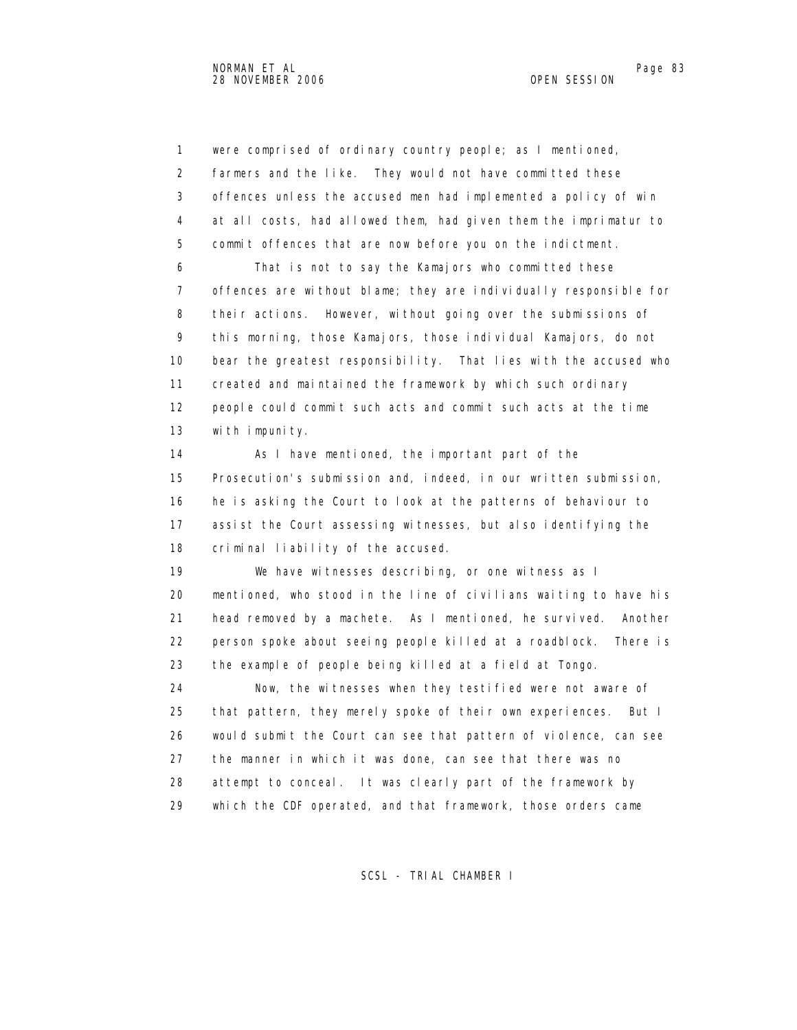1 were comprised of ordinary country people; as I mentioned, 2 farmers and the like. They would not have committed these 3 offences unless the accused men had implemented a policy of win 4 at all costs, had allowed them, had given them the imprimatur to 5 commit offences that are now before you on the indictment. 6 That is not to say the Kamajors who committed these 7 offences are without blame; they are individually responsible for 8 their actions. However, without going over the submissions of 9 this morning, those Kamajors, those individual Kamajors, do not 10 bear the greatest responsibility. That lies with the accused who 11 created and maintained the framework by which such ordinary 12 people could commit such acts and commit such acts at the time 13 with impunity. 14 As I have mentioned, the important part of the 15 Prosecution's submission and, indeed, in our written submission, 16 he is asking the Court to look at the patterns of behaviour to 17 assist the Court assessing witnesses, but also identifying the 18 criminal liability of the accused. 19 We have witnesses describing, or one witness as I 20 mentioned, who stood in the line of civilians waiting to have his 21 head removed by a machete. As I mentioned, he survived. Another 22 person spoke about seeing people killed at a roadblock. There is 23 the example of people being killed at a field at Tongo. 24 Now, the witnesses when they testified were not aware of 25 that pattern, they merely spoke of their own experiences. But I 26 would submit the Court can see that pattern of violence, can see 27 the manner in which it was done, can see that there was no 28 attempt to conceal. It was clearly part of the framework by 29 which the CDF operated, and that framework, those orders came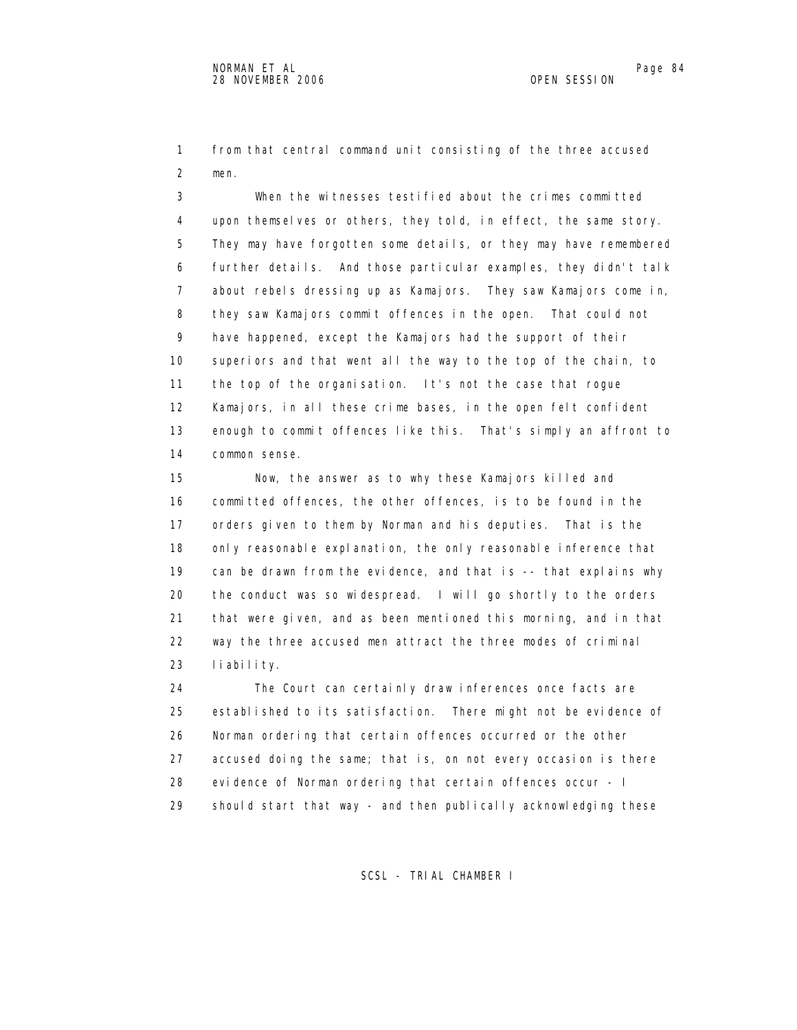1 from that central command unit consisting of the three accused 2 men.

 3 When the witnesses testified about the crimes committed 4 upon themselves or others, they told, in effect, the same story. 5 They may have forgotten some details, or they may have remembered 6 further details. And those particular examples, they didn't talk 7 about rebels dressing up as Kamajors. They saw Kamajors come in, 8 they saw Kamajors commit offences in the open. That could not 9 have happened, except the Kamajors had the support of their 10 superiors and that went all the way to the top of the chain, to 11 the top of the organisation. It's not the case that rogue 12 Kamajors, in all these crime bases, in the open felt confident 13 enough to commit offences like this. That's simply an affront to 14 common sense.

 15 Now, the answer as to why these Kamajors killed and 16 committed offences, the other offences, is to be found in the 17 orders given to them by Norman and his deputies. That is the 18 only reasonable explanation, the only reasonable inference that 19 can be drawn from the evidence, and that is -- that explains why 20 the conduct was so widespread. I will go shortly to the orders 21 that were given, and as been mentioned this morning, and in that 22 way the three accused men attract the three modes of criminal 23 liability.

 24 The Court can certainly draw inferences once facts are 25 established to its satisfaction. There might not be evidence of 26 Norman ordering that certain offences occurred or the other 27 accused doing the same; that is, on not every occasion is there 28 evidence of Norman ordering that certain offences occur - I 29 should start that way - and then publically acknowledging these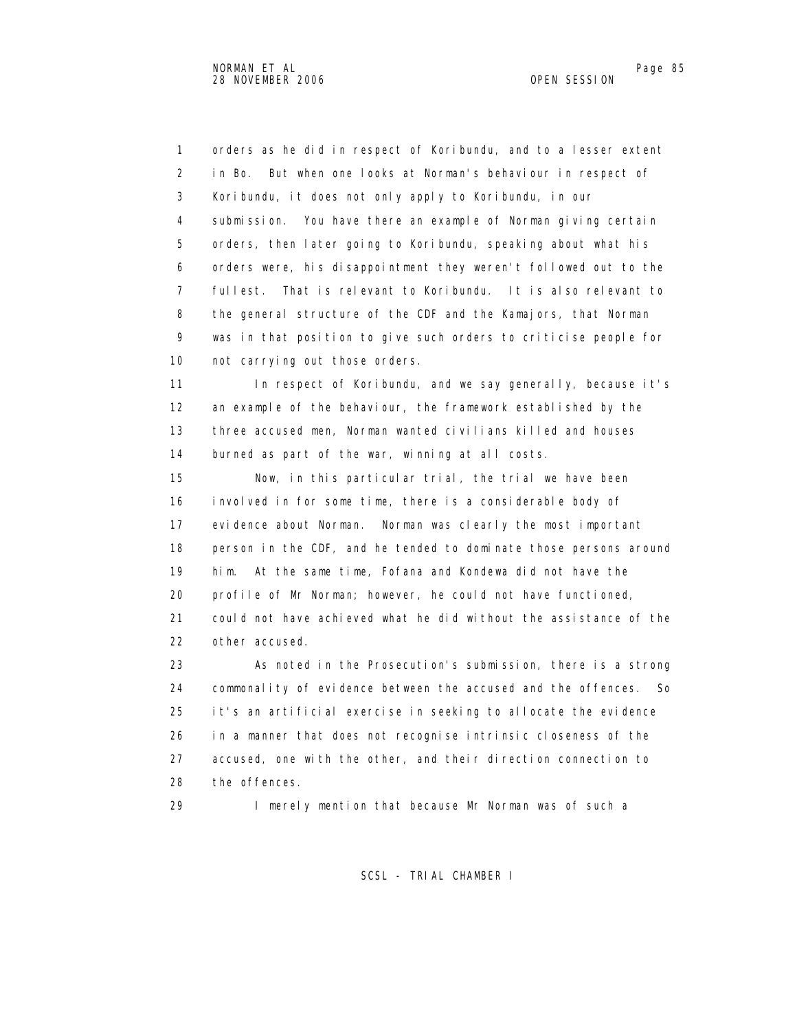1 orders as he did in respect of Koribundu, and to a lesser extent 2 in Bo. But when one looks at Norman's behaviour in respect of 3 Koribundu, it does not only apply to Koribundu, in our 4 submission. You have there an example of Norman giving certain 5 orders, then later going to Koribundu, speaking about what his 6 orders were, his disappointment they weren't followed out to the 7 fullest. That is relevant to Koribundu. It is also relevant to 8 the general structure of the CDF and the Kamajors, that Norman 9 was in that position to give such orders to criticise people for 10 not carrying out those orders.

11 In respect of Koribundu, and we say generally, because it's 12 an example of the behaviour, the framework established by the 13 three accused men, Norman wanted civilians killed and houses 14 burned as part of the war, winning at all costs.

 15 Now, in this particular trial, the trial we have been 16 involved in for some time, there is a considerable body of 17 evidence about Norman. Norman was clearly the most important 18 person in the CDF, and he tended to dominate those persons around 19 him. At the same time, Fofana and Kondewa did not have the 20 profile of Mr Norman; however, he could not have functioned, 21 could not have achieved what he did without the assistance of the 22 other accused.

 23 As noted in the Prosecution's submission, there is a strong 24 commonality of evidence between the accused and the offences. So 25 it's an artificial exercise in seeking to allocate the evidence 26 in a manner that does not recognise intrinsic closeness of the 27 accused, one with the other, and their direction connection to 28 the offences.

29 I merely mention that because Mr Norman was of such a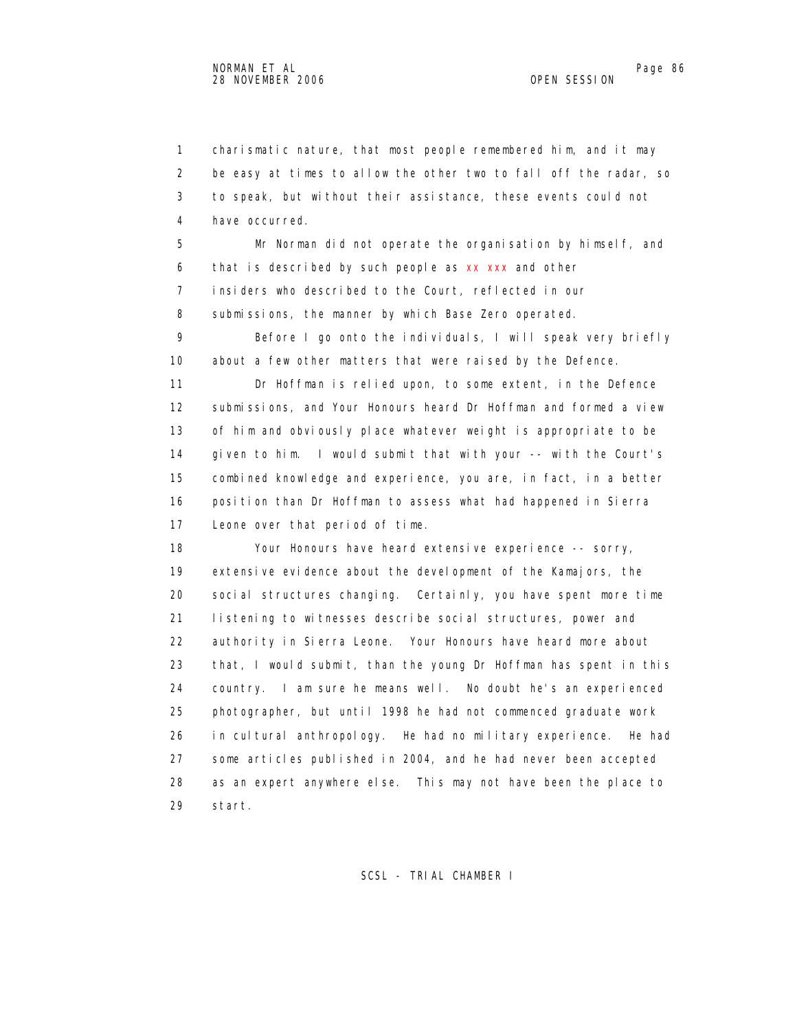1 charismatic nature, that most people remembered him, and it may 2 be easy at times to allow the other two to fall off the radar, so 3 to speak, but without their assistance, these events could not 4 have occurred.

 5 Mr Norman did not operate the organisation by himself, and 6 that is described by such people as xx xxx and other 7 insiders who described to the Court, reflected in our 8 submissions, the manner by which Base Zero operated.

 9 Before I go onto the individuals, I will speak very briefly 10 about a few other matters that were raised by the Defence.

 11 Dr Hoffman is relied upon, to some extent, in the Defence 12 submissions, and Your Honours heard Dr Hoffman and formed a view 13 of him and obviously place whatever weight is appropriate to be 14 given to him. I would submit that with your -- with the Court's 15 combined knowledge and experience, you are, in fact, in a better 16 position than Dr Hoffman to assess what had happened in Sierra 17 Leone over that period of time.

18 Your Honours have heard extensive experience -- sorry, 19 extensive evidence about the development of the Kamajors, the 20 social structures changing. Certainly, you have spent more time 21 listening to witnesses describe social structures, power and 22 authority in Sierra Leone. Your Honours have heard more about 23 that, I would submit, than the young Dr Hoffman has spent in this 24 country. I am sure he means well. No doubt he's an experienced 25 photographer, but until 1998 he had not commenced graduate work 26 in cultural anthropology. He had no military experience. He had 27 some articles published in 2004, and he had never been accepted 28 as an expert anywhere else. This may not have been the place to 29 start.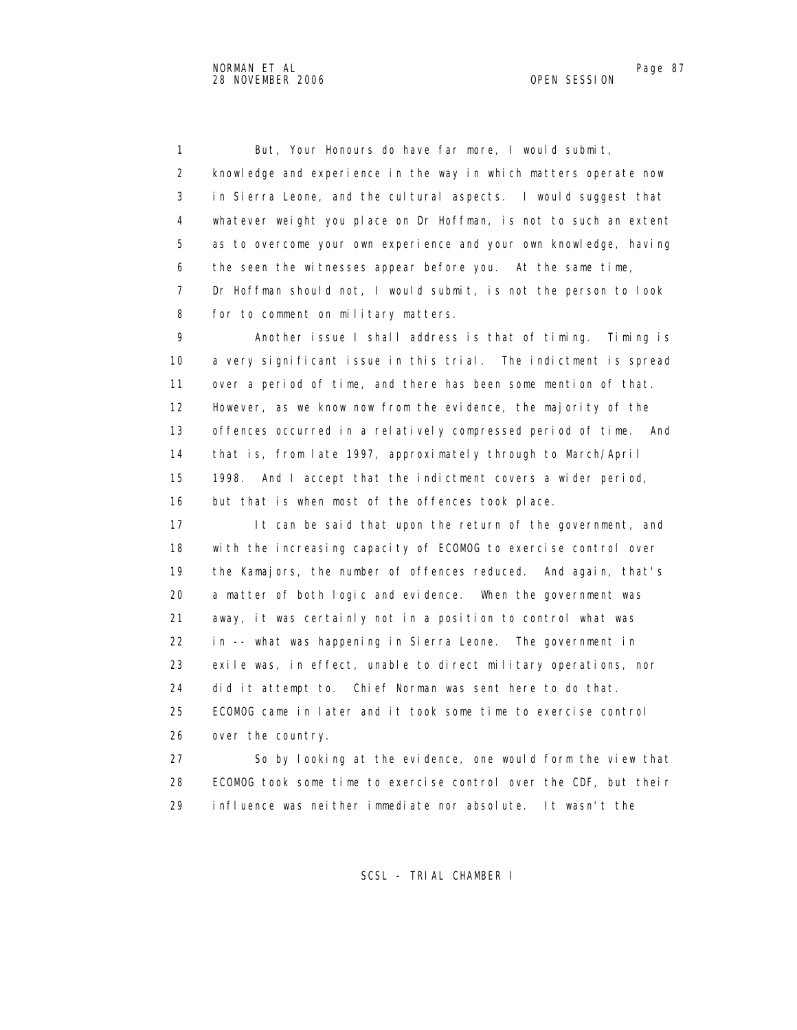1 But, Your Honours do have far more, I would submit, 2 knowledge and experience in the way in which matters operate now 3 in Sierra Leone, and the cultural aspects. I would suggest that 4 whatever weight you place on Dr Hoffman, is not to such an extent 5 as to overcome your own experience and your own knowledge, having 6 the seen the witnesses appear before you. At the same time, 7 Dr Hoffman should not, I would submit, is not the person to look 8 for to comment on military matters.

 9 Another issue I shall address is that of timing. Timing is 10 a very significant issue in this trial. The indictment is spread 11 over a period of time, and there has been some mention of that. 12 However, as we know now from the evidence, the majority of the 13 offences occurred in a relatively compressed period of time. And 14 that is, from late 1997, approximately through to March/April 15 1998. And I accept that the indictment covers a wider period, 16 but that is when most of the offences took place.

17 It can be said that upon the return of the government, and 18 with the increasing capacity of ECOMOG to exercise control over 19 the Kamajors, the number of offences reduced. And again, that's 20 a matter of both logic and evidence. When the government was 21 away, it was certainly not in a position to control what was 22 in -- what was happening in Sierra Leone. The government in 23 exile was, in effect, unable to direct military operations, nor 24 did it attempt to. Chief Norman was sent here to do that. 25 ECOMOG came in later and it took some time to exercise control 26 over the country.

 27 So by looking at the evidence, one would form the view that 28 ECOMOG took some time to exercise control over the CDF, but their 29 influence was neither immediate nor absolute. It wasn't the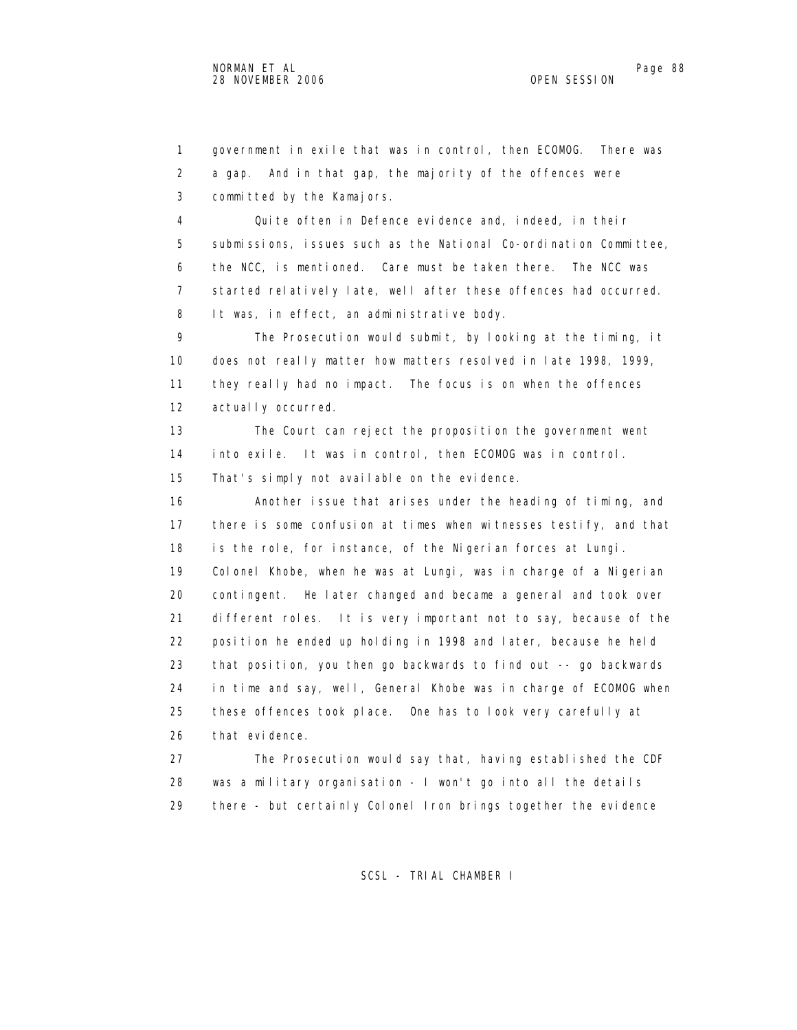1 government in exile that was in control, then ECOMOG. There was 2 a gap. And in that gap, the majority of the offences were 3 committed by the Kamajors.

 4 Quite often in Defence evidence and, indeed, in their 5 submissions, issues such as the National Co-ordination Committee, 6 the NCC, is mentioned. Care must be taken there. The NCC was 7 started relatively late, well after these offences had occurred. 8 It was, in effect, an administrative body.

 9 The Prosecution would submit, by looking at the timing, it 10 does not really matter how matters resolved in late 1998, 1999, 11 they really had no impact. The focus is on when the offences 12 actually occurred.

 13 The Court can reject the proposition the government went 14 into exile. It was in control, then ECOMOG was in control. 15 That's simply not available on the evidence.

 16 Another issue that arises under the heading of timing, and 17 there is some confusion at times when witnesses testify, and that 18 is the role, for instance, of the Nigerian forces at Lungi. 19 Colonel Khobe, when he was at Lungi, was in charge of a Nigerian 20 contingent. He later changed and became a general and took over 21 different roles. It is very important not to say, because of the 22 position he ended up holding in 1998 and later, because he held 23 that position, you then go backwards to find out -- go backwards 24 in time and say, well, General Khobe was in charge of ECOMOG when 25 these offences took place. One has to look very carefully at 26 that evidence.

 27 The Prosecution would say that, having established the CDF 28 was a military organisation - I won't go into all the details 29 there - but certainly Colonel Iron brings together the evidence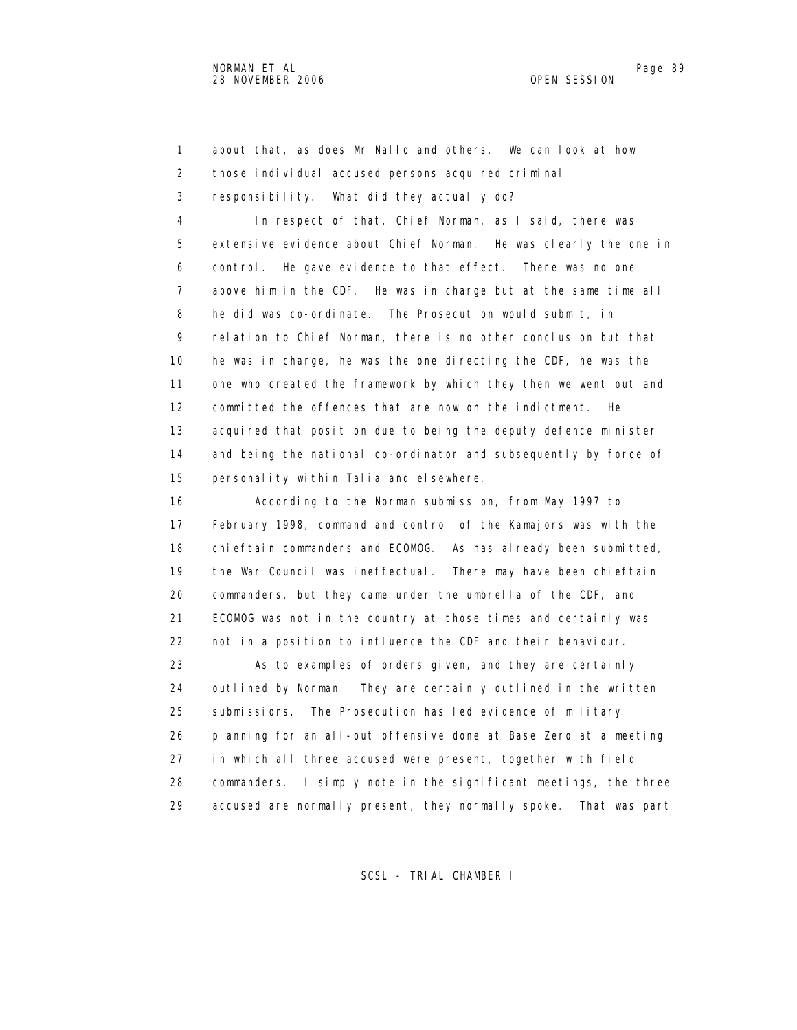1 about that, as does Mr Nallo and others. We can look at how 2 those individual accused persons acquired criminal

3 responsibility. What did they actually do?

 4 In respect of that, Chief Norman, as I said, there was 5 extensive evidence about Chief Norman. He was clearly the one in 6 control. He gave evidence to that effect. There was no one 7 above him in the CDF. He was in charge but at the same time all 8 he did was co-ordinate. The Prosecution would submit, in 9 relation to Chief Norman, there is no other conclusion but that 10 he was in charge, he was the one directing the CDF, he was the 11 one who created the framework by which they then we went out and 12 committed the offences that are now on the indictment. He 13 acquired that position due to being the deputy defence minister 14 and being the national co-ordinator and subsequently by force of 15 personality within Talia and elsewhere.

 16 According to the Norman submission, from May 1997 to 17 February 1998, command and control of the Kamajors was with the 18 chieftain commanders and ECOMOG. As has already been submitted, 19 the War Council was ineffectual. There may have been chieftain 20 commanders, but they came under the umbrella of the CDF, and 21 ECOMOG was not in the country at those times and certainly was 22 not in a position to influence the CDF and their behaviour. 23 As to examples of orders given, and they are certainly 24 outlined by Norman. They are certainly outlined in the written 25 submissions. The Prosecution has led evidence of military 26 planning for an all-out offensive done at Base Zero at a meeting 27 in which all three accused were present, together with field 28 commanders. I simply note in the significant meetings, the three

29 accused are normally present, they normally spoke. That was part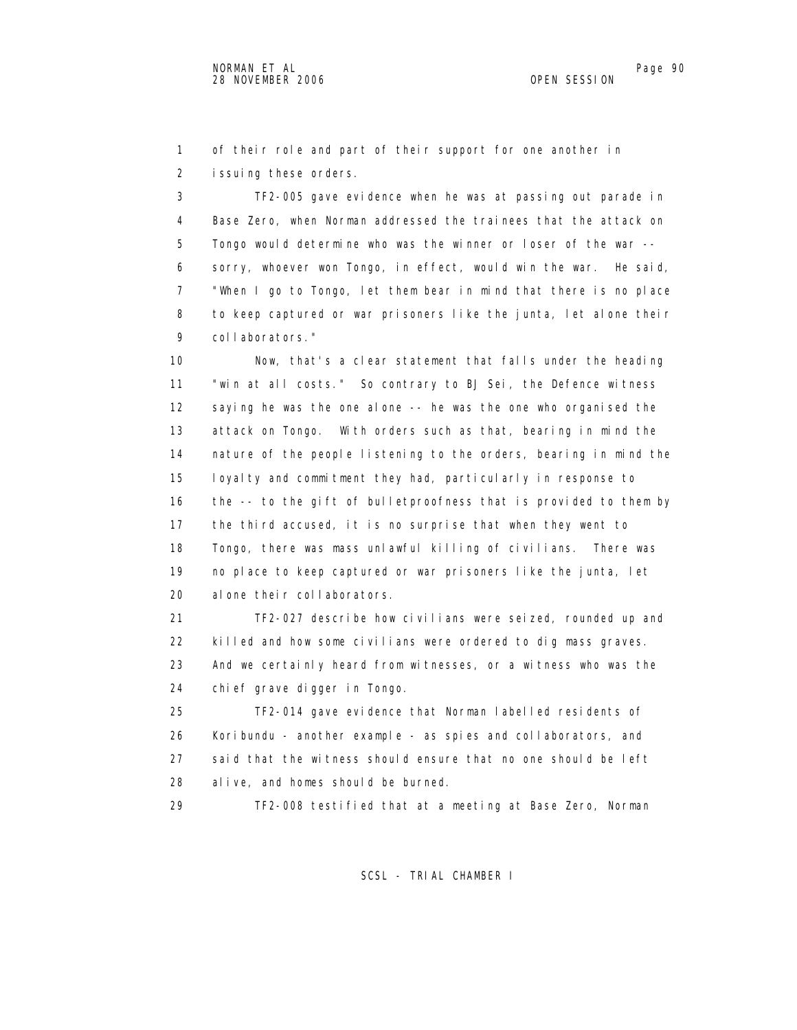1 of their role and part of their support for one another in 2 issuing these orders.

 3 TF2-005 gave evidence when he was at passing out parade in 4 Base Zero, when Norman addressed the trainees that the attack on 5 Tongo would determine who was the winner or loser of the war -- 6 sorry, whoever won Tongo, in effect, would win the war. He said, 7 "When I go to Tongo, let them bear in mind that there is no place 8 to keep captured or war prisoners like the junta, let alone their 9 collaborators."

 10 Now, that's a clear statement that falls under the heading 11 "win at all costs." So contrary to BJ Sei, the Defence witness 12 saying he was the one alone -- he was the one who organised the 13 attack on Tongo. With orders such as that, bearing in mind the 14 nature of the people listening to the orders, bearing in mind the 15 loyalty and commitment they had, particularly in response to 16 the -- to the gift of bulletproofness that is provided to them by 17 the third accused, it is no surprise that when they went to 18 Tongo, there was mass unlawful killing of civilians. There was 19 no place to keep captured or war prisoners like the junta, let 20 alone their collaborators.

 21 TF2-027 describe how civilians were seized, rounded up and 22 killed and how some civilians were ordered to dig mass graves. 23 And we certainly heard from witnesses, or a witness who was the 24 chief grave digger in Tongo.

 25 TF2-014 gave evidence that Norman labelled residents of 26 Koribundu - another example - as spies and collaborators, and 27 said that the witness should ensure that no one should be left 28 alive, and homes should be burned.

29 TF2-008 testified that at a meeting at Base Zero, Norman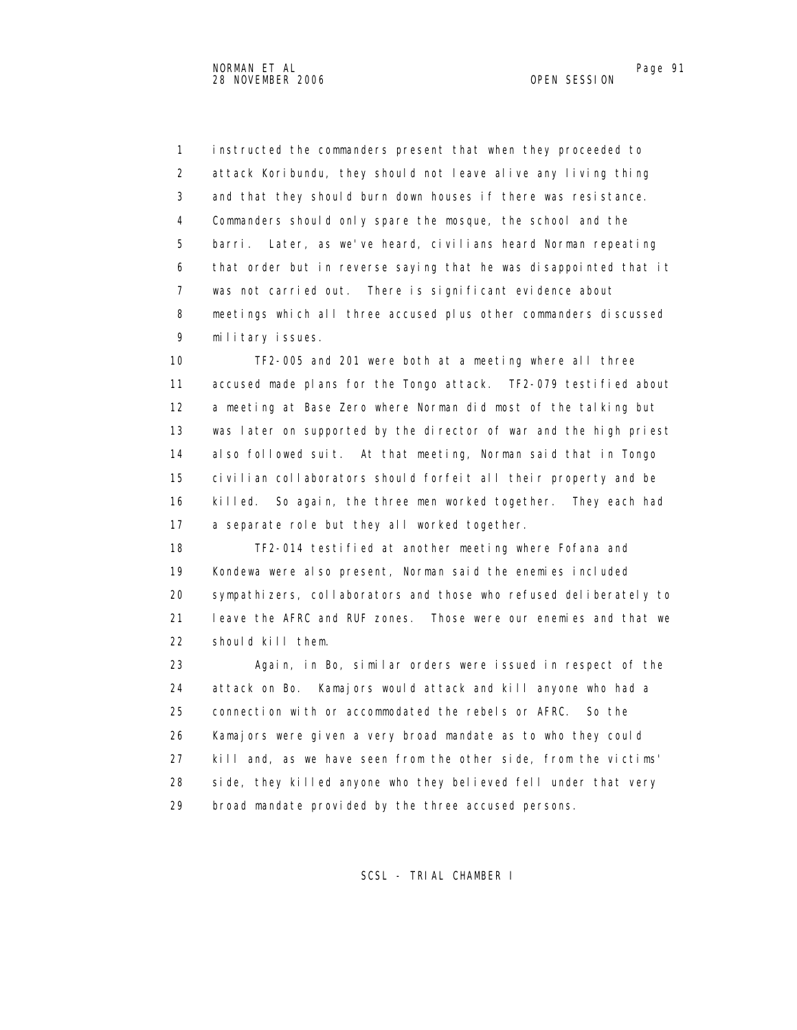1 instructed the commanders present that when they proceeded to 2 attack Koribundu, they should not leave alive any living thing 3 and that they should burn down houses if there was resistance. 4 Commanders should only spare the mosque, the school and the 5 barri. Later, as we've heard, civilians heard Norman repeating 6 that order but in reverse saying that he was disappointed that it 7 was not carried out. There is significant evidence about 8 meetings which all three accused plus other commanders discussed 9 military issues.

 10 TF2-005 and 201 were both at a meeting where all three 11 accused made plans for the Tongo attack. TF2-079 testified about 12 a meeting at Base Zero where Norman did most of the talking but 13 was later on supported by the director of war and the high priest 14 also followed suit. At that meeting, Norman said that in Tongo 15 civilian collaborators should forfeit all their property and be 16 killed. So again, the three men worked together. They each had 17 a separate role but they all worked together.

 18 TF2-014 testified at another meeting where Fofana and 19 Kondewa were also present, Norman said the enemies included 20 sympathizers, collaborators and those who refused deliberately to 21 leave the AFRC and RUF zones. Those were our enemies and that we 22 should kill them.

 23 Again, in Bo, similar orders were issued in respect of the 24 attack on Bo. Kamajors would attack and kill anyone who had a 25 connection with or accommodated the rebels or AFRC. So the 26 Kamajors were given a very broad mandate as to who they could 27 kill and, as we have seen from the other side, from the victims' 28 side, they killed anyone who they believed fell under that very 29 broad mandate provided by the three accused persons.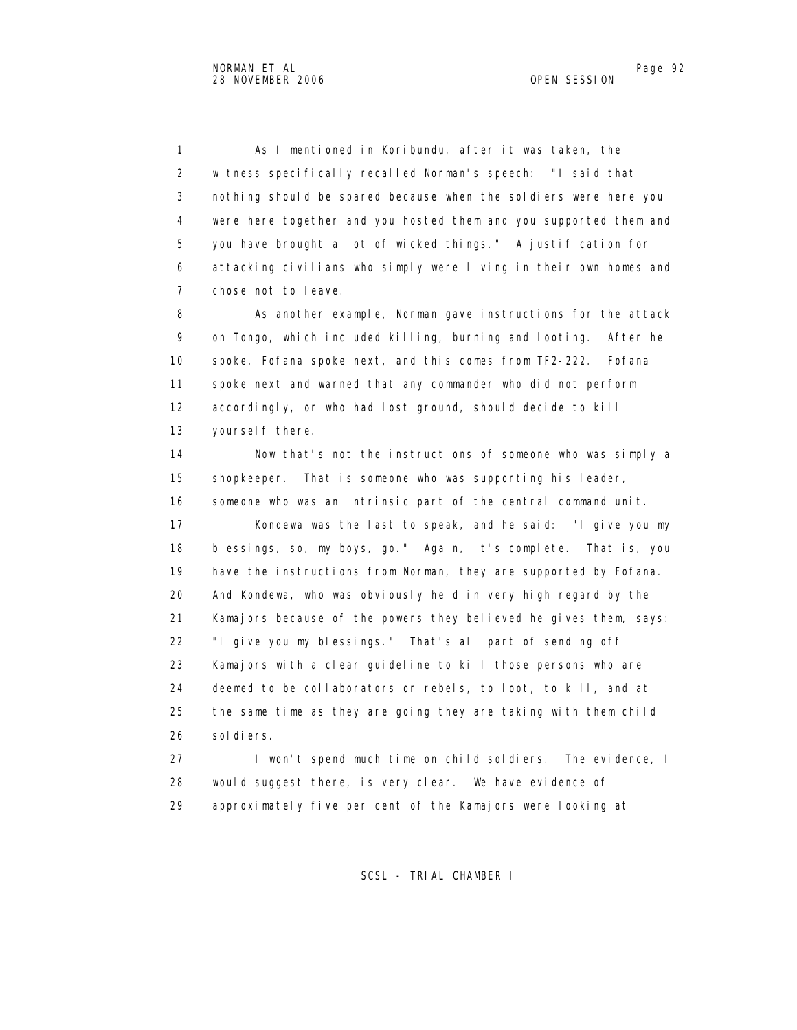1 As I mentioned in Koribundu, after it was taken, the 2 witness specifically recalled Norman's speech: "I said that 3 nothing should be spared because when the soldiers were here you 4 were here together and you hosted them and you supported them and 5 you have brought a lot of wicked things." A justification for 6 attacking civilians who simply were living in their own homes and 7 chose not to leave.

 8 As another example, Norman gave instructions for the attack 9 on Tongo, which included killing, burning and looting. After he 10 spoke, Fofana spoke next, and this comes from TF2-222. Fofana 11 spoke next and warned that any commander who did not perform 12 accordingly, or who had lost ground, should decide to kill 13 yoursel f there.

 14 Now that's not the instructions of someone who was simply a 15 shopkeeper. That is someone who was supporting his leader, 16 someone who was an intrinsic part of the central command unit. 17 Kondewa was the last to speak, and he said: "I give you my 18 blessings, so, my boys, go." Again, it's complete. That is, you 19 have the instructions from Norman, they are supported by Fofana. 20 And Kondewa, who was obviously held in very high regard by the 21 Kamajors because of the powers they believed he gives them, says: 22 "I give you my blessings." That's all part of sending off 23 Kamajors with a clear guideline to kill those persons who are 24 deemed to be collaborators or rebels, to loot, to kill, and at 25 the same time as they are going they are taking with them child 26 soldiers.

 27 I won't spend much time on child soldiers. The evidence, I 28 would suggest there, is very clear. We have evidence of 29 approximately five per cent of the Kamajors were looking at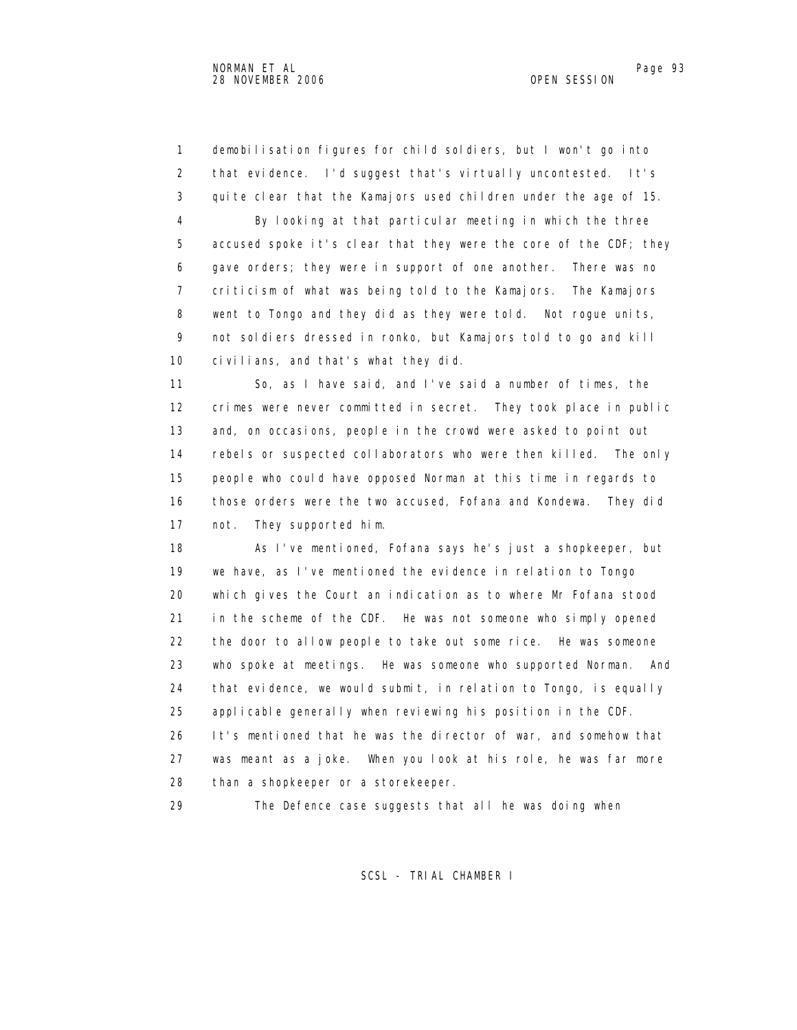1 demobilisation figures for child soldiers, but I won't go into 2 that evidence. I'd suggest that's virtually uncontested. It's 3 quite clear that the Kamajors used children under the age of 15. 4 By looking at that particular meeting in which the three 5 accused spoke it's clear that they were the core of the CDF; they 6 gave orders; they were in support of one another. There was no 7 criticism of what was being told to the Kamajors. The Kamajors 8 went to Tongo and they did as they were told. Not rogue units, 9 not soldiers dressed in ronko, but Kamajors told to go and kill 10 civilians, and that's what they did.

 11 So, as I have said, and I've said a number of times, the 12 crimes were never committed in secret. They took place in public 13 and, on occasions, people in the crowd were asked to point out 14 rebels or suspected collaborators who were then killed. The only 15 people who could have opposed Norman at this time in regards to 16 those orders were the two accused, Fofana and Kondewa. They did 17 not. They supported him.

 18 As I've mentioned, Fofana says he's just a shopkeeper, but 19 we have, as I've mentioned the evidence in relation to Tongo 20 which gives the Court an indication as to where Mr Fofana stood 21 in the scheme of the CDF. He was not someone who simply opened 22 the door to allow people to take out some rice. He was someone 23 who spoke at meetings. He was someone who supported Norman. And 24 that evidence, we would submit, in relation to Tongo, is equally 25 applicable generally when reviewing his position in the CDF. 26 It's mentioned that he was the director of war, and somehow that 27 was meant as a joke. When you look at his role, he was far more

28 than a shopkeeper or a storekeeper.

29 The Defence case suggests that all he was doing when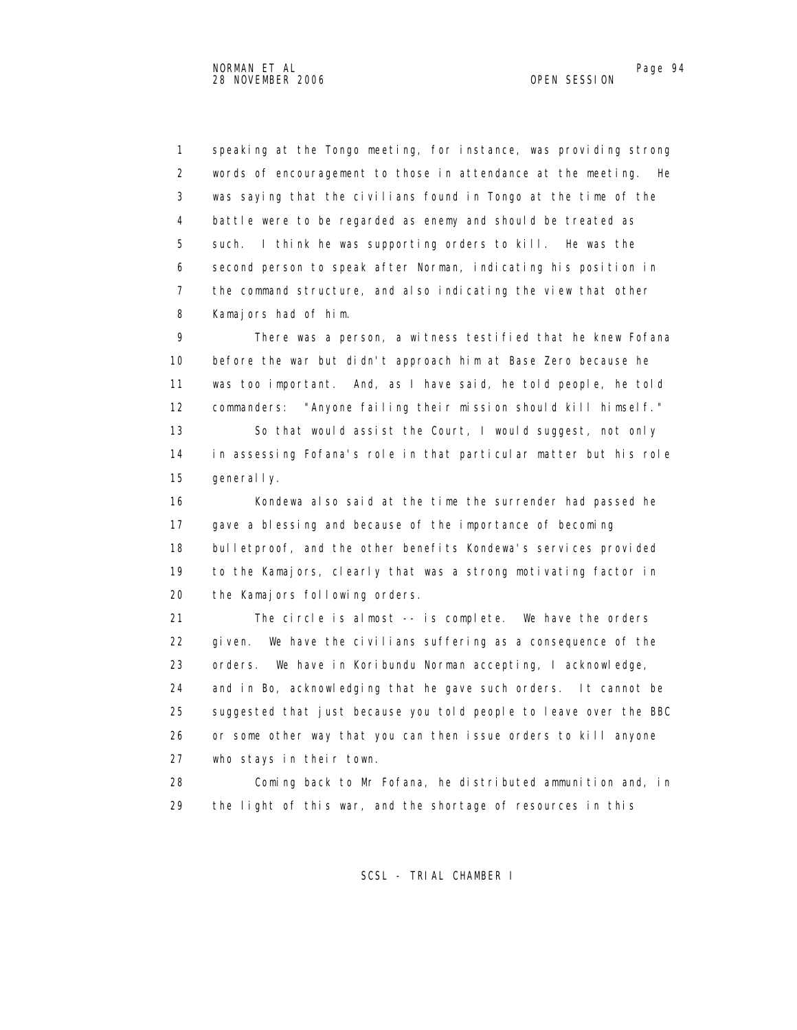1 speaking at the Tongo meeting, for instance, was providing strong 2 words of encouragement to those in attendance at the meeting. He 3 was saying that the civilians found in Tongo at the time of the 4 battle were to be regarded as enemy and should be treated as 5 such. I think he was supporting orders to kill. He was the 6 second person to speak after Norman, indicating his position in 7 the command structure, and also indicating the view that other 8 Kamajors had of him.

 9 There was a person, a witness testified that he knew Fofana 10 before the war but didn't approach him at Base Zero because he 11 was too important. And, as I have said, he told people, he told 12 commanders: "Anyone failing their mission should kill himself." 13 So that would assist the Court, I would suggest, not only 14 in assessing Fofana's role in that particular matter but his role

15 generally.

16 Kondewa also said at the time the surrender had passed he 17 gave a blessing and because of the importance of becoming 18 bulletproof, and the other benefits Kondewa's services provided 19 to the Kamajors, clearly that was a strong motivating factor in 20 the Kamajors following orders.

 21 The circle is almost -- is complete. We have the orders 22 given. We have the civilians suffering as a consequence of the 23 orders. We have in Koribundu Norman accepting, I acknowledge, 24 and in Bo, acknowledging that he gave such orders. It cannot be 25 suggested that just because you told people to leave over the BBC 26 or some other way that you can then issue orders to kill anyone 27 who stays in their town.

 28 Coming back to Mr Fofana, he distributed ammunition and, in 29 the light of this war, and the shortage of resources in this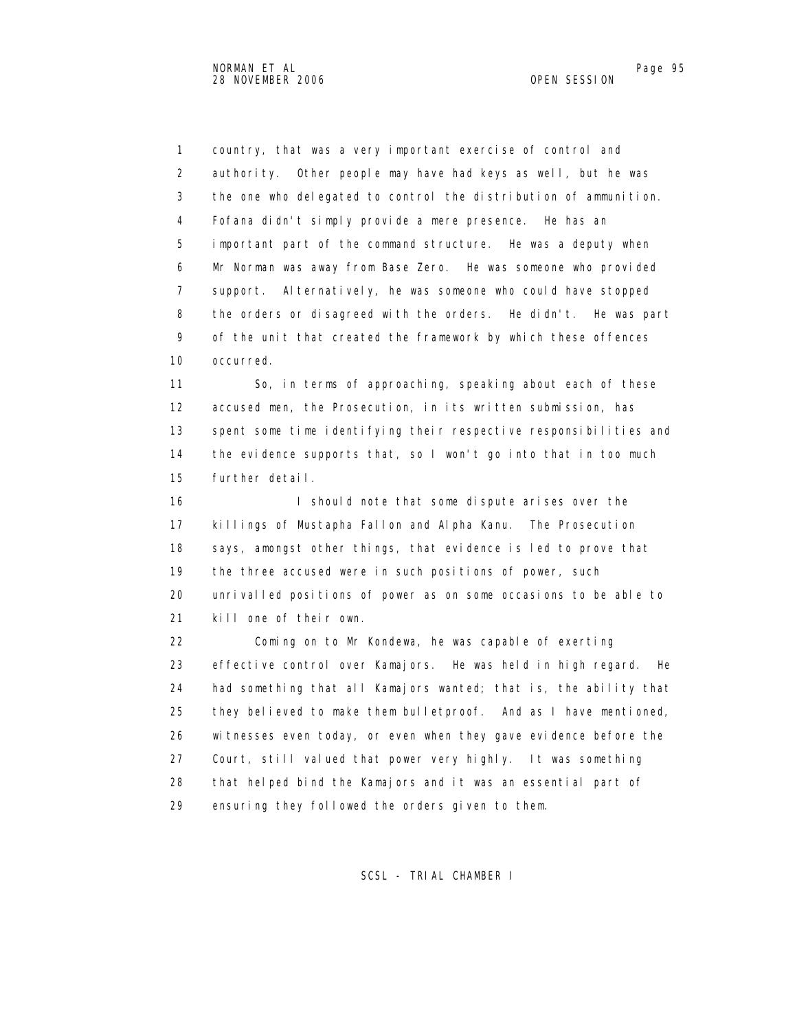1 country, that was a very important exercise of control and 2 authority. Other people may have had keys as well, but he was 3 the one who delegated to control the distribution of ammunition. 4 Fofana didn't simply provide a mere presence. He has an 5 important part of the command structure. He was a deputy when 6 Mr Norman was away from Base Zero. He was someone who provided 7 support. Alternatively, he was someone who could have stopped 8 the orders or disagreed with the orders. He didn't. He was part 9 of the unit that created the framework by which these offences 10 occurred.

 11 So, in terms of approaching, speaking about each of these 12 accused men, the Prosecution, in its written submission, has 13 spent some time identifying their respective responsibilities and 14 the evidence supports that, so I won't go into that in too much 15 further detail.

16 I should note that some dispute arises over the 17 killings of Mustapha Fallon and Alpha Kanu. The Prosecution 18 says, amongst other things, that evidence is led to prove that 19 the three accused were in such positions of power, such 20 unrivalled positions of power as on some occasions to be able to 21 kill one of their own.

 22 Coming on to Mr Kondewa, he was capable of exerting 23 effective control over Kamajors. He was held in high regard. He 24 had something that all Kamajors wanted; that is, the ability that 25 they believed to make them bulletproof. And as I have mentioned, 26 witnesses even today, or even when they gave evidence before the 27 Court, still valued that power very highly. It was something 28 that helped bind the Kamajors and it was an essential part of 29 ensuring they followed the orders given to them.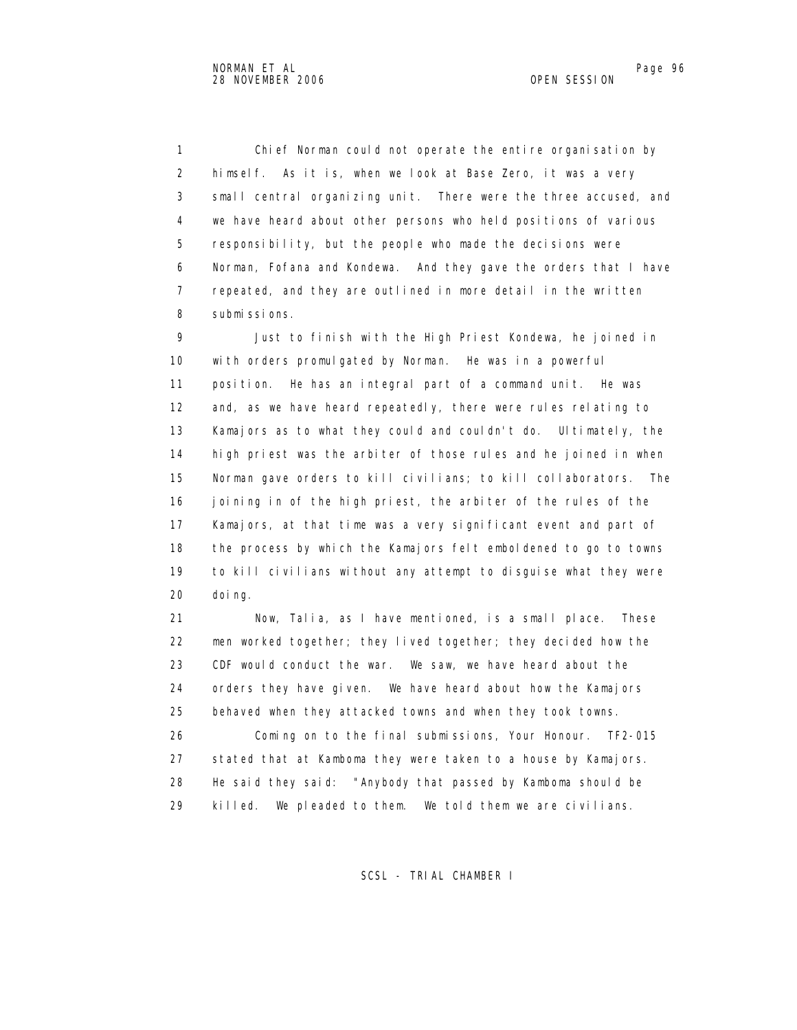1 Chief Norman could not operate the entire organisation by 2 himself. As it is, when we look at Base Zero, it was a very 3 small central organizing unit. There were the three accused, and 4 we have heard about other persons who held positions of various 5 responsibility, but the people who made the decisions were 6 Norman, Fofana and Kondewa. And they gave the orders that I have 7 repeated, and they are outlined in more detail in the written 8 submissions.

 9 Just to finish with the High Priest Kondewa, he joined in 10 with orders promulgated by Norman. He was in a powerful 11 position. He has an integral part of a command unit. He was 12 and, as we have heard repeatedly, there were rules relating to 13 Kamajors as to what they could and couldn't do. Ultimately, the 14 high priest was the arbiter of those rules and he joined in when 15 Norman gave orders to kill civilians; to kill collaborators. The 16 joining in of the high priest, the arbiter of the rules of the 17 Kamajors, at that time was a very significant event and part of 18 the process by which the Kamajors felt emboldened to go to towns 19 to kill civilians without any attempt to disguise what they were 20 doing.

 21 Now, Talia, as I have mentioned, is a small place. These 22 men worked together; they lived together; they decided how the 23 CDF would conduct the war. We saw, we have heard about the 24 orders they have given. We have heard about how the Kamajors 25 behaved when they attacked towns and when they took towns.

 26 Coming on to the final submissions, Your Honour. TF2-015 27 stated that at Kamboma they were taken to a house by Kamajors. 28 He said they said: "Anybody that passed by Kamboma should be 29 killed. We pleaded to them. We told them we are civilians.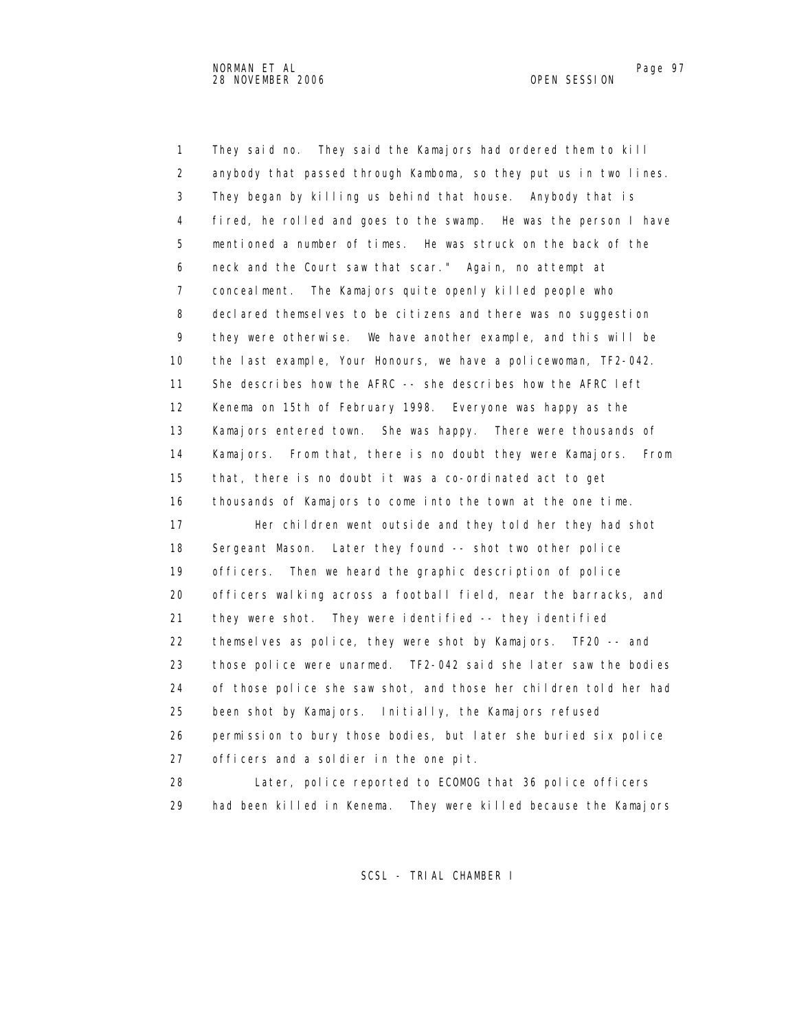1 They said no. They said the Kamajors had ordered them to kill 2 anybody that passed through Kamboma, so they put us in two lines. 3 They began by killing us behind that house. Anybody that is 4 fired, he rolled and goes to the swamp. He was the person I have 5 mentioned a number of times. He was struck on the back of the 6 neck and the Court saw that scar." Again, no attempt at 7 concealment. The Kamajors quite openly killed people who 8 declared themselves to be citizens and there was no suggestion 9 they were otherwise. We have another example, and this will be 10 the last example, Your Honours, we have a policewoman, TF2-042. 11 She describes how the AFRC -- she describes how the AFRC left 12 Kenema on 15th of February 1998. Everyone was happy as the 13 Kamajors entered town. She was happy. There were thousands of 14 Kamajors. From that, there is no doubt they were Kamajors. From 15 that, there is no doubt it was a co-ordinated act to get 16 thousands of Kamajors to come into the town at the one time. 17 Her children went outside and they told her they had shot 18 Sergeant Mason. Later they found -- shot two other police 19 officers. Then we heard the graphic description of police 20 officers walking across a football field, near the barracks, and 21 they were shot. They were identified -- they identified 22 themselves as police, they were shot by Kamajors. TF20 -- and 23 those police were unarmed. TF2-042 said she later saw the bodies 24 of those police she saw shot, and those her children told her had 25 been shot by Kamajors. Initially, the Kamajors refused 26 permission to bury those bodies, but later she buried six police 27 officers and a soldier in the one pit. 28 Later, police reported to ECOMOG that 36 police officers

29 had been killed in Kenema. They were killed because the Kamajors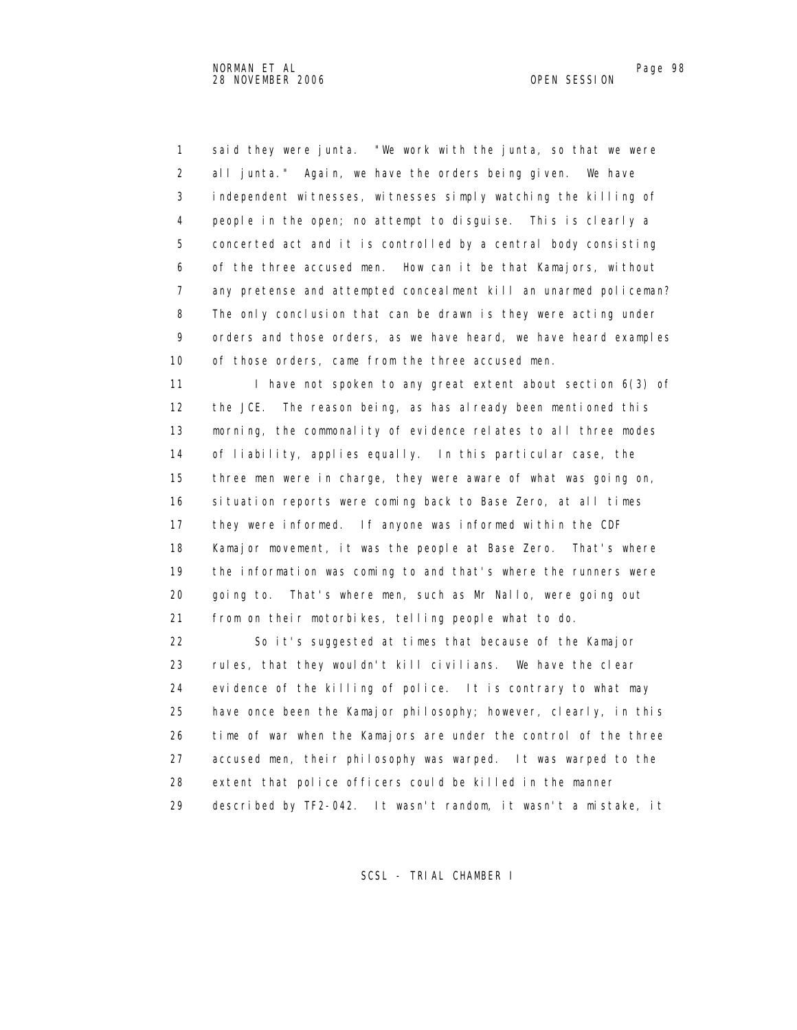1 said they were junta. "We work with the junta, so that we were 2 all junta." Again, we have the orders being given. We have 3 independent witnesses, witnesses simply watching the killing of 4 people in the open; no attempt to disguise. This is clearly a 5 concerted act and it is controlled by a central body consisting 6 of the three accused men. How can it be that Kamajors, without 7 any pretense and attempted concealment kill an unarmed policeman? 8 The only conclusion that can be drawn is they were acting under 9 orders and those orders, as we have heard, we have heard examples 10 of those orders, came from the three accused men.

11 I have not spoken to any great extent about section 6(3) of 12 the JCE. The reason being, as has already been mentioned this 13 morning, the commonality of evidence relates to all three modes 14 of liability, applies equally. In this particular case, the 15 three men were in charge, they were aware of what was going on, 16 situation reports were coming back to Base Zero, at all times 17 they were informed. If anyone was informed within the CDF 18 Kamajor movement, it was the people at Base Zero. That's where 19 the information was coming to and that's where the runners were 20 going to. That's where men, such as Mr Nallo, were going out 21 from on their motorbikes, telling people what to do.

 22 So it's suggested at times that because of the Kamajor 23 rules, that they wouldn't kill civilians. We have the clear 24 evidence of the killing of police. It is contrary to what may 25 have once been the Kamajor philosophy; however, clearly, in this 26 time of war when the Kamajors are under the control of the three 27 accused men, their philosophy was warped. It was warped to the 28 extent that police officers could be killed in the manner 29 described by TF2-042. It wasn't random, it wasn't a mistake, it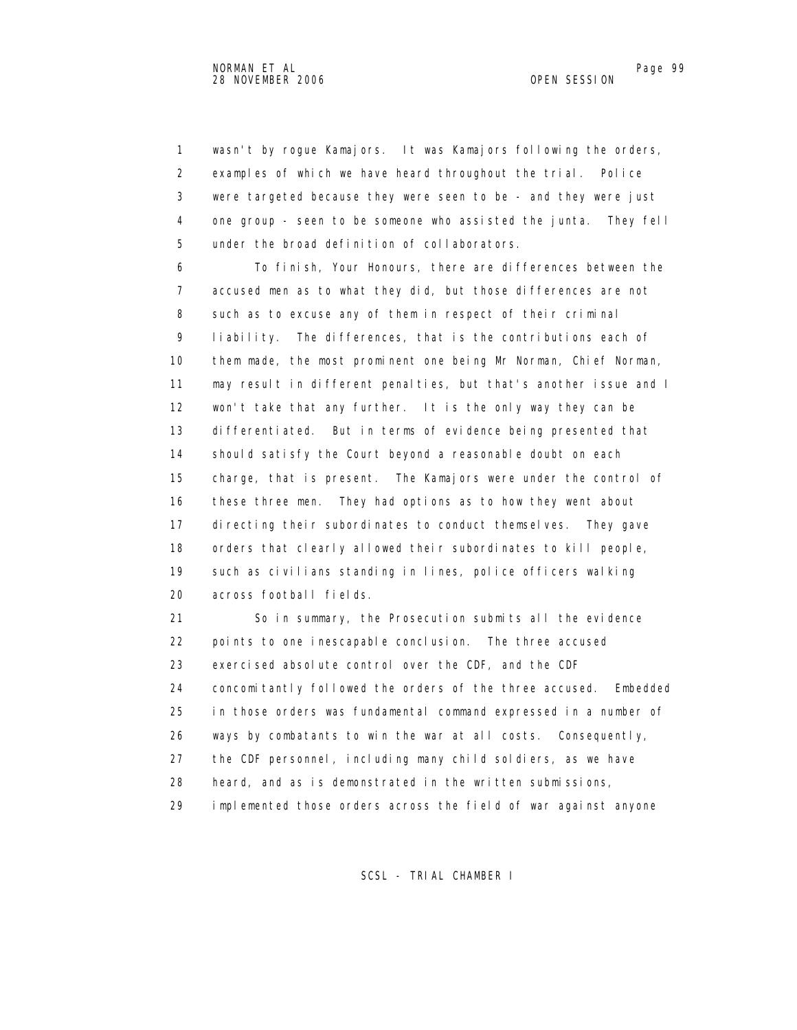1 wasn't by rogue Kamajors. It was Kamajors following the orders, 2 examples of which we have heard throughout the trial. Police 3 were targeted because they were seen to be - and they were just 4 one group - seen to be someone who assisted the junta. They fell 5 under the broad definition of collaborators.

 6 To finish, Your Honours, there are differences between the 7 accused men as to what they did, but those differences are not 8 such as to excuse any of them in respect of their criminal 9 liability. The differences, that is the contributions each of 10 them made, the most prominent one being Mr Norman, Chief Norman, 11 may result in different penalties, but that's another issue and I 12 won't take that any further. It is the only way they can be 13 differentiated. But in terms of evidence being presented that 14 should satisfy the Court beyond a reasonable doubt on each 15 charge, that is present. The Kamajors were under the control of 16 these three men. They had options as to how they went about 17 directing their subordinates to conduct themselves. They gave 18 orders that clearly allowed their subordinates to kill people, 19 such as civilians standing in lines, police officers walking 20 across football fields.

 21 So in summary, the Prosecution submits all the evidence 22 points to one inescapable conclusion. The three accused 23 exercised absolute control over the CDF, and the CDF 24 concomitantly followed the orders of the three accused. Embedded 25 in those orders was fundamental command expressed in a number of 26 ways by combatants to win the war at all costs. Consequently, 27 the CDF personnel, including many child soldiers, as we have 28 heard, and as is demonstrated in the written submissions, 29 implemented those orders across the field of war against anyone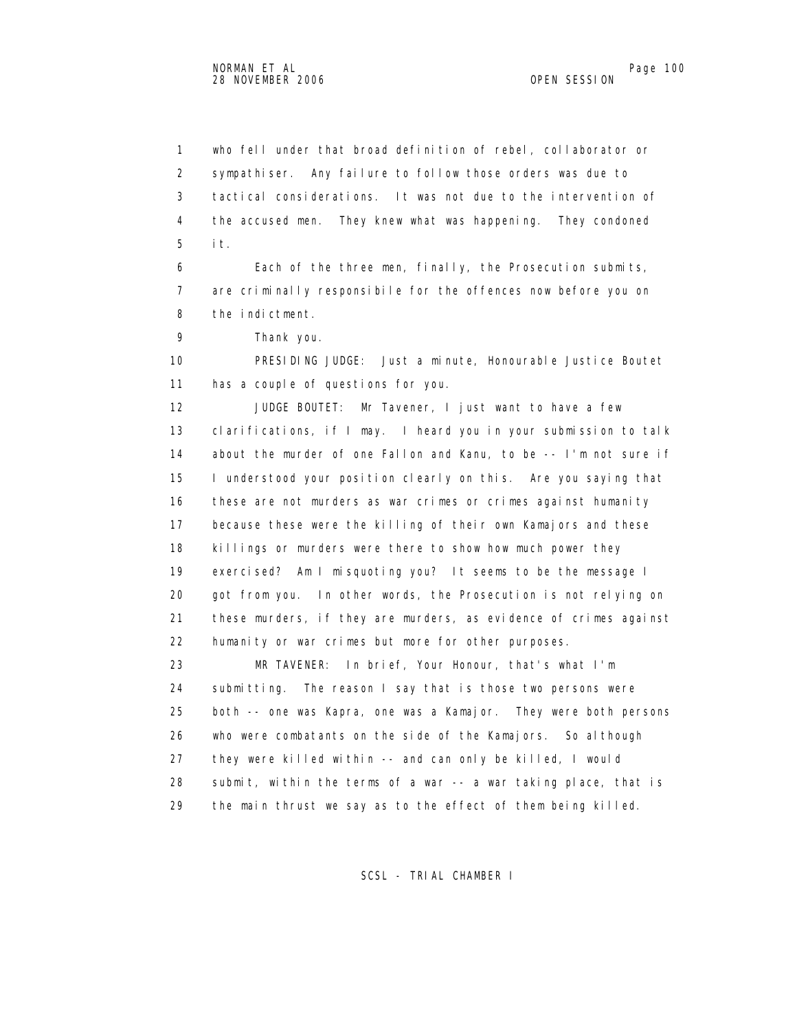1 who fell under that broad definition of rebel, collaborator or 2 sympathiser. Any failure to follow those orders was due to 3 tactical considerations. It was not due to the intervention of 4 the accused men. They knew what was happening. They condoned 5 it.

 6 Each of the three men, finally, the Prosecution submits, 7 are criminally responsibile for the offences now before you on 8 the indictment.

9 Thank you.

 10 PRESIDING JUDGE: Just a minute, Honourable Justice Boutet 11 has a couple of questions for you.

 12 JUDGE BOUTET: Mr Tavener, I just want to have a few 13 clarifications, if I may. I heard you in your submission to talk 14 about the murder of one Fallon and Kanu, to be -- I'm not sure if 15 I understood your position clearly on this. Are you saying that 16 these are not murders as war crimes or crimes against humanity 17 because these were the killing of their own Kamajors and these 18 killings or murders were there to show how much power they 19 exercised? Am I misquoting you? It seems to be the message I 20 got from you. In other words, the Prosecution is not relying on 21 these murders, if they are murders, as evidence of crimes against 22 humanity or war crimes but more for other purposes.

 23 MR TAVENER: In brief, Your Honour, that's what I'm 24 submitting. The reason I say that is those two persons were 25 both -- one was Kapra, one was a Kamajor. They were both persons 26 who were combatants on the side of the Kamajors. So although 27 they were killed within -- and can only be killed, I would 28 submit, within the terms of a war -- a war taking place, that is 29 the main thrust we say as to the effect of them being killed.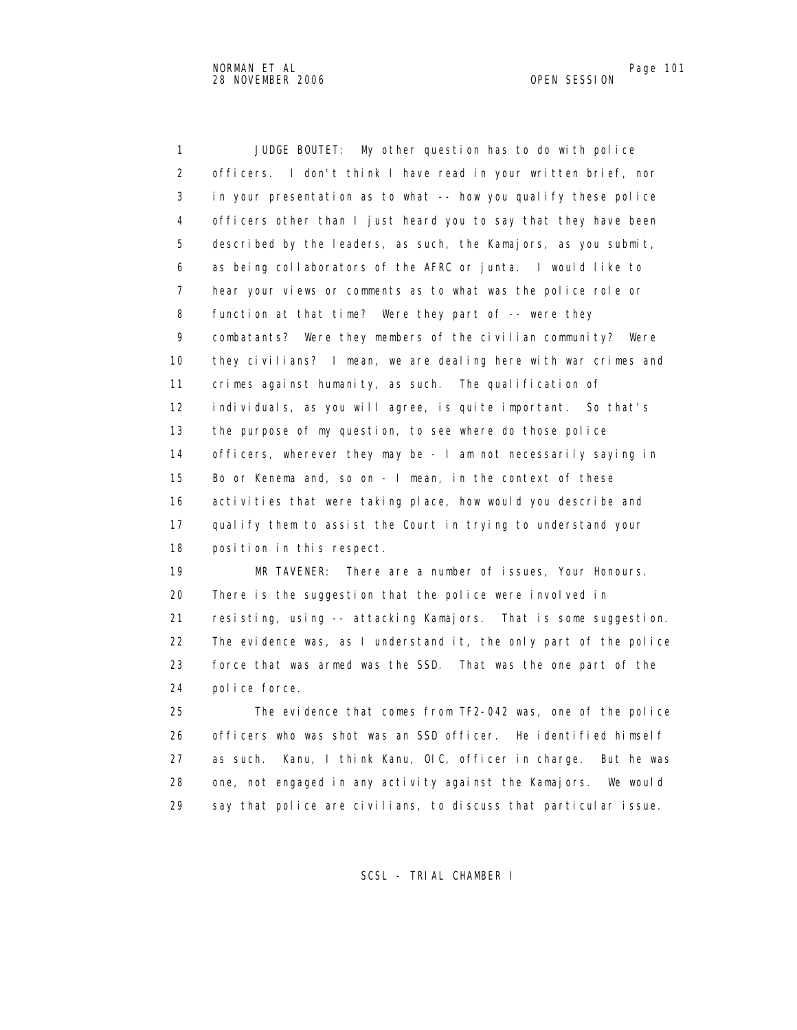1 JUDGE BOUTET: My other question has to do with police 2 officers. I don't think I have read in your written brief, nor 3 in your presentation as to what -- how you qualify these police 4 officers other than I just heard you to say that they have been 5 described by the leaders, as such, the Kamajors, as you submit, 6 as being collaborators of the AFRC or junta. I would like to 7 hear your views or comments as to what was the police role or 8 function at that time? Were they part of -- were they 9 combatants? Were they members of the civilian community? Were 10 they civilians? I mean, we are dealing here with war crimes and 11 crimes against humanity, as such. The qualification of 12 individuals, as you will agree, is quite important. So that's 13 the purpose of my question, to see where do those police 14 officers, wherever they may be - I am not necessarily saying in 15 Bo or Kenema and, so on - I mean, in the context of these 16 activities that were taking place, how would you describe and 17 qualify them to assist the Court in trying to understand your 18 position in this respect.

 19 MR TAVENER: There are a number of issues, Your Honours. 20 There is the suggestion that the police were involved in 21 resisting, using -- attacking Kamajors. That is some suggestion. 22 The evidence was, as I understand it, the only part of the police 23 force that was armed was the SSD. That was the one part of the 24 police force.

 25 The evidence that comes from TF2-042 was, one of the police 26 officers who was shot was an SSD officer. He identified himself 27 as such. Kanu, I think Kanu, OIC, officer in charge. But he was 28 one, not engaged in any activity against the Kamajors. We would 29 say that police are civilians, to discuss that particular issue.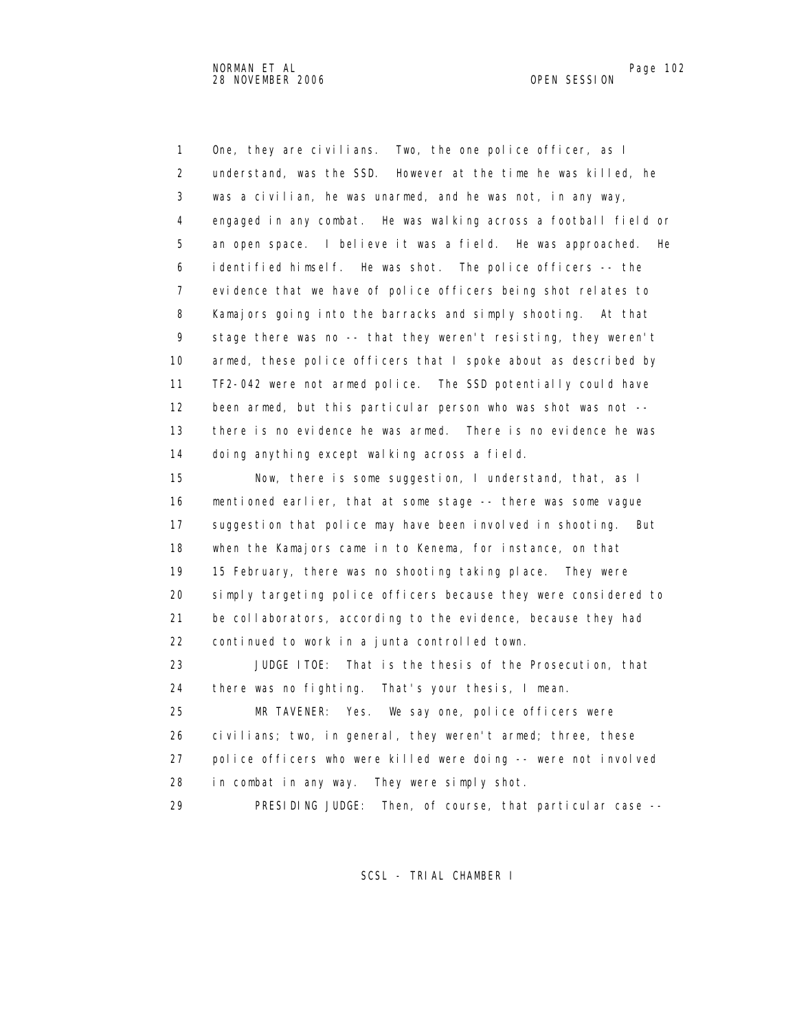1 One, they are civilians. Two, the one police officer, as I 2 understand, was the SSD. However at the time he was killed, he 3 was a civilian, he was unarmed, and he was not, in any way, 4 engaged in any combat. He was walking across a football field or 5 an open space. I believe it was a field. He was approached. He 6 identified himself. He was shot. The police officers -- the 7 evidence that we have of police officers being shot relates to 8 Kamajors going into the barracks and simply shooting. At that 9 stage there was no -- that they weren't resisting, they weren't 10 armed, these police officers that I spoke about as described by 11 TF2-042 were not armed police. The SSD potentially could have 12 been armed, but this particular person who was shot was not -- 13 there is no evidence he was armed. There is no evidence he was 14 doing anything except walking across a field. 15 Now, there is some suggestion, I understand, that, as I 16 mentioned earlier, that at some stage -- there was some vague 17 suggestion that police may have been involved in shooting. But 18 when the Kamajors came in to Kenema, for instance, on that 19 15 February, there was no shooting taking place. They were 20 simply targeting police officers because they were considered to 21 be collaborators, according to the evidence, because they had 22 continued to work in a junta controlled town. 23 JUDGE ITOE: That is the thesis of the Prosecution, that 24 there was no fighting. That's your thesis, I mean. 25 MR TAVENER: Yes. We say one, police officers were 26 civilians; two, in general, they weren't armed; three, these 27 police officers who were killed were doing -- were not involved 28 in combat in any way. They were simply shot. 29 PRESIDING JUDGE: Then, of course, that particular case --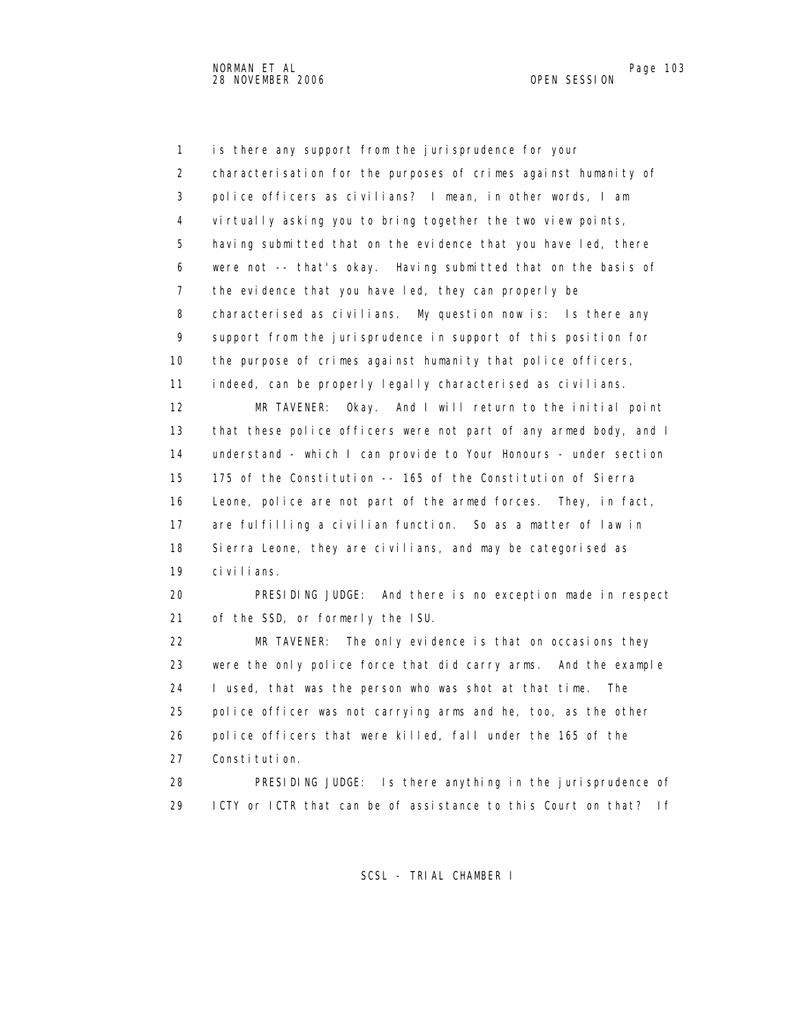1 is there any support from the jurisprudence for your 2 characterisation for the purposes of crimes against humanity of 3 police officers as civilians? I mean, in other words, I am 4 virtually asking you to bring together the two view points, 5 having submitted that on the evidence that you have led, there 6 were not -- that's okay. Having submitted that on the basis of 7 the evidence that you have led, they can properly be 8 characterised as civilians. My question now is: Is there any 9 support from the jurisprudence in support of this position for 10 the purpose of crimes against humanity that police officers, 11 indeed, can be properly legally characterised as civilians. 12 MR TAVENER: Okay. And I will return to the initial point 13 that these police officers were not part of any armed body, and I 14 understand - which I can provide to Your Honours - under section 15 175 of the Constitution -- 165 of the Constitution of Sierra 16 Leone, police are not part of the armed forces. They, in fact, 17 are fulfilling a civilian function. So as a matter of law in 18 Sierra Leone, they are civilians, and may be categorised as 19 civilians. 20 PRESIDING JUDGE: And there is no exception made in respect 21 of the SSD, or formerly the ISU. 22 MR TAVENER: The only evidence is that on occasions they 23 were the only police force that did carry arms. And the example 24 I used, that was the person who was shot at that time. The 25 police officer was not carrying arms and he, too, as the other 26 police officers that were killed, fall under the 165 of the 27 Constitution. 28 PRESIDING JUDGE: Is there anything in the jurisprudence of

SCSL - TRIAL CHAMBER I

29 ICTY or ICTR that can be of assistance to this Court on that? If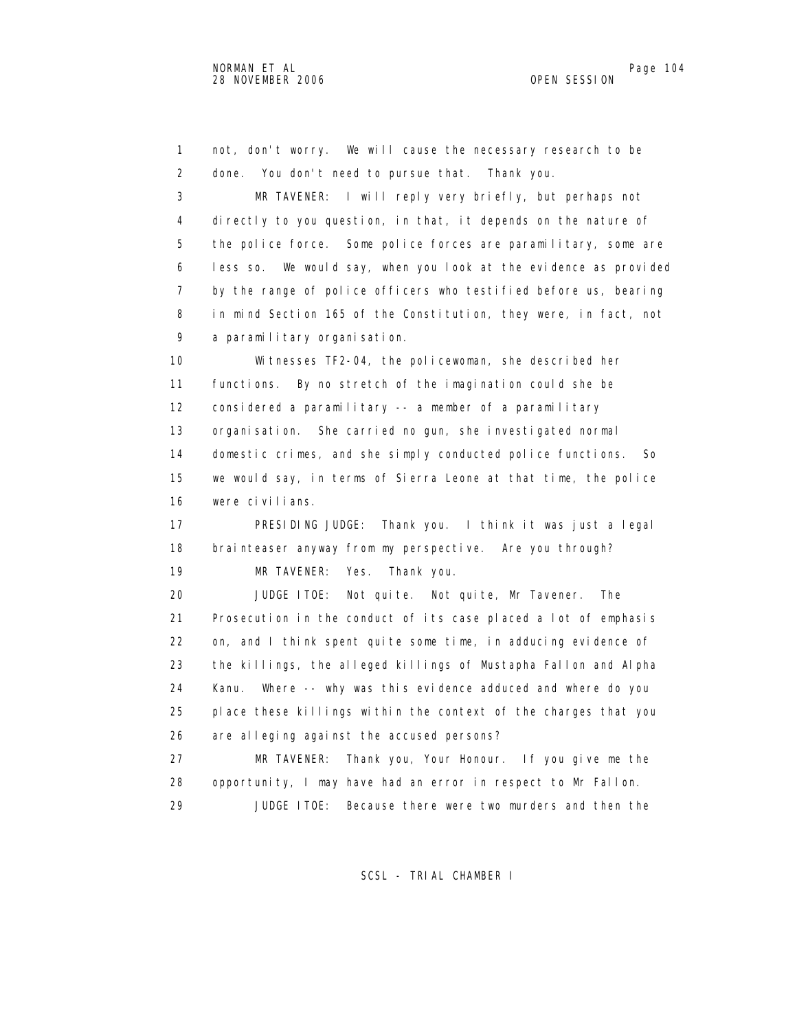1 not, don't worry. We will cause the necessary research to be 2 done. You don't need to pursue that. Thank you. 3 MR TAVENER: I will reply very briefly, but perhaps not 4 directly to you question, in that, it depends on the nature of 5 the police force. Some police forces are paramilitary, some are 6 less so. We would say, when you look at the evidence as provided 7 by the range of police officers who testified before us, bearing 8 in mind Section 165 of the Constitution, they were, in fact, not 9 a paramilitary organisation. 10 Witnesses TF2-04, the policewoman, she described her 11 functions. By no stretch of the imagination could she be 12 considered a paramilitary -- a member of a paramilitary 13 organisation. She carried no gun, she investigated normal 14 domestic crimes, and she simply conducted police functions. So 15 we would say, in terms of Sierra Leone at that time, the police 16 were civilians. 17 PRESIDING JUDGE: Thank you. I think it was just a legal 18 brainteaser anyway from my perspective. Are you through? 19 MR TAVENER: Yes. Thank you. 20 JUDGE ITOE: Not quite. Not quite, Mr Tavener. The 21 Prosecution in the conduct of its case placed a lot of emphasis 22 on, and I think spent quite some time, in adducing evidence of 23 the killings, the alleged killings of Mustapha Fallon and Alpha 24 Kanu. Where -- why was this evidence adduced and where do you 25 place these killings within the context of the charges that you 26 are alleging against the accused persons? 27 MR TAVENER: Thank you, Your Honour. If you give me the 28 opportunity, I may have had an error in respect to Mr Fallon. 29 JUDGE ITOE: Because there were two murders and then the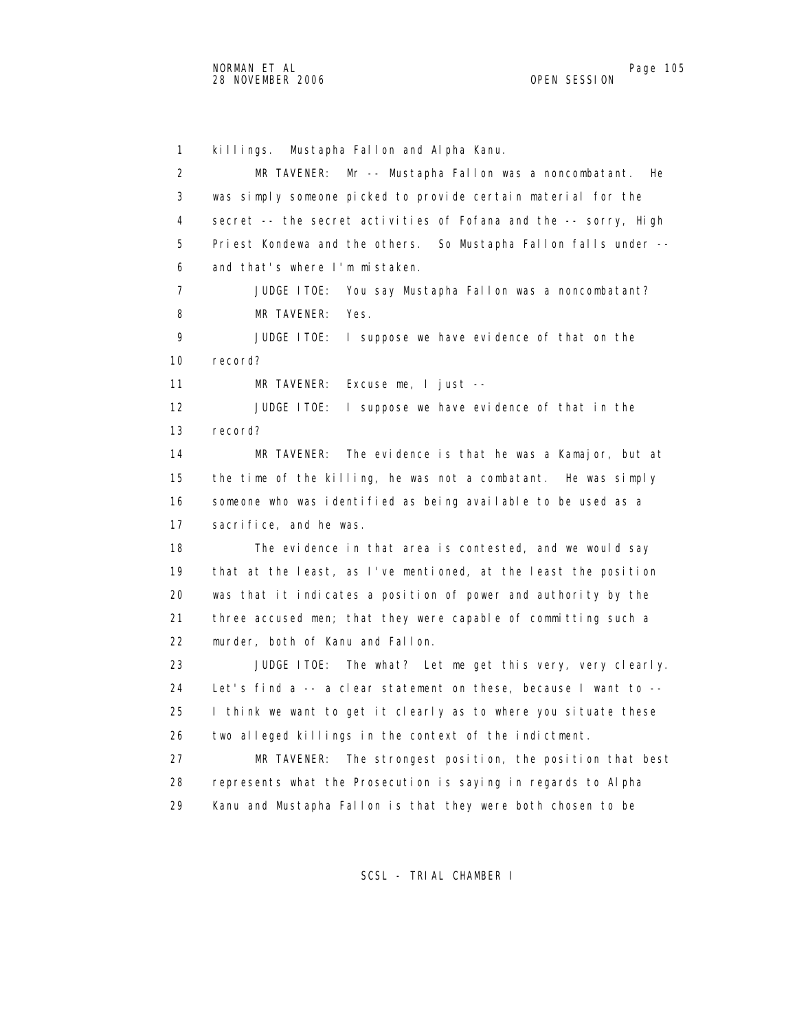1 killings. Mustapha Fallon and Alpha Kanu. 2 MR TAVENER: Mr -- Mustapha Fallon was a noncombatant. He 3 was simply someone picked to provide certain material for the 4 secret -- the secret activities of Fofana and the -- sorry, High 5 Priest Kondewa and the others. So Mustapha Fallon falls under -- 6 and that's where I'm mistaken. 7 JUDGE ITOE: You say Mustapha Fallon was a noncombatant? 8 MR TAVENER: Yes. 9 JUDGE ITOE: I suppose we have evidence of that on the 10 record? 11 MR TAVENER: Excuse me, I just -- 12 JUDGE ITOE: I suppose we have evidence of that in the 13 record? 14 MR TAVENER: The evidence is that he was a Kamajor, but at 15 the time of the killing, he was not a combatant. He was simply 16 someone who was identified as being available to be used as a 17 sacrifice, and he was. 18 The evidence in that area is contested, and we would say 19 that at the least, as I've mentioned, at the least the position 20 was that it indicates a position of power and authority by the 21 three accused men; that they were capable of committing such a 22 murder, both of Kanu and Fallon. 23 JUDGE ITOE: The what? Let me get this very, very clearly. 24 Let's find a -- a clear statement on these, because I want to -- 25 I think we want to get it clearly as to where you situate these 26 two alleged killings in the context of the indictment. 27 MR TAVENER: The strongest position, the position that best 28 represents what the Prosecution is saying in regards to Alpha 29 Kanu and Mustapha Fallon is that they were both chosen to be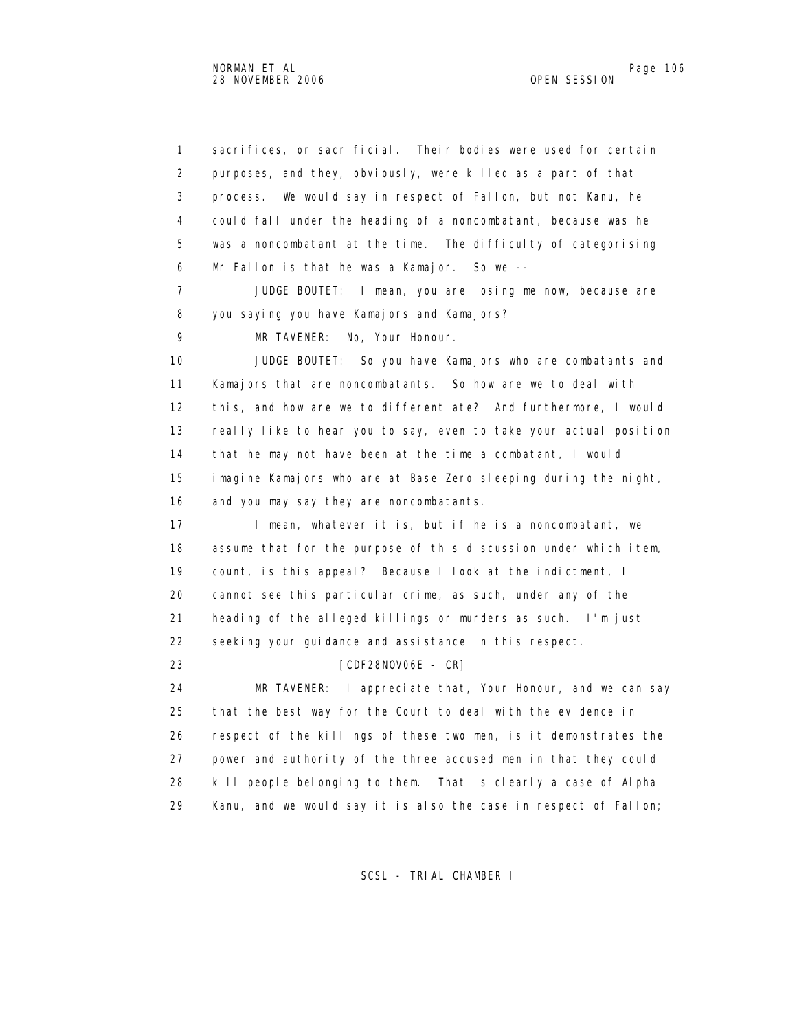1 sacrifices, or sacrificial. Their bodies were used for certain 2 purposes, and they, obviously, were killed as a part of that 3 process. We would say in respect of Fallon, but not Kanu, he 4 could fall under the heading of a noncombatant, because was he 5 was a noncombatant at the time. The difficulty of categorising 6 Mr Fallon is that he was a Kamajor. So we -- 7 JUDGE BOUTET: I mean, you are losing me now, because are 8 you saying you have Kamajors and Kamajors? 9 MR TAVENER: No, Your Honour. 10 JUDGE BOUTET: So you have Kamajors who are combatants and 11 Kamajors that are noncombatants. So how are we to deal with 12 this, and how are we to differentiate? And furthermore, I would 13 really like to hear you to say, even to take your actual position 14 that he may not have been at the time a combatant, I would 15 imagine Kamajors who are at Base Zero sleeping during the night, 16 and you may say they are noncombatants. 17 I mean, whatever it is, but if he is a noncombatant, we 18 assume that for the purpose of this discussion under which item, 19 count, is this appeal? Because I look at the indictment, I 20 cannot see this particular crime, as such, under any of the 21 heading of the alleged killings or murders as such. I'm just 22 seeking your guidance and assistance in this respect. 23 [CDF28NOV06E - CR] 24 MR TAVENER: I appreciate that, Your Honour, and we can say 25 that the best way for the Court to deal with the evidence in 26 respect of the killings of these two men, is it demonstrates the 27 power and authority of the three accused men in that they could 28 kill people belonging to them. That is clearly a case of Alpha 29 Kanu, and we would say it is also the case in respect of Fallon;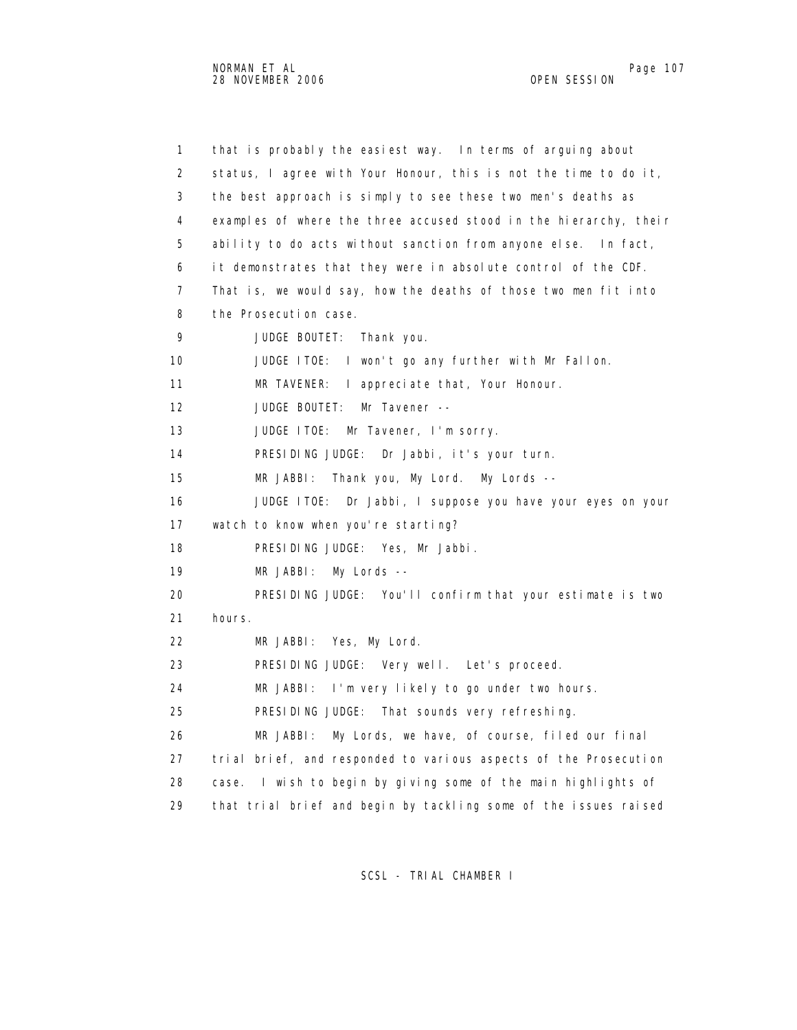1 that is probably the easiest way. In terms of arguing about 2 status, I agree with Your Honour, this is not the time to do it, 3 the best approach is simply to see these two men's deaths as 4 examples of where the three accused stood in the hierarchy, their 5 ability to do acts without sanction from anyone else. In fact, 6 it demonstrates that they were in absolute control of the CDF. 7 That is, we would say, how the deaths of those two men fit into 8 the Prosecution case. 9 JUDGE BOUTET: Thank you. 10 JUDGE ITOE: I won't go any further with Mr Fallon. 11 MR TAVENER: I appreciate that, Your Honour. 12 JUDGE BOUTET: Mr Tavener -- 13 JUDGE ITOE: Mr Tavener, I'm sorry. 14 PRESIDING JUDGE: Dr Jabbi, it's your turn. 15 MR JABBI: Thank you, My Lord. My Lords -- 16 JUDGE ITOE: Dr Jabbi, I suppose you have your eyes on your 17 watch to know when you're starting? 18 PRESIDING JUDGE: Yes, Mr Jabbi. 19 MR JABBI: My Lords -- 20 PRESIDING JUDGE: You'll confirm that your estimate is two 21 hours. 22 MR JABBI: Yes, My Lord. 23 PRESIDING JUDGE: Very well. Let's proceed. 24 MR JABBI: I'm very likely to go under two hours. 25 PRESIDING JUDGE: That sounds very refreshing. 26 MR JABBI: My Lords, we have, of course, filed our final 27 trial brief, and responded to various aspects of the Prosecution 28 case. I wish to begin by giving some of the main highlights of 29 that trial brief and begin by tackling some of the issues raised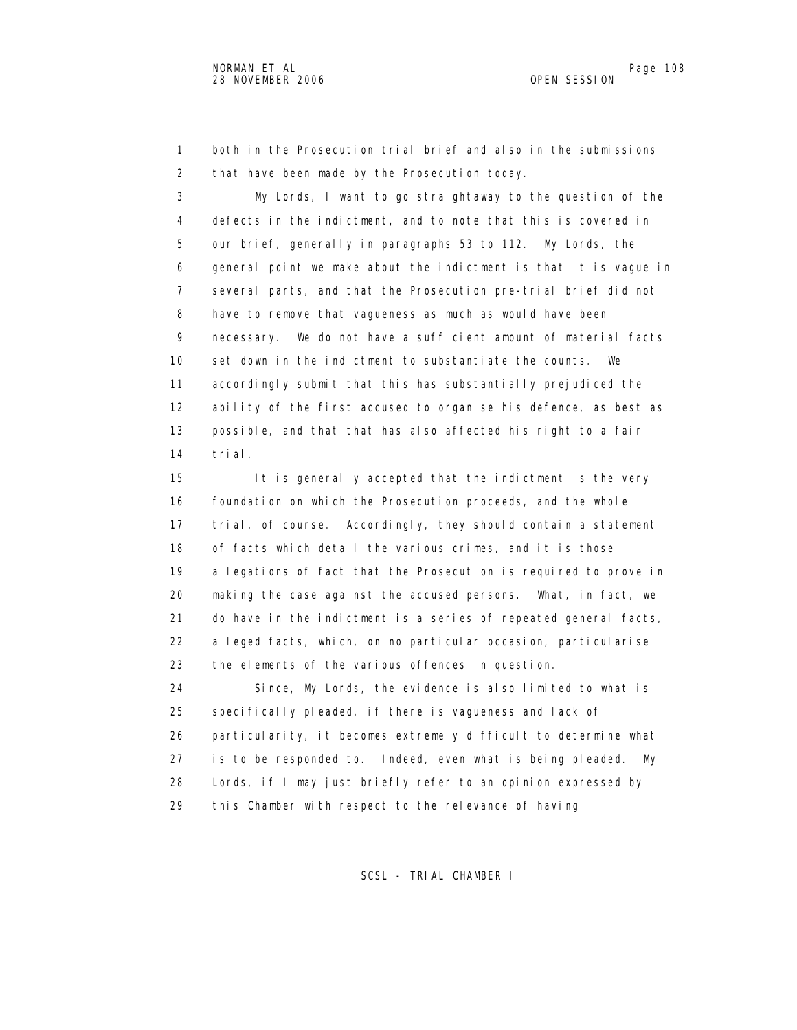1 both in the Prosecution trial brief and also in the submissions 2 that have been made by the Prosecution today.

 3 My Lords, I want to go straightaway to the question of the 4 defects in the indictment, and to note that this is covered in 5 our brief, generally in paragraphs 53 to 112. My Lords, the 6 general point we make about the indictment is that it is vague in 7 several parts, and that the Prosecution pre-trial brief did not 8 have to remove that vagueness as much as would have been 9 necessary. We do not have a sufficient amount of material facts 10 set down in the indictment to substantiate the counts. We 11 accordingly submit that this has substantially prejudiced the 12 ability of the first accused to organise his defence, as best as 13 possible, and that that has also affected his right to a fair 14 trial.

 15 It is generally accepted that the indictment is the very 16 foundation on which the Prosecution proceeds, and the whole 17 trial, of course. Accordingly, they should contain a statement 18 of facts which detail the various crimes, and it is those 19 allegations of fact that the Prosecution is required to prove in 20 making the case against the accused persons. What, in fact, we 21 do have in the indictment is a series of repeated general facts, 22 alleged facts, which, on no particular occasion, particularise 23 the elements of the various offences in question.

 24 Since, My Lords, the evidence is also limited to what is 25 specifically pleaded, if there is vagueness and lack of 26 particularity, it becomes extremely difficult to determine what 27 is to be responded to. Indeed, even what is being pleaded. My 28 Lords, if I may just briefly refer to an opinion expressed by 29 this Chamber with respect to the relevance of having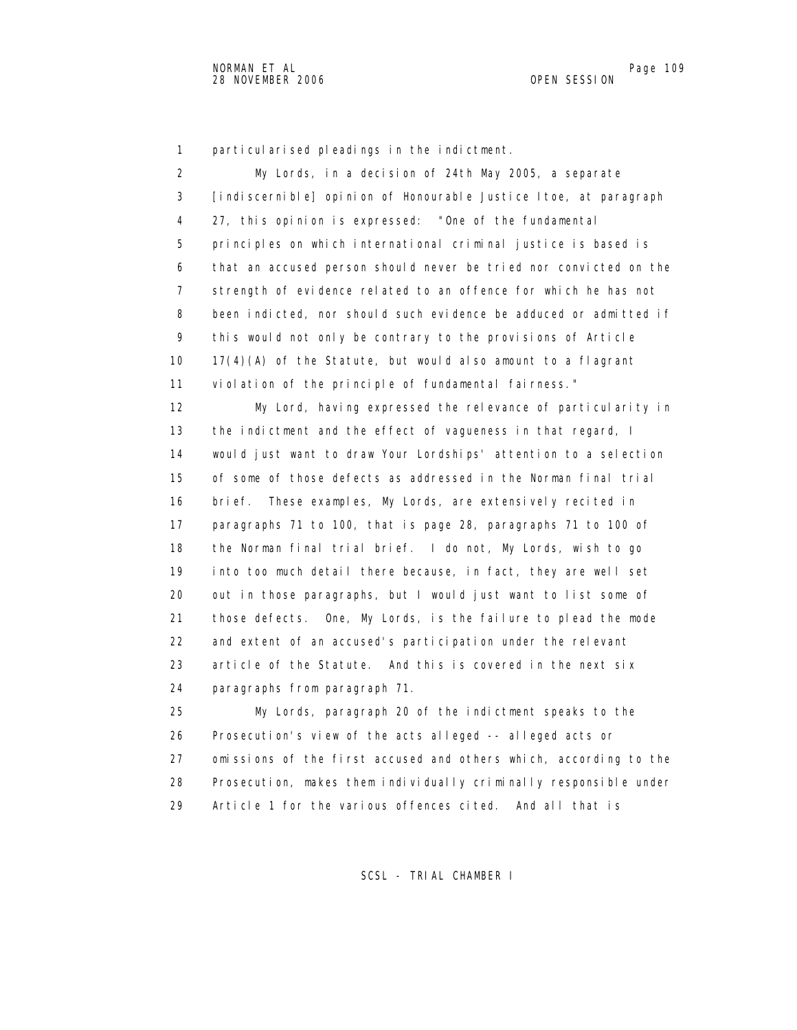1 particularised pleadings in the indictment.

 2 My Lords, in a decision of 24th May 2005, a separate 3 [indiscernible] opinion of Honourable Justice Itoe, at paragraph 4 27, this opinion is expressed: "One of the fundamental 5 principles on which international criminal justice is based is 6 that an accused person should never be tried nor convicted on the 7 strength of evidence related to an offence for which he has not 8 been indicted, nor should such evidence be adduced or admitted if 9 this would not only be contrary to the provisions of Article 10 17(4)(A) of the Statute, but would also amount to a flagrant 11 violation of the principle of fundamental fairness." 12 My Lord, having expressed the relevance of particularity in 13 the indictment and the effect of vagueness in that regard, I 14 would just want to draw Your Lordships' attention to a selection

 15 of some of those defects as addressed in the Norman final trial 16 brief. These examples, My Lords, are extensively recited in 17 paragraphs 71 to 100, that is page 28, paragraphs 71 to 100 of 18 the Norman final trial brief. I do not, My Lords, wish to go 19 into too much detail there because, in fact, they are well set 20 out in those paragraphs, but I would just want to list some of 21 those defects. One, My Lords, is the failure to plead the mode 22 and extent of an accused's participation under the relevant 23 article of the Statute. And this is covered in the next six 24 paragraphs from paragraph 71.

 25 My Lords, paragraph 20 of the indictment speaks to the 26 Prosecution's view of the acts alleged -- alleged acts or 27 omissions of the first accused and others which, according to the 28 Prosecution, makes them individually criminally responsible under 29 Article 1 for the various offences cited. And all that is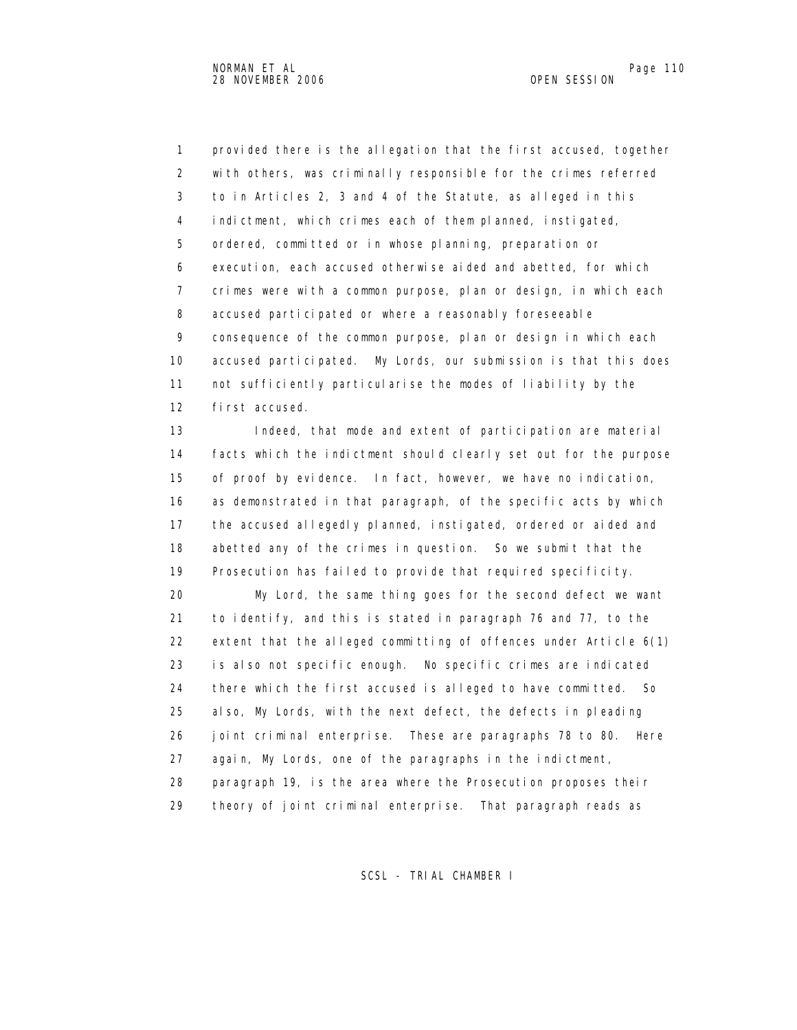1 provided there is the allegation that the first accused, together 2 with others, was criminally responsible for the crimes referred 3 to in Articles 2, 3 and 4 of the Statute, as alleged in this 4 indictment, which crimes each of them planned, instigated, 5 ordered, committed or in whose planning, preparation or 6 execution, each accused otherwise aided and abetted, for which 7 crimes were with a common purpose, plan or design, in which each 8 accused participated or where a reasonably foreseeable 9 consequence of the common purpose, plan or design in which each 10 accused participated. My Lords, our submission is that this does 11 not sufficiently particularise the modes of liability by the 12 first accused.

 13 Indeed, that mode and extent of participation are material 14 facts which the indictment should clearly set out for the purpose 15 of proof by evidence. In fact, however, we have no indication, 16 as demonstrated in that paragraph, of the specific acts by which 17 the accused allegedly planned, instigated, ordered or aided and 18 abetted any of the crimes in question. So we submit that the 19 Prosecution has failed to provide that required specificity.

 20 My Lord, the same thing goes for the second defect we want 21 to identify, and this is stated in paragraph 76 and 77, to the 22 extent that the alleged committing of offences under Article 6(1) 23 is also not specific enough. No specific crimes are indicated 24 there which the first accused is alleged to have committed. So 25 also, My Lords, with the next defect, the defects in pleading 26 joint criminal enterprise. These are paragraphs 78 to 80. Here 27 again, My Lords, one of the paragraphs in the indictment, 28 paragraph 19, is the area where the Prosecution proposes their 29 theory of joint criminal enterprise. That paragraph reads as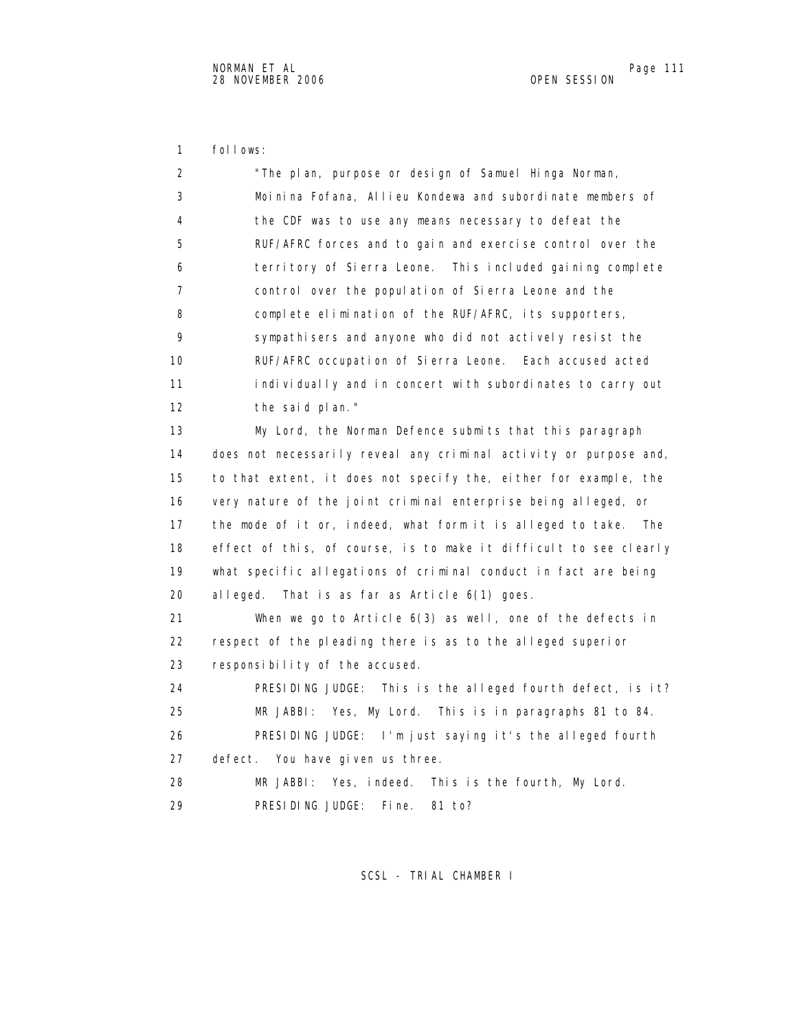1 follows:

 2 "The plan, purpose or design of Samuel Hinga Norman, 3 Moinina Fofana, Allieu Kondewa and subordinate members of 4 the CDF was to use any means necessary to defeat the 5 RUF/AFRC forces and to gain and exercise control over the 6 territory of Sierra Leone. This included gaining complete 7 control over the population of Sierra Leone and the 8 complete elimination of the RUF/AFRC, its supporters, 9 sympathisers and anyone who did not actively resist the 10 RUF/AFRC occupation of Sierra Leone. Each accused acted 11 individually and in concert with subordinates to carry out 12 the said plan." 13 My Lord, the Norman Defence submits that this paragraph 14 does not necessarily reveal any criminal activity or purpose and, 15 to that extent, it does not specify the, either for example, the 16 very nature of the joint criminal enterprise being alleged, or 17 the mode of it or, indeed, what form it is alleged to take. The 18 effect of this, of course, is to make it difficult to see clearly 19 what specific allegations of criminal conduct in fact are being 20 alleged. That is as far as Article 6(1) goes. 21 When we go to Article 6(3) as well, one of the defects in 22 respect of the pleading there is as to the alleged superior 23 responsibility of the accused. 24 PRESIDING JUDGE: This is the alleged fourth defect, is it? 25 MR JABBI: Yes, My Lord. This is in paragraphs 81 to 84. 26 PRESIDING JUDGE: I'm just saying it's the alleged fourth 27 defect. You have given us three. 28 MR JABBI: Yes, indeed. This is the fourth, My Lord. 29 PRESIDING JUDGE: Fine. 81 to?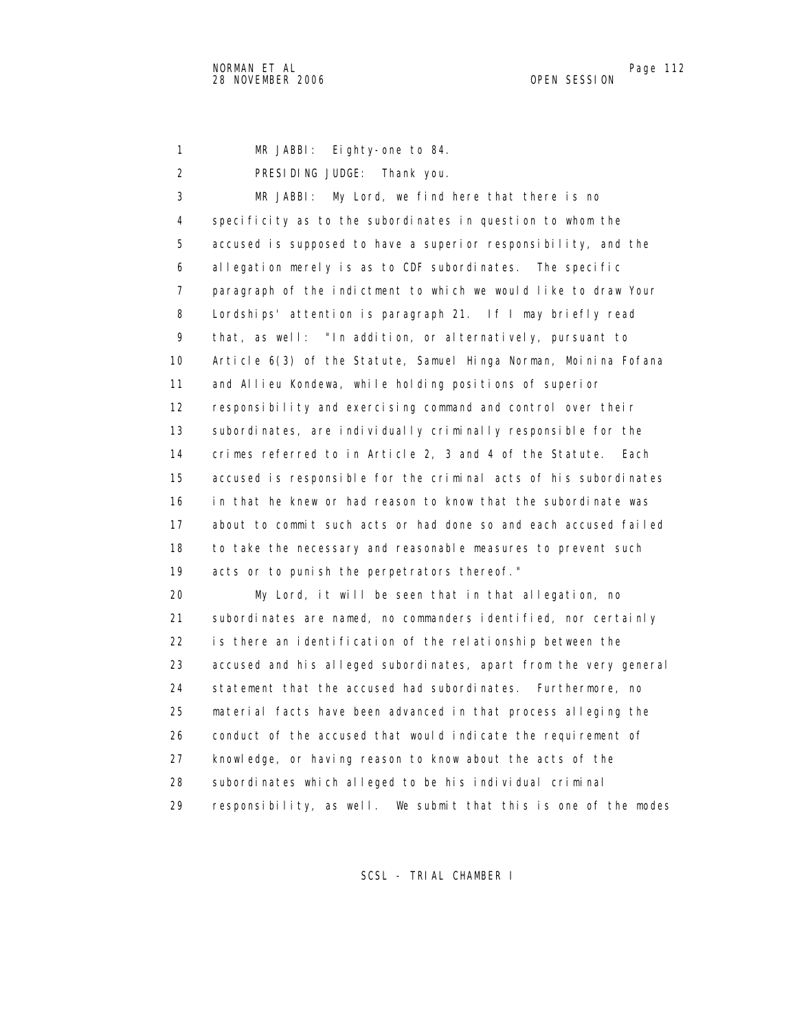1 MR JABBI: Eighty-one to 84.

2 PRESIDING JUDGE: Thank you.

 3 MR JABBI: My Lord, we find here that there is no 4 specificity as to the subordinates in question to whom the 5 accused is supposed to have a superior responsibility, and the 6 allegation merely is as to CDF subordinates. The specific 7 paragraph of the indictment to which we would like to draw Your 8 Lordships' attention is paragraph 21. If I may briefly read 9 that, as well: "In addition, or alternatively, pursuant to 10 Article 6(3) of the Statute, Samuel Hinga Norman, Moinina Fofana 11 and Allieu Kondewa, while holding positions of superior 12 responsibility and exercising command and control over their 13 subordinates, are individually criminally responsible for the 14 crimes referred to in Article 2, 3 and 4 of the Statute. Each 15 accused is responsible for the criminal acts of his subordinates 16 in that he knew or had reason to know that the subordinate was 17 about to commit such acts or had done so and each accused failed 18 to take the necessary and reasonable measures to prevent such 19 acts or to punish the perpetrators thereof."

 20 My Lord, it will be seen that in that allegation, no 21 subordinates are named, no commanders identified, nor certainly 22 is there an identification of the relationship between the 23 accused and his alleged subordinates, apart from the very general 24 statement that the accused had subordinates. Furthermore, no 25 material facts have been advanced in that process alleging the 26 conduct of the accused that would indicate the requirement of 27 knowledge, or having reason to know about the acts of the 28 subordinates which alleged to be his individual criminal 29 responsibility, as well. We submit that this is one of the modes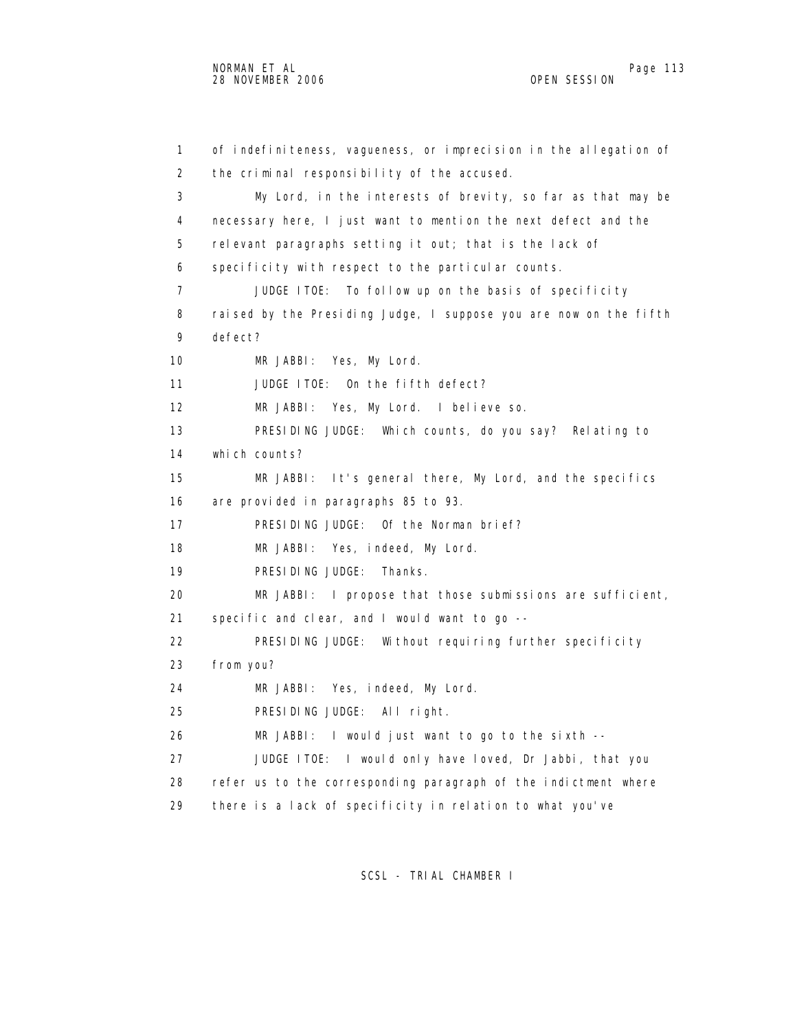1 of indefiniteness, vagueness, or imprecision in the allegation of 2 the criminal responsibility of the accused. 3 My Lord, in the interests of brevity, so far as that may be 4 necessary here, I just want to mention the next defect and the 5 relevant paragraphs setting it out; that is the lack of 6 specificity with respect to the particular counts. 7 JUDGE ITOE: To follow up on the basis of specificity 8 raised by the Presiding Judge, I suppose you are now on the fifth 9 defect? 10 MR JABBI: Yes, My Lord. 11 JUDGE ITOE: On the fifth defect? 12 MR JABBI: Yes, My Lord. I believe so. 13 PRESIDING JUDGE: Which counts, do you say? Relating to 14 which counts? 15 MR JABBI: It's general there, My Lord, and the specifics 16 are provided in paragraphs 85 to 93. 17 PRESIDING JUDGE: Of the Norman brief? 18 MR JABBI: Yes, indeed, My Lord. 19 PRESIDING JUDGE: Thanks. 20 MR JABBI: I propose that those submissions are sufficient, 21 specific and clear, and I would want to go -- 22 PRESIDING JUDGE: Without requiring further specificity 23 from you? 24 MR JABBI: Yes, indeed, My Lord. 25 PRESIDING JUDGE: All right. 26 MR JABBI: I would just want to go to the sixth -- 27 JUDGE ITOE: I would only have loved, Dr Jabbi, that you 28 refer us to the corresponding paragraph of the indictment where 29 there is a lack of specificity in relation to what you've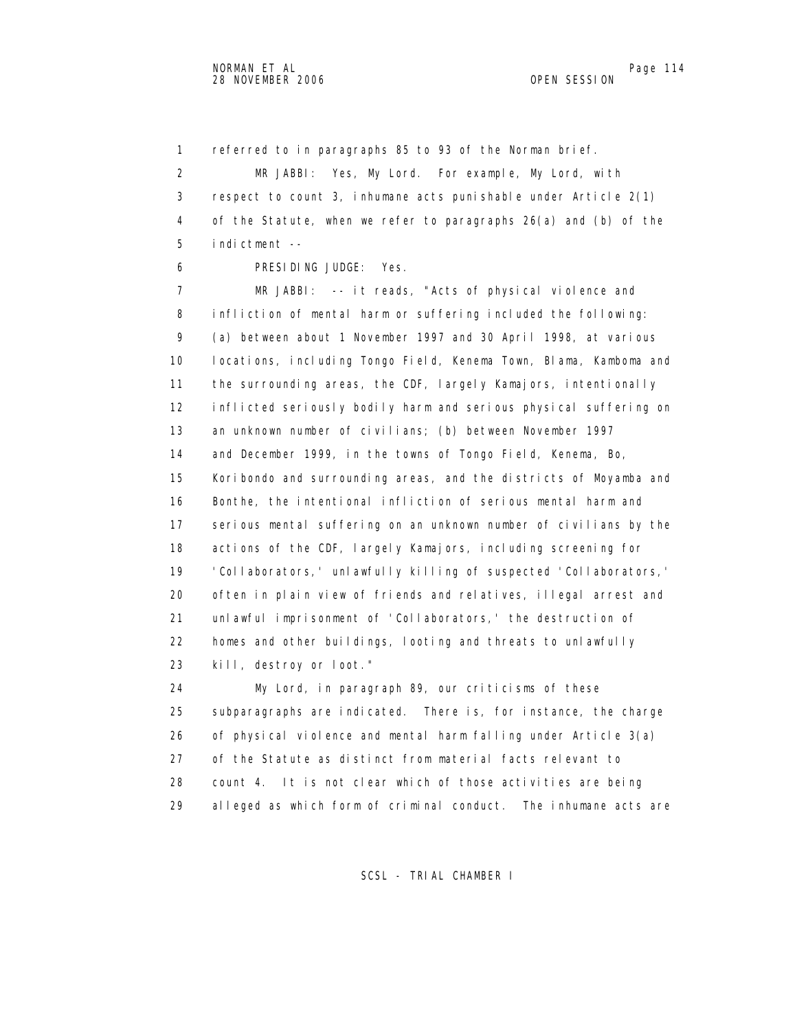1 referred to in paragraphs 85 to 93 of the Norman brief.

 2 MR JABBI: Yes, My Lord. For example, My Lord, with 3 respect to count 3, inhumane acts punishable under Article 2(1) 4 of the Statute, when we refer to paragraphs 26(a) and (b) of the 5 indictment --

6 PRESIDING JUDGE: Yes.

 7 MR JABBI: -- it reads, "Acts of physical violence and 8 infliction of mental harm or suffering included the following: 9 (a) between about 1 November 1997 and 30 April 1998, at various 10 locations, including Tongo Field, Kenema Town, Blama, Kamboma and 11 the surrounding areas, the CDF, largely Kamajors, intentionally 12 inflicted seriously bodily harm and serious physical suffering on 13 an unknown number of civilians; (b) between November 1997 14 and December 1999, in the towns of Tongo Field, Kenema, Bo, 15 Koribondo and surrounding areas, and the districts of Moyamba and 16 Bonthe, the intentional infliction of serious mental harm and 17 serious mental suffering on an unknown number of civilians by the 18 actions of the CDF, largely Kamajors, including screening for 19 'Collaborators,' unlawfully killing of suspected 'Collaborators,' 20 often in plain view of friends and relatives, illegal arrest and 21 unlawful imprisonment of 'Collaborators,' the destruction of 22 homes and other buildings, looting and threats to unlawfully 23 kill, destroy or loot."

 24 My Lord, in paragraph 89, our criticisms of these 25 subparagraphs are indicated. There is, for instance, the charge 26 of physical violence and mental harm falling under Article 3(a) 27 of the Statute as distinct from material facts relevant to 28 count 4. It is not clear which of those activities are being 29 alleged as which form of criminal conduct. The inhumane acts are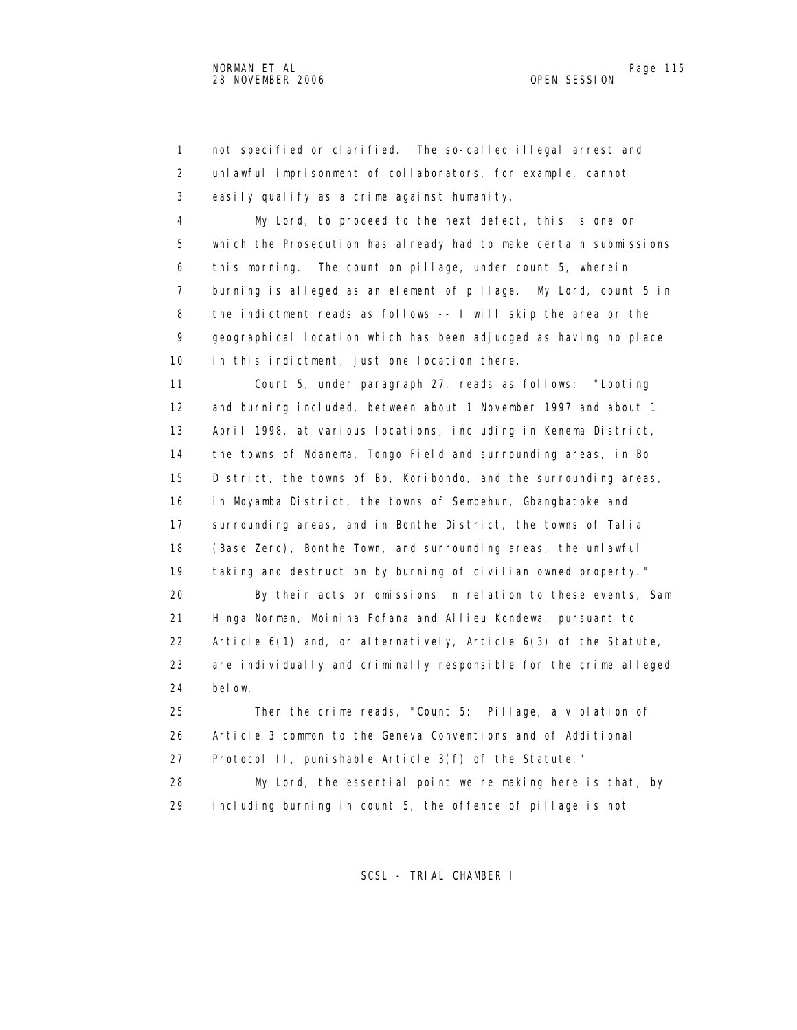1 not specified or clarified. The so-called illegal arrest and 2 unlawful imprisonment of collaborators, for example, cannot 3 easily qualify as a crime against humanity.

 4 My Lord, to proceed to the next defect, this is one on 5 which the Prosecution has already had to make certain submissions 6 this morning. The count on pillage, under count 5, wherein 7 burning is alleged as an element of pillage. My Lord, count 5 in 8 the indictment reads as follows -- I will skip the area or the 9 geographical location which has been adjudged as having no place 10 in this indictment, just one location there.

 11 Count 5, under paragraph 27, reads as follows: "Looting 12 and burning included, between about 1 November 1997 and about 1 13 April 1998, at various locations, including in Kenema District, 14 the towns of Ndanema, Tongo Field and surrounding areas, in Bo 15 District, the towns of Bo, Koribondo, and the surrounding areas, 16 in Moyamba District, the towns of Sembehun, Gbangbatoke and 17 surrounding areas, and in Bonthe District, the towns of Talia 18 (Base Zero), Bonthe Town, and surrounding areas, the unlawful 19 taking and destruction by burning of civilian owned property."

 20 By their acts or omissions in relation to these events, Sam 21 Hinga Norman, Moinina Fofana and Allieu Kondewa, pursuant to 22 Article 6(1) and, or alternatively, Article 6(3) of the Statute, 23 are individually and criminally responsible for the crime alleged 24 below.

 25 Then the crime reads, "Count 5: Pillage, a violation of 26 Article 3 common to the Geneva Conventions and of Additional 27 Protocol II, punishable Article 3(f) of the Statute."

 28 My Lord, the essential point we're making here is that, by 29 including burning in count 5, the offence of pillage is not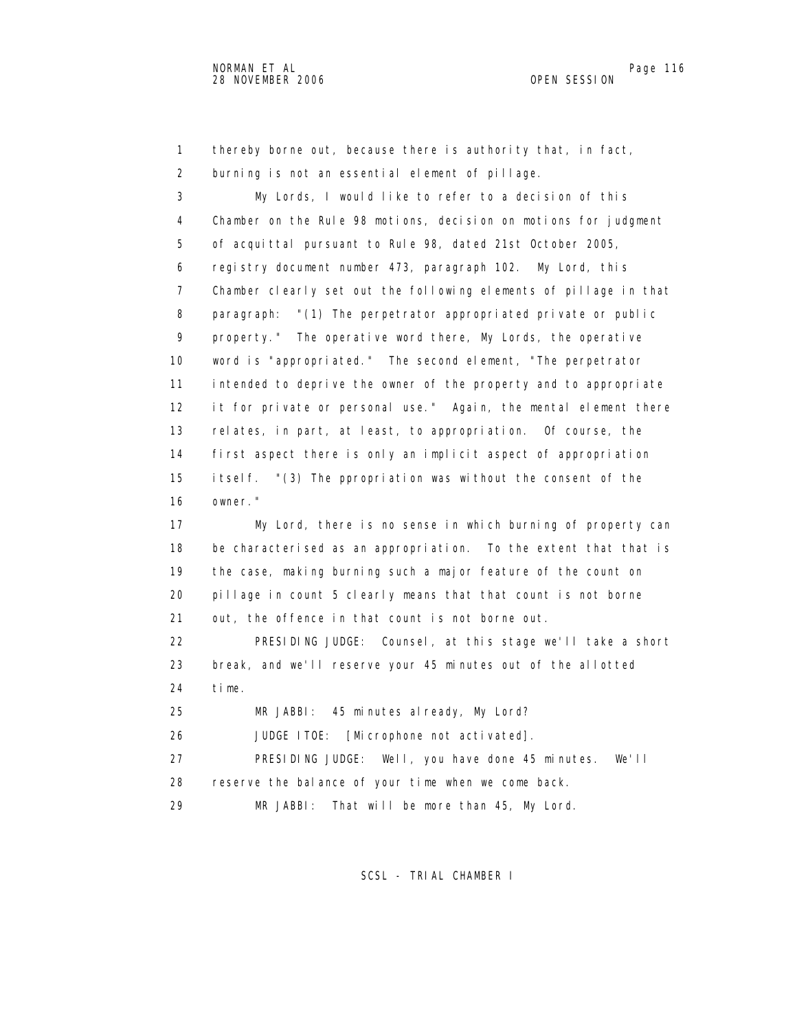1 thereby borne out, because there is authority that, in fact, 2 burning is not an essential element of pillage.

 3 My Lords, I would like to refer to a decision of this 4 Chamber on the Rule 98 motions, decision on motions for judgment 5 of acquittal pursuant to Rule 98, dated 21st October 2005, 6 registry document number 473, paragraph 102. My Lord, this 7 Chamber clearly set out the following elements of pillage in that 8 paragraph: "(1) The perpetrator appropriated private or public 9 property." The operative word there, My Lords, the operative 10 word is "appropriated." The second element, "The perpetrator 11 intended to deprive the owner of the property and to appropriate 12 it for private or personal use." Again, the mental element there 13 relates, in part, at least, to appropriation. Of course, the 14 first aspect there is only an implicit aspect of appropriation 15 itself. "(3) The ppropriation was without the consent of the 16 owner." 17 My Lord, there is no sense in which burning of property can 18 be characterised as an appropriation. To the extent that that is 19 the case, making burning such a major feature of the count on 20 pillage in count 5 clearly means that that count is not borne 21 out, the offence in that count is not borne out. 22 PRESIDING JUDGE: Counsel, at this stage we'll take a short 23 break, and we'll reserve your 45 minutes out of the allotted 24 time. 25 MR JABBI: 45 minutes already, My Lord? 26 JUDGE ITOE: [Microphone not activated]. 27 PRESIDING JUDGE: Well, you have done 45 minutes. We'll 28 reserve the balance of your time when we come back.

29 MR JABBI: That will be more than 45, My Lord.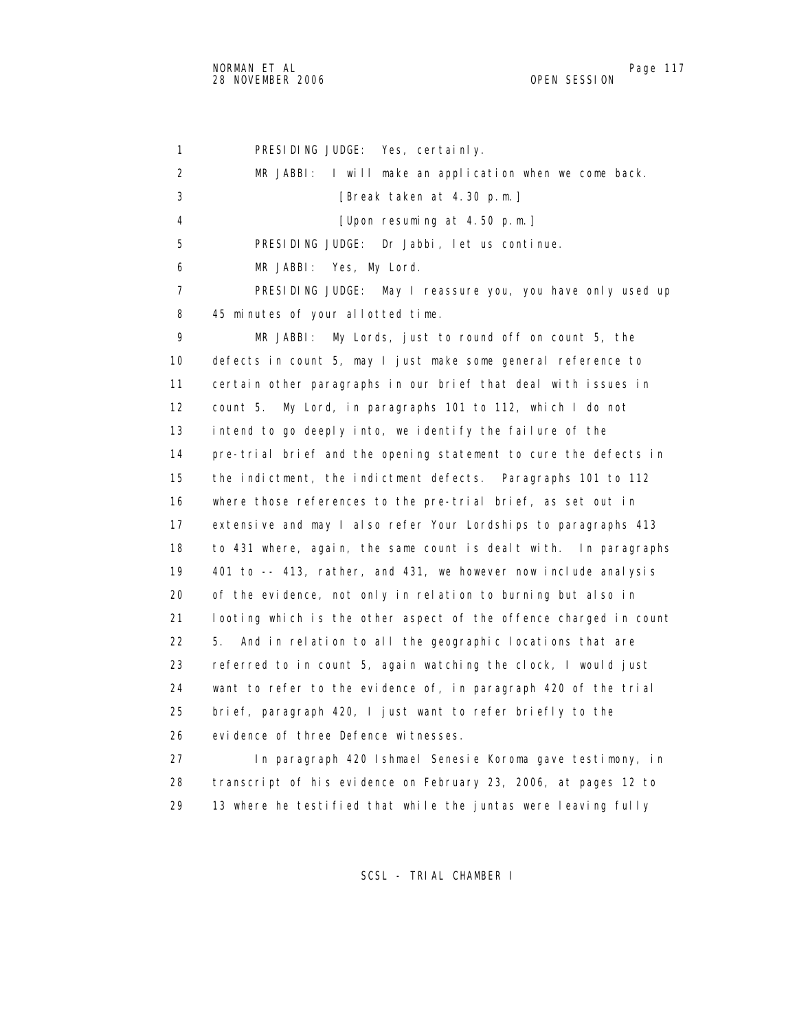1 PRESIDING JUDGE: Yes, certainly. 2 MR JABBI: I will make an application when we come back. 3 [Break taken at 4.30 p.m.] 4 [Upon resuming at 4.50 p.m.] 5 PRESIDING JUDGE: Dr Jabbi, let us continue. 6 MR JABBI: Yes, My Lord. 7 PRESIDING JUDGE: May I reassure you, you have only used up 8 45 minutes of your allotted time. 9 MR JABBI: My Lords, just to round off on count 5, the 10 defects in count 5, may I just make some general reference to 11 certain other paragraphs in our brief that deal with issues in 12 count 5. My Lord, in paragraphs 101 to 112, which I do not 13 intend to go deeply into, we identify the failure of the 14 pre-trial brief and the opening statement to cure the defects in 15 the indictment, the indictment defects. Paragraphs 101 to 112 16 where those references to the pre-trial brief, as set out in 17 extensive and may I also refer Your Lordships to paragraphs 413 18 to 431 where, again, the same count is dealt with. In paragraphs 19 401 to -- 413, rather, and 431, we however now include analysis 20 of the evidence, not only in relation to burning but also in 21 looting which is the other aspect of the offence charged in count 22 5. And in relation to all the geographic locations that are 23 referred to in count 5, again watching the clock, I would just 24 want to refer to the evidence of, in paragraph 420 of the trial 25 brief, paragraph 420, I just want to refer briefly to the 26 evidence of three Defence witnesses. 27 In paragraph 420 Ishmael Senesie Koroma gave testimony, in 28 transcript of his evidence on February 23, 2006, at pages 12 to

SCSL - TRIAL CHAMBER I

29 13 where he testified that while the juntas were leaving fully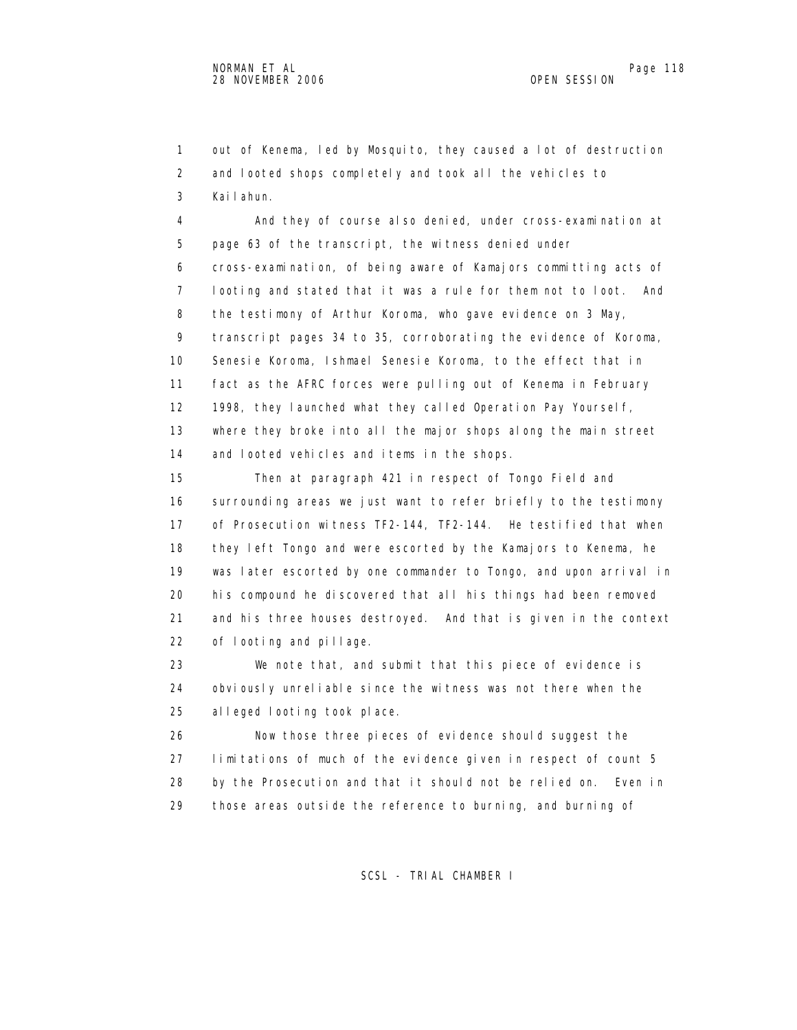1 out of Kenema, led by Mosquito, they caused a lot of destruction 2 and looted shops completely and took all the vehicles to 3 Kailahun.

 4 And they of course also denied, under cross-examination at 5 page 63 of the transcript, the witness denied under 6 cross-examination, of being aware of Kamajors committing acts of 7 looting and stated that it was a rule for them not to loot. And 8 the testimony of Arthur Koroma, who gave evidence on 3 May, 9 transcript pages 34 to 35, corroborating the evidence of Koroma, 10 Senesie Koroma, Ishmael Senesie Koroma, to the effect that in 11 fact as the AFRC forces were pulling out of Kenema in February 12 1998, they launched what they called Operation Pay Yourself, 13 where they broke into all the major shops along the main street 14 and looted vehicles and items in the shops.

 15 Then at paragraph 421 in respect of Tongo Field and 16 surrounding areas we just want to refer briefly to the testimony 17 of Prosecution witness TF2-144, TF2-144. He testified that when 18 they left Tongo and were escorted by the Kamajors to Kenema, he 19 was later escorted by one commander to Tongo, and upon arrival in 20 his compound he discovered that all his things had been removed 21 and his three houses destroyed. And that is given in the context 22 of looting and pillage.

 23 We note that, and submit that this piece of evidence is 24 obviously unreliable since the witness was not there when the 25 alleged looting took place.

 26 Now those three pieces of evidence should suggest the 27 limitations of much of the evidence given in respect of count 5 28 by the Prosecution and that it should not be relied on. Even in 29 those areas outside the reference to burning, and burning of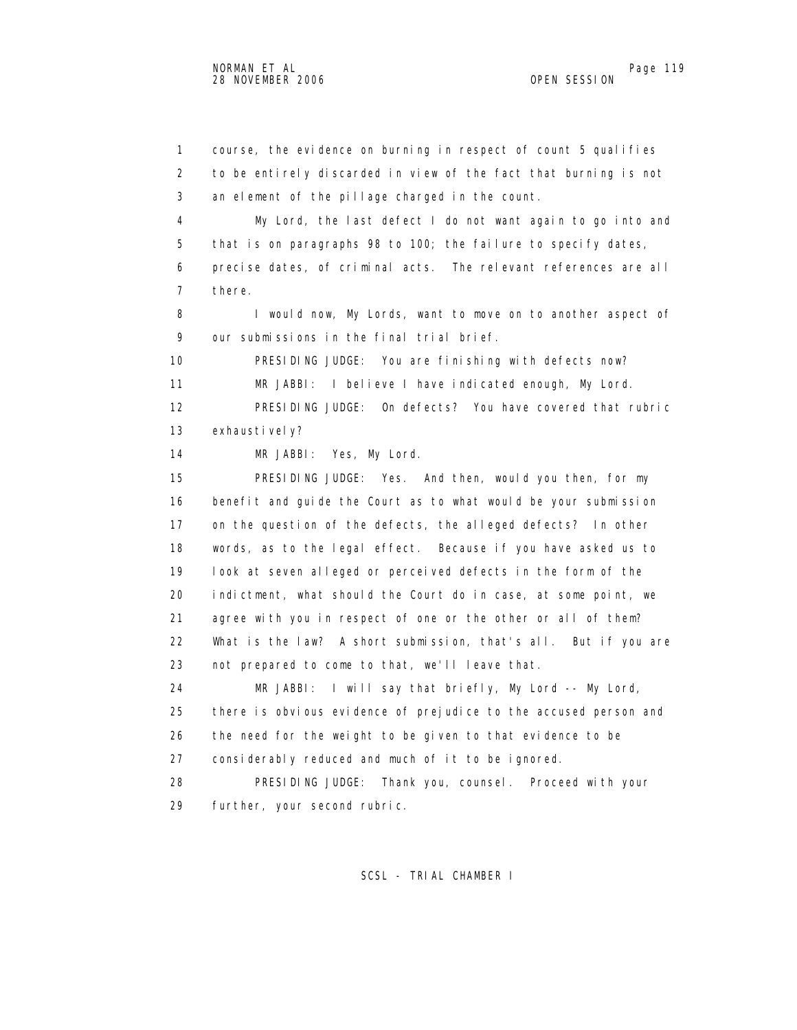1 course, the evidence on burning in respect of count 5 qualifies 2 to be entirely discarded in view of the fact that burning is not 3 an element of the pillage charged in the count. 4 My Lord, the last defect I do not want again to go into and 5 that is on paragraphs 98 to 100; the failure to specify dates, 6 precise dates, of criminal acts. The relevant references are all 7 there. 8 I would now, My Lords, want to move on to another aspect of 9 our submissions in the final trial brief. 10 PRESIDING JUDGE: You are finishing with defects now? 11 MR JABBI: I believe I have indicated enough, My Lord. 12 PRESIDING JUDGE: On defects? You have covered that rubric 13 exhaustively? 14 MR JABBI: Yes, My Lord. 15 PRESIDING JUDGE: Yes. And then, would you then, for my 16 benefit and guide the Court as to what would be your submission 17 on the question of the defects, the alleged defects? In other 18 words, as to the legal effect. Because if you have asked us to 19 look at seven alleged or perceived defects in the form of the 20 indictment, what should the Court do in case, at some point, we 21 agree with you in respect of one or the other or all of them? 22 What is the law? A short submission, that's all. But if you are 23 not prepared to come to that, we'll leave that. 24 MR JABBI: I will say that briefly, My Lord -- My Lord, 25 there is obvious evidence of prejudice to the accused person and 26 the need for the weight to be given to that evidence to be 27 considerably reduced and much of it to be ignored. 28 PRESIDING JUDGE: Thank you, counsel. Proceed with your 29 further, your second rubric.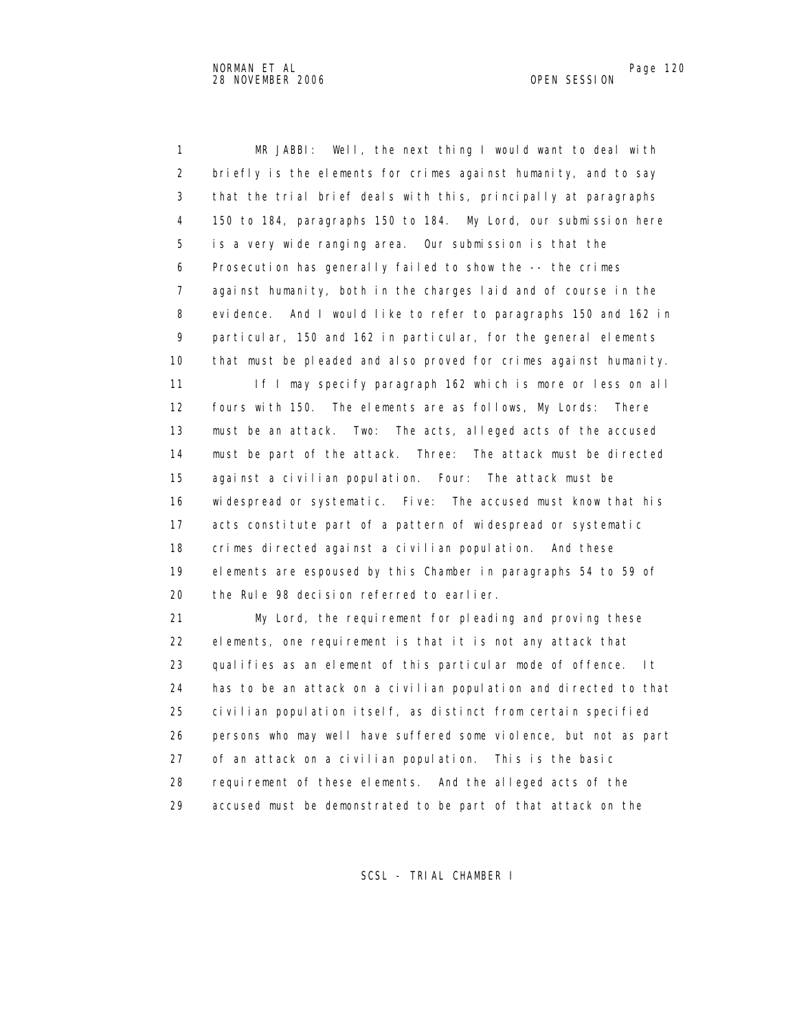1 MR JABBI: Well, the next thing I would want to deal with 2 briefly is the elements for crimes against humanity, and to say 3 that the trial brief deals with this, principally at paragraphs 4 150 to 184, paragraphs 150 to 184. My Lord, our submission here 5 is a very wide ranging area. Our submission is that the 6 Prosecution has generally failed to show the -- the crimes 7 against humanity, both in the charges laid and of course in the 8 evidence. And I would like to refer to paragraphs 150 and 162 in 9 particular, 150 and 162 in particular, for the general elements 10 that must be pleaded and also proved for crimes against humanity.

11 If I may specify paragraph 162 which is more or less on all 12 fours with 150. The elements are as follows, My Lords: There 13 must be an attack. Two: The acts, alleged acts of the accused 14 must be part of the attack. Three: The attack must be directed 15 against a civilian population. Four: The attack must be 16 widespread or systematic. Five: The accused must know that his 17 acts constitute part of a pattern of widespread or systematic 18 crimes directed against a civilian population. And these 19 elements are espoused by this Chamber in paragraphs 54 to 59 of 20 the Rule 98 decision referred to earlier.

 21 My Lord, the requirement for pleading and proving these 22 elements, one requirement is that it is not any attack that 23 qualifies as an element of this particular mode of offence. It 24 has to be an attack on a civilian population and directed to that 25 civilian population itself, as distinct from certain specified 26 persons who may well have suffered some violence, but not as part 27 of an attack on a civilian population. This is the basic 28 requirement of these elements. And the alleged acts of the 29 accused must be demonstrated to be part of that attack on the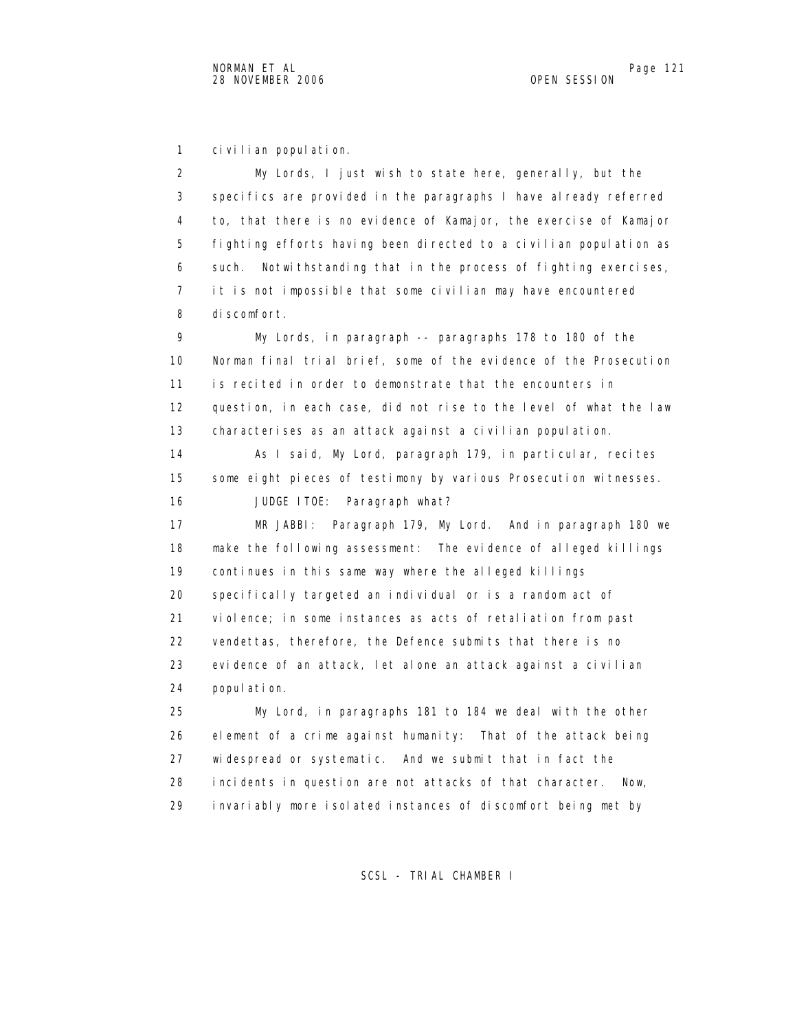1 civilian population.

 2 My Lords, I just wish to state here, generally, but the 3 specifics are provided in the paragraphs I have already referred 4 to, that there is no evidence of Kamajor, the exercise of Kamajor 5 fighting efforts having been directed to a civilian population as 6 such. Notwithstanding that in the process of fighting exercises, 7 it is not impossible that some civilian may have encountered 8 discomfort. 9 My Lords, in paragraph -- paragraphs 178 to 180 of the 10 Norman final trial brief, some of the evidence of the Prosecution 11 is recited in order to demonstrate that the encounters in 12 question, in each case, did not rise to the level of what the law 13 characterises as an attack against a civilian population. 14 As I said, My Lord, paragraph 179, in particular, recites 15 some eight pieces of testimony by various Prosecution witnesses. 16 JUDGE ITOE: Paragraph what? 17 MR JABBI: Paragraph 179, My Lord. And in paragraph 180 we 18 make the following assessment: The evidence of alleged killings 19 continues in this same way where the alleged killings 20 specifically targeted an individual or is a random act of 21 violence; in some instances as acts of retaliation from past 22 vendettas, therefore, the Defence submits that there is no 23 evidence of an attack, let alone an attack against a civilian 24 population. 25 My Lord, in paragraphs 181 to 184 we deal with the other 26 element of a crime against humanity: That of the attack being 27 widespread or systematic. And we submit that in fact the

28 incidents in question are not attacks of that character. Now,

29 invariably more isolated instances of discomfort being met by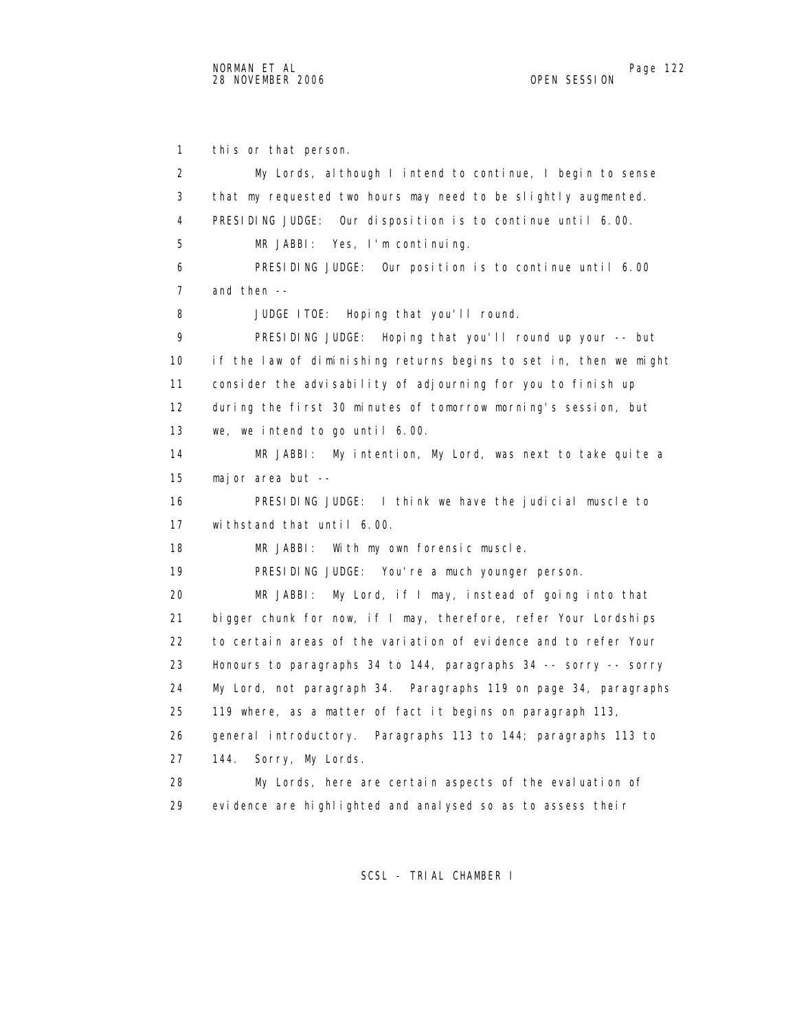1 this or that person. 2 My Lords, although I intend to continue, I begin to sense 3 that my requested two hours may need to be slightly augmented. 4 PRESIDING JUDGE: Our disposition is to continue until 6.00. 5 MR JABBI: Yes, I'm continuing. 6 PRESIDING JUDGE: Our position is to continue until 6.00 7 and then -- 8 JUDGE ITOE: Hoping that you'll round. 9 PRESIDING JUDGE: Hoping that you'll round up your -- but 10 if the law of diminishing returns begins to set in, then we might 11 consider the advisability of adjourning for you to finish up 12 during the first 30 minutes of tomorrow morning's session, but 13 we, we intend to go until 6.00. 14 MR JABBI: My intention, My Lord, was next to take quite a 15 major area but -- 16 PRESIDING JUDGE: I think we have the judicial muscle to 17 withstand that until 6.00. 18 MR JABBI: With my own forensic muscle. 19 PRESIDING JUDGE: You're a much younger person. 20 MR JABBI: My Lord, if I may, instead of going into that 21 bigger chunk for now, if I may, therefore, refer Your Lordships 22 to certain areas of the variation of evidence and to refer Your 23 Honours to paragraphs 34 to 144, paragraphs 34 -- sorry -- sorry 24 My Lord, not paragraph 34. Paragraphs 119 on page 34, paragraphs 25 119 where, as a matter of fact it begins on paragraph 113, 26 general introductory. Paragraphs 113 to 144; paragraphs 113 to 27 144. Sorry, My Lords. 28 My Lords, here are certain aspects of the evaluation of 29 evidence are highlighted and analysed so as to assess their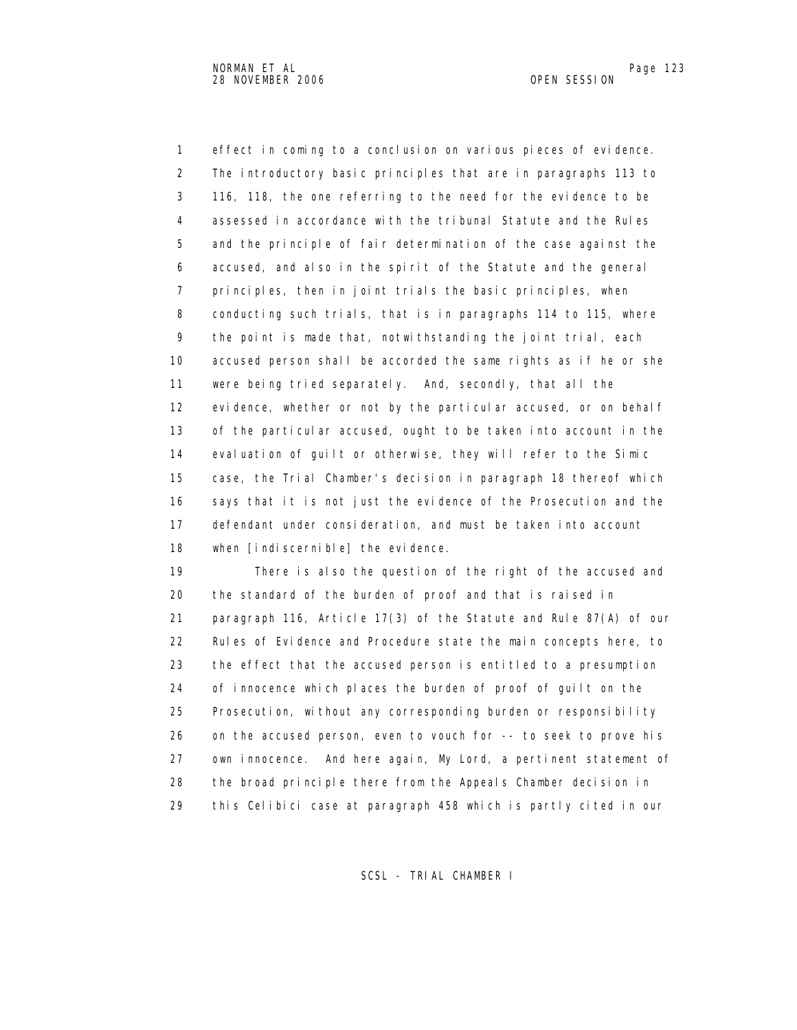1 effect in coming to a conclusion on various pieces of evidence. 2 The introductory basic principles that are in paragraphs 113 to 3 116, 118, the one referring to the need for the evidence to be 4 assessed in accordance with the tribunal Statute and the Rules 5 and the principle of fair determination of the case against the 6 accused, and also in the spirit of the Statute and the general 7 principles, then in joint trials the basic principles, when 8 conducting such trials, that is in paragraphs 114 to 115, where 9 the point is made that, notwithstanding the joint trial, each 10 accused person shall be accorded the same rights as if he or she 11 were being tried separately. And, secondly, that all the 12 evidence, whether or not by the particular accused, or on behalf 13 of the particular accused, ought to be taken into account in the 14 evaluation of guilt or otherwise, they will refer to the Simic 15 case, the Trial Chamber's decision in paragraph 18 thereof which 16 says that it is not just the evidence of the Prosecution and the 17 defendant under consideration, and must be taken into account 18 when [indiscernible] the evidence.

 19 There is also the question of the right of the accused and 20 the standard of the burden of proof and that is raised in 21 paragraph 116, Article 17(3) of the Statute and Rule 87(A) of our 22 Rules of Evidence and Procedure state the main concepts here, to 23 the effect that the accused person is entitled to a presumption 24 of innocence which places the burden of proof of guilt on the 25 Prosecution, without any corresponding burden or responsibility 26 on the accused person, even to vouch for -- to seek to prove his 27 own innocence. And here again, My Lord, a pertinent statement of 28 the broad principle there from the Appeals Chamber decision in 29 this Celibici case at paragraph 458 which is partly cited in our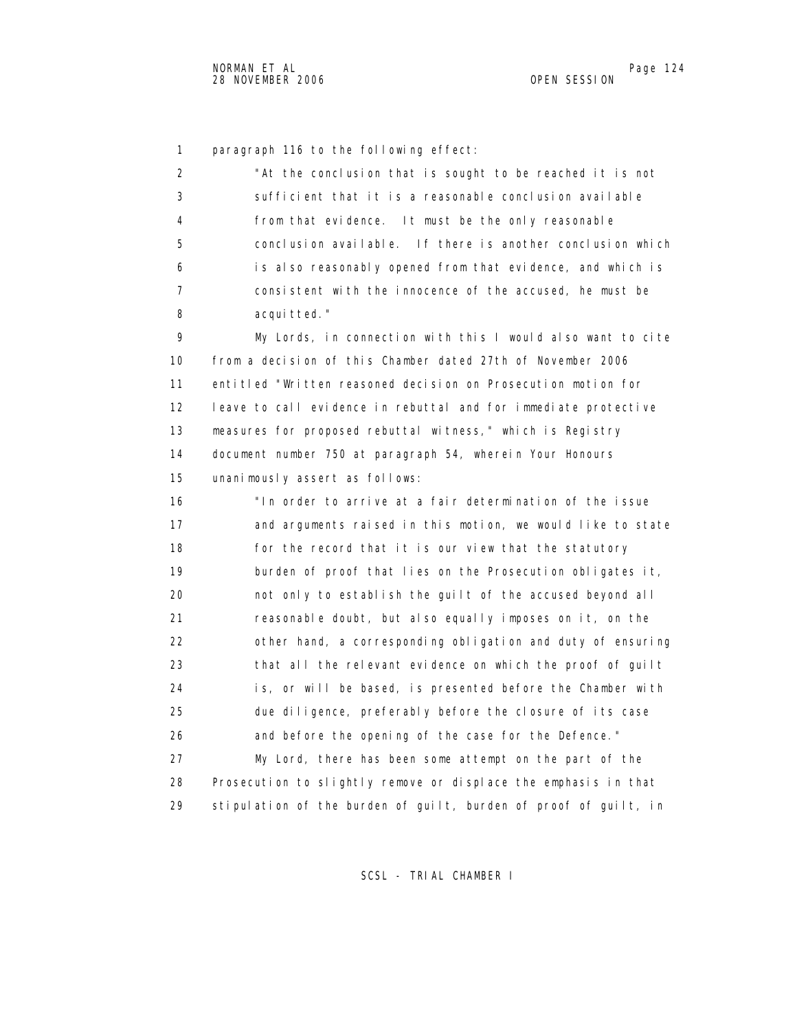1 paragraph 116 to the following effect:

| 2  | "At the conclusion that is sought to be reached it is not        |
|----|------------------------------------------------------------------|
| 3  | sufficient that it is a reasonable conclusion available          |
| 4  | from that evidence. It must be the only reasonable               |
| 5  | conclusion available. If there is another conclusion which       |
| 6  | is also reasonably opened from that evidence, and which is       |
| 7  | consistent with the innocence of the accused, he must be         |
| 8  | acquitted."                                                      |
| 9  | My Lords, in connection with this I would also want to cite      |
| 10 | from a decision of this Chamber dated 27th of November 2006      |
| 11 | entitled "Written reasoned decision on Prosecution motion for    |
| 12 | leave to call evidence in rebuttal and for immediate protective  |
| 13 | measures for proposed rebuttal witness," which is Registry       |
| 14 | document number 750 at paragraph 54, wherein Your Honours        |
| 15 | unanimously assert as follows:                                   |
| 16 | "In order to arrive at a fair determination of the issue         |
| 17 | and arguments raised in this motion, we would like to state      |
| 18 | for the record that it is our view that the statutory            |
| 19 | burden of proof that lies on the Prosecution obligates it,       |
| 20 | not only to establish the guilt of the accused beyond all        |
| 21 | reasonable doubt, but also equally imposes on it, on the         |
| 22 | other hand, a corresponding obligation and duty of ensuring      |
| 23 | that all the relevant evidence on which the proof of guilt       |
| 24 | is, or will be based, is presented before the Chamber with       |
| 25 | due diligence, preferably before the closure of its case         |
| 26 | and before the opening of the case for the Defence."             |
| 27 | My Lord, there has been some attempt on the part of the          |
| 28 | Prosecution to slightly remove or displace the emphasis in that  |
| 29 | stipulation of the burden of guilt, burden of proof of guilt, in |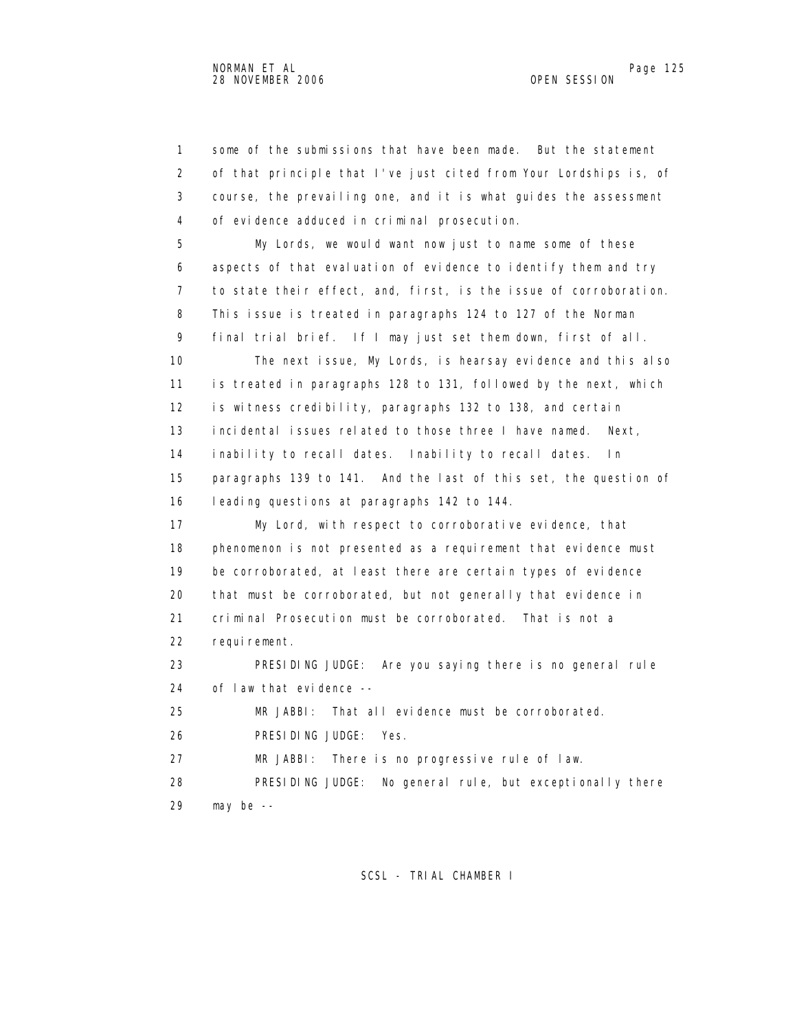1 some of the submissions that have been made. But the statement 2 of that principle that I've just cited from Your Lordships is, of 3 course, the prevailing one, and it is what guides the assessment 4 of evidence adduced in criminal prosecution. 5 My Lords, we would want now just to name some of these 6 aspects of that evaluation of evidence to identify them and try 7 to state their effect, and, first, is the issue of corroboration. 8 This issue is treated in paragraphs 124 to 127 of the Norman 9 final trial brief. If I may just set them down, first of all. 10 The next issue, My Lords, is hearsay evidence and this also 11 is treated in paragraphs 128 to 131, followed by the next, which 12 is witness credibility, paragraphs 132 to 138, and certain 13 incidental issues related to those three I have named. Next, 14 inability to recall dates. Inability to recall dates. In 15 paragraphs 139 to 141. And the last of this set, the question of 16 leading questions at paragraphs 142 to 144. 17 My Lord, with respect to corroborative evidence, that 18 phenomenon is not presented as a requirement that evidence must 19 be corroborated, at least there are certain types of evidence 20 that must be corroborated, but not generally that evidence in 21 criminal Prosecution must be corroborated. That is not a 22 requirement. 23 PRESIDING JUDGE: Are you saying there is no general rule 24 of law that evidence -- 25 MR JABBI: That all evidence must be corroborated. 26 PRESIDING JUDGE: Yes. 27 MR JABBI: There is no progressive rule of law. 28 PRESIDING JUDGE: No general rule, but exceptionally there 29 may be --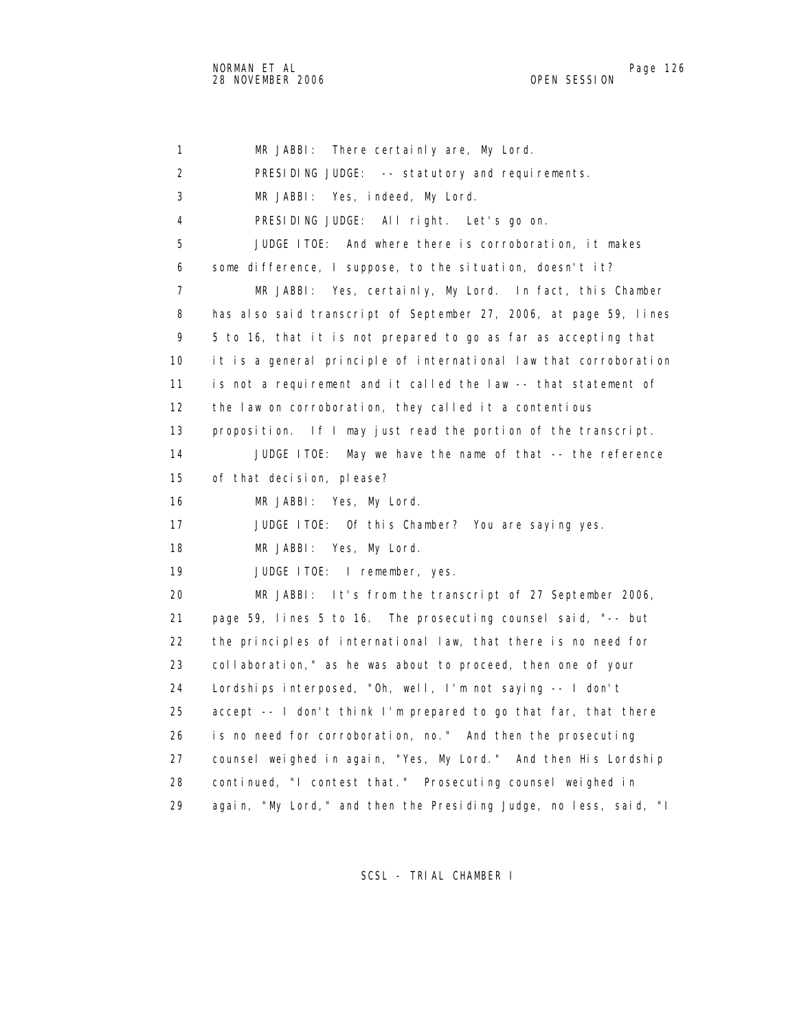1 MR JABBI: There certainly are, My Lord. 2 PRESIDING JUDGE: -- statutory and requirements. 3 MR JABBI: Yes, indeed, My Lord. 4 PRESIDING JUDGE: All right. Let's go on. 5 JUDGE ITOE: And where there is corroboration, it makes 6 some difference, I suppose, to the situation, doesn't it? 7 MR JABBI: Yes, certainly, My Lord. In fact, this Chamber 8 has also said transcript of September 27, 2006, at page 59, lines 9 5 to 16, that it is not prepared to go as far as accepting that 10 it is a general principle of international law that corroboration 11 is not a requirement and it called the law -- that statement of 12 the law on corroboration, they called it a contentious 13 proposition. If I may just read the portion of the transcript. 14 JUDGE ITOE: May we have the name of that -- the reference 15 of that decision, please? 16 MR JABBI: Yes, My Lord. 17 JUDGE ITOE: Of this Chamber? You are saying yes. 18 MR JABBI: Yes, My Lord. 19 JUDGE ITOE: I remember, yes. 20 MR JABBI: It's from the transcript of 27 September 2006, 21 page 59, lines 5 to 16. The prosecuting counsel said, "-- but 22 the principles of international law, that there is no need for 23 collaboration," as he was about to proceed, then one of your 24 Lordships interposed, "Oh, well, I'm not saying -- I don't 25 accept -- I don't think I'm prepared to go that far, that there 26 is no need for corroboration, no." And then the prosecuting 27 counsel weighed in again, "Yes, My Lord." And then His Lordship 28 continued, "I contest that." Prosecuting counsel weighed in 29 again, "My Lord," and then the Presiding Judge, no less, said, "I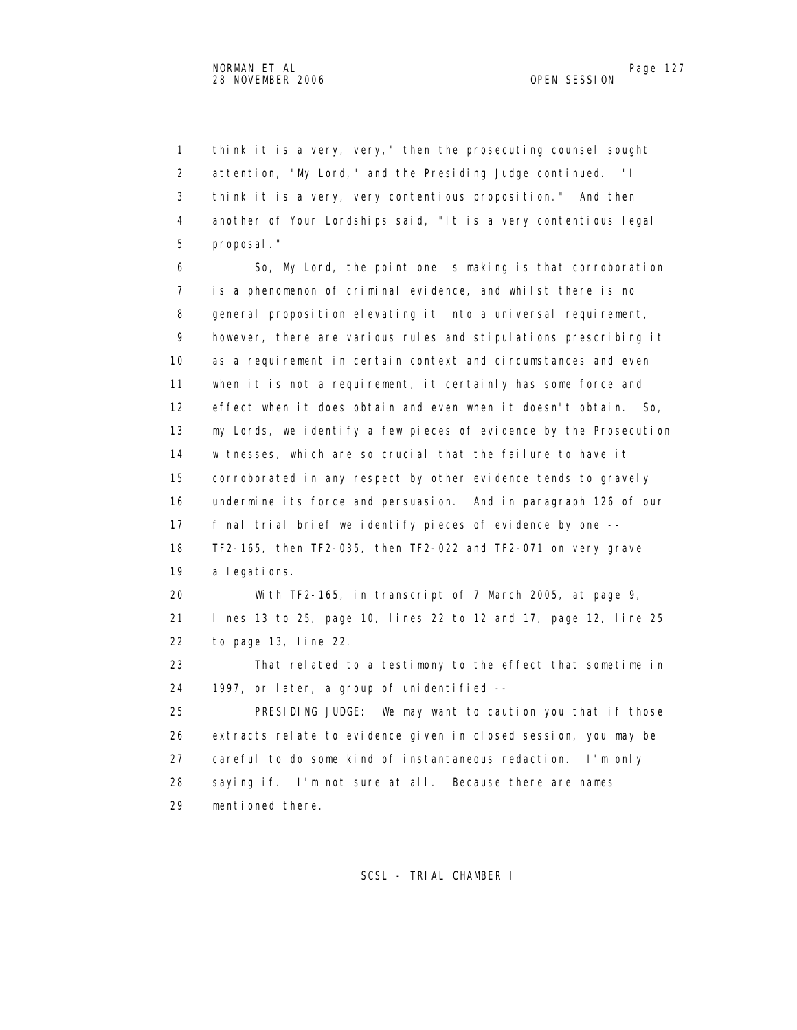1 think it is a very, very," then the prosecuting counsel sought 2 attention, "My Lord," and the Presiding Judge continued. "I 3 think it is a very, very contentious proposition." And then 4 another of Your Lordships said, "It is a very contentious legal 5 proposal."

 6 So, My Lord, the point one is making is that corroboration 7 is a phenomenon of criminal evidence, and whilst there is no 8 general proposition elevating it into a universal requirement, 9 however, there are various rules and stipulations prescribing it 10 as a requirement in certain context and circumstances and even 11 when it is not a requirement, it certainly has some force and 12 effect when it does obtain and even when it doesn't obtain. So, 13 my Lords, we identify a few pieces of evidence by the Prosecution 14 witnesses, which are so crucial that the failure to have it 15 corroborated in any respect by other evidence tends to gravely 16 undermine its force and persuasion. And in paragraph 126 of our 17 final trial brief we identify pieces of evidence by one -- 18 TF2-165, then TF2-035, then TF2-022 and TF2-071 on very grave 19 allegations. 20 With TF2-165, in transcript of 7 March 2005, at page 9, 21 lines 13 to 25, page 10, lines 22 to 12 and 17, page 12, line 25 22 to page 13, line 22. 23 That related to a testimony to the effect that sometime in 24 1997, or later, a group of unidentified --

 25 PRESIDING JUDGE: We may want to caution you that if those 26 extracts relate to evidence given in closed session, you may be 27 careful to do some kind of instantaneous redaction. I'm only 28 saying if. I'm not sure at all. Because there are names 29 mentioned there.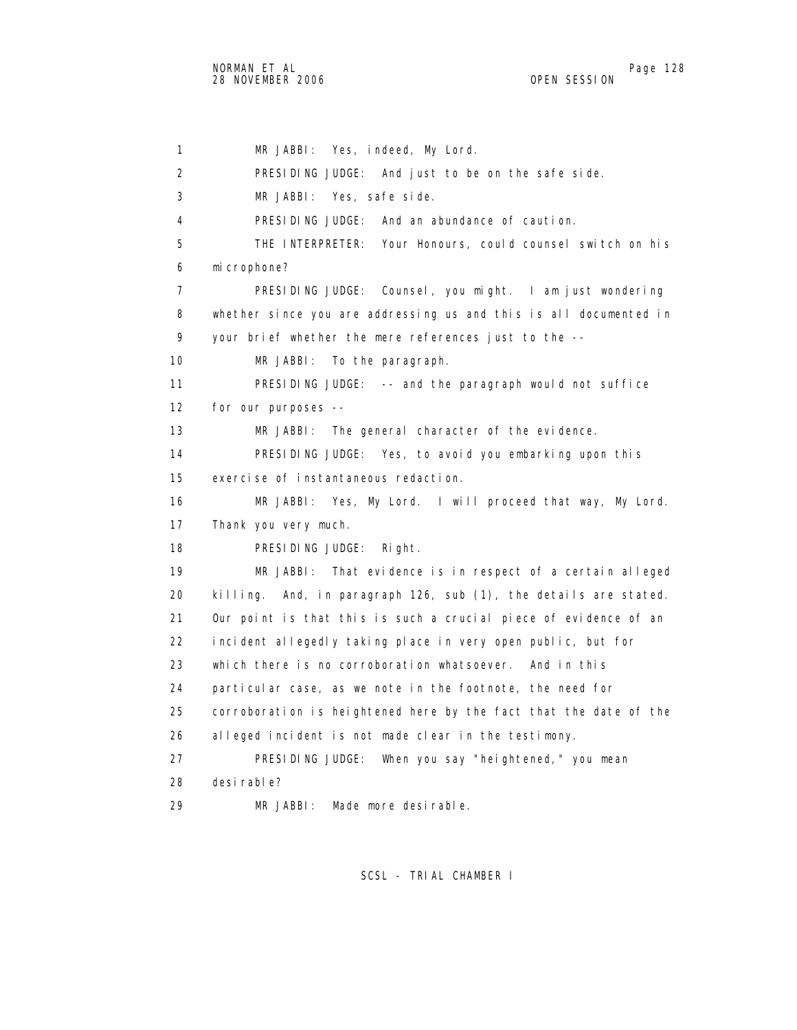1 MR JABBI: Yes, indeed, My Lord. 2 PRESIDING JUDGE: And just to be on the safe side. 3 MR JABBI: Yes, safe side. 4 PRESIDING JUDGE: And an abundance of caution. 5 THE INTERPRETER: Your Honours, could counsel switch on his 6 microphone? 7 PRESIDING JUDGE: Counsel, you might. I am just wondering 8 whether since you are addressing us and this is all documented in 9 your brief whether the mere references just to the -- 10 MR JABBI: To the paragraph. 11 PRESIDING JUDGE: -- and the paragraph would not suffice 12 for our purposes -- 13 MR JABBI: The general character of the evidence. 14 PRESIDING JUDGE: Yes, to avoid you embarking upon this 15 exercise of instantaneous redaction. 16 MR JABBI: Yes, My Lord. I will proceed that way, My Lord. 17 Thank you very much. 18 PRESIDING JUDGE: Right. 19 MR JABBI: That evidence is in respect of a certain alleged 20 killing. And, in paragraph 126, sub (1), the details are stated. 21 Our point is that this is such a crucial piece of evidence of an 22 incident allegedly taking place in very open public, but for 23 which there is no corroboration whatsoever. And in this 24 particular case, as we note in the footnote, the need for 25 corroboration is heightened here by the fact that the date of the 26 alleged incident is not made clear in the testimony. 27 PRESIDING JUDGE: When you say "heightened," you mean 28 desirable? 29 MR JABBI: Made more desirable.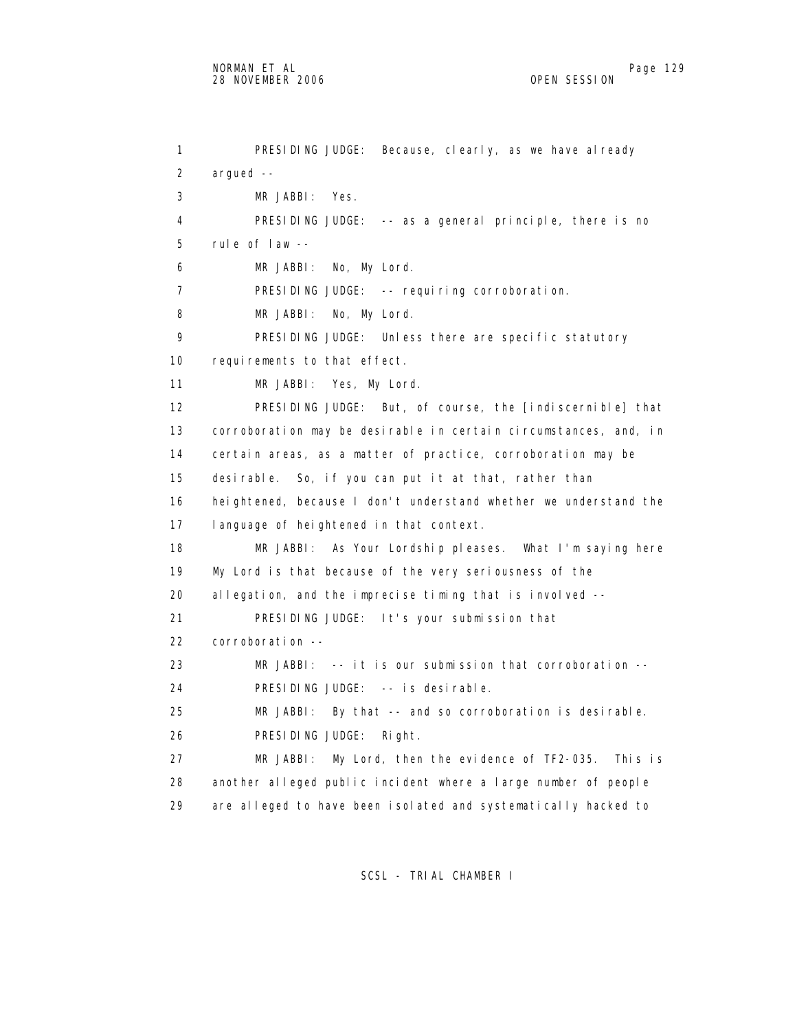```
 1 PRESIDING JUDGE: Because, clearly, as we have already 
 2 argued -- 
 3 MR JABBI: Yes. 
 4 PRESIDING JUDGE: -- as a general principle, there is no 
 5 rule of law -- 
 6 MR JABBI: No, My Lord. 
7 PRESIDING JUDGE: -- requiring corroboration.
8 MR JABBI: No, My Lord.
9 PRESIDING JUDGE: Unless there are specific statutory
10 requirements to that effect.
 11 MR JABBI: Yes, My Lord. 
 12 PRESIDING JUDGE: But, of course, the [indiscernible] that 
 13 corroboration may be desirable in certain circumstances, and, in 
 14 certain areas, as a matter of practice, corroboration may be 
 15 desirable. So, if you can put it at that, rather than 
 16 heightened, because I don't understand whether we understand the 
 17 language of heightened in that context. 
 18 MR JABBI: As Your Lordship pleases. What I'm saying here 
 19 My Lord is that because of the very seriousness of the 
 20 allegation, and the imprecise timing that is involved -- 
 21 PRESIDING JUDGE: It's your submission that 
 22 corroboration -- 
 23 MR JABBI: -- it is our submission that corroboration -- 
 24 PRESIDING JUDGE: -- is desirable. 
 25 MR JABBI: By that -- and so corroboration is desirable. 
 26 PRESIDING JUDGE: Right. 
 27 MR JABBI: My Lord, then the evidence of TF2-035. This is 
 28 another alleged public incident where a large number of people 
 29 are alleged to have been isolated and systematically hacked to
```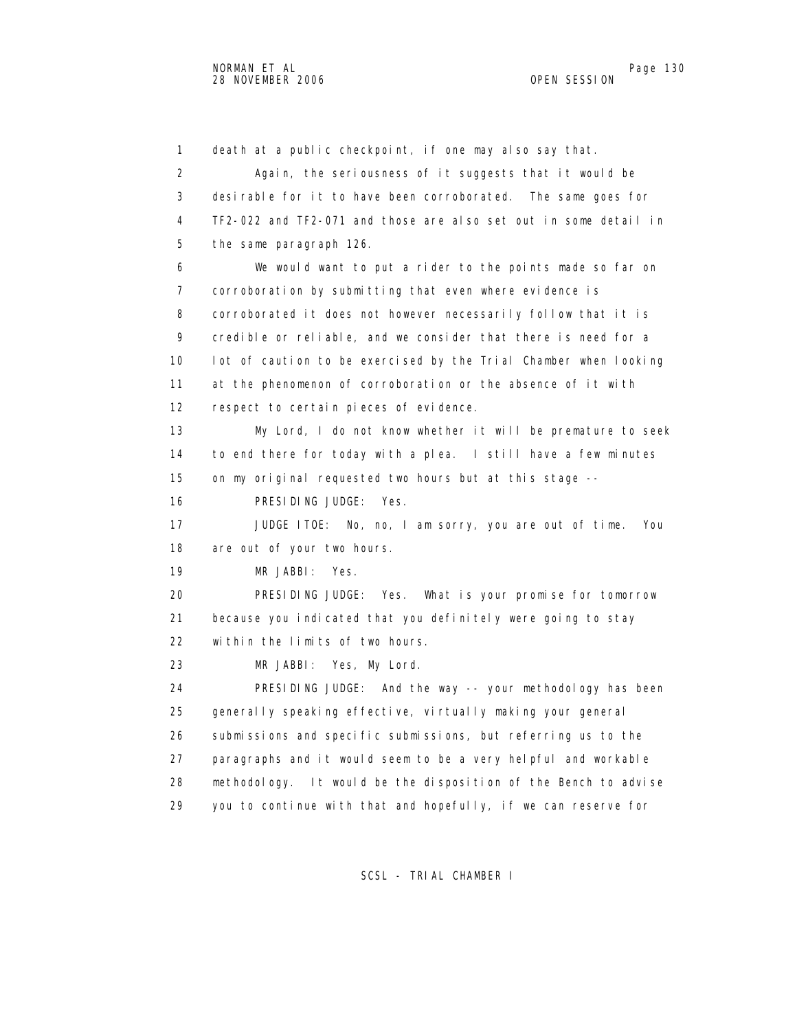1 death at a public checkpoint, if one may also say that. 2 Again, the seriousness of it suggests that it would be 3 desirable for it to have been corroborated. The same goes for 4 TF2-022 and TF2-071 and those are also set out in some detail in 5 the same paragraph 126. 6 We would want to put a rider to the points made so far on 7 corroboration by submitting that even where evidence is 8 corroborated it does not however necessarily follow that it is 9 credible or reliable, and we consider that there is need for a 10 lot of caution to be exercised by the Trial Chamber when looking 11 at the phenomenon of corroboration or the absence of it with 12 respect to certain pieces of evidence. 13 My Lord, I do not know whether it will be premature to seek 14 to end there for today with a plea. I still have a few minutes 15 on my original requested two hours but at this stage -- 16 PRESIDING JUDGE: Yes. 17 JUDGE ITOE: No, no, I am sorry, you are out of time. You 18 are out of your two hours. 19 MR JABBI: Yes. 20 PRESIDING JUDGE: Yes. What is your promise for tomorrow 21 because you indicated that you definitely were going to stay 22 within the limits of two hours. 23 MR JABBI: Yes, My Lord. 24 PRESIDING JUDGE: And the way -- your methodology has been 25 generally speaking effective, virtually making your general 26 submissions and specific submissions, but referring us to the 27 paragraphs and it would seem to be a very helpful and workable 28 methodology. It would be the disposition of the Bench to advise 29 you to continue with that and hopefully, if we can reserve for